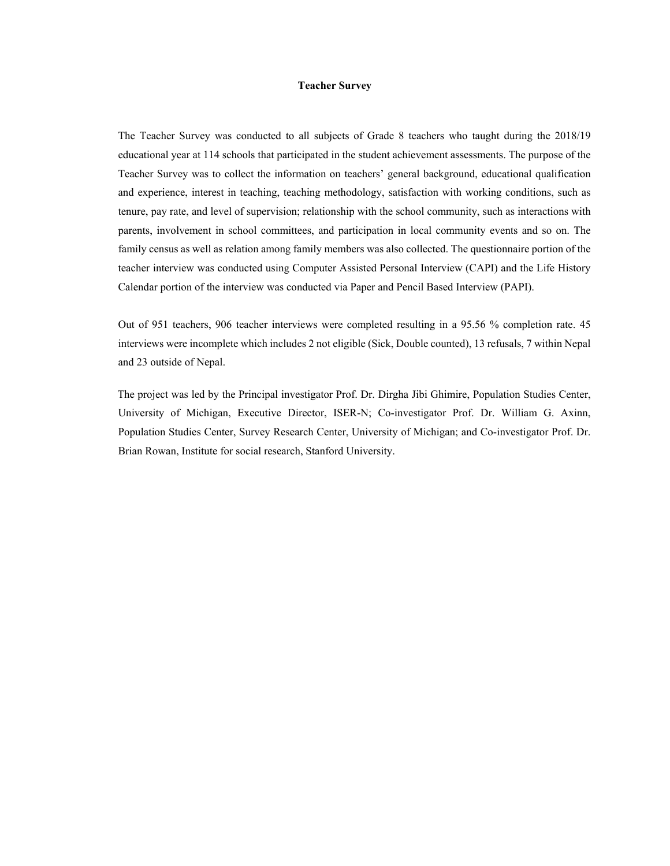#### **Teacher Survey**

The Teacher Survey was conducted to all subjects of Grade 8 teachers who taught during the 2018/19 educational year at 114 schools that participated in the student achievement assessments. The purpose of the Teacher Survey was to collect the information on teachers' general background, educational qualification and experience, interest in teaching, teaching methodology, satisfaction with working conditions, such as tenure, pay rate, and level of supervision; relationship with the school community, such as interactions with parents, involvement in school committees, and participation in local community events and so on. The family census as well as relation among family members was also collected. The questionnaire portion of the teacher interview was conducted using Computer Assisted Personal Interview (CAPI) and the Life History Calendar portion of the interview was conducted via Paper and Pencil Based Interview (PAPI).

Out of 951 teachers, 906 teacher interviews were completed resulting in a 95.56 % completion rate. 45 interviews were incomplete which includes 2 not eligible (Sick, Double counted), 13 refusals, 7 within Nepal and 23 outside of Nepal.

 The project was led by the Principal investigator Prof. Dr. Dirgha Jibi Ghimire, Population Studies Center, University of Michigan, Executive Director, ISER-N; Co-investigator Prof. Dr. William G. Axinn, Population Studies Center, Survey Research Center, University of Michigan; and Co-investigator Prof. Dr. Brian Rowan, Institute for social research, Stanford University.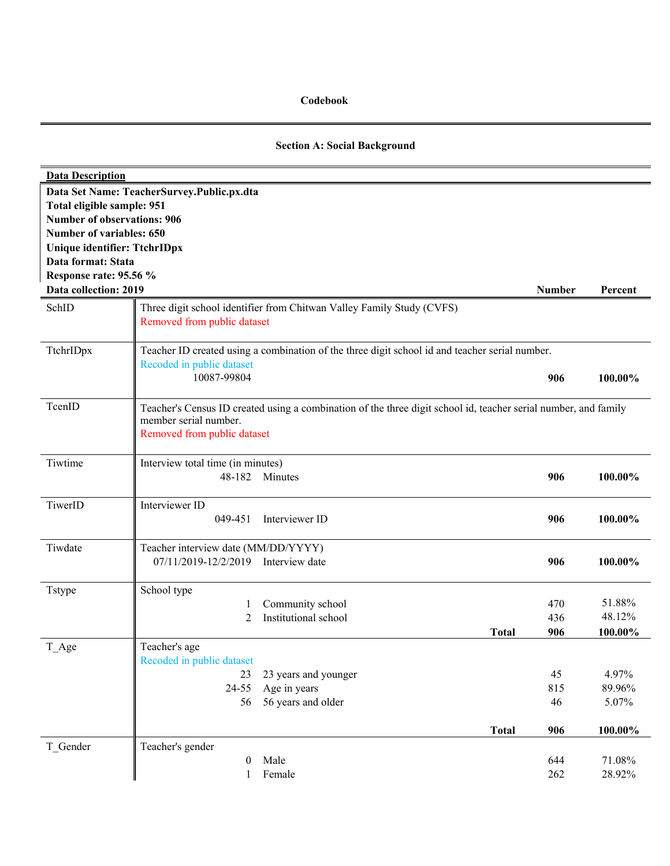#### **Codebook**

### **Section A: Social Background**

| <b>Data Description</b>             |                                                                                                                 |              |               |         |
|-------------------------------------|-----------------------------------------------------------------------------------------------------------------|--------------|---------------|---------|
|                                     | Data Set Name: TeacherSurvey.Public.px.dta                                                                      |              |               |         |
| Total eligible sample: 951          |                                                                                                                 |              |               |         |
| <b>Number of observations: 906</b>  |                                                                                                                 |              |               |         |
| Number of variables: 650            |                                                                                                                 |              |               |         |
| <b>Unique identifier: TtchrIDpx</b> |                                                                                                                 |              |               |         |
| Data format: Stata                  |                                                                                                                 |              |               |         |
| Response rate: 95.56 %              |                                                                                                                 |              |               |         |
| Data collection: 2019               |                                                                                                                 |              | <b>Number</b> | Percent |
| SchID                               | Three digit school identifier from Chitwan Valley Family Study (CVFS)                                           |              |               |         |
|                                     | Removed from public dataset                                                                                     |              |               |         |
| TtchrIDpx                           | Teacher ID created using a combination of the three digit school id and teacher serial number.                  |              |               |         |
|                                     | Recoded in public dataset                                                                                       |              |               |         |
|                                     | 10087-99804                                                                                                     |              | 906           | 100.00% |
| TcenID                              | Teacher's Census ID created using a combination of the three digit school id, teacher serial number, and family |              |               |         |
|                                     | member serial number.                                                                                           |              |               |         |
|                                     | Removed from public dataset                                                                                     |              |               |         |
| Tiwtime                             | Interview total time (in minutes)                                                                               |              |               |         |
|                                     | 48-182 Minutes                                                                                                  |              | 906           | 100.00% |
| TiwerID                             | Interviewer ID                                                                                                  |              |               |         |
|                                     | 049-451<br>Interviewer ID                                                                                       |              | 906           | 100.00% |
| Tiwdate                             | Teacher interview date (MM/DD/YYYY)                                                                             |              |               |         |
|                                     | 07/11/2019-12/2/2019 Interview date                                                                             |              | 906           | 100.00% |
| <b>Tstype</b>                       | School type                                                                                                     |              |               |         |
|                                     | Community school<br>1                                                                                           |              | 470           | 51.88%  |
|                                     | Institutional school<br>2                                                                                       |              | 436           | 48.12%  |
|                                     |                                                                                                                 | <b>Total</b> | 906           | 100.00% |
| T_Age                               | Teacher's age                                                                                                   |              |               |         |
|                                     | Recoded in public dataset                                                                                       |              |               |         |
|                                     | 23 years and younger<br>23                                                                                      |              | 45            | 4.97%   |
|                                     | Age in years<br>24-55                                                                                           |              | 815           | 89.96%  |
|                                     | 56 years and older<br>56                                                                                        |              | 46            | 5.07%   |
|                                     |                                                                                                                 | <b>Total</b> | 906           | 100.00% |
| T Gender                            | Teacher's gender                                                                                                |              |               |         |
|                                     | Male<br>$\theta$                                                                                                |              | 644           | 71.08%  |
|                                     | Female<br>$\mathbf{1}$                                                                                          |              | 262           | 28.92%  |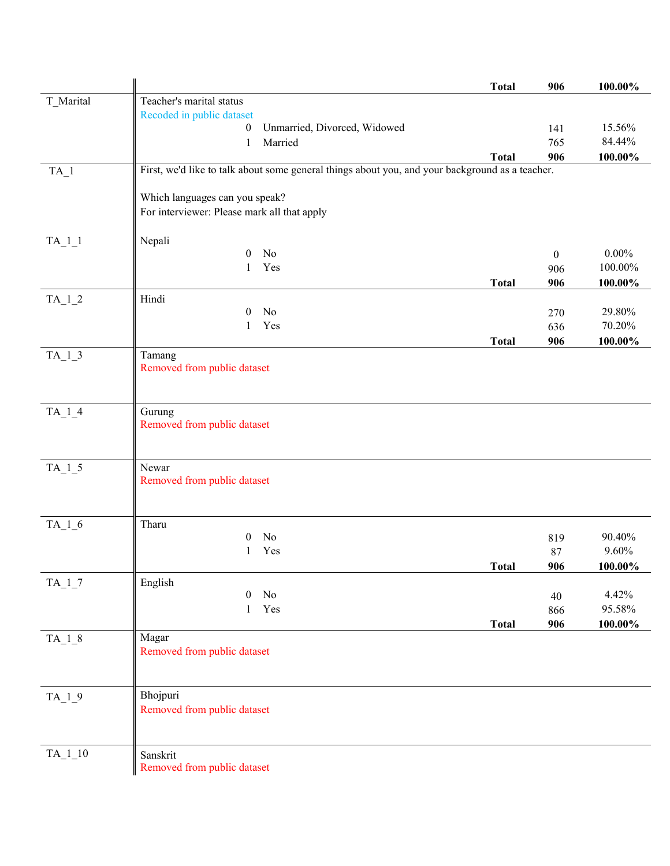|                     |                                                                                                 | <b>Total</b> | 906          | $100.00\%$ |
|---------------------|-------------------------------------------------------------------------------------------------|--------------|--------------|------------|
| T_Marital           | Teacher's marital status                                                                        |              |              |            |
|                     | Recoded in public dataset                                                                       |              |              |            |
|                     | Unmarried, Divorced, Widowed<br>$\boldsymbol{0}$                                                |              | 141          | 15.56%     |
|                     | Married<br>1                                                                                    |              | 765          | 84.44%     |
|                     |                                                                                                 | <b>Total</b> | 906          | $100.00\%$ |
| $TA_1$              | First, we'd like to talk about some general things about you, and your background as a teacher. |              |              |            |
|                     |                                                                                                 |              |              |            |
|                     | Which languages can you speak?                                                                  |              |              |            |
|                     | For interviewer: Please mark all that apply                                                     |              |              |            |
|                     |                                                                                                 |              |              |            |
| $TA_1_1$            | Nepali                                                                                          |              |              |            |
|                     | No<br>$\overline{0}$                                                                            |              | $\mathbf{0}$ | $0.00\%$   |
|                     | Yes<br>1                                                                                        |              | 906          | 100.00%    |
|                     |                                                                                                 | <b>Total</b> | 906          | 100.00%    |
| $TA_1_2$            | Hindi                                                                                           |              |              |            |
|                     | No<br>0                                                                                         |              | 270          | 29.80%     |
|                     | Yes<br>1                                                                                        |              | 636          | 70.20%     |
|                     |                                                                                                 | <b>Total</b> | 906          | 100.00%    |
| $TA_1_3$            | Tamang                                                                                          |              |              |            |
|                     | Removed from public dataset                                                                     |              |              |            |
|                     |                                                                                                 |              |              |            |
|                     |                                                                                                 |              |              |            |
| $TA_1_4$            | Gurung                                                                                          |              |              |            |
|                     | Removed from public dataset                                                                     |              |              |            |
|                     |                                                                                                 |              |              |            |
|                     |                                                                                                 |              |              |            |
| $TA_1_5$            | Newar<br>Removed from public dataset                                                            |              |              |            |
|                     |                                                                                                 |              |              |            |
|                     |                                                                                                 |              |              |            |
| $TA_1_6$            | Tharu                                                                                           |              |              |            |
|                     | No<br>0                                                                                         |              | 819          | 90.40%     |
|                     | Yes<br>1                                                                                        |              | 87           | 9.60%      |
|                     |                                                                                                 | <b>Total</b> | 906          | 100.00%    |
| $TA_1$ <sup>7</sup> | English                                                                                         |              |              |            |
|                     | N <sub>0</sub><br>0                                                                             |              | 40           | 4.42%      |
|                     | Yes<br>1                                                                                        |              | 866          | 95.58%     |
|                     |                                                                                                 | <b>Total</b> | 906          | $100.00\%$ |
| $TA_1_8$            | Magar                                                                                           |              |              |            |
|                     | Removed from public dataset                                                                     |              |              |            |
|                     |                                                                                                 |              |              |            |
|                     |                                                                                                 |              |              |            |
| $TA_1_9$            | Bhojpuri                                                                                        |              |              |            |
|                     | Removed from public dataset                                                                     |              |              |            |
|                     |                                                                                                 |              |              |            |
|                     |                                                                                                 |              |              |            |
| $TA$ <sub>1</sub> 0 | Sanskrit                                                                                        |              |              |            |
|                     | Removed from public dataset                                                                     |              |              |            |
|                     |                                                                                                 |              |              |            |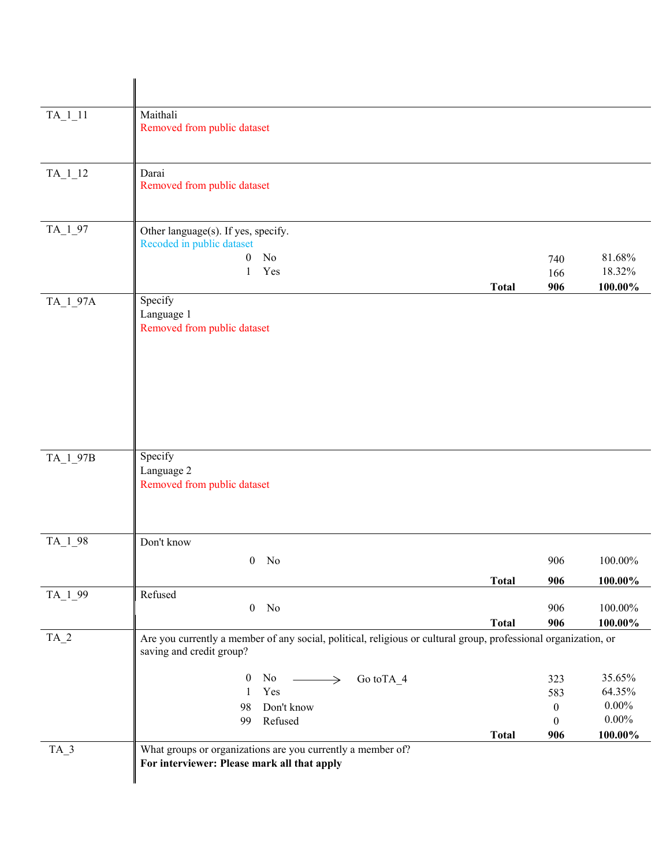| $TA_1_1$   | Maithali<br>Removed from public dataset                                                                                                     |              |                   |                             |
|------------|---------------------------------------------------------------------------------------------------------------------------------------------|--------------|-------------------|-----------------------------|
| $TA_1_12$  | Darai<br>Removed from public dataset                                                                                                        |              |                   |                             |
| TA_1_97    | Other language(s). If yes, specify.<br>Recoded in public dataset<br>$\boldsymbol{0}$<br>No<br>Yes<br>1                                      | <b>Total</b> | 740<br>166<br>906 | 81.68%<br>18.32%<br>100.00% |
| $TA_1_97A$ | Specify<br>Language 1<br>Removed from public dataset                                                                                        |              |                   |                             |
| TA_1_97B   | Specify<br>Language 2<br>Removed from public dataset                                                                                        |              |                   |                             |
| TA_1_98    | Don't know                                                                                                                                  |              |                   |                             |
|            | $0$ No                                                                                                                                      |              | 906               | 100.00%                     |
|            |                                                                                                                                             | <b>Total</b> | 906               | 100.00%                     |
| TA_1_99    | Refused<br>No<br>$\mathbf{0}$                                                                                                               | <b>Total</b> | 906<br>906        | 100.00%<br>100.00%          |
| $TA_2$     | Are you currently a member of any social, political, religious or cultural group, professional organization, or<br>saving and credit group? |              |                   |                             |
|            | $\boldsymbol{0}$<br>No $\longrightarrow$<br>Go to TA_4                                                                                      |              | 323               | 35.65%                      |
|            | Yes<br>-1                                                                                                                                   |              | 583               | 64.35%                      |
|            | Don't know<br>98                                                                                                                            |              | $\boldsymbol{0}$  | $0.00\%$                    |
|            | Refused<br>99                                                                                                                               |              | $\boldsymbol{0}$  | $0.00\%$                    |
| $TA_3$     | What groups or organizations are you currently a member of?                                                                                 | <b>Total</b> | 906               | $100.00\%$                  |
|            | For interviewer: Please mark all that apply                                                                                                 |              |                   |                             |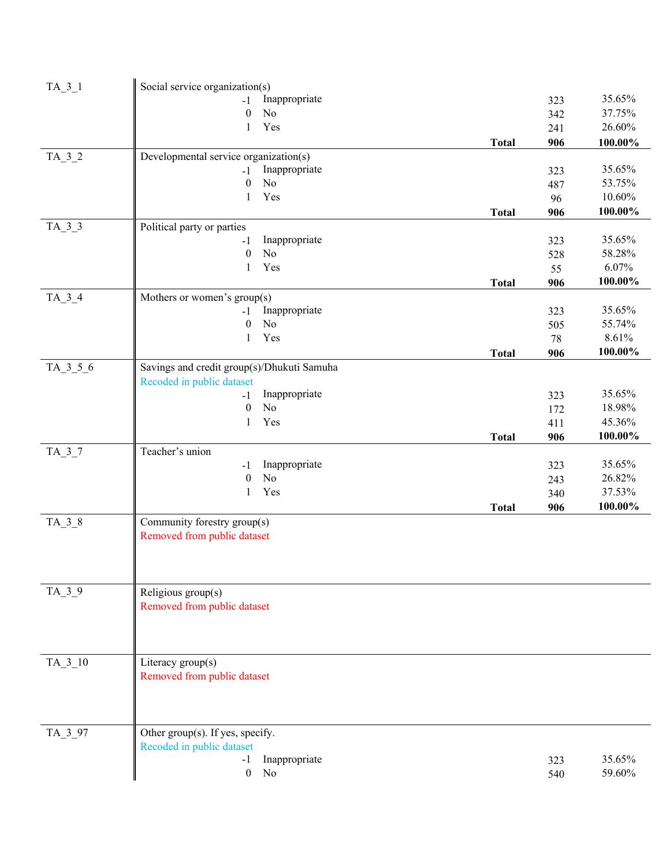| $TA_3_1$   | Social service organization(s)             |              |     |            |
|------------|--------------------------------------------|--------------|-----|------------|
|            | Inappropriate<br>$-1$                      |              | 323 | 35.65%     |
|            | $\boldsymbol{0}$<br>N <sub>o</sub>         |              | 342 | 37.75%     |
|            | Yes<br>1                                   |              | 241 | 26.60%     |
|            |                                            | <b>Total</b> | 906 | $100.00\%$ |
| $TA_3_2$   | Developmental service organization(s)      |              |     |            |
|            | Inappropriate<br>$-1$                      |              | 323 | 35.65%     |
|            | No<br>$\mathbf{0}$                         |              | 487 | 53.75%     |
|            | Yes<br>1                                   |              | 96  | 10.60%     |
|            |                                            | <b>Total</b> | 906 | 100.00%    |
| $TA_3_3$   | Political party or parties                 |              |     |            |
|            | Inappropriate<br>$-1$                      |              | 323 | 35.65%     |
|            | $\boldsymbol{0}$<br>No                     |              | 528 | 58.28%     |
|            | Yes<br>1                                   |              | 55  | 6.07%      |
|            |                                            | <b>Total</b> | 906 | 100.00%    |
| $TA_3_4$   | Mothers or women's group(s)                |              |     |            |
|            | Inappropriate<br>$-1$                      |              | 323 | 35.65%     |
|            | $\boldsymbol{0}$<br>N <sub>o</sub>         |              | 505 | 55.74%     |
|            | Yes<br>$\mathbf{1}$                        |              | 78  | 8.61%      |
|            |                                            | <b>Total</b> | 906 | 100.00%    |
| $TA_3_5_6$ | Savings and credit group(s)/Dhukuti Samuha |              |     |            |
|            | Recoded in public dataset                  |              |     |            |
|            | Inappropriate<br>$-1$                      |              | 323 | 35.65%     |
|            | No<br>$\mathbf{0}$                         |              | 172 | 18.98%     |
|            | Yes<br>1                                   |              | 411 | 45.36%     |
|            |                                            | <b>Total</b> | 906 | 100.00%    |
| $TA_3_7$   | Teacher's union                            |              |     |            |
|            | Inappropriate<br>$-1$                      |              | 323 | 35.65%     |
|            | N <sub>o</sub><br>$\theta$                 |              | 243 | 26.82%     |
|            | Yes<br>1                                   |              | 340 | 37.53%     |
|            |                                            | <b>Total</b> | 906 | 100.00%    |
| $TA_3_8$   | Community forestry group(s)                |              |     |            |
|            | Removed from public dataset                |              |     |            |
|            |                                            |              |     |            |
|            |                                            |              |     |            |
|            |                                            |              |     |            |
| $TA_3_9$   | Religious group(s)                         |              |     |            |
|            | Removed from public dataset                |              |     |            |
|            |                                            |              |     |            |
|            |                                            |              |     |            |
|            |                                            |              |     |            |
| $TA_3_10$  | Literacy group(s)                          |              |     |            |
|            | Removed from public dataset                |              |     |            |
|            |                                            |              |     |            |
|            |                                            |              |     |            |
|            |                                            |              |     |            |
| TA_3_97    | Other group(s). If yes, specify.           |              |     |            |
|            | Recoded in public dataset                  |              |     |            |
|            | Inappropriate<br>$-1$                      |              | 323 | 35.65%     |
|            | $\boldsymbol{0}$<br>No                     |              | 540 | 59.60%     |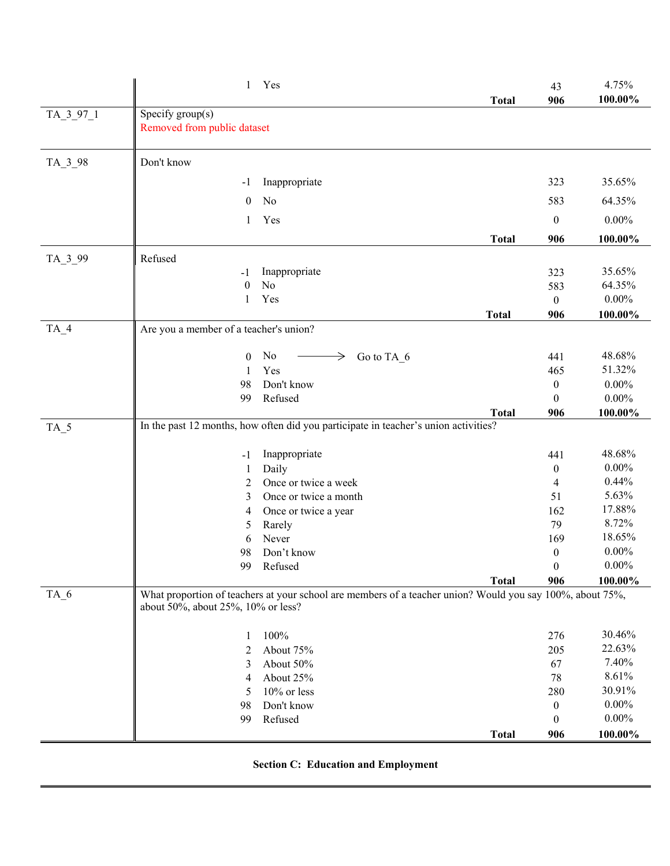|           | 1                                      | Yes                                                                                                       |              | 43<br>906             | 4.75%<br>100.00%     |
|-----------|----------------------------------------|-----------------------------------------------------------------------------------------------------------|--------------|-----------------------|----------------------|
| TA_3_97_1 | Specify group(s)                       |                                                                                                           | <b>Total</b> |                       |                      |
|           | Removed from public dataset            |                                                                                                           |              |                       |                      |
| TA_3_98   | Don't know                             |                                                                                                           |              |                       |                      |
|           | -1                                     | Inappropriate                                                                                             |              | 323                   | 35.65%               |
|           | $\mathbf{0}$                           | No                                                                                                        |              | 583                   | 64.35%               |
|           | 1                                      | Yes                                                                                                       |              | $\boldsymbol{0}$      | $0.00\%$             |
|           |                                        |                                                                                                           | <b>Total</b> | 906                   | 100.00%              |
| TA_3_99   | Refused                                |                                                                                                           |              |                       |                      |
|           | -1                                     | Inappropriate                                                                                             |              | 323                   | 35.65%               |
|           | $\mathbf{0}$                           | No                                                                                                        |              | 583                   | 64.35%               |
|           | 1                                      | Yes                                                                                                       |              | $\boldsymbol{0}$      | $0.00\%$             |
|           |                                        |                                                                                                           | <b>Total</b> | 906                   | 100.00%              |
| $TA_4$    | Are you a member of a teacher's union? |                                                                                                           |              |                       |                      |
|           | $\theta$                               | No<br>Go to TA 6<br>$\rightarrow$                                                                         |              | 441                   | 48.68%               |
|           | -1                                     | Yes                                                                                                       |              | 465                   | 51.32%               |
|           | 98                                     | Don't know                                                                                                |              | $\overline{0}$        | $0.00\%$             |
|           | 99                                     | Refused                                                                                                   |              | $\boldsymbol{0}$      | $0.00\%$             |
|           |                                        |                                                                                                           | <b>Total</b> | 906                   | 100.00%              |
| TA_5      |                                        | In the past 12 months, how often did you participate in teacher's union activities?                       |              |                       |                      |
|           | $-1$                                   | Inappropriate                                                                                             |              | 441                   | 48.68%               |
|           | 1                                      | Daily                                                                                                     |              | $\boldsymbol{0}$      | $0.00\%$             |
|           | 2                                      | Once or twice a week                                                                                      |              | $\overline{4}$        | 0.44%                |
|           | 3                                      | Once or twice a month                                                                                     |              | 51                    | 5.63%                |
|           | 4                                      | Once or twice a year                                                                                      |              | 162                   | 17.88%               |
|           | 5                                      | Rarely                                                                                                    |              | 79                    | 8.72%                |
|           | 6                                      | Never                                                                                                     |              | 169                   | 18.65%               |
|           | 98                                     | Don't know                                                                                                |              | $\boldsymbol{0}$      | $0.00\%$<br>$0.00\%$ |
|           |                                        | 99 Refused                                                                                                | <b>Total</b> | $\overline{0}$<br>906 | 100.00%              |
| $TA_6$    | about 50%, about 25%, 10% or less?     | What proportion of teachers at your school are members of a teacher union? Would you say 100%, about 75%, |              |                       |                      |
|           |                                        | 100%                                                                                                      |              | 276                   | 30.46%               |
|           | $\mathbf{1}$<br>2                      | About 75%                                                                                                 |              | 205                   | 22.63%               |
|           | 3                                      | About 50%                                                                                                 |              | 67                    | 7.40%                |
|           | 4                                      | About 25%                                                                                                 |              | 78                    | 8.61%                |
|           | 5                                      | 10% or less                                                                                               |              | 280                   | 30.91%               |
|           | 98                                     | Don't know                                                                                                |              | $\boldsymbol{0}$      | $0.00\%$             |
|           | 99                                     | Refused                                                                                                   |              | $\overline{0}$        | $0.00\%$             |
|           |                                        |                                                                                                           | <b>Total</b> | 906                   | 100.00%              |

| <b>Section C: Education and Employment</b> |
|--------------------------------------------|
|--------------------------------------------|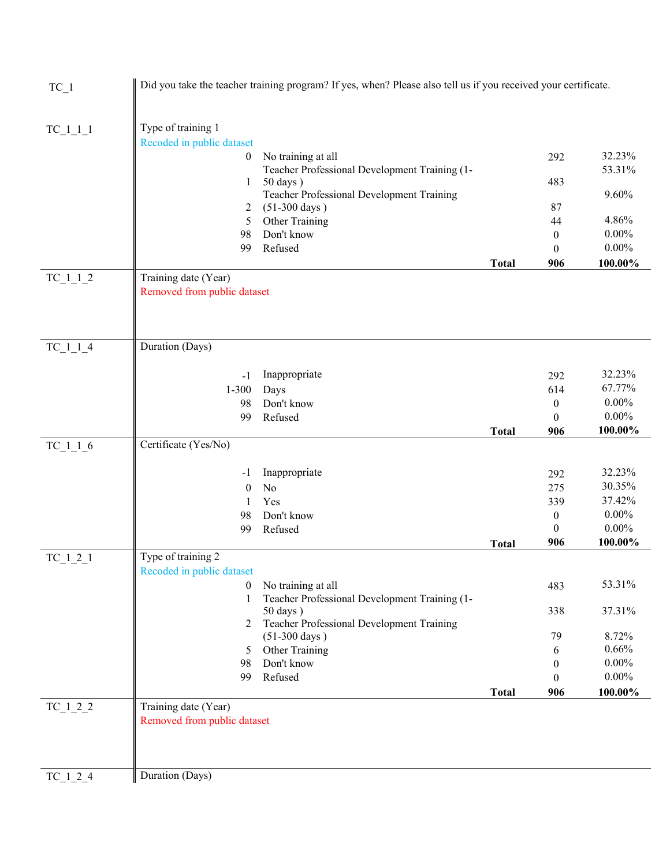| Type of training 1<br>$TC_1_1_1$<br>Recoded in public dataset<br>32.23%<br>No training at all<br>$\boldsymbol{0}$<br>292<br>Teacher Professional Development Training (1-<br>53.31%<br>483<br>$50 \text{ days}$ )<br>1<br>Teacher Professional Development Training<br>9.60%<br>$(51-300 \text{ days})$<br>87<br>2<br>4.86%<br>Other Training<br>5<br>44<br>Don't know<br>$0.00\%$<br>98<br>$\mathbf{0}$<br>Refused<br>$0.00\%$<br>99<br>$\theta$<br>100.00%<br><b>Total</b><br>906<br>$TC_1_1_2$<br>Training date (Year)<br>Removed from public dataset<br>Duration (Days)<br>$TC_1_1_4$<br>32.23%<br>Inappropriate<br>292<br>$-1$<br>67.77%<br>$1 - 300$<br>614<br>Days<br>$0.00\%$<br>Don't know<br>98<br>$\boldsymbol{0}$<br>$0.00\%$<br>Refused<br>99<br>$\mathbf{0}$<br>100.00%<br><b>Total</b><br>906<br>Certificate (Yes/No)<br>$TC_1_1_6$<br>32.23%<br>Inappropriate<br>292<br>-1<br>30.35%<br>275<br>No<br>$\mathbf{0}$<br>37.42%<br>Yes<br>339<br>1<br>$0.00\%$<br>Don't know<br>$\boldsymbol{0}$<br>98<br>$0.00\%$<br>$\mathbf{0}$<br>Refused<br>99<br>906<br>100.00%<br><b>Total</b><br>Type of training 2<br>$TC_121$<br>Recoded in public dataset<br>No training at all<br>53.31%<br>$\mathbf{0}$<br>483<br>Teacher Professional Development Training (1-<br>1<br>$50 \text{ days}$ )<br>338<br>37.31%<br>Teacher Professional Development Training<br>2<br>$(51-300 \text{ days})$<br>79<br>8.72%<br>0.66%<br>Other Training<br>6<br>5<br>Don't know<br>$0.00\%$<br>98<br>$\theta$<br>$0.00\%$<br>Refused<br>99<br>$\Omega$<br>100.00%<br><b>Total</b><br>906<br>$TC_1_2_2$<br>Training date (Year)<br>Removed from public dataset<br>Duration (Days)<br>$TC_1_2_4$ | $TC_1$ | Did you take the teacher training program? If yes, when? Please also tell us if you received your certificate. |  |  |
|-------------------------------------------------------------------------------------------------------------------------------------------------------------------------------------------------------------------------------------------------------------------------------------------------------------------------------------------------------------------------------------------------------------------------------------------------------------------------------------------------------------------------------------------------------------------------------------------------------------------------------------------------------------------------------------------------------------------------------------------------------------------------------------------------------------------------------------------------------------------------------------------------------------------------------------------------------------------------------------------------------------------------------------------------------------------------------------------------------------------------------------------------------------------------------------------------------------------------------------------------------------------------------------------------------------------------------------------------------------------------------------------------------------------------------------------------------------------------------------------------------------------------------------------------------------------------------------------------------------------------------------------------------------------------------------|--------|----------------------------------------------------------------------------------------------------------------|--|--|
|                                                                                                                                                                                                                                                                                                                                                                                                                                                                                                                                                                                                                                                                                                                                                                                                                                                                                                                                                                                                                                                                                                                                                                                                                                                                                                                                                                                                                                                                                                                                                                                                                                                                                     |        |                                                                                                                |  |  |
|                                                                                                                                                                                                                                                                                                                                                                                                                                                                                                                                                                                                                                                                                                                                                                                                                                                                                                                                                                                                                                                                                                                                                                                                                                                                                                                                                                                                                                                                                                                                                                                                                                                                                     |        |                                                                                                                |  |  |
|                                                                                                                                                                                                                                                                                                                                                                                                                                                                                                                                                                                                                                                                                                                                                                                                                                                                                                                                                                                                                                                                                                                                                                                                                                                                                                                                                                                                                                                                                                                                                                                                                                                                                     |        |                                                                                                                |  |  |
|                                                                                                                                                                                                                                                                                                                                                                                                                                                                                                                                                                                                                                                                                                                                                                                                                                                                                                                                                                                                                                                                                                                                                                                                                                                                                                                                                                                                                                                                                                                                                                                                                                                                                     |        |                                                                                                                |  |  |
|                                                                                                                                                                                                                                                                                                                                                                                                                                                                                                                                                                                                                                                                                                                                                                                                                                                                                                                                                                                                                                                                                                                                                                                                                                                                                                                                                                                                                                                                                                                                                                                                                                                                                     |        |                                                                                                                |  |  |
|                                                                                                                                                                                                                                                                                                                                                                                                                                                                                                                                                                                                                                                                                                                                                                                                                                                                                                                                                                                                                                                                                                                                                                                                                                                                                                                                                                                                                                                                                                                                                                                                                                                                                     |        |                                                                                                                |  |  |
|                                                                                                                                                                                                                                                                                                                                                                                                                                                                                                                                                                                                                                                                                                                                                                                                                                                                                                                                                                                                                                                                                                                                                                                                                                                                                                                                                                                                                                                                                                                                                                                                                                                                                     |        |                                                                                                                |  |  |
|                                                                                                                                                                                                                                                                                                                                                                                                                                                                                                                                                                                                                                                                                                                                                                                                                                                                                                                                                                                                                                                                                                                                                                                                                                                                                                                                                                                                                                                                                                                                                                                                                                                                                     |        |                                                                                                                |  |  |
|                                                                                                                                                                                                                                                                                                                                                                                                                                                                                                                                                                                                                                                                                                                                                                                                                                                                                                                                                                                                                                                                                                                                                                                                                                                                                                                                                                                                                                                                                                                                                                                                                                                                                     |        |                                                                                                                |  |  |
|                                                                                                                                                                                                                                                                                                                                                                                                                                                                                                                                                                                                                                                                                                                                                                                                                                                                                                                                                                                                                                                                                                                                                                                                                                                                                                                                                                                                                                                                                                                                                                                                                                                                                     |        |                                                                                                                |  |  |
|                                                                                                                                                                                                                                                                                                                                                                                                                                                                                                                                                                                                                                                                                                                                                                                                                                                                                                                                                                                                                                                                                                                                                                                                                                                                                                                                                                                                                                                                                                                                                                                                                                                                                     |        |                                                                                                                |  |  |
|                                                                                                                                                                                                                                                                                                                                                                                                                                                                                                                                                                                                                                                                                                                                                                                                                                                                                                                                                                                                                                                                                                                                                                                                                                                                                                                                                                                                                                                                                                                                                                                                                                                                                     |        |                                                                                                                |  |  |
|                                                                                                                                                                                                                                                                                                                                                                                                                                                                                                                                                                                                                                                                                                                                                                                                                                                                                                                                                                                                                                                                                                                                                                                                                                                                                                                                                                                                                                                                                                                                                                                                                                                                                     |        |                                                                                                                |  |  |
|                                                                                                                                                                                                                                                                                                                                                                                                                                                                                                                                                                                                                                                                                                                                                                                                                                                                                                                                                                                                                                                                                                                                                                                                                                                                                                                                                                                                                                                                                                                                                                                                                                                                                     |        |                                                                                                                |  |  |
|                                                                                                                                                                                                                                                                                                                                                                                                                                                                                                                                                                                                                                                                                                                                                                                                                                                                                                                                                                                                                                                                                                                                                                                                                                                                                                                                                                                                                                                                                                                                                                                                                                                                                     |        |                                                                                                                |  |  |
|                                                                                                                                                                                                                                                                                                                                                                                                                                                                                                                                                                                                                                                                                                                                                                                                                                                                                                                                                                                                                                                                                                                                                                                                                                                                                                                                                                                                                                                                                                                                                                                                                                                                                     |        |                                                                                                                |  |  |
|                                                                                                                                                                                                                                                                                                                                                                                                                                                                                                                                                                                                                                                                                                                                                                                                                                                                                                                                                                                                                                                                                                                                                                                                                                                                                                                                                                                                                                                                                                                                                                                                                                                                                     |        |                                                                                                                |  |  |
|                                                                                                                                                                                                                                                                                                                                                                                                                                                                                                                                                                                                                                                                                                                                                                                                                                                                                                                                                                                                                                                                                                                                                                                                                                                                                                                                                                                                                                                                                                                                                                                                                                                                                     |        |                                                                                                                |  |  |
|                                                                                                                                                                                                                                                                                                                                                                                                                                                                                                                                                                                                                                                                                                                                                                                                                                                                                                                                                                                                                                                                                                                                                                                                                                                                                                                                                                                                                                                                                                                                                                                                                                                                                     |        |                                                                                                                |  |  |
|                                                                                                                                                                                                                                                                                                                                                                                                                                                                                                                                                                                                                                                                                                                                                                                                                                                                                                                                                                                                                                                                                                                                                                                                                                                                                                                                                                                                                                                                                                                                                                                                                                                                                     |        |                                                                                                                |  |  |
|                                                                                                                                                                                                                                                                                                                                                                                                                                                                                                                                                                                                                                                                                                                                                                                                                                                                                                                                                                                                                                                                                                                                                                                                                                                                                                                                                                                                                                                                                                                                                                                                                                                                                     |        |                                                                                                                |  |  |
|                                                                                                                                                                                                                                                                                                                                                                                                                                                                                                                                                                                                                                                                                                                                                                                                                                                                                                                                                                                                                                                                                                                                                                                                                                                                                                                                                                                                                                                                                                                                                                                                                                                                                     |        |                                                                                                                |  |  |
|                                                                                                                                                                                                                                                                                                                                                                                                                                                                                                                                                                                                                                                                                                                                                                                                                                                                                                                                                                                                                                                                                                                                                                                                                                                                                                                                                                                                                                                                                                                                                                                                                                                                                     |        |                                                                                                                |  |  |
|                                                                                                                                                                                                                                                                                                                                                                                                                                                                                                                                                                                                                                                                                                                                                                                                                                                                                                                                                                                                                                                                                                                                                                                                                                                                                                                                                                                                                                                                                                                                                                                                                                                                                     |        |                                                                                                                |  |  |
|                                                                                                                                                                                                                                                                                                                                                                                                                                                                                                                                                                                                                                                                                                                                                                                                                                                                                                                                                                                                                                                                                                                                                                                                                                                                                                                                                                                                                                                                                                                                                                                                                                                                                     |        |                                                                                                                |  |  |
|                                                                                                                                                                                                                                                                                                                                                                                                                                                                                                                                                                                                                                                                                                                                                                                                                                                                                                                                                                                                                                                                                                                                                                                                                                                                                                                                                                                                                                                                                                                                                                                                                                                                                     |        |                                                                                                                |  |  |
|                                                                                                                                                                                                                                                                                                                                                                                                                                                                                                                                                                                                                                                                                                                                                                                                                                                                                                                                                                                                                                                                                                                                                                                                                                                                                                                                                                                                                                                                                                                                                                                                                                                                                     |        |                                                                                                                |  |  |
|                                                                                                                                                                                                                                                                                                                                                                                                                                                                                                                                                                                                                                                                                                                                                                                                                                                                                                                                                                                                                                                                                                                                                                                                                                                                                                                                                                                                                                                                                                                                                                                                                                                                                     |        |                                                                                                                |  |  |
|                                                                                                                                                                                                                                                                                                                                                                                                                                                                                                                                                                                                                                                                                                                                                                                                                                                                                                                                                                                                                                                                                                                                                                                                                                                                                                                                                                                                                                                                                                                                                                                                                                                                                     |        |                                                                                                                |  |  |
|                                                                                                                                                                                                                                                                                                                                                                                                                                                                                                                                                                                                                                                                                                                                                                                                                                                                                                                                                                                                                                                                                                                                                                                                                                                                                                                                                                                                                                                                                                                                                                                                                                                                                     |        |                                                                                                                |  |  |
|                                                                                                                                                                                                                                                                                                                                                                                                                                                                                                                                                                                                                                                                                                                                                                                                                                                                                                                                                                                                                                                                                                                                                                                                                                                                                                                                                                                                                                                                                                                                                                                                                                                                                     |        |                                                                                                                |  |  |
|                                                                                                                                                                                                                                                                                                                                                                                                                                                                                                                                                                                                                                                                                                                                                                                                                                                                                                                                                                                                                                                                                                                                                                                                                                                                                                                                                                                                                                                                                                                                                                                                                                                                                     |        |                                                                                                                |  |  |
|                                                                                                                                                                                                                                                                                                                                                                                                                                                                                                                                                                                                                                                                                                                                                                                                                                                                                                                                                                                                                                                                                                                                                                                                                                                                                                                                                                                                                                                                                                                                                                                                                                                                                     |        |                                                                                                                |  |  |
|                                                                                                                                                                                                                                                                                                                                                                                                                                                                                                                                                                                                                                                                                                                                                                                                                                                                                                                                                                                                                                                                                                                                                                                                                                                                                                                                                                                                                                                                                                                                                                                                                                                                                     |        |                                                                                                                |  |  |
|                                                                                                                                                                                                                                                                                                                                                                                                                                                                                                                                                                                                                                                                                                                                                                                                                                                                                                                                                                                                                                                                                                                                                                                                                                                                                                                                                                                                                                                                                                                                                                                                                                                                                     |        |                                                                                                                |  |  |
|                                                                                                                                                                                                                                                                                                                                                                                                                                                                                                                                                                                                                                                                                                                                                                                                                                                                                                                                                                                                                                                                                                                                                                                                                                                                                                                                                                                                                                                                                                                                                                                                                                                                                     |        |                                                                                                                |  |  |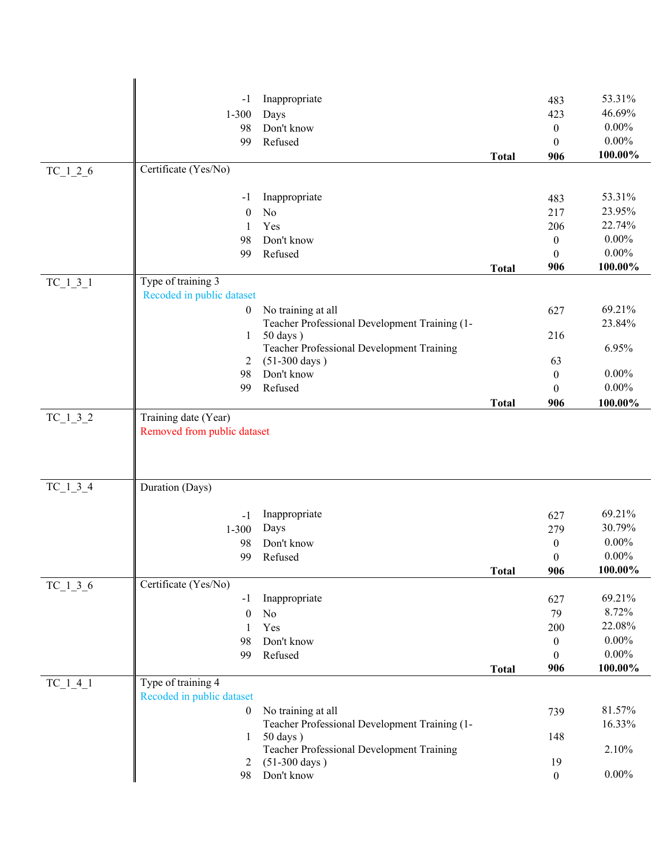|            | $-1$                                                | Inappropriate                                 |              | 483                 | 53.31%           |
|------------|-----------------------------------------------------|-----------------------------------------------|--------------|---------------------|------------------|
|            | $1 - 300$                                           | Days                                          |              | 423                 | 46.69%           |
|            | 98                                                  | Don't know                                    |              | $\mathbf{0}$        | $0.00\%$         |
|            | 99                                                  | Refused                                       |              | $\mathbf{0}$        | $0.00\%$         |
|            |                                                     |                                               | <b>Total</b> | 906                 | 100.00%          |
| $TC_1_2_6$ | Certificate (Yes/No)                                |                                               |              |                     |                  |
|            |                                                     |                                               |              |                     |                  |
|            | -1                                                  | Inappropriate                                 |              | 483                 | 53.31%           |
|            | $\boldsymbol{0}$                                    | No                                            |              | 217                 | 23.95%<br>22.74% |
|            | 1                                                   | Yes                                           |              | 206                 | $0.00\%$         |
|            | 98                                                  | Don't know                                    |              | $\mathbf{0}$        | $0.00\%$         |
|            | 99                                                  | Refused                                       | <b>Total</b> | $\mathbf{0}$<br>906 | 100.00%          |
| $TC_1_3_1$ | Type of training 3                                  |                                               |              |                     |                  |
|            | Recoded in public dataset                           |                                               |              |                     |                  |
|            | $\boldsymbol{0}$                                    | No training at all                            |              | 627                 | 69.21%           |
|            |                                                     | Teacher Professional Development Training (1- |              |                     | 23.84%           |
|            | 1                                                   | $50 \text{ days}$ )                           |              | 216                 |                  |
|            |                                                     | Teacher Professional Development Training     |              |                     | 6.95%            |
|            | 2                                                   | $(51-300 \text{ days})$                       |              | 63                  |                  |
|            | 98                                                  | Don't know                                    |              | $\mathbf{0}$        | $0.00\%$         |
|            | 99                                                  | Refused                                       |              | $\mathbf{0}$        | $0.00\%$         |
|            |                                                     |                                               | <b>Total</b> | 906                 | 100.00%          |
| $TC_1_3_2$ | Training date (Year)<br>Removed from public dataset |                                               |              |                     |                  |
|            |                                                     |                                               |              |                     |                  |
|            |                                                     |                                               |              |                     |                  |
|            |                                                     |                                               |              |                     |                  |
| $TC_1_3_4$ | Duration (Days)                                     |                                               |              |                     |                  |
|            |                                                     |                                               |              |                     |                  |
|            | $-1$                                                | Inappropriate                                 |              | 627                 | 69.21%           |
|            | $1 - 300$                                           | Days                                          |              | 279                 | 30.79%           |
|            | 98                                                  | Don't know                                    |              | $\mathbf{0}$        | $0.00\%$         |
|            | 99                                                  | Refused                                       |              | $\boldsymbol{0}$    | $0.00\%$         |
|            | Certificate (Yes/No)                                |                                               | <b>Total</b> | 906                 | 100.00%          |
| $TC_1_3_6$ | $-1$                                                | Inappropriate                                 |              | 627                 | 69.21%           |
|            | $\boldsymbol{0}$                                    | No                                            |              | 79                  | 8.72%            |
|            | 1                                                   | Yes                                           |              | 200                 | 22.08%           |
|            | 98                                                  | Don't know                                    |              | $\mathbf{0}$        | $0.00\%$         |
|            | 99                                                  | Refused                                       |              | $\theta$            | $0.00\%$         |
|            |                                                     |                                               | <b>Total</b> | 906                 | 100.00%          |
| $TC_1_4_1$ | Type of training 4                                  |                                               |              |                     |                  |
|            | Recoded in public dataset                           |                                               |              |                     |                  |
|            | $\boldsymbol{0}$                                    | No training at all                            |              | 739                 | 81.57%           |
|            |                                                     | Teacher Professional Development Training (1- |              |                     | 16.33%           |
|            | 1                                                   | $50 \text{ days}$ )                           |              | 148                 |                  |
|            |                                                     | Teacher Professional Development Training     |              |                     | 2.10%            |
|            | 2                                                   | $(51-300 \text{ days})$                       |              | 19                  |                  |
|            | 98                                                  | Don't know                                    |              | $\overline{0}$      | $0.00\%$         |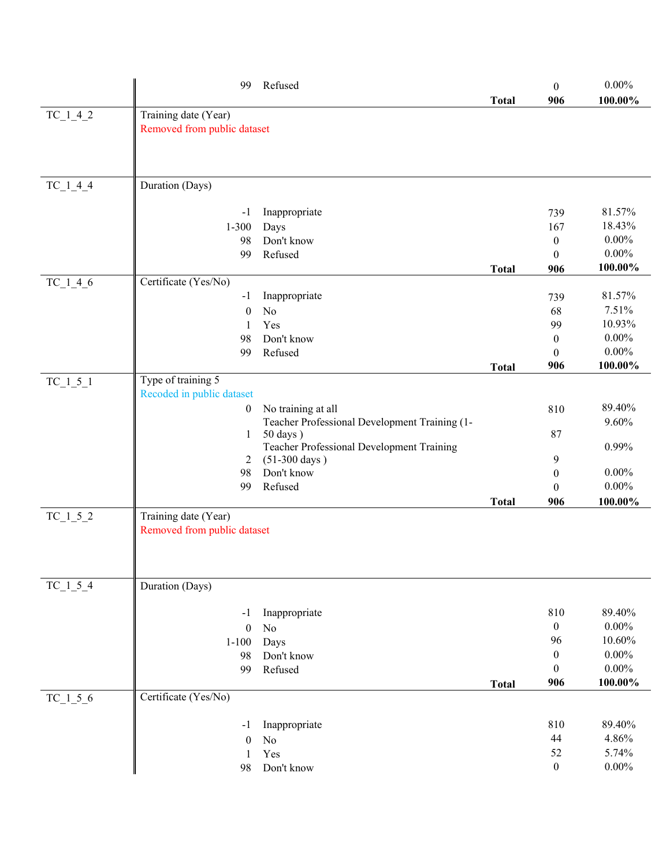|            | 99                                                  | Refused                                                              |              | $\mathbf{0}$     | $0.00\%$        |
|------------|-----------------------------------------------------|----------------------------------------------------------------------|--------------|------------------|-----------------|
|            |                                                     |                                                                      | <b>Total</b> | 906              | 100.00%         |
| $TC_1_4_2$ | Training date (Year)<br>Removed from public dataset |                                                                      |              |                  |                 |
|            |                                                     |                                                                      |              |                  |                 |
|            |                                                     |                                                                      |              |                  |                 |
|            |                                                     |                                                                      |              |                  |                 |
| $TC_1_4_4$ | Duration (Days)                                     |                                                                      |              |                  |                 |
|            | $-1$                                                | Inappropriate                                                        |              | 739              | 81.57%          |
|            | $1 - 300$                                           | Days                                                                 |              | 167              | 18.43%          |
|            | 98                                                  | Don't know                                                           |              | $\boldsymbol{0}$ | $0.00\%$        |
|            | 99                                                  | Refused                                                              |              | $\mathbf{0}$     | $0.00\%$        |
|            |                                                     |                                                                      | <b>Total</b> | 906              | 100.00%         |
| $TC_1_4_6$ | Certificate (Yes/No)                                |                                                                      |              |                  |                 |
|            | $-1$                                                | Inappropriate                                                        |              | 739              | 81.57%          |
|            | $\theta$                                            | No<br>Yes                                                            |              | 68<br>99         | 7.51%<br>10.93% |
|            | 1<br>98                                             | Don't know                                                           |              | $\mathbf{0}$     | $0.00\%$        |
|            | 99                                                  | Refused                                                              |              | $\mathbf{0}$     | $0.00\%$        |
|            |                                                     |                                                                      | <b>Total</b> | 906              | 100.00%         |
| $TC_1_5_1$ | Type of training 5                                  |                                                                      |              |                  |                 |
|            | Recoded in public dataset                           |                                                                      |              |                  |                 |
|            | $\boldsymbol{0}$                                    | No training at all                                                   |              | 810              | 89.40%          |
|            |                                                     | Teacher Professional Development Training (1-                        |              |                  | 9.60%           |
|            | 1                                                   | $50 \text{ days}$ )                                                  |              | 87               |                 |
|            | 2                                                   | Teacher Professional Development Training<br>$(51-300 \text{ days})$ |              | 9                | 0.99%           |
|            | 98                                                  | Don't know                                                           |              | $\mathbf{0}$     | $0.00\%$        |
|            | 99                                                  | Refused                                                              |              | $\theta$         | $0.00\%$        |
|            |                                                     |                                                                      | <b>Total</b> | 906              | 100.00%         |
| $TC_1_5_2$ | Training date (Year)                                |                                                                      |              |                  |                 |
|            | Removed from public dataset                         |                                                                      |              |                  |                 |
|            |                                                     |                                                                      |              |                  |                 |
|            |                                                     |                                                                      |              |                  |                 |
|            |                                                     |                                                                      |              |                  |                 |
| TC 1 5 4   | Duration (Days)                                     |                                                                      |              |                  |                 |
|            | $-1$                                                | Inappropriate                                                        |              | 810              | 89.40%          |
|            | $\mathbf{0}$                                        | No                                                                   |              | $\mathbf{0}$     | $0.00\%$        |
|            | $1 - 100$                                           | Days                                                                 |              | 96               | 10.60%          |
|            | 98                                                  | Don't know                                                           |              | $\boldsymbol{0}$ | $0.00\%$        |
|            | 99                                                  | Refused                                                              |              | $\mathbf{0}$     | $0.00\%$        |
|            |                                                     |                                                                      | <b>Total</b> | 906              | 100.00%         |
| $TC_1_5_6$ | Certificate (Yes/No)                                |                                                                      |              |                  |                 |
|            |                                                     |                                                                      |              |                  |                 |
|            | -1                                                  | Inappropriate                                                        |              | 810              | 89.40%          |
|            | $\overline{0}$                                      | No<br>Yes                                                            |              | 44<br>52         | 4.86%<br>5.74%  |
|            | 1<br>98                                             | Don't know                                                           |              | $\boldsymbol{0}$ | $0.00\%$        |
|            |                                                     |                                                                      |              |                  |                 |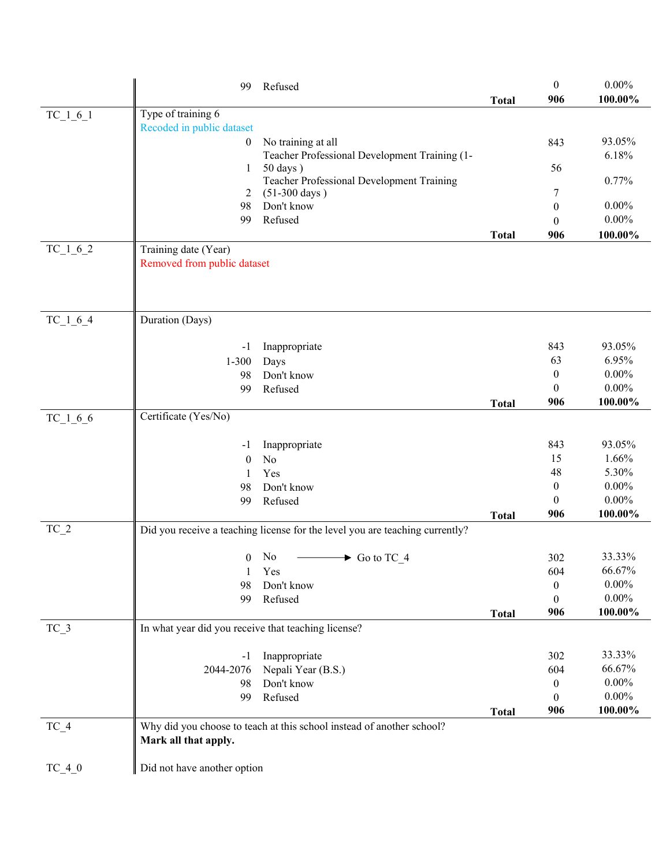|            | Refused<br>99                                                                                 | <b>Total</b>                                                                 | $\mathbf{0}$<br>906      | $0.00\%$<br>100.00% |
|------------|-----------------------------------------------------------------------------------------------|------------------------------------------------------------------------------|--------------------------|---------------------|
| $TC_1_6_1$ | Type of training 6                                                                            |                                                                              |                          |                     |
|            | Recoded in public dataset                                                                     |                                                                              |                          | 93.05%              |
|            | No training at all<br>$\boldsymbol{0}$                                                        | Teacher Professional Development Training (1-                                | 843                      | 6.18%               |
|            | $50 \text{ days}$ )<br>1                                                                      |                                                                              | 56                       |                     |
|            |                                                                                               | Teacher Professional Development Training                                    |                          | 0.77%               |
|            | $(51-300 \text{ days})$<br>2<br>Don't know<br>98                                              |                                                                              | 7                        | $0.00\%$            |
|            | Refused<br>99                                                                                 |                                                                              | $\mathbf{0}$<br>$\theta$ | $0.00\%$            |
|            |                                                                                               | <b>Total</b>                                                                 | 906                      | 100.00%             |
| $TC_1_6_2$ | Training date (Year)                                                                          |                                                                              |                          |                     |
|            | Removed from public dataset                                                                   |                                                                              |                          |                     |
| $TC_1_6_4$ | Duration (Days)                                                                               |                                                                              |                          |                     |
|            | Inappropriate<br>$-1$                                                                         |                                                                              | 843                      | 93.05%              |
|            | $1 - 300$<br>Days                                                                             |                                                                              | 63                       | 6.95%               |
|            | Don't know<br>98                                                                              |                                                                              | $\mathbf{0}$             | $0.00\%$            |
|            | Refused<br>99                                                                                 |                                                                              | $\theta$                 | $0.00\%$            |
|            |                                                                                               | <b>Total</b>                                                                 | 906                      | 100.00%             |
| $TC_1_6_6$ | Certificate (Yes/No)                                                                          |                                                                              |                          |                     |
|            | Inappropriate<br>$-1$                                                                         |                                                                              | 843                      | 93.05%              |
|            | No<br>$\theta$                                                                                |                                                                              | 15                       | 1.66%               |
|            | Yes<br>1                                                                                      |                                                                              | 48                       | 5.30%               |
|            | Don't know<br>98                                                                              |                                                                              | $\mathbf{0}$             | $0.00\%$            |
|            | Refused<br>99                                                                                 |                                                                              | $\theta$                 | $0.00\%$            |
|            |                                                                                               | <b>Total</b>                                                                 | 906                      | 100.00%             |
| $TC_2$     |                                                                                               | Did you receive a teaching license for the level you are teaching currently? |                          |                     |
|            | No<br>$\overline{0}$                                                                          | $\longrightarrow$ Go to TC_4                                                 | 302                      | 33.33%              |
|            | Yes<br>1                                                                                      |                                                                              | 604                      | 66.67%              |
|            | Don't know<br>98                                                                              |                                                                              | $\bf{0}$                 | $0.00\%$            |
|            | Refused<br>99                                                                                 |                                                                              | $\theta$                 | $0.00\%$            |
|            |                                                                                               | <b>Total</b>                                                                 | 906                      | 100.00%             |
| $TC_3$     | In what year did you receive that teaching license?                                           |                                                                              |                          |                     |
|            | Inappropriate<br>$-1$                                                                         |                                                                              | 302                      | 33.33%              |
|            | 2044-2076                                                                                     | Nepali Year (B.S.)                                                           | 604                      | 66.67%              |
|            | Don't know<br>98                                                                              |                                                                              | $\mathbf{0}$             | $0.00\%$            |
|            | Refused<br>99                                                                                 |                                                                              | $\theta$                 | $0.00\%$            |
|            |                                                                                               | <b>Total</b>                                                                 | 906                      | 100.00%             |
| $TC_4$     | Why did you choose to teach at this school instead of another school?<br>Mark all that apply. |                                                                              |                          |                     |
| $TC_4_0$   | Did not have another option                                                                   |                                                                              |                          |                     |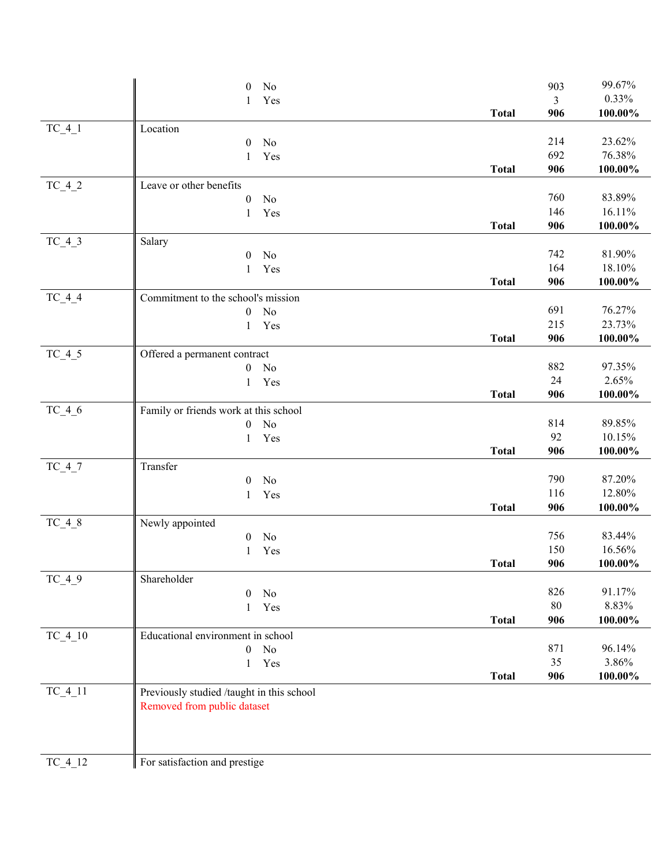|           | No<br>$\mathbf{0}$                        |              | 903        | 99.67%           |
|-----------|-------------------------------------------|--------------|------------|------------------|
|           | Yes<br>1                                  |              | 3          | 0.33%            |
|           |                                           | <b>Total</b> | 906        | $100.00\%$       |
| $TC_4_1$  | Location                                  |              |            |                  |
|           | $\mathbf{0}$<br>No                        |              | 214        | 23.62%           |
|           | Yes<br>1                                  |              | 692        | 76.38%           |
|           |                                           | <b>Total</b> | 906        | $100.00\%$       |
| $TC_4_2$  | Leave or other benefits                   |              |            |                  |
|           | $\boldsymbol{0}$<br>No                    |              | 760        | 83.89%           |
|           | $\mathbf{1}$<br>Yes                       |              | 146        | 16.11%           |
|           |                                           | <b>Total</b> | 906        | 100.00%          |
| $TC_4_3$  | Salary                                    |              |            |                  |
|           | $\boldsymbol{0}$<br>No                    |              | 742        | 81.90%           |
|           | Yes<br>1                                  |              | 164        | 18.10%           |
|           |                                           | <b>Total</b> | 906        | 100.00%          |
| $TC_4_4$  | Commitment to the school's mission        |              |            |                  |
|           | No<br>$\boldsymbol{0}$                    |              | 691<br>215 | 76.27%<br>23.73% |
|           | Yes<br>1                                  | <b>Total</b> | 906        | 100.00%          |
|           |                                           |              |            |                  |
| $TC_4_5$  | Offered a permanent contract              |              | 882        | 97.35%           |
|           | $\boldsymbol{0}$<br>No                    |              | 24         | 2.65%            |
|           | Yes<br>1                                  | <b>Total</b> | 906        | $100.00\%$       |
| $TC_4_6$  | Family or friends work at this school     |              |            |                  |
|           | No<br>$\boldsymbol{0}$                    |              | 814        | 89.85%           |
|           | Yes<br>1                                  |              | 92         | 10.15%           |
|           |                                           | <b>Total</b> | 906        | 100.00%          |
| $TC_47$   | Transfer                                  |              |            |                  |
|           | $\mathbf{0}$<br>No                        |              | 790        | 87.20%           |
|           | Yes<br>1                                  |              | 116        | 12.80%           |
|           |                                           | <b>Total</b> | 906        | $100.00\%$       |
| $TC_4_8$  | Newly appointed                           |              |            |                  |
|           | No<br>$\boldsymbol{0}$                    |              | 756        | 83.44%           |
|           | Yes<br>1                                  |              | 150        | 16.56%           |
|           |                                           | <b>Total</b> | 906        | 100.00%          |
| $TC_49$   | Shareholder                               |              |            |                  |
|           | No<br>$\mathbf{0}$                        |              | 826        | 91.17%           |
|           | Yes<br>1                                  |              | 80         | 8.83%            |
|           |                                           | <b>Total</b> | 906        | 100.00%          |
| $TC_4_10$ | Educational environment in school         |              |            |                  |
|           | No<br>$\overline{0}$                      |              | 871        | 96.14%           |
|           | Yes<br>$\mathbf{1}$                       |              | 35         | 3.86%            |
|           |                                           | <b>Total</b> | 906        | 100.00%          |
| $TC_4_11$ | Previously studied /taught in this school |              |            |                  |
|           | Removed from public dataset               |              |            |                  |
|           |                                           |              |            |                  |
|           |                                           |              |            |                  |
|           |                                           |              |            |                  |
| TC_4_12   | For satisfaction and prestige             |              |            |                  |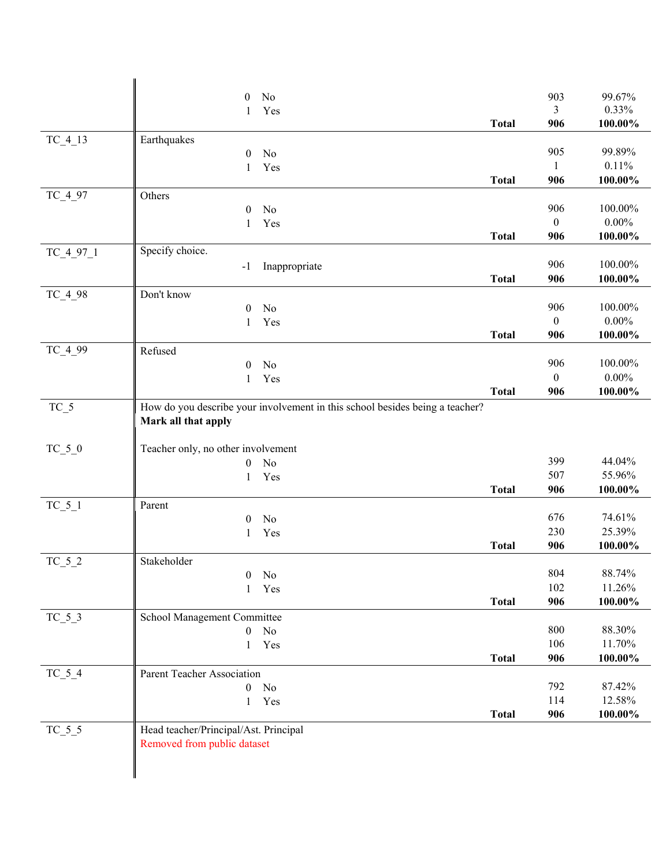|             | $\boldsymbol{0}$<br>No                                                                              |              | 903              | 99.67%   |
|-------------|-----------------------------------------------------------------------------------------------------|--------------|------------------|----------|
|             | Yes<br>$\mathbf{1}$                                                                                 |              | 3                | 0.33%    |
|             |                                                                                                     | <b>Total</b> | 906              | 100.00%  |
| $TC_4_13$   | Earthquakes<br>No                                                                                   |              | 905              | 99.89%   |
|             | $\boldsymbol{0}$<br>Yes<br>$\mathbf{1}$                                                             |              | 1                | 0.11%    |
|             |                                                                                                     | <b>Total</b> | 906              | 100.00%  |
| $TC_497$    | Others                                                                                              |              |                  |          |
|             | No<br>$\theta$                                                                                      |              | 906              | 100.00%  |
|             | Yes<br>1                                                                                            |              | $\boldsymbol{0}$ | $0.00\%$ |
|             |                                                                                                     | <b>Total</b> | 906              | 100.00%  |
| $TC_4_97_1$ | Specify choice.                                                                                     |              |                  |          |
|             | Inappropriate<br>$-1$                                                                               |              | 906              | 100.00%  |
|             |                                                                                                     | <b>Total</b> | 906              | 100.00%  |
| $TC_4_98$   | Don't know                                                                                          |              | 906              | 100.00%  |
|             | No<br>$\boldsymbol{0}$<br>Yes                                                                       |              | $\boldsymbol{0}$ | $0.00\%$ |
|             | 1                                                                                                   | <b>Total</b> | 906              | 100.00%  |
| $TC_499$    | Refused                                                                                             |              |                  |          |
|             | No<br>$\boldsymbol{0}$                                                                              |              | 906              | 100.00%  |
|             | Yes<br>$\mathbf{1}$                                                                                 |              | $\mathbf{0}$     | $0.00\%$ |
|             |                                                                                                     | <b>Total</b> | 906              | 100.00%  |
| $TC_5$      | How do you describe your involvement in this school besides being a teacher?<br>Mark all that apply |              |                  |          |
| $TC_5_0$    | Teacher only, no other involvement                                                                  |              |                  |          |
|             | No<br>$\boldsymbol{0}$                                                                              |              | 399              | 44.04%   |
|             | Yes<br>$\mathbf{1}$                                                                                 |              | 507              | 55.96%   |
|             |                                                                                                     | <b>Total</b> | 906              | 100.00%  |
| $TC_5_1$    | Parent                                                                                              |              |                  |          |
|             | No<br>$\boldsymbol{0}$                                                                              |              | 676              | 74.61%   |
|             | Yes<br>1                                                                                            |              | 230              | 25.39%   |
|             |                                                                                                     | <b>Total</b> | 906              | 100.00%  |
| $TC_5_2$    | Stakeholder<br>No<br>$\theta$                                                                       |              | 804              | 88.74%   |
|             | Yes<br>1                                                                                            |              | 102              | 11.26%   |
|             |                                                                                                     | <b>Total</b> | 906              | 100.00%  |
| $TC_5_3$    | School Management Committee                                                                         |              |                  |          |
|             | No<br>$\overline{0}$                                                                                |              | 800              | 88.30%   |
|             | Yes<br>$\mathbf{1}$                                                                                 |              | 106              | 11.70%   |
|             |                                                                                                     | <b>Total</b> | 906              | 100.00%  |
| $TC_5_4$    | Parent Teacher Association                                                                          |              |                  |          |
|             | No<br>$\overline{0}$                                                                                |              | 792              | 87.42%   |
|             | Yes<br>$\mathbf{1}$                                                                                 |              | 114              | 12.58%   |
|             |                                                                                                     | <b>Total</b> | 906              | 100.00%  |
| $TC_5_5$    | Head teacher/Principal/Ast. Principal                                                               |              |                  |          |
|             | Removed from public dataset                                                                         |              |                  |          |
|             |                                                                                                     |              |                  |          |
|             |                                                                                                     |              |                  |          |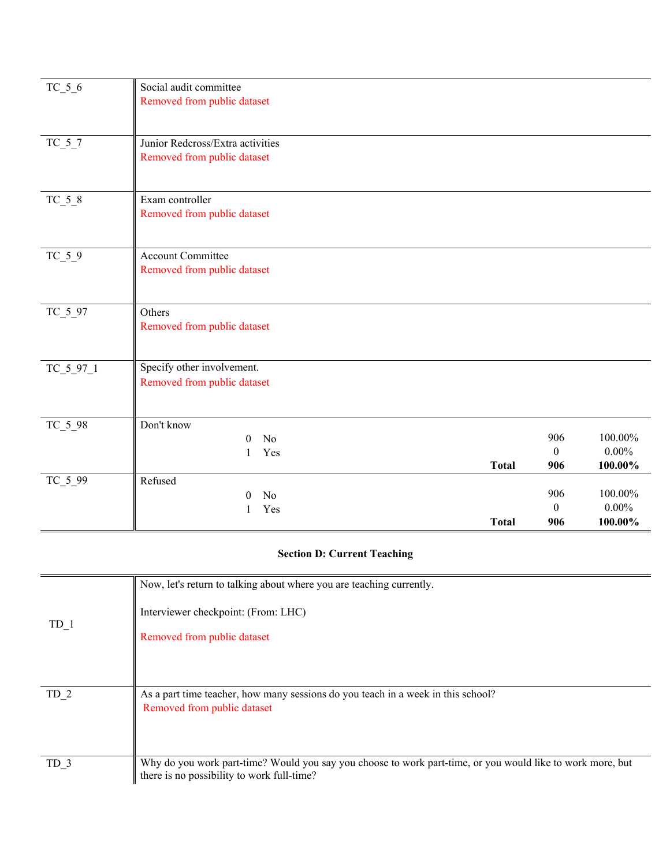| $TC_5_6$    | Social audit committee<br>Removed from public dataset           |              |                            |                                |
|-------------|-----------------------------------------------------------------|--------------|----------------------------|--------------------------------|
| $TC_5_7$    | Junior Redcross/Extra activities<br>Removed from public dataset |              |                            |                                |
| $TC_5_8$    | Exam controller<br>Removed from public dataset                  |              |                            |                                |
| $TC_5_9$    | <b>Account Committee</b><br>Removed from public dataset         |              |                            |                                |
| $TC_5_97$   | Others<br>Removed from public dataset                           |              |                            |                                |
| $TC_5_97_1$ | Specify other involvement.<br>Removed from public dataset       |              |                            |                                |
| $TC_5_98$   | Don't know<br>No<br>$\theta$<br>Yes<br>1                        | <b>Total</b> | 906<br>$\mathbf{0}$<br>906 | 100.00%<br>$0.00\%$<br>100.00% |
| $TC_5_99$   | Refused<br>N <sub>o</sub><br>$\Omega$<br>Yes<br>1               | <b>Total</b> | 906<br>$\mathbf{0}$<br>906 | 100.00%<br>$0.00\%$<br>100.00% |

### **Section D: Current Teaching**

| TD 1            | Now, let's return to talking about where you are teaching currently.                                       |
|-----------------|------------------------------------------------------------------------------------------------------------|
|                 | Interviewer checkpoint: (From: LHC)                                                                        |
|                 | Removed from public dataset                                                                                |
|                 |                                                                                                            |
|                 |                                                                                                            |
| TD <sub>2</sub> | As a part time teacher, how many sessions do you teach in a week in this school?                           |
|                 | Removed from public dataset                                                                                |
|                 |                                                                                                            |
| TD 3            | Why do you work part-time? Would you say you choose to work part-time, or you would like to work more, but |
|                 | there is no possibility to work full-time?                                                                 |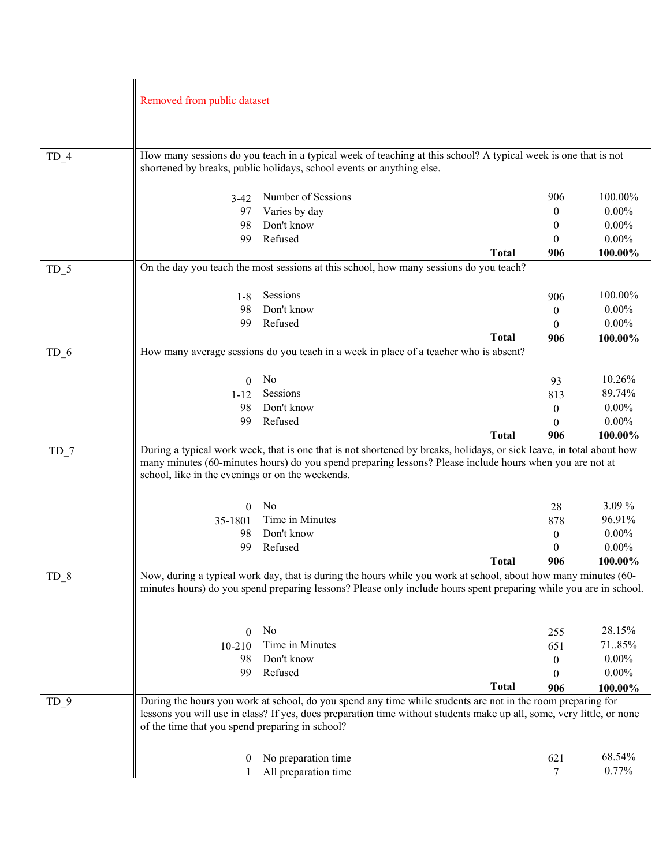|                 | Removed from public dataset                      |                                                                                                                       |              |                       |                      |
|-----------------|--------------------------------------------------|-----------------------------------------------------------------------------------------------------------------------|--------------|-----------------------|----------------------|
|                 |                                                  |                                                                                                                       |              |                       |                      |
|                 |                                                  |                                                                                                                       |              |                       |                      |
|                 |                                                  |                                                                                                                       |              |                       |                      |
| $TD_4$          |                                                  | How many sessions do you teach in a typical week of teaching at this school? A typical week is one that is not        |              |                       |                      |
|                 |                                                  | shortened by breaks, public holidays, school events or anything else.                                                 |              |                       |                      |
|                 |                                                  |                                                                                                                       |              |                       |                      |
|                 | 3-42                                             | Number of Sessions                                                                                                    |              | 906                   | 100.00%              |
|                 | 97                                               | Varies by day                                                                                                         |              | 0                     | $0.00\%$             |
|                 | 98                                               | Don't know                                                                                                            |              | 0                     | $0.00\%$             |
|                 | 99                                               | Refused                                                                                                               |              | $\theta$              | $0.00\%$             |
|                 |                                                  |                                                                                                                       | <b>Total</b> | 906                   | 100.00%              |
| $TD_5$          |                                                  | On the day you teach the most sessions at this school, how many sessions do you teach?                                |              |                       |                      |
|                 |                                                  |                                                                                                                       |              |                       |                      |
|                 | $1 - 8$                                          | Sessions                                                                                                              |              | 906                   | 100.00%              |
|                 | 98                                               | Don't know                                                                                                            |              | $\boldsymbol{0}$      | $0.00\%$             |
|                 | 99                                               | Refused                                                                                                               |              | $\Omega$              | $0.00\%$             |
|                 |                                                  |                                                                                                                       | <b>Total</b> | 906                   | 100.00%              |
| TD <sub>6</sub> |                                                  | How many average sessions do you teach in a week in place of a teacher who is absent?                                 |              |                       |                      |
|                 |                                                  |                                                                                                                       |              |                       |                      |
|                 | 0                                                | No                                                                                                                    |              | 93                    | 10.26%               |
|                 | $1 - 12$                                         | Sessions                                                                                                              |              | 813                   | 89.74%               |
|                 | 98                                               | Don't know                                                                                                            |              | $\theta$              | $0.00\%$             |
|                 | 99                                               | Refused                                                                                                               |              | $\Omega$              | $0.00\%$             |
|                 |                                                  |                                                                                                                       | <b>Total</b> | 906                   | 100.00%              |
| $TD_7$          |                                                  | During a typical work week, that is one that is not shortened by breaks, holidays, or sick leave, in total about how  |              |                       |                      |
|                 | school, like in the evenings or on the weekends. | many minutes (60-minutes hours) do you spend preparing lessons? Please include hours when you are not at              |              |                       |                      |
|                 |                                                  |                                                                                                                       |              |                       |                      |
|                 |                                                  |                                                                                                                       |              |                       |                      |
|                 | 0                                                | No                                                                                                                    |              | 28                    | 3.09%                |
|                 | 35-1801                                          | Time in Minutes                                                                                                       |              | 878                   | 96.91%               |
|                 | 98<br>99                                         | Don't know<br>Refused                                                                                                 |              | $\boldsymbol{0}$<br>0 | $0.00\%$<br>$0.00\%$ |
|                 |                                                  |                                                                                                                       | <b>Total</b> | 906                   | 100.00%              |
|                 |                                                  | Now, during a typical work day, that is during the hours while you work at school, about how many minutes (60-        |              |                       |                      |
| $TD_8$          |                                                  | minutes hours) do you spend preparing lessons? Please only include hours spent preparing while you are in school.     |              |                       |                      |
|                 |                                                  |                                                                                                                       |              |                       |                      |
|                 |                                                  |                                                                                                                       |              |                       |                      |
|                 | $\boldsymbol{0}$                                 | No                                                                                                                    |              | 255                   | 28.15%               |
|                 | 10-210                                           | Time in Minutes                                                                                                       |              | 651                   | 7185%                |
|                 | 98                                               | Don't know                                                                                                            |              | $\boldsymbol{0}$      | $0.00\%$             |
|                 | 99                                               | Refused                                                                                                               |              | $\theta$              | $0.00\%$             |
|                 |                                                  |                                                                                                                       | <b>Total</b> | 906                   | 100.00%              |
| TD <sub>9</sub> |                                                  | During the hours you work at school, do you spend any time while students are not in the room preparing for           |              |                       |                      |
|                 |                                                  | lessons you will use in class? If yes, does preparation time without students make up all, some, very little, or none |              |                       |                      |
|                 | of the time that you spend preparing in school?  |                                                                                                                       |              |                       |                      |
|                 |                                                  |                                                                                                                       |              |                       |                      |
|                 | $\bf{0}$                                         | No preparation time                                                                                                   |              | 621                   | 68.54%               |
|                 |                                                  | All preparation time                                                                                                  |              | 7                     | 0.77%                |
|                 |                                                  |                                                                                                                       |              |                       |                      |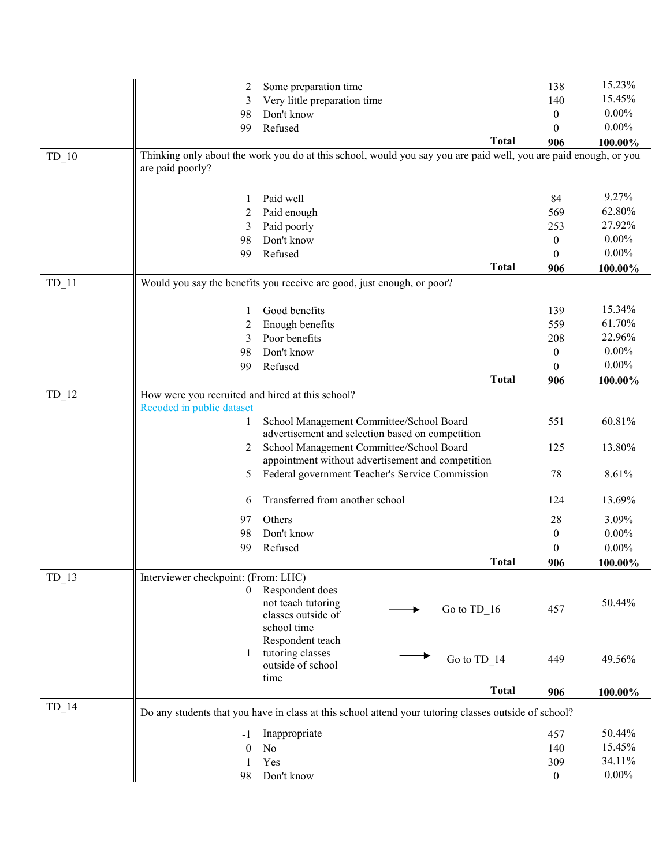|         | 2                                                | Some preparation time                                                                                            |              | 138              | 15.23%   |
|---------|--------------------------------------------------|------------------------------------------------------------------------------------------------------------------|--------------|------------------|----------|
|         | 3                                                | Very little preparation time                                                                                     |              | 140              | 15.45%   |
|         | 98                                               | Don't know                                                                                                       |              | $\overline{0}$   | $0.00\%$ |
|         | 99                                               | Refused                                                                                                          |              | $\theta$         | $0.00\%$ |
|         |                                                  |                                                                                                                  | <b>Total</b> | 906              | 100.00%  |
| $TD_10$ |                                                  | Thinking only about the work you do at this school, would you say you are paid well, you are paid enough, or you |              |                  |          |
|         | are paid poorly?                                 |                                                                                                                  |              |                  |          |
|         |                                                  |                                                                                                                  |              |                  |          |
|         | 1                                                | Paid well                                                                                                        |              | 84               | 9.27%    |
|         | 2                                                | Paid enough                                                                                                      |              | 569              | 62.80%   |
|         | 3                                                | Paid poorly                                                                                                      |              | 253              | 27.92%   |
|         | 98                                               | Don't know                                                                                                       |              | $\overline{0}$   | $0.00\%$ |
|         | 99                                               | Refused                                                                                                          |              | $\theta$         | $0.00\%$ |
|         |                                                  |                                                                                                                  | <b>Total</b> | 906              | 100.00%  |
| $TD_11$ |                                                  | Would you say the benefits you receive are good, just enough, or poor?                                           |              |                  |          |
|         |                                                  |                                                                                                                  |              |                  |          |
|         | 1                                                | Good benefits                                                                                                    |              | 139              | 15.34%   |
|         | 2                                                | Enough benefits                                                                                                  |              | 559              | 61.70%   |
|         | 3                                                | Poor benefits                                                                                                    |              | 208              | 22.96%   |
|         | 98                                               | Don't know                                                                                                       |              | $\overline{0}$   | $0.00\%$ |
|         | 99                                               | Refused                                                                                                          |              | $\Omega$         | $0.00\%$ |
|         |                                                  |                                                                                                                  | <b>Total</b> | 906              | 100.00%  |
| $TD_12$ | How were you recruited and hired at this school? |                                                                                                                  |              |                  |          |
|         | Recoded in public dataset                        |                                                                                                                  |              |                  |          |
|         | 1                                                | School Management Committee/School Board                                                                         |              | 551              | 60.81%   |
|         |                                                  | advertisement and selection based on competition                                                                 |              |                  |          |
|         | 2                                                | School Management Committee/School Board                                                                         |              | 125              | 13.80%   |
|         |                                                  | appointment without advertisement and competition                                                                |              |                  |          |
|         | 5                                                | Federal government Teacher's Service Commission                                                                  |              | 78               | 8.61%    |
|         | 6                                                | Transferred from another school                                                                                  |              | 124              | 13.69%   |
|         | 97                                               | Others                                                                                                           |              | 28               | 3.09%    |
|         | 98                                               | Don't know                                                                                                       |              | $\boldsymbol{0}$ | $0.00\%$ |
|         | 99                                               | Refused                                                                                                          |              | $\mathbf{0}$     | $0.00\%$ |
|         |                                                  |                                                                                                                  | <b>Total</b> | 906              | 100.00%  |
| $TD_13$ | Interviewer checkpoint: (From: LHC)              |                                                                                                                  |              |                  |          |
|         | 0                                                | Respondent does                                                                                                  |              |                  |          |
|         |                                                  | not teach tutoring<br>Go to TD_16                                                                                |              | 457              | 50.44%   |
|         |                                                  | classes outside of                                                                                               |              |                  |          |
|         |                                                  | school time                                                                                                      |              |                  |          |
|         |                                                  | Respondent teach                                                                                                 |              |                  |          |
|         |                                                  | tutoring classes<br>Go to TD 14<br>outside of school                                                             |              | 449              | 49.56%   |
|         |                                                  | time                                                                                                             |              |                  |          |
|         |                                                  |                                                                                                                  | <b>Total</b> | 906              | 100.00%  |
| $TD_14$ |                                                  | Do any students that you have in class at this school attend your tutoring classes outside of school?            |              |                  |          |
|         |                                                  | Inappropriate                                                                                                    |              | 457              | 50.44%   |
|         | -1                                               |                                                                                                                  |              |                  | 15.45%   |
|         | $\boldsymbol{0}$                                 | No                                                                                                               |              | 140              | 34.11%   |
|         | 1                                                | Yes                                                                                                              |              | 309              | $0.00\%$ |
|         | 98                                               | Don't know                                                                                                       |              | $\boldsymbol{0}$ |          |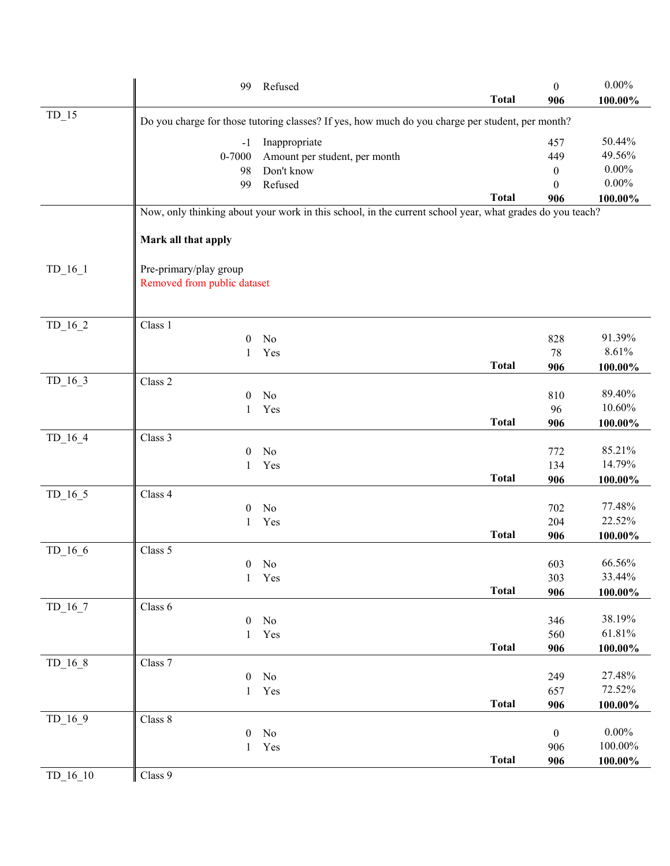|            | 99                          | Refused                                                                                                  | <b>Total</b> | $\mathbf{0}$<br>906 | $0.00\%$<br>100.00% |
|------------|-----------------------------|----------------------------------------------------------------------------------------------------------|--------------|---------------------|---------------------|
| $TD_15$    |                             | Do you charge for those tutoring classes? If yes, how much do you charge per student, per month?         |              |                     |                     |
|            | $-1$                        | Inappropriate                                                                                            |              | 457                 | 50.44%              |
|            | $0 - 7000$                  | Amount per student, per month                                                                            |              | 449                 | 49.56%              |
|            | 98                          | Don't know                                                                                               |              | $\mathbf{0}$        | $0.00\%$            |
|            | 99                          | Refused                                                                                                  |              | $\Omega$            | $0.00\%$            |
|            |                             |                                                                                                          | <b>Total</b> | 906                 | 100.00%             |
|            |                             | Now, only thinking about your work in this school, in the current school year, what grades do you teach? |              |                     |                     |
|            | Mark all that apply         |                                                                                                          |              |                     |                     |
| $TD_16_1$  | Pre-primary/play group      |                                                                                                          |              |                     |                     |
|            | Removed from public dataset |                                                                                                          |              |                     |                     |
| $TD_16_2$  | Class 1                     |                                                                                                          |              |                     |                     |
|            | $\overline{0}$              | No                                                                                                       |              | 828                 | 91.39%              |
|            | 1                           | Yes                                                                                                      |              | 78                  | 8.61%               |
|            |                             |                                                                                                          | <b>Total</b> | 906                 | 100.00%             |
| $TD_16_3$  | Class 2                     |                                                                                                          |              |                     |                     |
|            | $\theta$<br>1               | No                                                                                                       |              | 810<br>96           | 89.40%<br>10.60%    |
|            |                             | Yes                                                                                                      | <b>Total</b> | 906                 | 100.00%             |
| $TD_16_4$  | Class 3                     |                                                                                                          |              |                     |                     |
|            | $\theta$                    | No                                                                                                       |              | 772                 | 85.21%              |
|            | 1                           | Yes                                                                                                      |              | 134                 | 14.79%              |
|            |                             |                                                                                                          | <b>Total</b> | 906                 | 100.00%             |
| $TD_16_5$  | Class 4                     |                                                                                                          |              |                     |                     |
|            | $\theta$                    | No                                                                                                       |              | 702                 | 77.48%              |
|            | 1                           | Yes                                                                                                      | <b>Total</b> | 204                 | 22.52%              |
| $TD_16_6$  | Class 5                     |                                                                                                          |              | 906                 | 100.00%             |
|            |                             | $0$ No                                                                                                   |              | 603                 | 66.56%              |
|            | $\mathbf{1}$                | Yes                                                                                                      |              | 303                 | 33.44%              |
|            |                             |                                                                                                          | <b>Total</b> | 906                 | 100.00%             |
| $TD_16_7$  | Class 6                     |                                                                                                          |              |                     |                     |
|            | $\boldsymbol{0}$            | No                                                                                                       |              | 346                 | 38.19%              |
|            | 1                           | Yes                                                                                                      |              | 560                 | 61.81%              |
|            |                             |                                                                                                          | <b>Total</b> | 906                 | 100.00%             |
| $TD_16_8$  | Class 7<br>$\boldsymbol{0}$ | No                                                                                                       |              | 249                 | 27.48%              |
|            | 1                           | Yes                                                                                                      |              | 657                 | 72.52%              |
|            |                             |                                                                                                          | <b>Total</b> | 906                 | 100.00%             |
| $TD_16_9$  | Class 8                     |                                                                                                          |              |                     |                     |
|            | $\boldsymbol{0}$            | No                                                                                                       |              | $\boldsymbol{0}$    | $0.00\%$            |
|            | 1                           | Yes                                                                                                      |              | 906                 | 100.00%             |
|            |                             |                                                                                                          | <b>Total</b> | 906                 | 100.00%             |
| $TD_16_10$ | Class 9                     |                                                                                                          |              |                     |                     |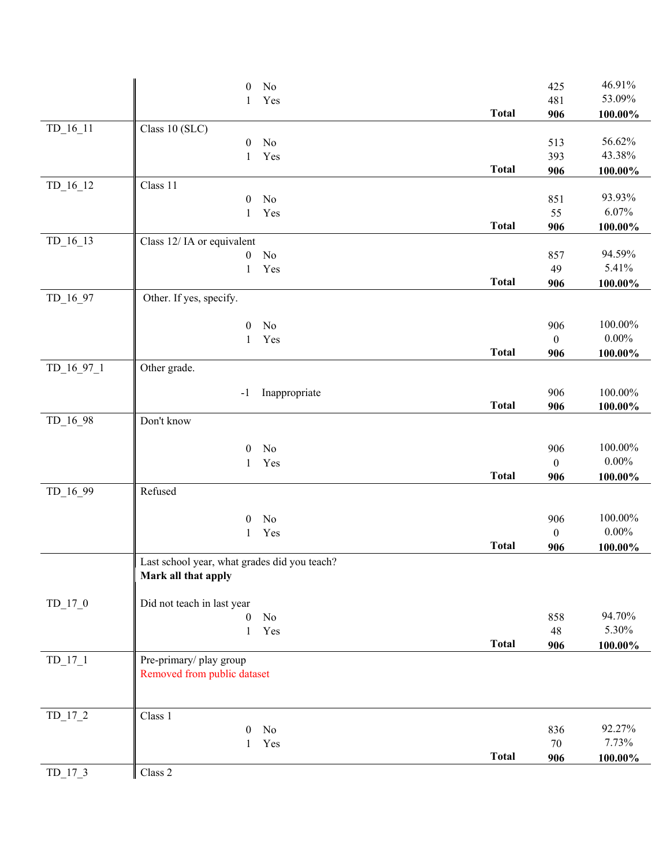|              | No<br>$\theta$                               |              | 425              | 46.91%     |
|--------------|----------------------------------------------|--------------|------------------|------------|
|              | Yes<br>1                                     |              | 481              | 53.09%     |
|              |                                              | <b>Total</b> | 906              | $100.00\%$ |
| $TD_16_11$   | Class 10 (SLC)                               |              |                  |            |
|              | No<br>$\boldsymbol{0}$                       |              | 513              | 56.62%     |
|              | Yes<br>1                                     |              | 393              | 43.38%     |
|              |                                              | <b>Total</b> | 906              | $100.00\%$ |
| $TD_16_12$   | Class 11<br>No<br>$\boldsymbol{0}$           |              | 851              | 93.93%     |
|              | $\mathbf{1}$<br>Yes                          |              | 55               | 6.07%      |
|              |                                              | <b>Total</b> | 906              | $100.00\%$ |
| $TD_16_13$   | Class 12/IA or equivalent                    |              |                  |            |
|              | No<br>$\boldsymbol{0}$                       |              | 857              | 94.59%     |
|              | Yes<br>$\mathbf{1}$                          |              | 49               | 5.41%      |
|              |                                              | <b>Total</b> | 906              | $100.00\%$ |
| $TD_16_97$   | Other. If yes, specify.                      |              |                  |            |
|              | $\boldsymbol{0}$<br>No                       |              | 906              | 100.00%    |
|              | Yes<br>1                                     |              | $\boldsymbol{0}$ | $0.00\%$   |
|              |                                              | <b>Total</b> | 906              | $100.00\%$ |
| $TD_16_97_1$ | Other grade.                                 |              |                  |            |
|              | Inappropriate<br>$-1$                        |              | 906              | 100.00%    |
|              |                                              | <b>Total</b> | 906              | 100.00%    |
| $TD_16_98$   | Don't know                                   |              |                  |            |
|              |                                              |              |                  |            |
|              | No<br>$\boldsymbol{0}$                       |              | 906              | $100.00\%$ |
|              | Yes<br>$\mathbf{1}$                          |              | $\boldsymbol{0}$ | $0.00\%$   |
|              |                                              | <b>Total</b> | 906              | $100.00\%$ |
| TD_16_99     | Refused                                      |              |                  |            |
|              | No<br>$\mathbf{0}$                           |              | 906              | 100.00%    |
|              | Yes<br>$\mathbf{1}$                          |              | $\boldsymbol{0}$ | $0.00\%$   |
|              |                                              | <b>Total</b> | 906              | $100.00\%$ |
|              | Last school year, what grades did you teach? |              |                  |            |
|              | Mark all that apply                          |              |                  |            |
| $TD_17_0$    | Did not teach in last year                   |              |                  |            |
|              | No<br>$\boldsymbol{0}$                       |              | 858              | 94.70%     |
|              | Yes<br>$\mathbf{1}$                          |              | 48               | 5.30%      |
|              |                                              | <b>Total</b> | 906              | $100.00\%$ |
| $TD_17_1$    | Pre-primary/ play group                      |              |                  |            |
|              | Removed from public dataset                  |              |                  |            |
|              |                                              |              |                  |            |
| $TD_17_2$    | Class 1                                      |              |                  |            |
|              | $\theta$<br>No                               |              | 836              | 92.27%     |
|              | Yes<br>1                                     |              | $70\,$           | 7.73%      |
|              |                                              | <b>Total</b> | 906              | $100.00\%$ |
| $TD_17_3$    | Class 2                                      |              |                  |            |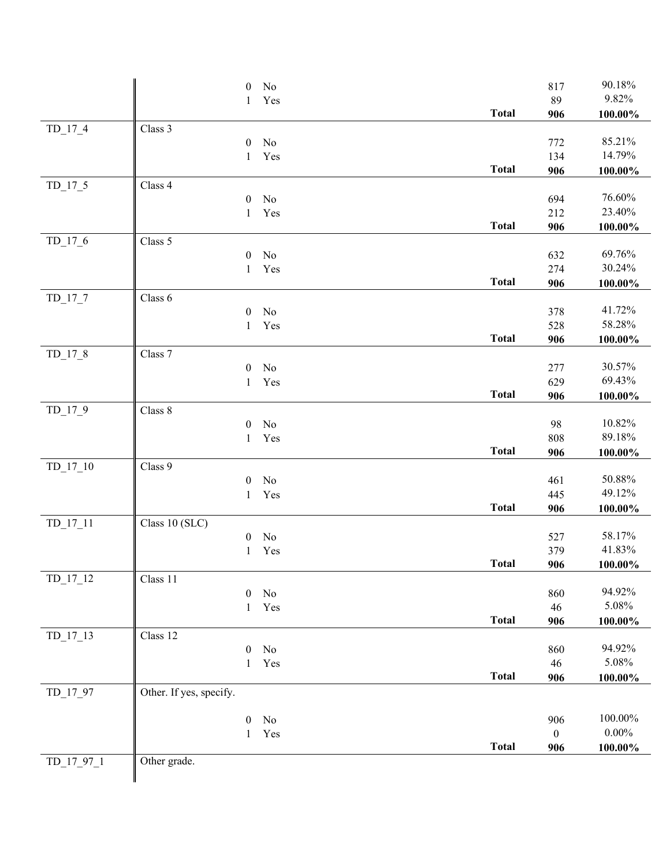|            |                         | $\boldsymbol{0}$ | No        |              | 817                     | 90.18%     |
|------------|-------------------------|------------------|-----------|--------------|-------------------------|------------|
|            |                         | 1                | Yes       |              | 89                      | 9.82%      |
|            |                         |                  |           | <b>Total</b> | 906                     | $100.00\%$ |
| $TD_17_4$  | Class 3                 |                  |           |              |                         |            |
|            |                         | $\boldsymbol{0}$ | No        |              | 772                     | 85.21%     |
|            |                         | 1                | Yes       |              | 134                     | 14.79%     |
|            |                         |                  |           | <b>Total</b> | 906                     | 100.00%    |
| $TD_17_5$  | Class 4                 |                  |           |              |                         |            |
|            |                         | $\boldsymbol{0}$ | No        |              | 694                     | 76.60%     |
|            |                         | $\mathbf{1}$     | Yes       |              | 212                     | 23.40%     |
|            |                         |                  |           | <b>Total</b> | 906                     | 100.00%    |
| $TD_17_6$  | Class 5                 |                  |           |              |                         | 69.76%     |
|            |                         | $\boldsymbol{0}$ | No<br>Yes |              | 632<br>274              | 30.24%     |
|            |                         | $\mathbf{1}$     |           | <b>Total</b> | 906                     | 100.00%    |
| $TD_17_7$  | Class 6                 |                  |           |              |                         |            |
|            |                         | $\boldsymbol{0}$ | No        |              | 378                     | 41.72%     |
|            |                         | $\mathbf{1}$     | Yes       |              | 528                     | 58.28%     |
|            |                         |                  |           | <b>Total</b> | 906                     | 100.00%    |
| $TD_17_8$  | Class 7                 |                  |           |              |                         |            |
|            |                         | $\boldsymbol{0}$ | No        |              | 277                     | 30.57%     |
|            |                         | $\mathbf{1}$     | Yes       |              | 629                     | 69.43%     |
|            |                         |                  |           | <b>Total</b> | 906                     | $100.00\%$ |
| $TD_17_9$  | Class 8                 |                  |           |              |                         |            |
|            |                         | $\boldsymbol{0}$ | No        |              | 98                      | 10.82%     |
|            |                         | 1                | Yes       |              | 808                     | 89.18%     |
|            |                         |                  |           | <b>Total</b> | 906                     | $100.00\%$ |
| $TD_17_10$ | Class 9                 |                  |           |              |                         |            |
|            |                         | $\boldsymbol{0}$ | No        |              | 461                     | 50.88%     |
|            |                         | $\mathbf{1}$     | Yes       | <b>Total</b> | 445                     | 49.12%     |
| $TD_17_11$ | Class 10 (SLC)          |                  |           |              | 906                     | 100.00%    |
|            |                         | $\boldsymbol{0}$ | No        |              | 527                     | 58.17%     |
|            |                         | 1                | Yes       |              | 379                     | 41.83%     |
|            |                         |                  |           | <b>Total</b> | 906                     | 100.00%    |
| $TD_17_12$ | Class 11                |                  |           |              |                         |            |
|            |                         | $\mathbf{0}$     | No        |              | 860                     | 94.92%     |
|            |                         | $\mathbf{1}$     | Yes       |              | 46                      | 5.08%      |
|            |                         |                  |           | <b>Total</b> | 906                     | $100.00\%$ |
| $TD_17_13$ | Class 12                |                  |           |              |                         |            |
|            |                         | $\boldsymbol{0}$ | No        |              | 860                     | 94.92%     |
|            |                         | $\mathbf{1}$     | Yes       |              | 46                      | 5.08%      |
|            |                         |                  |           | <b>Total</b> | 906                     | 100.00%    |
| TD_17_97   | Other. If yes, specify. |                  |           |              |                         |            |
|            |                         |                  |           |              |                         | 100.00%    |
|            |                         | $\boldsymbol{0}$ | No        |              | 906                     | $0.00\%$   |
|            |                         | 1                | Yes       | <b>Total</b> | $\boldsymbol{0}$<br>906 |            |
| TD_17_97_1 | Other grade.            |                  |           |              |                         | $100.00\%$ |
|            |                         |                  |           |              |                         |            |
|            |                         |                  |           |              |                         |            |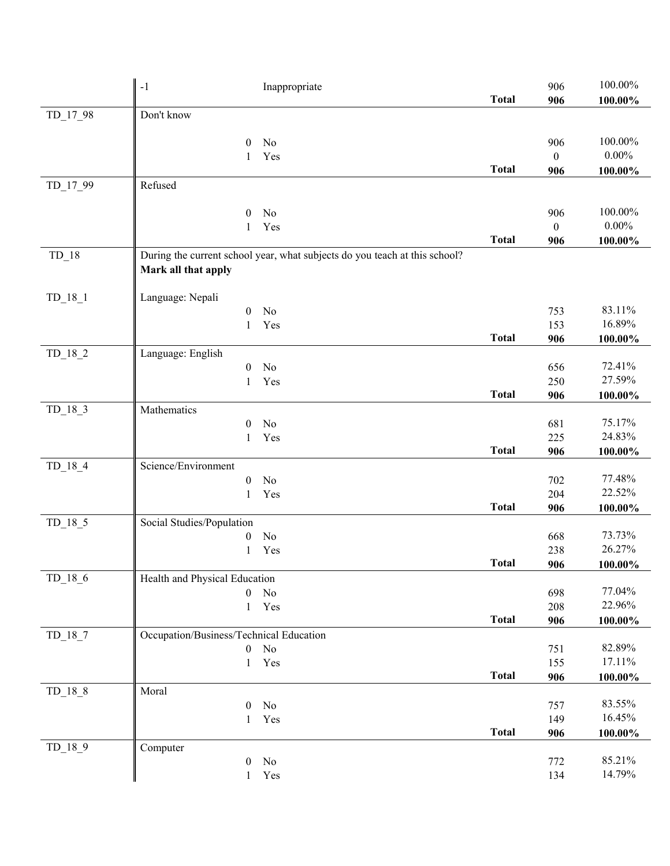|           | $-1$<br>Inappropriate                                                                             |              | 906              | 100.00%           |
|-----------|---------------------------------------------------------------------------------------------------|--------------|------------------|-------------------|
| TD_17_98  | Don't know                                                                                        | <b>Total</b> | 906              | $100.00\%$        |
|           |                                                                                                   |              |                  |                   |
|           | $\theta$<br>No                                                                                    |              | 906              | 100.00%           |
|           | Yes<br>1                                                                                          |              | $\boldsymbol{0}$ | $0.00\%$          |
| TD_17_99  | Refused                                                                                           | <b>Total</b> | 906              | 100.00%           |
|           |                                                                                                   |              |                  |                   |
|           | No<br>$\boldsymbol{0}$                                                                            |              | 906              | 100.00%           |
|           | Yes<br>$\mathbf{1}$                                                                               |              | $\mathbf{0}$     | $0.00\%$          |
|           |                                                                                                   | <b>Total</b> | 906              | $100.00\%$        |
| $TD_18$   | During the current school year, what subjects do you teach at this school?<br>Mark all that apply |              |                  |                   |
| $TD_18_1$ | Language: Nepali                                                                                  |              |                  |                   |
|           | No<br>$\mathbf{0}$                                                                                |              | 753              | 83.11%            |
|           | Yes<br>1                                                                                          |              | 153              | 16.89%            |
|           |                                                                                                   | <b>Total</b> | 906              | $100.00\%$        |
| $TD_18_2$ | Language: English<br>No<br>$\boldsymbol{0}$                                                       |              | 656              | 72.41%            |
|           | Yes<br>1                                                                                          |              | 250              | 27.59%            |
|           |                                                                                                   | <b>Total</b> | 906              | 100.00%           |
| $TD_18_3$ | Mathematics                                                                                       |              |                  |                   |
|           | No<br>$\boldsymbol{0}$                                                                            |              | 681              | 75.17%            |
|           | Yes<br>1                                                                                          | <b>Total</b> | 225<br>906       | 24.83%<br>100.00% |
| $TD_18_4$ | Science/Environment                                                                               |              |                  |                   |
|           | $\boldsymbol{0}$<br>No                                                                            |              | 702              | 77.48%            |
|           | Yes<br>1                                                                                          |              | 204              | 22.52%            |
|           |                                                                                                   | <b>Total</b> | 906              | $100.00\%$        |
| $TD_18_5$ | Social Studies/Population<br>No                                                                   |              |                  | 73.73%            |
|           | $\boldsymbol{0}$<br>Yes<br>1                                                                      |              | 668<br>238       | 26.27%            |
|           |                                                                                                   | <b>Total</b> | 906              | 100.00%           |
| $TD_18_6$ | Health and Physical Education                                                                     |              |                  |                   |
|           | $\boldsymbol{0}$<br>No                                                                            |              | 698              | 77.04%            |
|           | Yes<br>$\mathbf{1}$                                                                               |              | 208              | 22.96%            |
| $TD_18_7$ | Occupation/Business/Technical Education                                                           | <b>Total</b> | 906              | 100.00%           |
|           | No<br>$\boldsymbol{0}$                                                                            |              | 751              | 82.89%            |
|           | Yes<br>1                                                                                          |              | 155              | 17.11%            |
|           |                                                                                                   | <b>Total</b> | 906              | $100.00\%$        |
| $TD_18_8$ | Moral                                                                                             |              |                  |                   |
|           | $\boldsymbol{0}$<br>No                                                                            |              | 757              | 83.55%<br>16.45%  |
|           | Yes<br>$\mathbf{1}$                                                                               | <b>Total</b> | 149<br>906       | $100.00\%$        |
| $TD_18_9$ | Computer                                                                                          |              |                  |                   |
|           | $\boldsymbol{0}$<br>No                                                                            |              | 772              | 85.21%            |
|           | $\operatorname{Yes}$<br>1                                                                         |              | 134              | 14.79%            |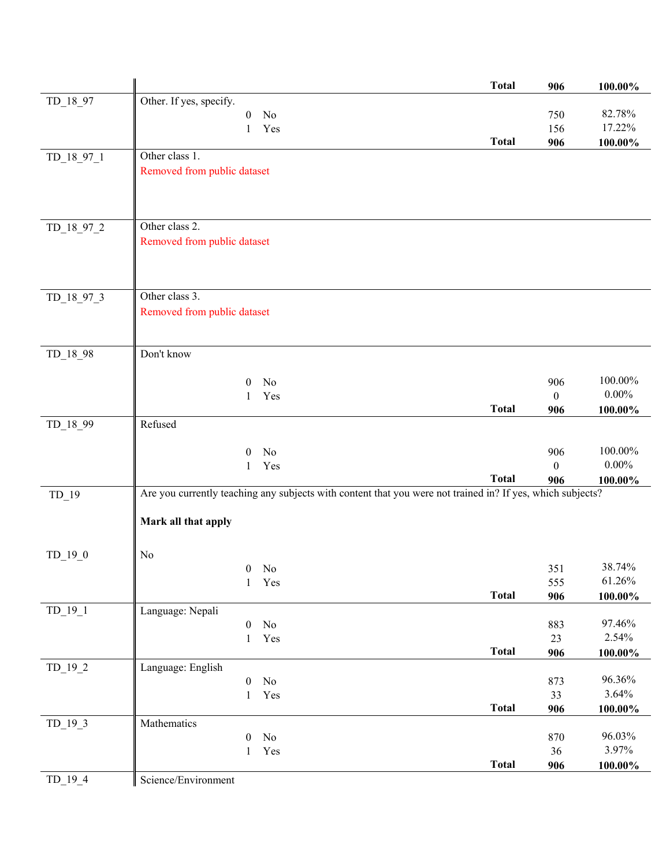|              |                                                                                                            | <b>Total</b> | 906              | 100.00%    |
|--------------|------------------------------------------------------------------------------------------------------------|--------------|------------------|------------|
| TD_18_97     | Other. If yes, specify.                                                                                    |              |                  |            |
|              | No<br>$\boldsymbol{0}$                                                                                     |              | 750              | 82.78%     |
|              | Yes<br>1                                                                                                   |              | 156              | 17.22%     |
|              |                                                                                                            | <b>Total</b> | 906              | $100.00\%$ |
| TD_18_97_1   | Other class 1.                                                                                             |              |                  |            |
|              | Removed from public dataset                                                                                |              |                  |            |
|              |                                                                                                            |              |                  |            |
|              |                                                                                                            |              |                  |            |
| TD_18_97_2   | Other class 2.                                                                                             |              |                  |            |
|              | Removed from public dataset                                                                                |              |                  |            |
|              |                                                                                                            |              |                  |            |
|              |                                                                                                            |              |                  |            |
|              |                                                                                                            |              |                  |            |
| $TD_18_97_3$ | Other class 3.                                                                                             |              |                  |            |
|              | Removed from public dataset                                                                                |              |                  |            |
|              |                                                                                                            |              |                  |            |
| TD_18_98     | Don't know                                                                                                 |              |                  |            |
|              |                                                                                                            |              |                  |            |
|              | No<br>$\boldsymbol{0}$                                                                                     |              | 906              | 100.00%    |
|              | Yes<br>1                                                                                                   |              | $\boldsymbol{0}$ | $0.00\%$   |
|              | Refused                                                                                                    | <b>Total</b> | 906              | 100.00%    |
| TD_18_99     |                                                                                                            |              |                  |            |
|              | No<br>$\theta$                                                                                             |              | 906              | 100.00%    |
|              | Yes<br>1                                                                                                   |              | $\boldsymbol{0}$ | $0.00\%$   |
|              |                                                                                                            | <b>Total</b> | 906              | 100.00%    |
| $TD_19$      | Are you currently teaching any subjects with content that you were not trained in? If yes, which subjects? |              |                  |            |
|              |                                                                                                            |              |                  |            |
|              | Mark all that apply                                                                                        |              |                  |            |
|              |                                                                                                            |              |                  |            |
| $TD_19_0$    | No<br>$0$ No                                                                                               |              | 351              | 38.74%     |
|              | $\mathbf{1}$<br>Yes                                                                                        |              | 555              | 61.26%     |
|              |                                                                                                            | <b>Total</b> | 906              | $100.00\%$ |
| $TD_19_1$    | Language: Nepali                                                                                           |              |                  |            |
|              | No<br>$\boldsymbol{0}$                                                                                     |              | 883              | 97.46%     |
|              | Yes<br>$\mathbf{1}$                                                                                        |              | 23               | 2.54%      |
|              |                                                                                                            | <b>Total</b> | 906              | $100.00\%$ |
| $TD_19_2$    | Language: English<br>$\rm No$<br>$\boldsymbol{0}$                                                          |              | 873              | 96.36%     |
|              | Yes<br>$\mathbf{1}$                                                                                        |              | 33               | 3.64%      |
|              |                                                                                                            | <b>Total</b> | 906              | $100.00\%$ |
| $TD_19_3$    | Mathematics                                                                                                |              |                  |            |
|              | No<br>$\theta$                                                                                             |              | 870              | 96.03%     |
|              | Yes<br>$\mathbf{1}$                                                                                        |              | 36               | 3.97%      |
|              |                                                                                                            | <b>Total</b> | 906              | $100.00\%$ |
| $TD_19_4$    | Science/Environment                                                                                        |              |                  |            |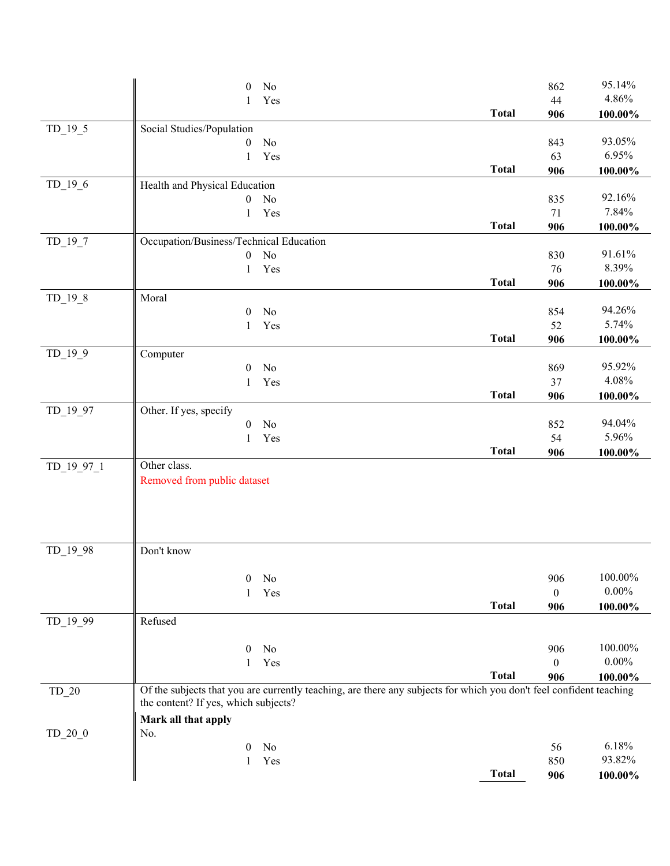|            | $\theta$<br>No                          |                                                                                                                     | 862              | 95.14%     |
|------------|-----------------------------------------|---------------------------------------------------------------------------------------------------------------------|------------------|------------|
|            | Yes<br>1                                |                                                                                                                     | 44               | 4.86%      |
|            |                                         | <b>Total</b>                                                                                                        | 906              | 100.00%    |
| $TD_19_5$  | Social Studies/Population               |                                                                                                                     |                  |            |
|            | No<br>$\boldsymbol{0}$                  |                                                                                                                     | 843              | 93.05%     |
|            | Yes<br>1                                |                                                                                                                     | 63               | 6.95%      |
|            |                                         | <b>Total</b>                                                                                                        | 906              | $100.00\%$ |
| $TD_19_6$  | Health and Physical Education           |                                                                                                                     |                  |            |
|            | No<br>$\mathbf{0}$                      |                                                                                                                     | 835              | 92.16%     |
|            | Yes<br>$\mathbf{1}$                     |                                                                                                                     | 71               | 7.84%      |
|            |                                         | <b>Total</b>                                                                                                        | 906              | 100.00%    |
| $TD_19_7$  | Occupation/Business/Technical Education |                                                                                                                     |                  |            |
|            | No<br>$\boldsymbol{0}$                  |                                                                                                                     | 830              | 91.61%     |
|            | Yes<br>$\mathbf{1}$                     |                                                                                                                     | 76               | 8.39%      |
|            |                                         | <b>Total</b>                                                                                                        | 906              | 100.00%    |
| $TD_19_8$  | Moral                                   |                                                                                                                     |                  |            |
|            | $\boldsymbol{0}$<br>No                  |                                                                                                                     | 854              | 94.26%     |
|            | Yes<br>1                                |                                                                                                                     | 52               | 5.74%      |
|            |                                         | <b>Total</b>                                                                                                        | 906              | $100.00\%$ |
| $TD_19_9$  | Computer                                |                                                                                                                     |                  |            |
|            | No<br>$\mathbf{0}$                      |                                                                                                                     | 869              | 95.92%     |
|            | Yes<br>1                                |                                                                                                                     | 37               | 4.08%      |
|            |                                         | <b>Total</b>                                                                                                        | 906              | $100.00\%$ |
| TD_19_97   | Other. If yes, specify                  |                                                                                                                     |                  |            |
|            | No<br>$\boldsymbol{0}$                  |                                                                                                                     | 852              | 94.04%     |
|            | Yes<br>1                                |                                                                                                                     | 54               | 5.96%      |
|            |                                         | <b>Total</b>                                                                                                        | 906              | 100.00%    |
| TD_19_97_1 | Other class.                            |                                                                                                                     |                  |            |
|            | Removed from public dataset             |                                                                                                                     |                  |            |
|            |                                         |                                                                                                                     |                  |            |
|            |                                         |                                                                                                                     |                  |            |
|            |                                         |                                                                                                                     |                  |            |
|            |                                         |                                                                                                                     |                  |            |
| TD_19_98   | Don't know                              |                                                                                                                     |                  |            |
|            |                                         |                                                                                                                     |                  |            |
|            | No<br>$\theta$                          |                                                                                                                     | 906              | 100.00%    |
|            | Yes<br>1                                |                                                                                                                     | $\theta$         | $0.00\%$   |
|            |                                         | <b>Total</b>                                                                                                        | 906              | 100.00%    |
| TD_19_99   | Refused                                 |                                                                                                                     |                  |            |
|            |                                         |                                                                                                                     |                  | 100.00%    |
|            | No<br>$\mathbf{0}$                      |                                                                                                                     | 906              | $0.00\%$   |
|            | Yes<br>1                                | <b>Total</b>                                                                                                        | $\boldsymbol{0}$ |            |
|            |                                         | Of the subjects that you are currently teaching, are there any subjects for which you don't feel confident teaching | 906              | 100.00%    |
| $TD_20$    | the content? If yes, which subjects?    |                                                                                                                     |                  |            |
|            |                                         |                                                                                                                     |                  |            |
|            | Mark all that apply                     |                                                                                                                     |                  |            |
| $TD_20_0$  | No.<br>No<br>$\mathbf{0}$               |                                                                                                                     | 56               | 6.18%      |
|            | Yes                                     |                                                                                                                     | 850              | 93.82%     |
|            | 1                                       | <b>Total</b>                                                                                                        | 906              |            |
|            |                                         |                                                                                                                     |                  | 100.00%    |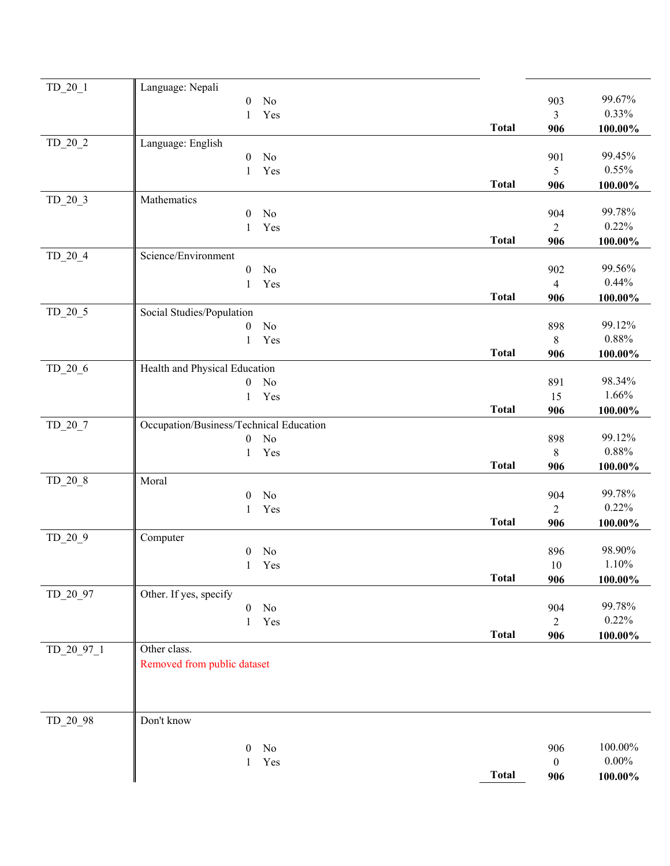| $TD_20_1$  | Language: Nepali                        |              |                          |                 |
|------------|-----------------------------------------|--------------|--------------------------|-----------------|
|            | $\boldsymbol{0}$<br>No                  |              | 903                      | 99.67%          |
|            | Yes<br>$\mathbf{1}$                     |              | 3                        | 0.33%           |
|            |                                         | <b>Total</b> | 906                      | 100.00%         |
| $TD_20_2$  | Language: English                       |              |                          |                 |
|            | No<br>$\boldsymbol{0}$                  |              | 901                      | 99.45%          |
|            | Yes<br>1                                |              | 5                        | 0.55%           |
|            |                                         | <b>Total</b> | 906                      | $100.00\%$      |
| $TD_20_3$  | Mathematics                             |              |                          |                 |
|            | No<br>$\boldsymbol{0}$                  |              | 904                      | 99.78%          |
|            | $\mathbf{1}$<br>Yes                     |              | $\overline{2}$           | 0.22%           |
|            |                                         | <b>Total</b> | 906                      | $100.00\%$      |
| $TD_20_4$  | Science/Environment                     |              |                          |                 |
|            | No<br>$\boldsymbol{0}$                  |              | 902                      | 99.56%<br>0.44% |
|            | Yes<br>$\mathbf{1}$                     |              | $\overline{\mathcal{A}}$ |                 |
|            |                                         | <b>Total</b> | 906                      | $100.00\%$      |
| $TD_20_5$  | Social Studies/Population               |              |                          | 99.12%          |
|            | No<br>$\boldsymbol{0}$                  |              | 898                      | $0.88\%$        |
|            | Yes<br>1                                | <b>Total</b> | $8\,$                    |                 |
|            | Health and Physical Education           |              | 906                      | $100.00\%$      |
| $TD_20_6$  | $\boldsymbol{0}$<br>No                  |              | 891                      | 98.34%          |
|            | Yes<br>$\mathbf{1}$                     |              | 15                       | 1.66%           |
|            |                                         | <b>Total</b> | 906                      | $100.00\%$      |
| $TD_20_7$  | Occupation/Business/Technical Education |              |                          |                 |
|            | No<br>$\boldsymbol{0}$                  |              | 898                      | 99.12%          |
|            | Yes<br>$\mathbf{1}$                     |              | $8\,$                    | 0.88%           |
|            |                                         | <b>Total</b> | 906                      | 100.00%         |
| $TD_20_8$  | Moral                                   |              |                          |                 |
|            | No<br>$\theta$                          |              | 904                      | 99.78%          |
|            | Yes<br>1                                |              | $\overline{c}$           | 0.22%           |
|            |                                         | <b>Total</b> | 906                      | $100.00\%$      |
| $TD_20_9$  | Computer                                |              |                          |                 |
|            | No<br>$\boldsymbol{0}$                  |              | 896                      | 98.90%          |
|            | 1 Yes                                   |              | 10                       | 1.10%           |
|            |                                         | <b>Total</b> | 906                      | 100.00%         |
| TD_20_97   | Other. If yes, specify                  |              |                          |                 |
|            | No<br>$\boldsymbol{0}$                  |              | 904                      | 99.78%          |
|            | Yes<br>$\mathbf{1}$                     |              | $\overline{2}$           | 0.22%           |
|            |                                         | <b>Total</b> | 906                      | $100.00\%$      |
| TD 20 97 1 | Other class.                            |              |                          |                 |
|            | Removed from public dataset             |              |                          |                 |
|            |                                         |              |                          |                 |
|            |                                         |              |                          |                 |
|            |                                         |              |                          |                 |
| TD_20_98   | Don't know                              |              |                          |                 |
|            |                                         |              |                          |                 |
|            | $\theta$<br>No                          |              | 906                      | 100.00%         |
|            | Yes<br>1                                |              | $\mathbf{0}$             | $0.00\%$        |
|            |                                         | <b>Total</b> | 906                      | 100.00%         |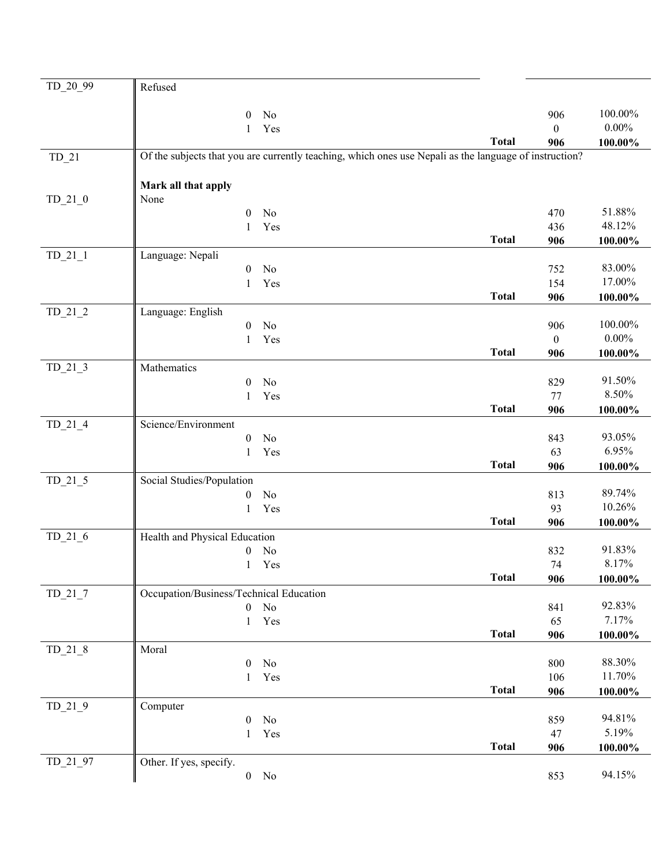| TD_20_99  | Refused                                                                                                |              |                     |                     |
|-----------|--------------------------------------------------------------------------------------------------------|--------------|---------------------|---------------------|
|           |                                                                                                        |              |                     |                     |
|           | $\boldsymbol{0}$<br>No<br>Yes<br>$\mathbf{1}$                                                          |              | 906<br>$\mathbf{0}$ | 100.00%<br>$0.00\%$ |
|           |                                                                                                        | <b>Total</b> | 906                 | 100.00%             |
| $TD_21$   | Of the subjects that you are currently teaching, which ones use Nepali as the language of instruction? |              |                     |                     |
|           |                                                                                                        |              |                     |                     |
|           | Mark all that apply                                                                                    |              |                     |                     |
| $TD_21_0$ | None                                                                                                   |              |                     |                     |
|           | 0<br>No                                                                                                |              | 470                 | 51.88%<br>48.12%    |
|           | Yes<br>1                                                                                               | <b>Total</b> | 436<br>906          |                     |
| $TD_21_1$ | Language: Nepali                                                                                       |              |                     | 100.00%             |
|           | No<br>0                                                                                                |              | 752                 | 83.00%              |
|           | Yes<br>$\mathbf{1}$                                                                                    |              | 154                 | 17.00%              |
|           |                                                                                                        | <b>Total</b> | 906                 | 100.00%             |
| $TD_21_2$ | Language: English                                                                                      |              |                     |                     |
|           | $\rm No$<br>0                                                                                          |              | 906                 | 100.00%             |
|           | Yes<br>1                                                                                               |              | $\boldsymbol{0}$    | $0.00\%$            |
|           |                                                                                                        | <b>Total</b> | 906                 | 100.00%             |
| $TD_21_3$ | Mathematics<br>No                                                                                      |              | 829                 | 91.50%              |
|           | 0<br>Yes<br>1                                                                                          |              | 77                  | 8.50%               |
|           |                                                                                                        | <b>Total</b> | 906                 | 100.00%             |
| $TD_21_4$ | Science/Environment                                                                                    |              |                     |                     |
|           | $\boldsymbol{0}$<br>No                                                                                 |              | 843                 | 93.05%              |
|           | Yes<br>1                                                                                               |              | 63                  | 6.95%               |
|           |                                                                                                        | <b>Total</b> | 906                 | 100.00%             |
| $TD_21_5$ | Social Studies/Population                                                                              |              |                     |                     |
|           | 0<br>No                                                                                                |              | 813                 | 89.74%<br>10.26%    |
|           | $\mathbf{1}$<br>Yes                                                                                    | <b>Total</b> | 93<br>906           |                     |
| $TD_21_6$ | Health and Physical Education                                                                          |              |                     | 100.00%             |
|           | No<br>0                                                                                                |              | 832                 | 91.83%              |
|           | 1 Yes                                                                                                  |              | 74                  | 8.17%               |
|           |                                                                                                        | <b>Total</b> | 906                 | 100.00%             |
| $TD_21_7$ | Occupation/Business/Technical Education                                                                |              |                     |                     |
|           | $\mathbf{0}$<br>No                                                                                     |              | 841                 | 92.83%              |
|           | Yes<br>$\mathbf{1}$                                                                                    |              | 65                  | 7.17%               |
|           |                                                                                                        | <b>Total</b> | 906                 | $100.00\%$          |
| $TD_21_8$ | Moral<br>No<br>0                                                                                       |              | 800                 | 88.30%              |
|           | Yes<br>1                                                                                               |              | 106                 | 11.70%              |
|           |                                                                                                        | <b>Total</b> | 906                 | 100.00%             |
| $TD_21_9$ | Computer                                                                                               |              |                     |                     |
|           | No<br>0                                                                                                |              | 859                 | 94.81%              |
|           | Yes<br>1                                                                                               |              | 47                  | 5.19%               |
|           |                                                                                                        | <b>Total</b> | 906                 | $100.00\%$          |
| TD_21_97  | Other. If yes, specify.                                                                                |              |                     |                     |
|           | $\boldsymbol{0}$<br>No                                                                                 |              | 853                 | 94.15%              |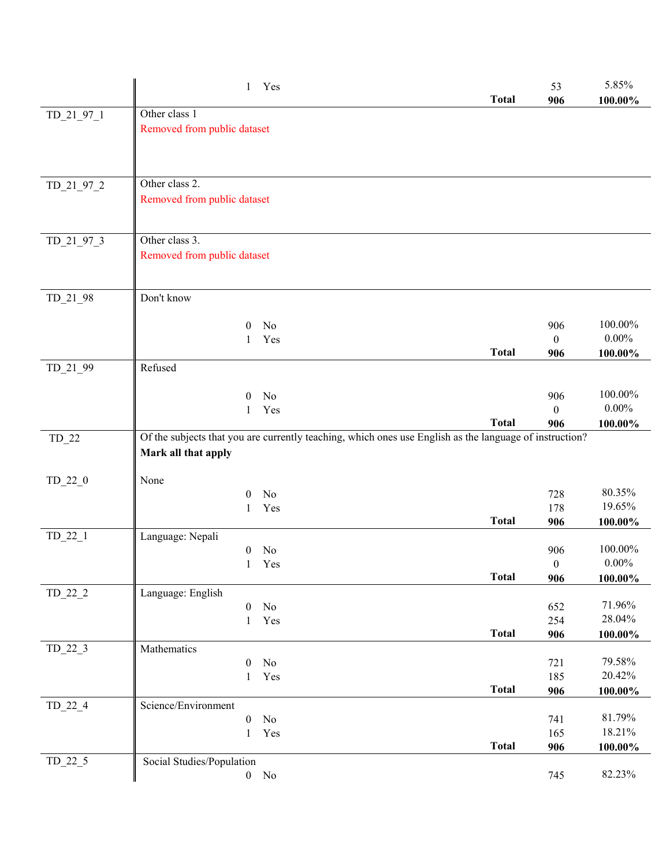|              | Yes<br>$\mathbf{1}$                                                                                     | <b>Total</b> | 53<br>906       | 5.85%<br>$100.00\%$ |
|--------------|---------------------------------------------------------------------------------------------------------|--------------|-----------------|---------------------|
| TD_21_97_1   | Other class 1                                                                                           |              |                 |                     |
|              | Removed from public dataset                                                                             |              |                 |                     |
|              |                                                                                                         |              |                 |                     |
|              |                                                                                                         |              |                 |                     |
|              | Other class 2.                                                                                          |              |                 |                     |
| $TD_21_97_2$ | Removed from public dataset                                                                             |              |                 |                     |
|              |                                                                                                         |              |                 |                     |
|              |                                                                                                         |              |                 |                     |
| TD_21_97_3   | Other class 3.                                                                                          |              |                 |                     |
|              | Removed from public dataset                                                                             |              |                 |                     |
|              |                                                                                                         |              |                 |                     |
| $TD_21_98$   | Don't know                                                                                              |              |                 |                     |
|              |                                                                                                         |              |                 |                     |
|              | N <sub>0</sub><br>$\theta$                                                                              |              | 906             | 100.00%             |
|              | Yes<br>1                                                                                                |              | $\mathbf{0}$    | $0.00\%$            |
|              |                                                                                                         | <b>Total</b> | 906             | 100.00%             |
| TD_21_99     | Refused                                                                                                 |              |                 |                     |
|              | No<br>$\boldsymbol{0}$                                                                                  |              | 906             | 100.00%             |
|              | Yes<br>1                                                                                                |              | $\mathbf{0}$    | $0.00\%$            |
|              |                                                                                                         | <b>Total</b> | 906             | 100.00%             |
| $TD_22$      | Of the subjects that you are currently teaching, which ones use English as the language of instruction? |              |                 |                     |
|              | Mark all that apply                                                                                     |              |                 |                     |
| $TD_22_0$    | None                                                                                                    |              |                 |                     |
|              | No<br>$\mathbf{0}$                                                                                      |              | 728             | 80.35%              |
|              | Yes<br>1                                                                                                |              | 178             | 19.65%              |
|              |                                                                                                         | <b>Total</b> | 906             | 100.00%             |
| $TD_22_1$    | Language: Nepali                                                                                        |              |                 |                     |
|              | No<br>$\mathbf{0}$                                                                                      |              | 906<br>$\Omega$ | 100.00%<br>$0.00\%$ |
|              | 1 Yes                                                                                                   | <b>Total</b> | 906             | 100.00%             |
| $TD_22_2$    | Language: English                                                                                       |              |                 |                     |
|              | No<br>$\boldsymbol{0}$                                                                                  |              | 652             | 71.96%              |
|              | Yes<br>1                                                                                                |              | 254             | 28.04%              |
|              |                                                                                                         | <b>Total</b> | 906             | 100.00%             |
| $TD_22_3$    | Mathematics<br>No<br>$\mathbf{0}$                                                                       |              |                 | 79.58%              |
|              | Yes<br>$\mathbf{1}$                                                                                     |              | 721<br>185      | 20.42%              |
|              |                                                                                                         | <b>Total</b> | 906             | $100.00\%$          |
| $TD_22_4$    | Science/Environment                                                                                     |              |                 |                     |
|              | $\rm No$<br>$\boldsymbol{0}$                                                                            |              | 741             | 81.79%              |
|              | Yes<br>1                                                                                                |              | 165             | 18.21%              |
| $TD_22_5$    | Social Studies/Population                                                                               | <b>Total</b> | 906             | $100.00\%$          |
|              | $\boldsymbol{0}$<br>No                                                                                  |              | 745             | 82.23%              |
|              |                                                                                                         |              |                 |                     |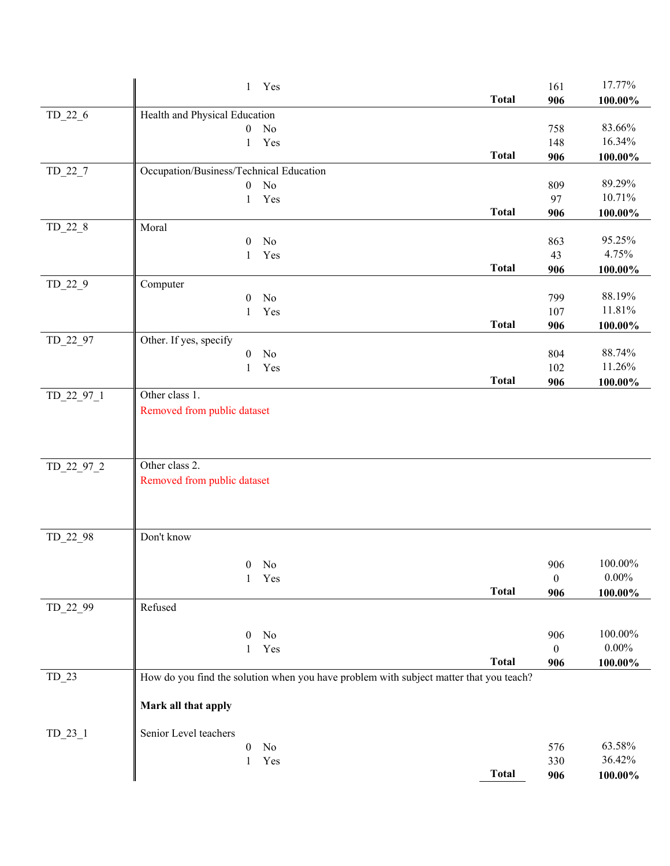|            | 1 Yes                                                                                  |              | 161              | 17.77%          |
|------------|----------------------------------------------------------------------------------------|--------------|------------------|-----------------|
|            |                                                                                        | <b>Total</b> | 906              | 100.00%         |
| $TD_22_6$  | Health and Physical Education                                                          |              |                  |                 |
|            | $\boldsymbol{0}$<br>No                                                                 |              | 758              | 83.66%          |
|            | Yes<br>$\mathbf{1}$                                                                    |              | 148              | 16.34%          |
|            |                                                                                        | <b>Total</b> | 906              | 100.00%         |
| $TD_22_7$  | Occupation/Business/Technical Education                                                |              |                  |                 |
|            | No<br>$\boldsymbol{0}$                                                                 |              | 809              | 89.29%          |
|            | Yes<br>$\mathbf{1}$                                                                    |              | 97               | 10.71%          |
|            |                                                                                        | <b>Total</b> | 906              | 100.00%         |
| $TD_22_8$  | Moral                                                                                  |              |                  |                 |
|            | $\boldsymbol{0}$<br>No                                                                 |              | 863              | 95.25%<br>4.75% |
|            | Yes<br>1                                                                               | <b>Total</b> | 43<br>906        |                 |
| $TD_22_9$  | Computer                                                                               |              |                  | 100.00%         |
|            | $\boldsymbol{0}$<br>No                                                                 |              | 799              | 88.19%          |
|            | Yes<br>1                                                                               |              | 107              | 11.81%          |
|            |                                                                                        | <b>Total</b> | 906              | $100.00\%$      |
| TD_22_97   | Other. If yes, specify                                                                 |              |                  |                 |
|            | $\rm No$<br>$\boldsymbol{0}$                                                           |              | 804              | 88.74%          |
|            | Yes<br>1                                                                               |              | 102              | 11.26%          |
|            |                                                                                        | <b>Total</b> | 906              | 100.00%         |
| TD_22_97_1 | Other class 1.                                                                         |              |                  |                 |
|            | Removed from public dataset                                                            |              |                  |                 |
|            |                                                                                        |              |                  |                 |
|            |                                                                                        |              |                  |                 |
|            |                                                                                        |              |                  |                 |
| TD_22_97_2 | Other class 2.                                                                         |              |                  |                 |
|            | Removed from public dataset                                                            |              |                  |                 |
|            |                                                                                        |              |                  |                 |
|            |                                                                                        |              |                  |                 |
| TD_22_98   | Don't know                                                                             |              |                  |                 |
|            |                                                                                        |              |                  |                 |
|            | $\boldsymbol{0}$<br>No                                                                 |              | 906              | 100.00%         |
|            | 1 Yes                                                                                  |              | $\boldsymbol{0}$ | $0.00\%$        |
|            |                                                                                        | <b>Total</b> | 906              | $100.00\%$      |
| TD_22_99   | Refused                                                                                |              |                  |                 |
|            |                                                                                        |              |                  |                 |
|            | $\theta$<br>N <sub>0</sub>                                                             |              | 906              | 100.00%         |
|            | Yes<br>1                                                                               |              | $\boldsymbol{0}$ | $0.00\%$        |
|            |                                                                                        | <b>Total</b> | 906              | $100.00\%$      |
| $TD_23$    | How do you find the solution when you have problem with subject matter that you teach? |              |                  |                 |
|            |                                                                                        |              |                  |                 |
|            | Mark all that apply                                                                    |              |                  |                 |
|            |                                                                                        |              |                  |                 |
| $TD_23_1$  | Senior Level teachers                                                                  |              |                  | 63.58%          |
|            | $\boldsymbol{0}$<br>No                                                                 |              | 576              | 36.42%          |
|            | Yes<br>1                                                                               | <b>Total</b> | 330              |                 |
|            |                                                                                        |              | 906              | $100.00\%$      |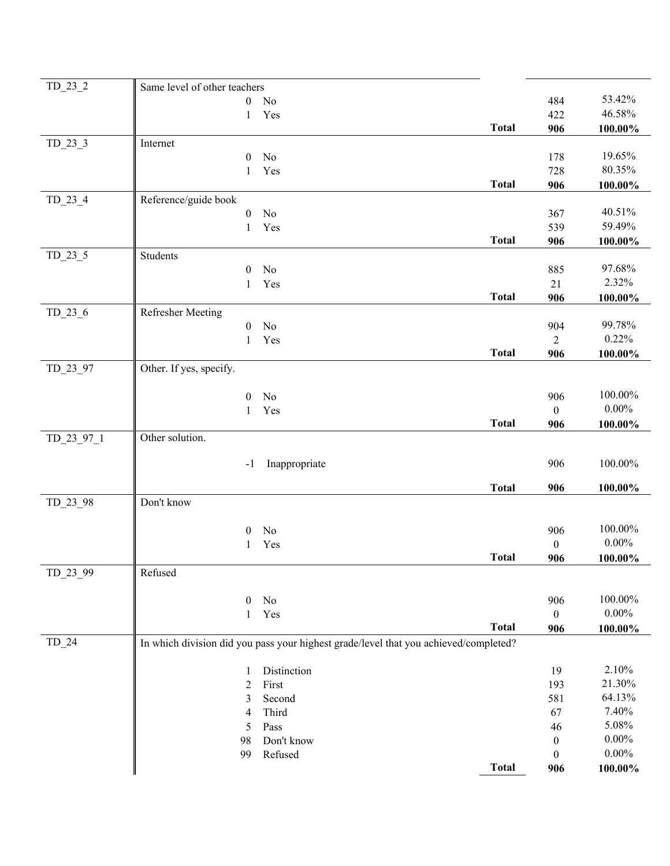| $TD_23_2$  | Same level of other teachers       |                                                                                      |                  |                     |
|------------|------------------------------------|--------------------------------------------------------------------------------------|------------------|---------------------|
|            | $\mathbf{0}$<br>No                 |                                                                                      | 484              | 53.42%              |
|            | Yes<br>1                           |                                                                                      | 422              | 46.58%              |
|            |                                    | <b>Total</b>                                                                         | 906              | 100.00%             |
| $TD_23_3$  | Internet                           |                                                                                      |                  |                     |
|            | No<br>$\boldsymbol{0}$             |                                                                                      | 178              | 19.65%              |
|            | Yes<br>1                           |                                                                                      | 728              | 80.35%              |
|            |                                    | <b>Total</b>                                                                         | 906              | $100.00\%$          |
| $TD_23_4$  | Reference/guide book               |                                                                                      |                  |                     |
|            | No<br>$\boldsymbol{0}$             |                                                                                      | 367              | 40.51%              |
|            | 1<br>Yes                           |                                                                                      | 539              | 59.49%              |
|            |                                    | <b>Total</b>                                                                         | 906              | 100.00%             |
| $TD_23_5$  | Students                           |                                                                                      |                  |                     |
|            | No<br>$\boldsymbol{0}$             |                                                                                      | 885              | 97.68%              |
|            | Yes<br>$\mathbf{1}$                |                                                                                      | 21               | 2.32%               |
|            |                                    | <b>Total</b>                                                                         | 906              | 100.00%             |
| $TD_23_6$  | <b>Refresher Meeting</b>           |                                                                                      |                  |                     |
|            | No<br>$\boldsymbol{0}$             |                                                                                      | 904              | 99.78%              |
|            | Yes<br>1                           |                                                                                      | $\overline{2}$   | 0.22%               |
|            |                                    | <b>Total</b>                                                                         | 906              | 100.00%             |
| TD_23_97   | Other. If yes, specify.            |                                                                                      |                  |                     |
|            |                                    |                                                                                      |                  | 100.00%             |
|            | $\boldsymbol{0}$<br>No             |                                                                                      | 906              | $0.00\%$            |
|            | Yes<br>1                           | <b>Total</b>                                                                         | $\mathbf{0}$     |                     |
|            | Other solution.                    |                                                                                      | 906              | $100.00\%$          |
| TD_23_97_1 |                                    |                                                                                      |                  |                     |
|            | Inappropriate<br>$\mathbf{-}$      |                                                                                      | 906              | 100.00%             |
|            |                                    |                                                                                      |                  |                     |
|            |                                    | <b>Total</b>                                                                         | 906              | 100.00%             |
| TD_23_98   | Don't know                         |                                                                                      |                  |                     |
|            |                                    |                                                                                      |                  |                     |
|            | N <sub>0</sub><br>$\boldsymbol{0}$ |                                                                                      | 906              | 100.00%<br>$0.00\%$ |
|            | Yes<br>1                           |                                                                                      | $\boldsymbol{0}$ |                     |
|            |                                    | <b>Total</b>                                                                         | 906              | 100.00%             |
| TD_23_99   | Refused                            |                                                                                      |                  |                     |
|            | No<br>$\mathbf{0}$                 |                                                                                      | 906              | 100.00%             |
|            | Yes<br>1                           |                                                                                      | $\boldsymbol{0}$ | $0.00\%$            |
|            |                                    | <b>Total</b>                                                                         | 906              | $100.00\%$          |
| $TD_24$    |                                    | In which division did you pass your highest grade/level that you achieved/completed? |                  |                     |
|            |                                    |                                                                                      |                  |                     |
|            | Distinction<br>1                   |                                                                                      | 19               | 2.10%               |
|            | First<br>$\overline{2}$            |                                                                                      | 193              | 21.30%              |
|            | 3<br>Second                        |                                                                                      | 581              | 64.13%              |
|            | Third<br>4                         |                                                                                      | 67               | 7.40%               |
|            | 5<br>Pass                          |                                                                                      | 46               | 5.08%               |
|            | Don't know<br>98                   |                                                                                      | $\boldsymbol{0}$ | $0.00\%$            |
|            | Refused<br>99                      |                                                                                      | $\boldsymbol{0}$ | $0.00\%$            |
|            |                                    | <b>Total</b>                                                                         | 906              | $100.00\%$          |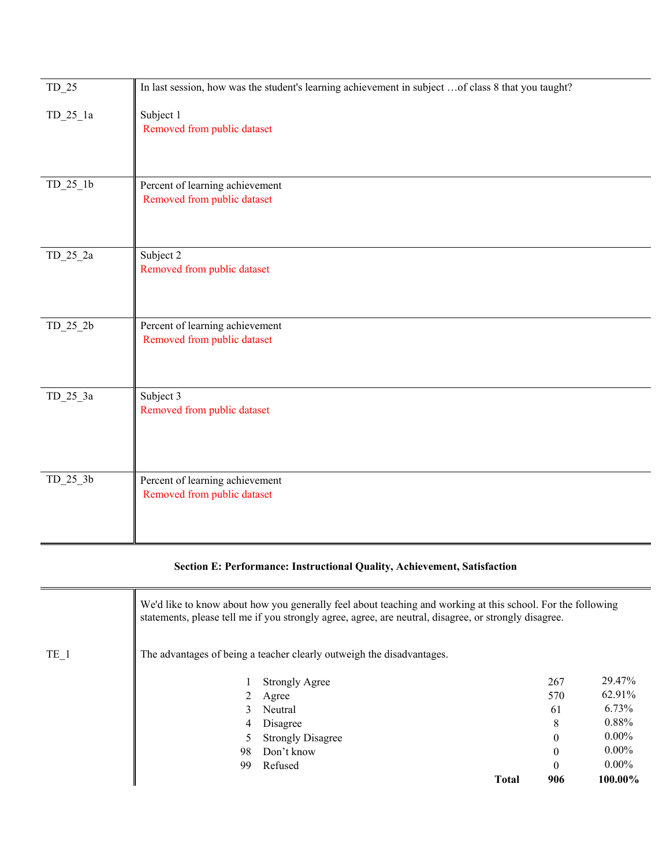| $TD_25$    | In last session, how was the student's learning achievement in subject  of class 8 that you taught? |
|------------|-----------------------------------------------------------------------------------------------------|
| $TD_25_1a$ | Subject 1<br>Removed from public dataset                                                            |
| $TD_25_1b$ | Percent of learning achievement<br>Removed from public dataset                                      |
| $TD_25_2a$ | Subject 2<br>Removed from public dataset                                                            |
| $TD_25_2b$ | Percent of learning achievement<br>Removed from public dataset                                      |
| $TD_25_3a$ | Subject 3<br>Removed from public dataset                                                            |
| $TD_25_3b$ | Percent of learning achievement<br>Removed from public dataset                                      |

## **Section E: Performance: Instructional Quality, Achievement, Satisfaction**

|                 |               | We'd like to know about how you generally feel about teaching and working at this school. For the following<br>statements, please tell me if you strongly agree, agree, are neutral, disagree, or strongly disagree. |              |                  |            |
|-----------------|---------------|----------------------------------------------------------------------------------------------------------------------------------------------------------------------------------------------------------------------|--------------|------------------|------------|
| TE <sub>1</sub> |               | The advantages of being a teacher clearly outweigh the disadvantages.                                                                                                                                                |              |                  |            |
|                 |               | <b>Strongly Agree</b>                                                                                                                                                                                                |              | 267              | 29.47%     |
|                 | 2             | Agree                                                                                                                                                                                                                |              | 570              | 62.91%     |
|                 | $\mathcal{L}$ | Neutral                                                                                                                                                                                                              |              | 61               | 6.73%      |
|                 | 4             | Disagree                                                                                                                                                                                                             |              | 8                | 0.88%      |
|                 |               | <b>Strongly Disagree</b>                                                                                                                                                                                             |              | $\boldsymbol{0}$ | $0.00\%$   |
|                 | 98            | Don't know                                                                                                                                                                                                           |              | $\boldsymbol{0}$ | $0.00\%$   |
|                 | 99            | Refused                                                                                                                                                                                                              |              | $\theta$         | $0.00\%$   |
|                 |               |                                                                                                                                                                                                                      | <b>Total</b> | 906              | $100.00\%$ |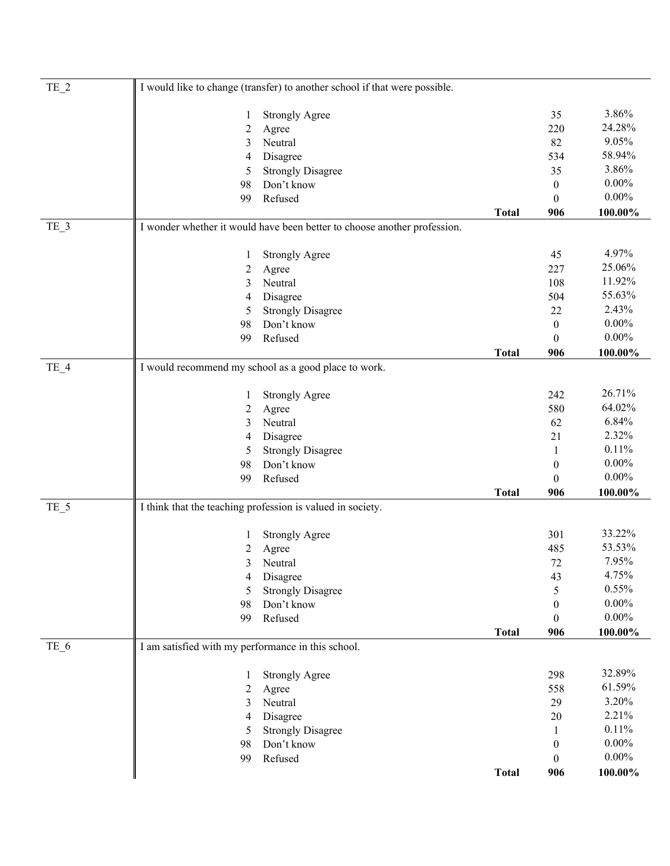| $TE_2$ |                                                    | I would like to change (transfer) to another school if that were possible. |              |                  |            |  |
|--------|----------------------------------------------------|----------------------------------------------------------------------------|--------------|------------------|------------|--|
|        | 1                                                  | <b>Strongly Agree</b>                                                      |              | 35               | 3.86%      |  |
|        | 2                                                  | Agree                                                                      |              | 220              | 24.28%     |  |
|        | 3                                                  | Neutral                                                                    |              | 82               | 9.05%      |  |
|        | 4                                                  | Disagree                                                                   |              | 534              | 58.94%     |  |
|        | 5                                                  | <b>Strongly Disagree</b>                                                   |              | 35               | 3.86%      |  |
|        | 98                                                 | Don't know                                                                 |              | $\boldsymbol{0}$ | $0.00\%$   |  |
|        | 99                                                 | Refused                                                                    |              | $\theta$         | $0.00\%$   |  |
|        |                                                    |                                                                            | <b>Total</b> | 906              | 100.00%    |  |
| TE_3   |                                                    | I wonder whether it would have been better to choose another profession.   |              |                  |            |  |
|        | 1                                                  | <b>Strongly Agree</b>                                                      |              | 45               | 4.97%      |  |
|        | 2                                                  | Agree                                                                      |              | 227              | 25.06%     |  |
|        | 3                                                  | Neutral                                                                    |              | 108              | 11.92%     |  |
|        | 4                                                  | Disagree                                                                   |              | 504              | 55.63%     |  |
|        | 5                                                  | <b>Strongly Disagree</b>                                                   |              | 22               | 2.43%      |  |
|        | 98                                                 | Don't know                                                                 |              | $\boldsymbol{0}$ | $0.00\%$   |  |
|        | 99                                                 | Refused                                                                    |              | $\boldsymbol{0}$ | $0.00\%$   |  |
|        |                                                    |                                                                            | <b>Total</b> | 906              | $100.00\%$ |  |
| $TE_4$ |                                                    | I would recommend my school as a good place to work.                       |              |                  |            |  |
|        | 1                                                  | <b>Strongly Agree</b>                                                      |              | 242              | 26.71%     |  |
|        | 2                                                  | Agree                                                                      |              | 580              | 64.02%     |  |
|        | 3                                                  | Neutral                                                                    |              | 62               | 6.84%      |  |
|        | 4                                                  | Disagree                                                                   |              | 21               | 2.32%      |  |
|        | 5                                                  | <b>Strongly Disagree</b>                                                   |              | $\mathbf{1}$     | 0.11%      |  |
|        | 98                                                 | Don't know                                                                 |              | $\boldsymbol{0}$ | $0.00\%$   |  |
|        | 99                                                 | Refused                                                                    |              | $\boldsymbol{0}$ | $0.00\%$   |  |
|        |                                                    |                                                                            | <b>Total</b> | 906              | 100.00%    |  |
| TE_5   |                                                    | I think that the teaching profession is valued in society.                 |              |                  |            |  |
|        | 1                                                  | <b>Strongly Agree</b>                                                      |              | 301              | 33.22%     |  |
|        | 2                                                  | Agree                                                                      |              | 485              | 53.53%     |  |
|        | 3                                                  | Neutral                                                                    |              | 72               | 7.95%      |  |
|        | 4                                                  | Disagree                                                                   |              | 43               | 4.75%      |  |
|        | 5                                                  | <b>Strongly Disagree</b>                                                   |              | 5                | 0.55%      |  |
|        | 98                                                 | Don't know                                                                 |              | $\boldsymbol{0}$ | $0.00\%$   |  |
|        | 99                                                 | Refused                                                                    |              | $\theta$         | $0.00\%$   |  |
|        |                                                    |                                                                            | <b>Total</b> | 906              | 100.00%    |  |
| TE_6   | I am satisfied with my performance in this school. |                                                                            |              |                  |            |  |
|        | 1                                                  | <b>Strongly Agree</b>                                                      |              | 298              | 32.89%     |  |
|        | 2                                                  | Agree                                                                      |              | 558              | 61.59%     |  |
|        | 3                                                  | Neutral                                                                    |              | 29               | 3.20%      |  |
|        | 4                                                  | Disagree                                                                   |              | $20\,$           | 2.21%      |  |
|        | 5                                                  | <b>Strongly Disagree</b>                                                   |              | 1                | 0.11%      |  |
|        | 98                                                 | Don't know                                                                 |              | $\boldsymbol{0}$ | $0.00\%$   |  |
|        | 99                                                 | Refused                                                                    |              | $\mathbf{0}$     | $0.00\%$   |  |
|        |                                                    |                                                                            | <b>Total</b> | 906              | 100.00%    |  |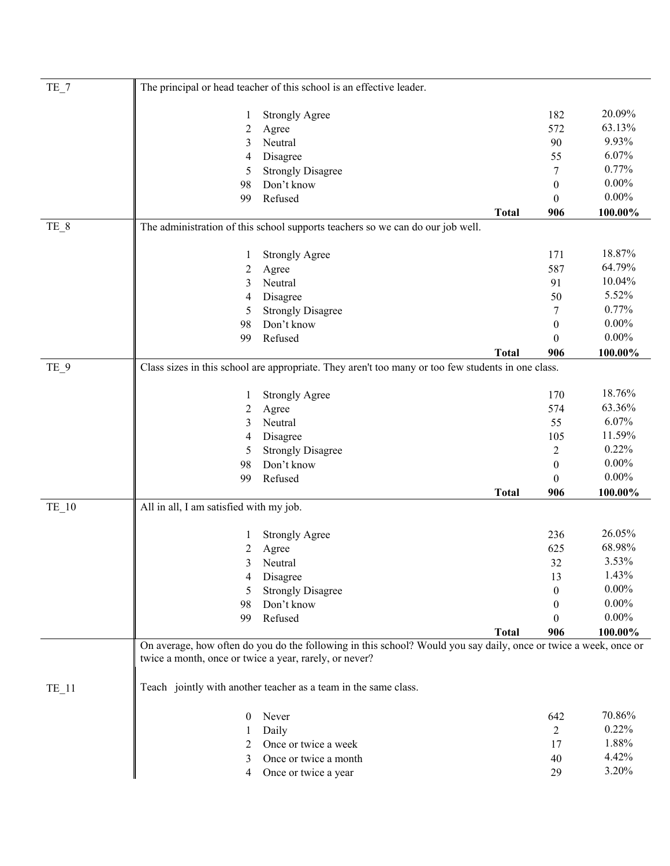| $TE_7$  |                                         | The principal or head teacher of this school is an effective leader.                                                                                                       |              |                  |            |
|---------|-----------------------------------------|----------------------------------------------------------------------------------------------------------------------------------------------------------------------------|--------------|------------------|------------|
|         | 1                                       | <b>Strongly Agree</b>                                                                                                                                                      |              | 182              | 20.09%     |
|         | $\overline{c}$                          | Agree                                                                                                                                                                      |              | 572              | 63.13%     |
|         | 3                                       | Neutral                                                                                                                                                                    |              | 90               | 9.93%      |
|         | 4                                       | Disagree                                                                                                                                                                   |              | 55               | 6.07%      |
|         | 5                                       | <b>Strongly Disagree</b>                                                                                                                                                   |              | 7                | 0.77%      |
|         | 98                                      | Don't know                                                                                                                                                                 |              | $\mathbf{0}$     | $0.00\%$   |
|         | 99                                      | Refused                                                                                                                                                                    |              | $\theta$         | $0.00\%$   |
|         |                                         |                                                                                                                                                                            | <b>Total</b> | 906              | 100.00%    |
| TE_8    |                                         | The administration of this school supports teachers so we can do our job well.                                                                                             |              |                  |            |
|         | $\mathbf{I}$                            | <b>Strongly Agree</b>                                                                                                                                                      |              | 171              | 18.87%     |
|         | $\overline{c}$                          | Agree                                                                                                                                                                      |              | 587              | 64.79%     |
|         | 3                                       | Neutral                                                                                                                                                                    |              | 91               | 10.04%     |
|         | 4                                       | Disagree                                                                                                                                                                   |              | 50               | 5.52%      |
|         | 5                                       | <b>Strongly Disagree</b>                                                                                                                                                   |              | 7                | 0.77%      |
|         | 98                                      | Don't know                                                                                                                                                                 |              | $\boldsymbol{0}$ | $0.00\%$   |
|         | 99                                      | Refused                                                                                                                                                                    |              | $\theta$         | $0.00\%$   |
|         |                                         |                                                                                                                                                                            | <b>Total</b> | 906              | 100.00%    |
| TE_9    |                                         | Class sizes in this school are appropriate. They aren't too many or too few students in one class.                                                                         |              |                  |            |
|         | 1                                       | <b>Strongly Agree</b>                                                                                                                                                      |              | 170              | 18.76%     |
|         | $\overline{c}$                          | Agree                                                                                                                                                                      |              | 574              | 63.36%     |
|         | 3                                       | Neutral                                                                                                                                                                    |              | 55               | 6.07%      |
|         | 4                                       | Disagree                                                                                                                                                                   |              | 105              | 11.59%     |
|         | 5                                       | <b>Strongly Disagree</b>                                                                                                                                                   |              | $\overline{2}$   | 0.22%      |
|         | 98                                      | Don't know                                                                                                                                                                 |              | $\boldsymbol{0}$ | $0.00\%$   |
|         | 99                                      | Refused                                                                                                                                                                    |              | $\mathbf{0}$     | $0.00\%$   |
|         |                                         |                                                                                                                                                                            | <b>Total</b> | 906              | $100.00\%$ |
| $TE_10$ | All in all, I am satisfied with my job. |                                                                                                                                                                            |              |                  |            |
|         | 1                                       | <b>Strongly Agree</b>                                                                                                                                                      |              | 236              | 26.05%     |
|         | 2                                       | Agree                                                                                                                                                                      |              | 625              | 68.98%     |
|         | 3                                       | Neutral                                                                                                                                                                    |              | 32               | 3.53%      |
|         | 4                                       | Disagree                                                                                                                                                                   |              | 13               | 1.43%      |
|         | 5                                       | <b>Strongly Disagree</b>                                                                                                                                                   |              | $\theta$         | $0.00\%$   |
|         | 98                                      | Don't know                                                                                                                                                                 |              | $\theta$         | $0.00\%$   |
|         | 99                                      | Refused                                                                                                                                                                    |              | $\Omega$         | $0.00\%$   |
|         |                                         |                                                                                                                                                                            | <b>Total</b> | 906              | 100.00%    |
|         |                                         | On average, how often do you do the following in this school? Would you say daily, once or twice a week, once or<br>twice a month, once or twice a year, rarely, or never? |              |                  |            |
| $TE_11$ |                                         | Teach jointly with another teacher as a team in the same class.                                                                                                            |              |                  |            |
|         | $\theta$                                | Never                                                                                                                                                                      |              | 642              | 70.86%     |
|         | 1                                       | Daily                                                                                                                                                                      |              | $\overline{2}$   | 0.22%      |
|         | 2                                       | Once or twice a week                                                                                                                                                       |              | 17               | 1.88%      |
|         | 3                                       | Once or twice a month                                                                                                                                                      |              | 40               | 4.42%      |
|         | 4                                       | Once or twice a year                                                                                                                                                       |              | 29               | 3.20%      |
|         |                                         |                                                                                                                                                                            |              |                  |            |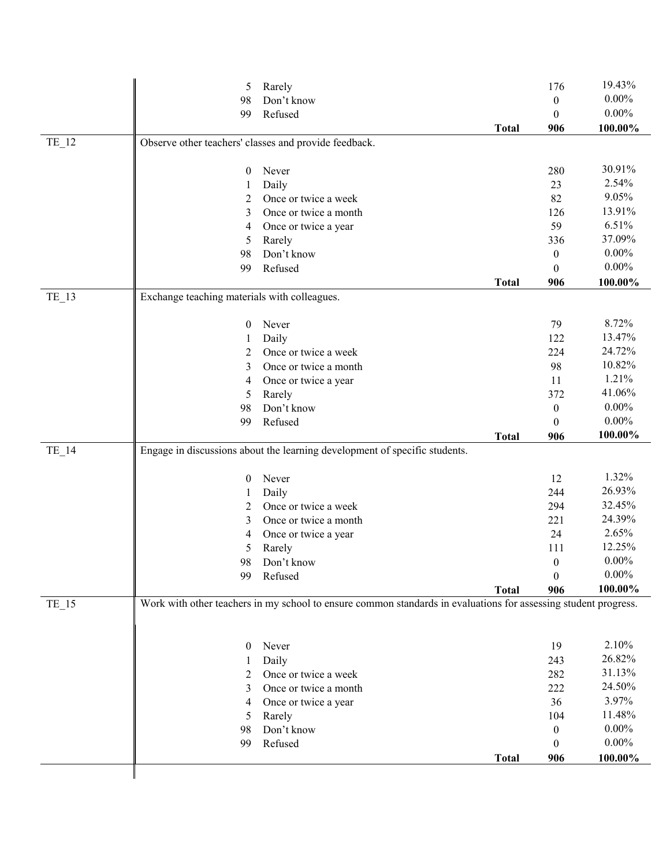|         | 5                                            | Rarely                                                                                                          |              | 176              | 19.43%   |
|---------|----------------------------------------------|-----------------------------------------------------------------------------------------------------------------|--------------|------------------|----------|
|         | 98                                           | Don't know                                                                                                      |              | $\boldsymbol{0}$ | $0.00\%$ |
|         | 99                                           | Refused                                                                                                         |              | $\mathbf{0}$     | $0.00\%$ |
|         |                                              |                                                                                                                 | <b>Total</b> | 906              | 100.00%  |
| TE_12   |                                              | Observe other teachers' classes and provide feedback.                                                           |              |                  |          |
|         |                                              |                                                                                                                 |              |                  |          |
|         | $\boldsymbol{0}$                             | Never                                                                                                           |              | 280              | 30.91%   |
|         | 1                                            | Daily                                                                                                           |              | 23               | 2.54%    |
|         | 2                                            | Once or twice a week                                                                                            |              | 82               | 9.05%    |
|         | 3                                            | Once or twice a month                                                                                           |              | 126              | 13.91%   |
|         | 4                                            | Once or twice a year                                                                                            |              | 59               | 6.51%    |
|         | 5                                            | Rarely                                                                                                          |              | 336              | 37.09%   |
|         | 98                                           | Don't know                                                                                                      |              | $\mathbf{0}$     | $0.00\%$ |
|         | 99                                           | Refused                                                                                                         |              | $\mathbf{0}$     | $0.00\%$ |
|         |                                              |                                                                                                                 | <b>Total</b> | 906              | 100.00%  |
| $TE_13$ | Exchange teaching materials with colleagues. |                                                                                                                 |              |                  |          |
|         | $\mathbf{0}$                                 | Never                                                                                                           |              | 79               | 8.72%    |
|         | 1                                            | Daily                                                                                                           |              | 122              | 13.47%   |
|         | 2                                            | Once or twice a week                                                                                            |              | 224              | 24.72%   |
|         | 3                                            | Once or twice a month                                                                                           |              | 98               | 10.82%   |
|         | 4                                            | Once or twice a year                                                                                            |              | 11               | 1.21%    |
|         | 5                                            | Rarely                                                                                                          |              | 372              | 41.06%   |
|         | 98                                           | Don't know                                                                                                      |              | $\boldsymbol{0}$ | $0.00\%$ |
|         | 99                                           | Refused                                                                                                         |              | $\theta$         | $0.00\%$ |
|         |                                              |                                                                                                                 |              |                  |          |
|         |                                              |                                                                                                                 |              |                  | 100.00%  |
| TE_14   |                                              | Engage in discussions about the learning development of specific students.                                      | <b>Total</b> | 906              |          |
|         |                                              |                                                                                                                 |              |                  |          |
|         | $\boldsymbol{0}$                             | Never                                                                                                           |              | 12               | 1.32%    |
|         | 1                                            | Daily                                                                                                           |              | 244              | 26.93%   |
|         | 2                                            | Once or twice a week                                                                                            |              | 294              | 32.45%   |
|         | 3                                            | Once or twice a month                                                                                           |              | 221              | 24.39%   |
|         | 4                                            | Once or twice a year                                                                                            |              | 24               | 2.65%    |
|         | 5                                            | Rarely                                                                                                          |              | 111              | 12.25%   |
|         | 98                                           | Don't know                                                                                                      |              | $\mathbf{0}$     | $0.00\%$ |
|         | 99                                           | Refused                                                                                                         |              | $\boldsymbol{0}$ | $0.00\%$ |
|         |                                              |                                                                                                                 | <b>Total</b> | 906              | 100.00%  |
| TE_15   |                                              | Work with other teachers in my school to ensure common standards in evaluations for assessing student progress. |              |                  |          |
|         |                                              |                                                                                                                 |              |                  |          |
|         | $\mathbf{0}$                                 | Never                                                                                                           |              | 19               | 2.10%    |
|         | 1                                            | Daily                                                                                                           |              | 243              | 26.82%   |
|         | 2                                            | Once or twice a week                                                                                            |              | 282              | 31.13%   |
|         | 3                                            | Once or twice a month                                                                                           |              | 222              | 24.50%   |
|         | 4                                            | Once or twice a year                                                                                            |              | 36               | 3.97%    |
|         | 5                                            | Rarely                                                                                                          |              | 104              | 11.48%   |
|         | 98                                           | Don't know                                                                                                      |              | $\boldsymbol{0}$ | $0.00\%$ |
|         | 99                                           | Refused                                                                                                         |              | $\theta$         | $0.00\%$ |
|         |                                              |                                                                                                                 | <b>Total</b> | 906              | 100.00%  |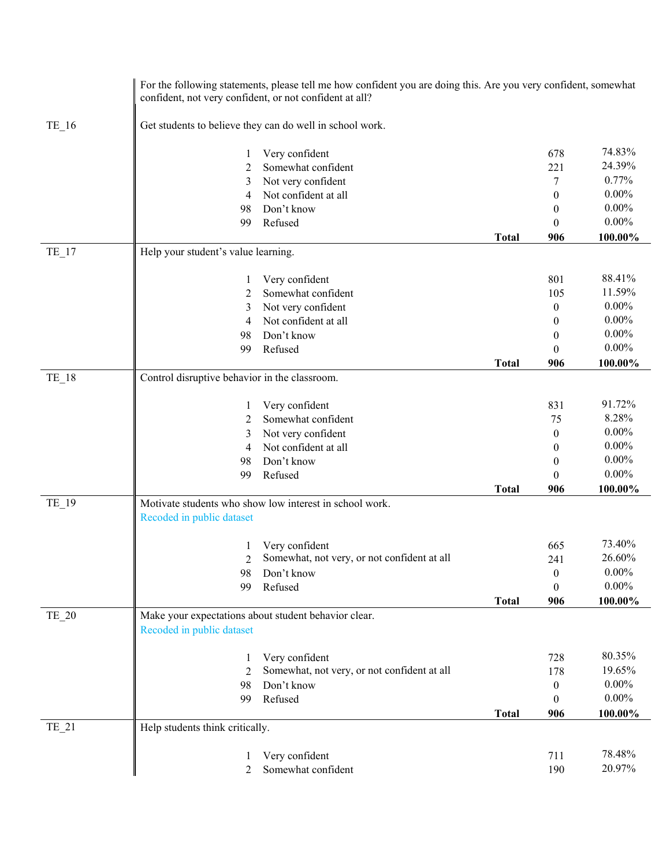|         | confident, not very confident, or not confident at all? | For the following statements, please tell me how confident you are doing this. Are you very confident, somewhat |              |                  |          |
|---------|---------------------------------------------------------|-----------------------------------------------------------------------------------------------------------------|--------------|------------------|----------|
| $TE_16$ |                                                         | Get students to believe they can do well in school work.                                                        |              |                  |          |
|         | 1                                                       | Very confident                                                                                                  |              | 678              | 74.83%   |
|         | 2                                                       | Somewhat confident                                                                                              |              | 221              | 24.39%   |
|         | 3                                                       | Not very confident                                                                                              |              | 7                | 0.77%    |
|         | 4                                                       | Not confident at all                                                                                            |              | $\mathbf{0}$     | $0.00\%$ |
|         | 98                                                      | Don't know                                                                                                      |              | $\theta$         | $0.00\%$ |
|         | 99                                                      | Refused                                                                                                         |              | $\theta$         | $0.00\%$ |
|         |                                                         |                                                                                                                 | <b>Total</b> | 906              | 100.00%  |
| $TE_17$ | Help your student's value learning.                     |                                                                                                                 |              |                  |          |
|         | 1                                                       | Very confident                                                                                                  |              | 801              | 88.41%   |
|         | 2                                                       | Somewhat confident                                                                                              |              | 105              | 11.59%   |
|         | 3                                                       | Not very confident                                                                                              |              | $\theta$         | $0.00\%$ |
|         | 4                                                       | Not confident at all                                                                                            |              | $\theta$         | $0.00\%$ |
|         | 98                                                      | Don't know                                                                                                      |              | 0                | $0.00\%$ |
|         | 99                                                      | Refused                                                                                                         |              | $\Omega$         | $0.00\%$ |
|         |                                                         |                                                                                                                 | <b>Total</b> | 906              | 100.00%  |
| $TE_18$ | Control disruptive behavior in the classroom.           |                                                                                                                 |              |                  |          |
|         | 1                                                       | Very confident                                                                                                  |              | 831              | 91.72%   |
|         | 2                                                       | Somewhat confident                                                                                              |              | 75               | 8.28%    |
|         | 3                                                       | Not very confident                                                                                              |              | $\mathbf{0}$     | $0.00\%$ |
|         | 4                                                       | Not confident at all                                                                                            |              | 0                | $0.00\%$ |
|         | 98                                                      | Don't know                                                                                                      |              | 0                | $0.00\%$ |
|         | 99                                                      | Refused                                                                                                         |              | $\theta$         | $0.00\%$ |
|         |                                                         |                                                                                                                 | <b>Total</b> | 906              | 100.00%  |
| TE_19   | Recoded in public dataset                               | Motivate students who show low interest in school work.                                                         |              |                  |          |
|         |                                                         | Very confident                                                                                                  |              | 665              | 73.40%   |
|         | 2                                                       | Somewhat, not very, or not confident at all                                                                     |              | 241              | 26.60%   |
|         | 98                                                      | Don't know                                                                                                      |              | $\boldsymbol{0}$ | $0.00\%$ |
|         | 99                                                      | Refused                                                                                                         |              | $\boldsymbol{0}$ | $0.00\%$ |
|         |                                                         |                                                                                                                 | <b>Total</b> | 906              | 100.00%  |
| TE_20   | Recoded in public dataset                               | Make your expectations about student behavior clear.                                                            |              |                  |          |
|         | 1                                                       | Very confident                                                                                                  |              | 728              | 80.35%   |
|         | $\mathfrak{D}$                                          | Somewhat, not very, or not confident at all                                                                     |              | 178              | 19.65%   |
|         | 98                                                      | Don't know                                                                                                      |              | $\boldsymbol{0}$ | $0.00\%$ |
|         | 99                                                      | Refused                                                                                                         |              | $\overline{0}$   | $0.00\%$ |
|         |                                                         |                                                                                                                 | <b>Total</b> | 906              | 100.00%  |
| $TE_21$ | Help students think critically.                         |                                                                                                                 |              |                  |          |
|         | 1                                                       | Very confident                                                                                                  |              | 711              | 78.48%   |
|         | 2                                                       | Somewhat confident                                                                                              |              | 190              | 20.97%   |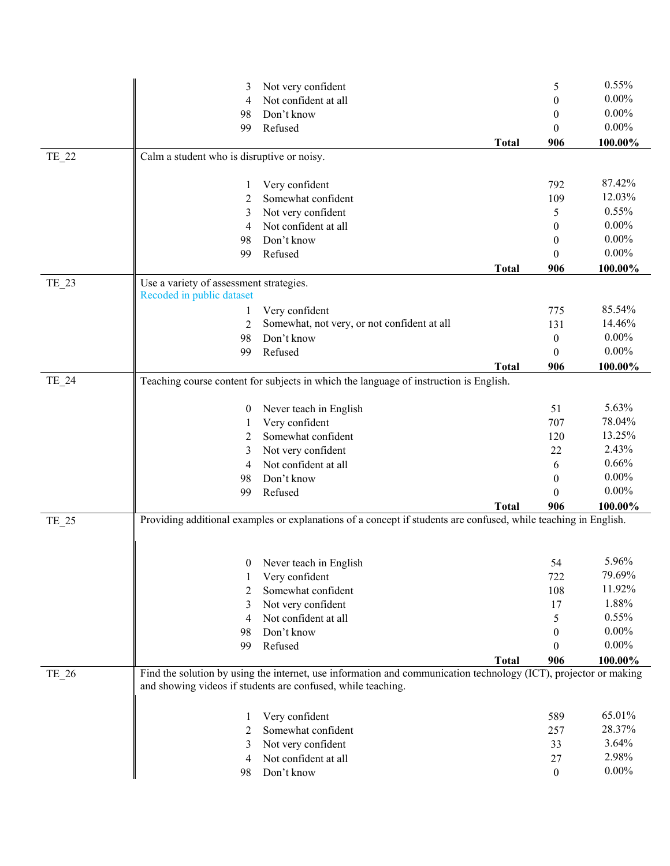|       | 3                                          | Not very confident                                                                                               |              | 5                | 0.55%    |
|-------|--------------------------------------------|------------------------------------------------------------------------------------------------------------------|--------------|------------------|----------|
|       | 4                                          | Not confident at all                                                                                             |              | $\theta$         | $0.00\%$ |
|       | 98                                         | Don't know                                                                                                       |              | 0                | $0.00\%$ |
|       | 99                                         | Refused                                                                                                          |              | $\theta$         | $0.00\%$ |
|       |                                            |                                                                                                                  | <b>Total</b> | 906              | 100.00%  |
| TE_22 | Calm a student who is disruptive or noisy. |                                                                                                                  |              |                  |          |
|       |                                            |                                                                                                                  |              |                  |          |
|       | 1                                          | Very confident                                                                                                   |              | 792              | 87.42%   |
|       | 2                                          | Somewhat confident                                                                                               |              | 109              | 12.03%   |
|       | 3                                          | Not very confident                                                                                               |              | 5                | 0.55%    |
|       | 4                                          | Not confident at all                                                                                             |              | $\boldsymbol{0}$ | $0.00\%$ |
|       | 98                                         | Don't know                                                                                                       |              | $\overline{0}$   | $0.00\%$ |
|       | 99                                         | Refused                                                                                                          |              | $\mathbf{0}$     | $0.00\%$ |
|       |                                            |                                                                                                                  | <b>Total</b> | 906              | 100.00%  |
|       | Use a variety of assessment strategies.    |                                                                                                                  |              |                  |          |
| TE_23 | Recoded in public dataset                  |                                                                                                                  |              |                  |          |
|       |                                            |                                                                                                                  |              | 775              | 85.54%   |
|       | 1                                          | Very confident<br>Somewhat, not very, or not confident at all                                                    |              |                  | 14.46%   |
|       | $\overline{2}$                             |                                                                                                                  |              | 131              | $0.00\%$ |
|       | 98                                         | Don't know                                                                                                       |              | $\boldsymbol{0}$ | $0.00\%$ |
|       | 99                                         | Refused                                                                                                          |              | $\mathbf{0}$     |          |
|       |                                            |                                                                                                                  | <b>Total</b> | 906              | 100.00%  |
| TE_24 |                                            | Teaching course content for subjects in which the language of instruction is English.                            |              |                  |          |
|       | 0                                          | Never teach in English                                                                                           |              | 51               | 5.63%    |
|       | 1                                          | Very confident                                                                                                   |              | 707              | 78.04%   |
|       | 2                                          | Somewhat confident                                                                                               |              | 120              | 13.25%   |
|       | 3                                          | Not very confident                                                                                               |              | 22               | 2.43%    |
|       | 4                                          | Not confident at all                                                                                             |              | 6                | 0.66%    |
|       | 98                                         | Don't know                                                                                                       |              | $\theta$         | $0.00\%$ |
|       | 99                                         | Refused                                                                                                          |              | $\Omega$         | $0.00\%$ |
|       |                                            |                                                                                                                  | <b>Total</b> | 906              | 100.00%  |
| TE_25 |                                            | Providing additional examples or explanations of a concept if students are confused, while teaching in English.  |              |                  |          |
|       |                                            |                                                                                                                  |              |                  |          |
|       |                                            |                                                                                                                  |              |                  |          |
|       | 0                                          | Never teach in English                                                                                           |              | 54               | 5.96%    |
|       |                                            | Very confident                                                                                                   |              | 722              | 79.69%   |
|       | 2                                          | Somewhat confident                                                                                               |              | 108              | 11.92%   |
|       | 3                                          | Not very confident                                                                                               |              | 17               | 1.88%    |
|       | 4                                          | Not confident at all                                                                                             |              | 5                | 0.55%    |
|       | 98                                         | Don't know                                                                                                       |              | $\theta$         | $0.00\%$ |
|       | 99                                         | Refused                                                                                                          |              | $\Omega$         | $0.00\%$ |
|       |                                            |                                                                                                                  | <b>Total</b> | 906              | 100.00%  |
| TE_26 |                                            | Find the solution by using the internet, use information and communication technology (ICT), projector or making |              |                  |          |
|       |                                            | and showing videos if students are confused, while teaching.                                                     |              |                  |          |
|       | 1                                          | Very confident                                                                                                   |              | 589              | 65.01%   |
|       | 2                                          | Somewhat confident                                                                                               |              | 257              | 28.37%   |
|       | 3                                          | Not very confident                                                                                               |              | 33               | 3.64%    |
|       | 4                                          | Not confident at all                                                                                             |              | 27               | 2.98%    |
|       | 98                                         | Don't know                                                                                                       |              | $\boldsymbol{0}$ | $0.00\%$ |
|       |                                            |                                                                                                                  |              |                  |          |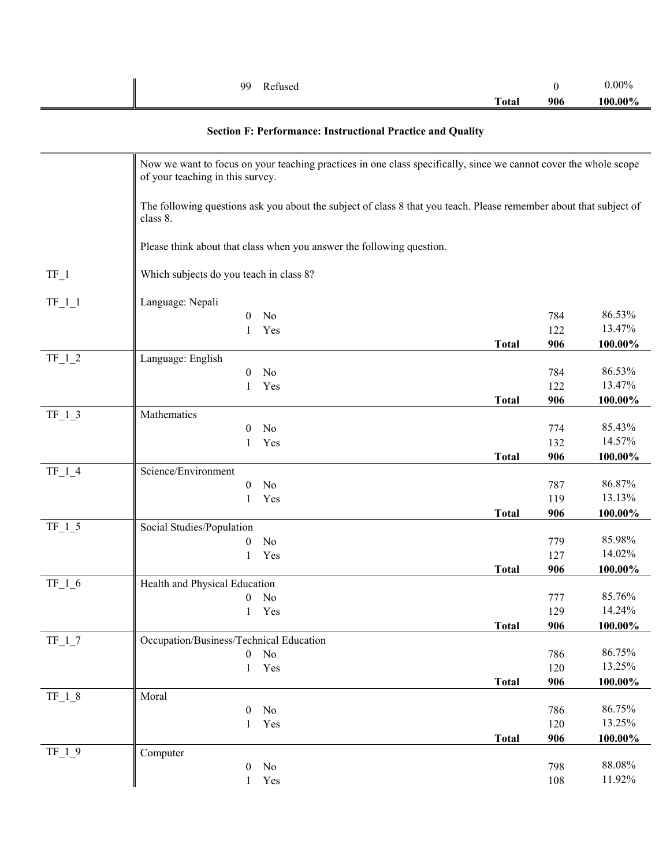| Refused<br>99 |              |     | $0.00\%$ |
|---------------|--------------|-----|----------|
|               | <b>Total</b> | 906 | 100.00%  |

# **Section F: Performance: Instructional Practice and Quality**

|          | Now we want to focus on your teaching practices in one class specifically, since we cannot cover the whole scope<br>of your teaching in this survey. |              |     |           |
|----------|------------------------------------------------------------------------------------------------------------------------------------------------------|--------------|-----|-----------|
|          | The following questions ask you about the subject of class 8 that you teach. Please remember about that subject of<br>class 8.                       |              |     |           |
|          | Please think about that class when you answer the following question.                                                                                |              |     |           |
| $TF_1$   | Which subjects do you teach in class 8?                                                                                                              |              |     |           |
| $TF_1_1$ | Language: Nepali                                                                                                                                     |              |     |           |
|          | No<br>0                                                                                                                                              |              | 784 | 86.53%    |
|          | Yes<br>1                                                                                                                                             |              | 122 | 13.47%    |
|          |                                                                                                                                                      | <b>Total</b> | 906 | 100.00%   |
| $TF_1_2$ | Language: English                                                                                                                                    |              |     |           |
|          | $\boldsymbol{0}$<br>No                                                                                                                               |              | 784 | 86.53%    |
|          | Yes<br>$\mathbf{1}$                                                                                                                                  |              | 122 | 13.47%    |
|          |                                                                                                                                                      | <b>Total</b> | 906 | 100.00%   |
| $TF_1_3$ | Mathematics                                                                                                                                          |              |     |           |
|          | No<br>0                                                                                                                                              |              | 774 | 85.43%    |
|          | Yes<br>1                                                                                                                                             |              | 132 | 14.57%    |
|          |                                                                                                                                                      | <b>Total</b> | 906 | 100.00%   |
| $TF_1_4$ | Science/Environment                                                                                                                                  |              |     |           |
|          | No<br>0                                                                                                                                              |              | 787 | 86.87%    |
|          | 1<br>Yes                                                                                                                                             |              | 119 | 13.13%    |
|          |                                                                                                                                                      | <b>Total</b> | 906 | 100.00%   |
| $TF_1_5$ | Social Studies/Population                                                                                                                            |              |     |           |
|          | No<br>0                                                                                                                                              |              | 779 | 85.98%    |
|          | Yes<br>1                                                                                                                                             |              | 127 | 14.02%    |
|          |                                                                                                                                                      | <b>Total</b> | 906 | 100.00%   |
| $TF_1_6$ | Health and Physical Education                                                                                                                        |              |     |           |
|          | No<br>0                                                                                                                                              |              | 777 | 85.76%    |
|          | Yes                                                                                                                                                  |              | 129 | 14.24%    |
|          |                                                                                                                                                      | <b>Total</b> | 906 | 100.00%   |
| $TF_1_7$ | Occupation/Business/Technical Education                                                                                                              |              |     |           |
|          | $\overline{0}$<br>No                                                                                                                                 |              | 786 | 86.75%    |
|          | Yes<br>$\mathbf{1}$                                                                                                                                  |              | 120 | 13.25%    |
|          |                                                                                                                                                      | <b>Total</b> | 906 | 100.00%   |
| $TF_1_8$ | Moral                                                                                                                                                |              |     |           |
|          | No<br>0                                                                                                                                              |              | 786 | 86.75%    |
|          | Yes<br>1                                                                                                                                             |              | 120 | 13.25%    |
|          |                                                                                                                                                      | <b>Total</b> | 906 | 100.00%   |
| $TF_1_9$ | Computer                                                                                                                                             |              |     |           |
|          | No<br>$\boldsymbol{0}$                                                                                                                               |              | 798 | $88.08\%$ |
|          | $\mathbf{1}$<br>Yes                                                                                                                                  |              | 108 | 11.92%    |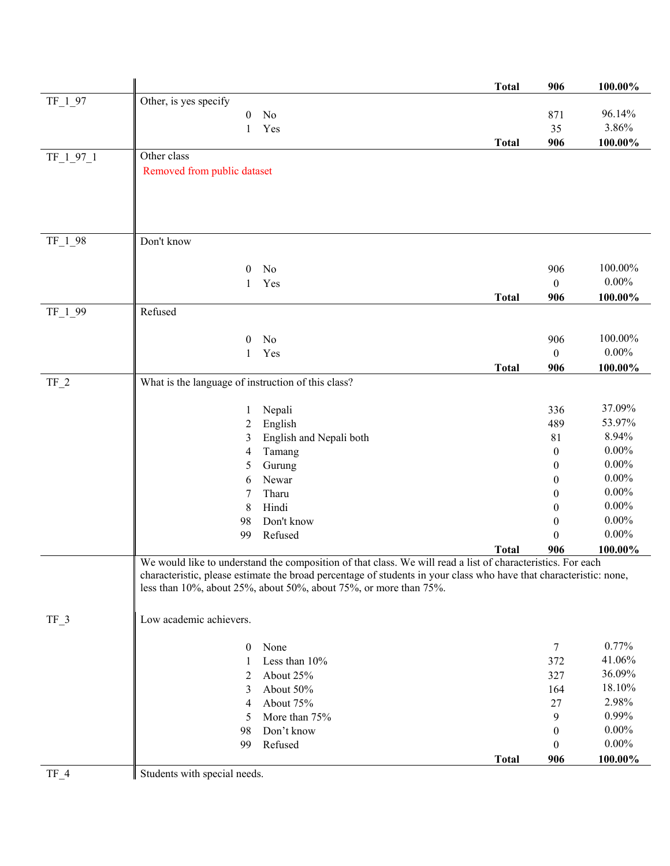|           |                                                                                                                                                                                         |                                                                                                             | <b>Total</b> | 906              | 100.00%  |  |
|-----------|-----------------------------------------------------------------------------------------------------------------------------------------------------------------------------------------|-------------------------------------------------------------------------------------------------------------|--------------|------------------|----------|--|
| $TF_1_97$ | Other, is yes specify                                                                                                                                                                   |                                                                                                             |              |                  |          |  |
|           | $\boldsymbol{0}$                                                                                                                                                                        | No                                                                                                          |              | 871              | 96.14%   |  |
|           | 1                                                                                                                                                                                       | Yes                                                                                                         |              | 35               | 3.86%    |  |
|           |                                                                                                                                                                                         |                                                                                                             | <b>Total</b> | 906              | 100.00%  |  |
| TF_1_97_1 | Other class                                                                                                                                                                             |                                                                                                             |              |                  |          |  |
|           | Removed from public dataset                                                                                                                                                             |                                                                                                             |              |                  |          |  |
|           |                                                                                                                                                                                         |                                                                                                             |              |                  |          |  |
|           |                                                                                                                                                                                         |                                                                                                             |              |                  |          |  |
|           |                                                                                                                                                                                         |                                                                                                             |              |                  |          |  |
|           |                                                                                                                                                                                         |                                                                                                             |              |                  |          |  |
| TF_1_98   | Don't know                                                                                                                                                                              |                                                                                                             |              |                  |          |  |
|           |                                                                                                                                                                                         |                                                                                                             |              |                  | 100.00%  |  |
|           | $\theta$                                                                                                                                                                                | No                                                                                                          |              | 906              | $0.00\%$ |  |
|           | 1                                                                                                                                                                                       | Yes                                                                                                         |              | $\boldsymbol{0}$ |          |  |
|           | Refused                                                                                                                                                                                 |                                                                                                             | <b>Total</b> | 906              | 100.00%  |  |
| TF_1_99   |                                                                                                                                                                                         |                                                                                                             |              |                  |          |  |
|           | $\theta$                                                                                                                                                                                | No                                                                                                          |              | 906              | 100.00%  |  |
|           | 1                                                                                                                                                                                       | Yes                                                                                                         |              | $\boldsymbol{0}$ | $0.00\%$ |  |
|           |                                                                                                                                                                                         |                                                                                                             | <b>Total</b> | 906              | 100.00%  |  |
| $TF_2$    | What is the language of instruction of this class?                                                                                                                                      |                                                                                                             |              |                  |          |  |
|           |                                                                                                                                                                                         |                                                                                                             |              |                  |          |  |
|           | 1                                                                                                                                                                                       | Nepali                                                                                                      |              | 336              | 37.09%   |  |
|           | 2                                                                                                                                                                                       | English                                                                                                     |              | 489              | 53.97%   |  |
|           | 3                                                                                                                                                                                       | English and Nepali both                                                                                     |              | 81               | 8.94%    |  |
|           | 4                                                                                                                                                                                       | Tamang                                                                                                      |              | $\mathbf{0}$     | $0.00\%$ |  |
|           | 5                                                                                                                                                                                       | Gurung                                                                                                      |              | $\mathbf{0}$     | $0.00\%$ |  |
|           | 6                                                                                                                                                                                       | Newar                                                                                                       |              | $\Omega$         | $0.00\%$ |  |
|           | 7                                                                                                                                                                                       | Tharu                                                                                                       |              | 0                | $0.00\%$ |  |
|           | 8                                                                                                                                                                                       | Hindi                                                                                                       |              | $\theta$         | $0.00\%$ |  |
|           | 98                                                                                                                                                                                      | Don't know                                                                                                  |              | $\boldsymbol{0}$ | $0.00\%$ |  |
|           | 99                                                                                                                                                                                      | Refused                                                                                                     |              | $\theta$         | $0.00\%$ |  |
|           |                                                                                                                                                                                         |                                                                                                             | <b>Total</b> | 906              | 100.00%  |  |
|           |                                                                                                                                                                                         | We would like to understand the composition of that class. We will read a list of characteristics. For each |              |                  |          |  |
|           | characteristic, please estimate the broad percentage of students in your class who have that characteristic: none,<br>less than 10%, about 25%, about 50%, about 75%, or more than 75%. |                                                                                                             |              |                  |          |  |
|           |                                                                                                                                                                                         |                                                                                                             |              |                  |          |  |
|           |                                                                                                                                                                                         |                                                                                                             |              |                  |          |  |
| $TF_3$    | Low academic achievers.                                                                                                                                                                 |                                                                                                             |              |                  |          |  |
|           | $\boldsymbol{0}$                                                                                                                                                                        | None                                                                                                        |              | 7                | 0.77%    |  |
|           | 1                                                                                                                                                                                       | Less than 10%                                                                                               |              | 372              | 41.06%   |  |
|           | 2                                                                                                                                                                                       | About 25%                                                                                                   |              | 327              | 36.09%   |  |
|           | 3                                                                                                                                                                                       | About 50%                                                                                                   |              | 164              | 18.10%   |  |
|           | 4                                                                                                                                                                                       | About 75%                                                                                                   |              | 27               | 2.98%    |  |
|           | 5                                                                                                                                                                                       | More than 75%                                                                                               |              | 9                | 0.99%    |  |
|           | 98                                                                                                                                                                                      | Don't know                                                                                                  |              | $\mathbf{0}$     | $0.00\%$ |  |
|           | 99                                                                                                                                                                                      | Refused                                                                                                     |              | $\mathbf{0}$     | $0.00\%$ |  |
|           |                                                                                                                                                                                         |                                                                                                             | <b>Total</b> | 906              | 100.00%  |  |
| $TF_4$    | Students with special needs.                                                                                                                                                            |                                                                                                             |              |                  |          |  |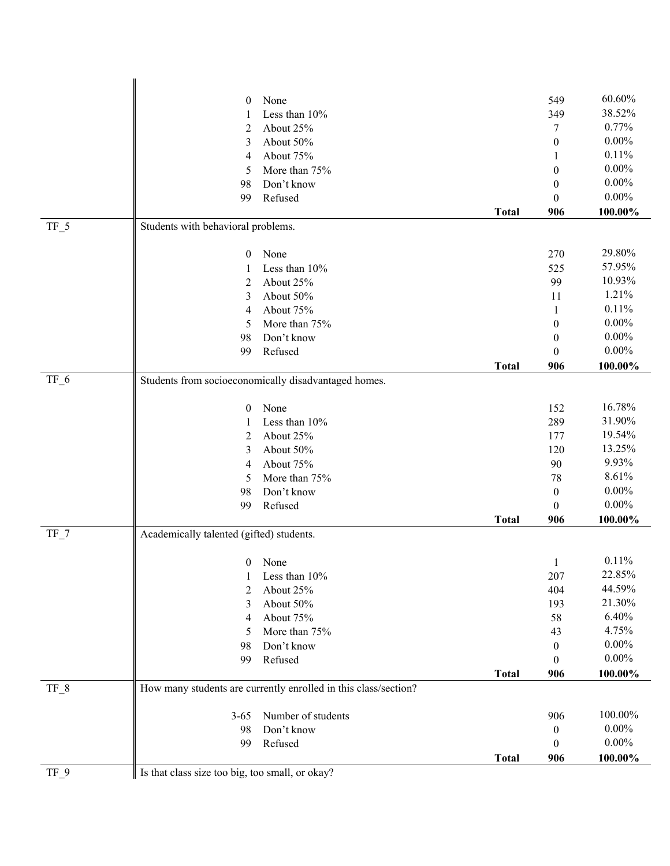|        | $\mathbf{0}$                                    | None                                                            |              | 549              | 60.60%   |  |  |
|--------|-------------------------------------------------|-----------------------------------------------------------------|--------------|------------------|----------|--|--|
|        | 1                                               | Less than 10%                                                   |              | 349              | 38.52%   |  |  |
|        | 2                                               | About 25%                                                       |              | 7                | 0.77%    |  |  |
|        | 3                                               | About 50%                                                       |              | $\mathbf{0}$     | $0.00\%$ |  |  |
|        | 4                                               | About 75%                                                       |              |                  | 0.11%    |  |  |
|        | 5                                               | More than 75%                                                   |              | $\mathbf{0}$     | $0.00\%$ |  |  |
|        | 98                                              | Don't know                                                      |              | $\mathbf{0}$     | $0.00\%$ |  |  |
|        | 99                                              | Refused                                                         |              | 0                | $0.00\%$ |  |  |
|        |                                                 |                                                                 | <b>Total</b> | 906              | 100.00%  |  |  |
| $TF_5$ | Students with behavioral problems.              |                                                                 |              |                  |          |  |  |
|        | $\boldsymbol{0}$                                | None                                                            |              | 270              | 29.80%   |  |  |
|        | 1                                               | Less than 10%                                                   |              | 525              | 57.95%   |  |  |
|        | 2                                               | About 25%                                                       |              | 99               | 10.93%   |  |  |
|        | 3                                               | About 50%                                                       |              | 11               | 1.21%    |  |  |
|        | 4                                               | About 75%                                                       |              | 1                | 0.11%    |  |  |
|        | 5                                               | More than 75%                                                   |              | $\boldsymbol{0}$ | $0.00\%$ |  |  |
|        | 98                                              | Don't know                                                      |              | $\boldsymbol{0}$ | $0.00\%$ |  |  |
|        | 99                                              | Refused                                                         |              | $\mathbf{0}$     | $0.00\%$ |  |  |
|        |                                                 |                                                                 | <b>Total</b> | 906              | 100.00%  |  |  |
| $TF_6$ |                                                 | Students from socioeconomically disadvantaged homes.            |              |                  |          |  |  |
|        | $\mathbf{0}$                                    | None                                                            |              | 152              | 16.78%   |  |  |
|        | 1                                               | Less than 10%                                                   |              | 289              | 31.90%   |  |  |
|        | 2                                               | About 25%                                                       |              | 177              | 19.54%   |  |  |
|        | 3                                               | About 50%                                                       |              | 120              | 13.25%   |  |  |
|        | 4                                               | About 75%                                                       |              | 90               | 9.93%    |  |  |
|        | 5                                               | More than 75%                                                   |              | 78               | 8.61%    |  |  |
|        | 98                                              | Don't know                                                      |              | $\mathbf{0}$     | $0.00\%$ |  |  |
|        | 99                                              | Refused                                                         |              | $\theta$         | $0.00\%$ |  |  |
|        |                                                 |                                                                 | <b>Total</b> | 906              | 100.00%  |  |  |
| $TF_7$ |                                                 | Academically talented (gifted) students.                        |              |                  |          |  |  |
|        | $\mathbf{0}$                                    | None                                                            |              | $\mathbf{1}$     | 0.11%    |  |  |
|        | 1                                               | Less than 10%                                                   |              | 207              | 22.85%   |  |  |
|        | 2                                               | About 25%                                                       |              | 404              | 44.59%   |  |  |
|        | 3                                               | About 50%                                                       |              | 193              | 21.30%   |  |  |
|        | 4                                               | About 75%                                                       |              | 58               | 6.40%    |  |  |
|        | 5                                               | More than 75%                                                   |              | 43               | 4.75%    |  |  |
|        | 98                                              | Don't know                                                      |              | $\boldsymbol{0}$ | $0.00\%$ |  |  |
|        | 99                                              | Refused                                                         |              | $\boldsymbol{0}$ | $0.00\%$ |  |  |
|        |                                                 |                                                                 | <b>Total</b> | 906              | 100.00%  |  |  |
| $TF_8$ |                                                 | How many students are currently enrolled in this class/section? |              |                  |          |  |  |
|        | $3 - 65$                                        | Number of students                                              |              | 906              | 100.00%  |  |  |
|        | 98                                              | Don't know                                                      |              | $\boldsymbol{0}$ | $0.00\%$ |  |  |
|        | 99                                              | Refused                                                         |              | $\boldsymbol{0}$ | $0.00\%$ |  |  |
|        |                                                 |                                                                 | <b>Total</b> | 906              | 100.00%  |  |  |
| TF 9   | Is that class size too big, too small, or okay? |                                                                 |              |                  |          |  |  |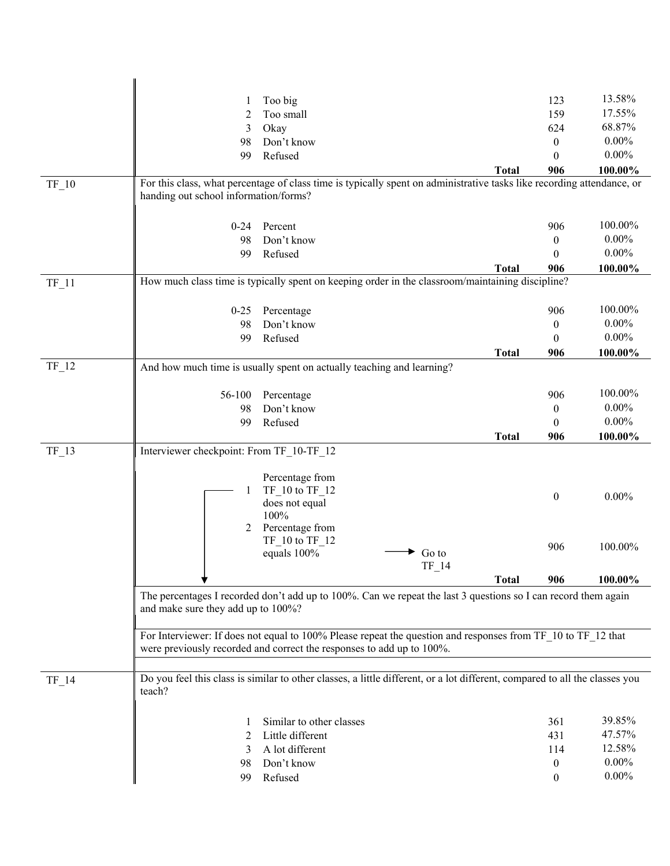|         |                                                                                                  | Too big                                                                                                                                                                               | 123              | 13.58%   |  |  |
|---------|--------------------------------------------------------------------------------------------------|---------------------------------------------------------------------------------------------------------------------------------------------------------------------------------------|------------------|----------|--|--|
|         | 2                                                                                                | Too small                                                                                                                                                                             | 159              | 17.55%   |  |  |
|         | 3                                                                                                | Okay                                                                                                                                                                                  | 624              | 68.87%   |  |  |
|         | 98                                                                                               | Don't know                                                                                                                                                                            | $\mathbf{0}$     | $0.00\%$ |  |  |
|         | 99                                                                                               | Refused                                                                                                                                                                               | $\theta$         | $0.00\%$ |  |  |
|         |                                                                                                  | <b>Total</b>                                                                                                                                                                          | 906              | 100.00%  |  |  |
| $TF_10$ |                                                                                                  | For this class, what percentage of class time is typically spent on administrative tasks like recording attendance, or                                                                |                  |          |  |  |
|         | handing out school information/forms?                                                            |                                                                                                                                                                                       |                  |          |  |  |
|         |                                                                                                  |                                                                                                                                                                                       |                  |          |  |  |
|         | $0 - 24$                                                                                         | Percent                                                                                                                                                                               | 906              | 100.00%  |  |  |
|         | 98                                                                                               | Don't know                                                                                                                                                                            | $\mathbf{0}$     | $0.00\%$ |  |  |
|         | 99                                                                                               | Refused                                                                                                                                                                               | $\theta$         | $0.00\%$ |  |  |
|         |                                                                                                  | <b>Total</b>                                                                                                                                                                          | 906              | 100.00%  |  |  |
| $TF_11$ | How much class time is typically spent on keeping order in the classroom/maintaining discipline? |                                                                                                                                                                                       |                  |          |  |  |
|         |                                                                                                  |                                                                                                                                                                                       |                  |          |  |  |
|         | $0-25$                                                                                           | Percentage                                                                                                                                                                            | 906              | 100.00%  |  |  |
|         | 98                                                                                               | Don't know                                                                                                                                                                            | $\overline{0}$   | $0.00\%$ |  |  |
|         | 99                                                                                               | Refused                                                                                                                                                                               | $\theta$         | $0.00\%$ |  |  |
|         |                                                                                                  | <b>Total</b>                                                                                                                                                                          | 906              | 100.00%  |  |  |
| $TF_12$ |                                                                                                  | And how much time is usually spent on actually teaching and learning?                                                                                                                 |                  |          |  |  |
|         |                                                                                                  |                                                                                                                                                                                       |                  |          |  |  |
|         | 56-100                                                                                           | Percentage                                                                                                                                                                            | 906              | 100.00%  |  |  |
|         | 98                                                                                               | Don't know                                                                                                                                                                            | $\overline{0}$   | $0.00\%$ |  |  |
|         | 99                                                                                               | Refused                                                                                                                                                                               | $\theta$         | $0.00\%$ |  |  |
|         |                                                                                                  | <b>Total</b>                                                                                                                                                                          | 906              | 100.00%  |  |  |
| $TF_13$ | Interviewer checkpoint: From TF_10-TF_12                                                         |                                                                                                                                                                                       |                  |          |  |  |
|         |                                                                                                  | Percentage from                                                                                                                                                                       |                  |          |  |  |
|         |                                                                                                  | TF 10 to TF 12                                                                                                                                                                        |                  |          |  |  |
|         |                                                                                                  | does not equal                                                                                                                                                                        | $\boldsymbol{0}$ | $0.00\%$ |  |  |
|         |                                                                                                  |                                                                                                                                                                                       |                  |          |  |  |
|         |                                                                                                  | 100%                                                                                                                                                                                  |                  |          |  |  |
|         | 2                                                                                                | Percentage from                                                                                                                                                                       |                  |          |  |  |
|         |                                                                                                  | $TF_10$ to $TF_12$                                                                                                                                                                    | 906              | 100.00%  |  |  |
|         |                                                                                                  | equals 100%<br>Go to                                                                                                                                                                  |                  |          |  |  |
|         |                                                                                                  | TF_14                                                                                                                                                                                 |                  |          |  |  |
|         |                                                                                                  | <b>Total</b>                                                                                                                                                                          | 906              | 100.00%  |  |  |
|         |                                                                                                  | The percentages I recorded don't add up to 100%. Can we repeat the last 3 questions so I can record them again                                                                        |                  |          |  |  |
|         | and make sure they add up to 100%?                                                               |                                                                                                                                                                                       |                  |          |  |  |
|         |                                                                                                  |                                                                                                                                                                                       |                  |          |  |  |
|         |                                                                                                  | For Interviewer: If does not equal to 100% Please repeat the question and responses from TF 10 to TF 12 that<br>were previously recorded and correct the responses to add up to 100%. |                  |          |  |  |
|         |                                                                                                  |                                                                                                                                                                                       |                  |          |  |  |
|         |                                                                                                  |                                                                                                                                                                                       |                  |          |  |  |
| $TF_14$ | teach?                                                                                           | Do you feel this class is similar to other classes, a little different, or a lot different, compared to all the classes you                                                           |                  |          |  |  |
|         |                                                                                                  |                                                                                                                                                                                       |                  |          |  |  |
|         |                                                                                                  | Similar to other classes                                                                                                                                                              | 361              | 39.85%   |  |  |
|         | 2                                                                                                | Little different                                                                                                                                                                      | 431              | 47.57%   |  |  |
|         | 3                                                                                                | A lot different                                                                                                                                                                       | 114              | 12.58%   |  |  |
|         | 98                                                                                               | Don't know                                                                                                                                                                            | $\boldsymbol{0}$ | $0.00\%$ |  |  |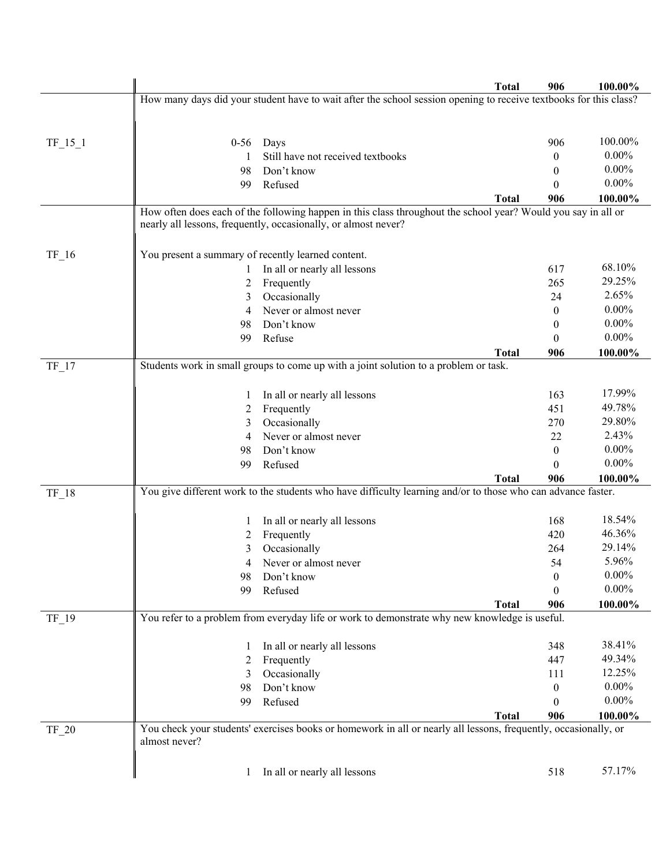|           |                                                    |                                                                                                                                                                                 | <b>Total</b> | 906          | 100.00%  |
|-----------|----------------------------------------------------|---------------------------------------------------------------------------------------------------------------------------------------------------------------------------------|--------------|--------------|----------|
|           |                                                    | How many days did your student have to wait after the school session opening to receive textbooks for this class?                                                               |              |              |          |
|           |                                                    |                                                                                                                                                                                 |              |              |          |
|           |                                                    |                                                                                                                                                                                 |              |              |          |
| $TF_15_1$ | $0 - 56$                                           | Days                                                                                                                                                                            |              | 906          | 100.00%  |
|           |                                                    | Still have not received textbooks                                                                                                                                               |              | 0            | $0.00\%$ |
|           | 98                                                 | Don't know                                                                                                                                                                      |              | 0            | $0.00\%$ |
|           | 99                                                 | Refused                                                                                                                                                                         |              | $\theta$     | $0.00\%$ |
|           |                                                    |                                                                                                                                                                                 | <b>Total</b> | 906          | 100.00%  |
|           |                                                    | How often does each of the following happen in this class throughout the school year? Would you say in all or<br>nearly all lessons, frequently, occasionally, or almost never? |              |              |          |
|           |                                                    |                                                                                                                                                                                 |              |              |          |
| $TF_16$   | You present a summary of recently learned content. |                                                                                                                                                                                 |              |              |          |
|           |                                                    | In all or nearly all lessons                                                                                                                                                    |              | 617          | 68.10%   |
|           | 2                                                  | Frequently                                                                                                                                                                      |              | 265          | 29.25%   |
|           | 3                                                  | Occasionally                                                                                                                                                                    |              | 24           | 2.65%    |
|           | 4                                                  | Never or almost never                                                                                                                                                           |              | $\mathbf{0}$ | $0.00\%$ |
|           | 98                                                 | Don't know                                                                                                                                                                      |              | $\theta$     | $0.00\%$ |
|           | 99                                                 | Refuse                                                                                                                                                                          |              | $\theta$     | $0.00\%$ |
|           |                                                    |                                                                                                                                                                                 | <b>Total</b> | 906          | 100.00%  |
| $TF_17$   |                                                    | Students work in small groups to come up with a joint solution to a problem or task.                                                                                            |              |              |          |
|           |                                                    |                                                                                                                                                                                 |              |              |          |
|           |                                                    | In all or nearly all lessons                                                                                                                                                    |              | 163          | 17.99%   |
|           | $\overline{c}$                                     | Frequently                                                                                                                                                                      |              | 451          | 49.78%   |
|           | 3                                                  | Occasionally                                                                                                                                                                    |              | 270          | 29.80%   |
|           | 4                                                  | Never or almost never                                                                                                                                                           |              | 22           | 2.43%    |
|           | 98                                                 | Don't know                                                                                                                                                                      |              | $\theta$     | $0.00\%$ |
|           | 99                                                 | Refused                                                                                                                                                                         |              | 0            | $0.00\%$ |
|           |                                                    |                                                                                                                                                                                 | <b>Total</b> | 906          | 100.00%  |
| $TF_18$   |                                                    | You give different work to the students who have difficulty learning and/or to those who can advance faster.                                                                    |              |              |          |
|           |                                                    | In all or nearly all lessons                                                                                                                                                    |              | 168          | 18.54%   |
|           | $\mathbf{I}$<br>2                                  | Frequently                                                                                                                                                                      |              | 420          | 46.36%   |
|           | 3                                                  | Occasionally                                                                                                                                                                    |              | 264          | 29.14%   |
|           | 4                                                  | Never or almost never                                                                                                                                                           |              | 54           | 5.96%    |
|           | 98                                                 | Don't know                                                                                                                                                                      |              | 0            | $0.00\%$ |
|           | 99                                                 | Refused                                                                                                                                                                         |              | 0            | $0.00\%$ |
|           |                                                    |                                                                                                                                                                                 | <b>Total</b> | 906          | 100.00%  |
| $TF_19$   |                                                    | You refer to a problem from everyday life or work to demonstrate why new knowledge is useful.                                                                                   |              |              |          |
|           |                                                    |                                                                                                                                                                                 |              |              |          |
|           | $\perp$                                            | In all or nearly all lessons                                                                                                                                                    |              | 348          | 38.41%   |
|           | 2                                                  | Frequently                                                                                                                                                                      |              | 447          | 49.34%   |
|           | 3                                                  | Occasionally                                                                                                                                                                    |              | 111          | 12.25%   |
|           | 98                                                 | Don't know                                                                                                                                                                      |              | 0            | $0.00\%$ |
|           | 99                                                 | Refused                                                                                                                                                                         |              | 0            | $0.00\%$ |
|           |                                                    |                                                                                                                                                                                 | <b>Total</b> | 906          | 100.00%  |
| $TF_20$   |                                                    | You check your students' exercises books or homework in all or nearly all lessons, frequently, occasionally, or                                                                 |              |              |          |
|           | almost never?                                      |                                                                                                                                                                                 |              |              |          |
|           |                                                    |                                                                                                                                                                                 |              |              |          |
|           | $\perp$                                            | In all or nearly all lessons                                                                                                                                                    |              | 518          | 57.17%   |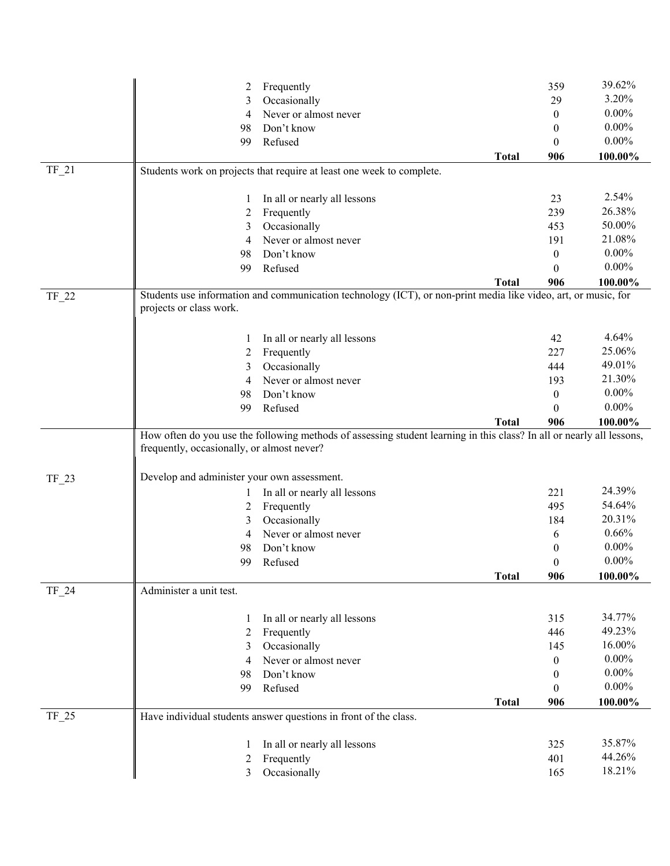|         | 2                                           | Frequently                                                                                                            |              | 359              | 39.62%   |
|---------|---------------------------------------------|-----------------------------------------------------------------------------------------------------------------------|--------------|------------------|----------|
|         | 3                                           | Occasionally                                                                                                          |              | 29               | 3.20%    |
|         | 4                                           | Never or almost never                                                                                                 |              | $\boldsymbol{0}$ | $0.00\%$ |
|         | 98                                          | Don't know                                                                                                            |              | $\boldsymbol{0}$ | $0.00\%$ |
|         | 99                                          | Refused                                                                                                               |              | $\boldsymbol{0}$ | $0.00\%$ |
|         |                                             |                                                                                                                       | <b>Total</b> | 906              | 100.00%  |
| $TF_21$ |                                             | Students work on projects that require at least one week to complete.                                                 |              |                  |          |
|         |                                             |                                                                                                                       |              |                  |          |
|         | 1                                           | In all or nearly all lessons                                                                                          |              | 23               | 2.54%    |
|         | 2                                           | Frequently                                                                                                            |              | 239              | 26.38%   |
|         | 3                                           | Occasionally                                                                                                          |              | 453              | 50.00%   |
|         | 4                                           | Never or almost never                                                                                                 |              | 191              | 21.08%   |
|         | 98                                          | Don't know                                                                                                            |              | $\mathbf{0}$     | $0.00\%$ |
|         | 99                                          | Refused                                                                                                               |              | $\boldsymbol{0}$ | $0.00\%$ |
|         |                                             |                                                                                                                       | <b>Total</b> | 906              | 100.00%  |
| TF_22   |                                             | Students use information and communication technology (ICT), or non-print media like video, art, or music, for        |              |                  |          |
|         | projects or class work.                     |                                                                                                                       |              |                  |          |
|         |                                             |                                                                                                                       |              |                  |          |
|         |                                             | In all or nearly all lessons                                                                                          |              | 42               | 4.64%    |
|         | 2                                           | Frequently                                                                                                            |              | 227              | 25.06%   |
|         | 3                                           | Occasionally                                                                                                          |              | 444              | 49.01%   |
|         | 4                                           | Never or almost never                                                                                                 |              | 193              | 21.30%   |
|         | 98                                          | Don't know                                                                                                            |              | $\boldsymbol{0}$ | $0.00\%$ |
|         | 99                                          | Refused                                                                                                               |              | 0                | $0.00\%$ |
|         |                                             |                                                                                                                       | <b>Total</b> | 906              | 100.00%  |
|         |                                             | How often do you use the following methods of assessing student learning in this class? In all or nearly all lessons, |              |                  |          |
|         | frequently, occasionally, or almost never?  |                                                                                                                       |              |                  |          |
|         |                                             |                                                                                                                       |              |                  |          |
| $TF_23$ | Develop and administer your own assessment. |                                                                                                                       |              |                  | 24.39%   |
|         | 1                                           | In all or nearly all lessons                                                                                          |              | 221              | 54.64%   |
|         | 2                                           | Frequently                                                                                                            |              | 495              | 20.31%   |
|         | 3                                           | Occasionally                                                                                                          |              | 184              | 0.66%    |
|         | 4                                           | Never or almost never                                                                                                 |              | 6                | $0.00\%$ |
|         | 98                                          | Don't know                                                                                                            |              | 0                | $0.00\%$ |
|         | 99                                          | Refused                                                                                                               |              | $\boldsymbol{0}$ |          |
|         |                                             |                                                                                                                       | <b>Total</b> | 906              | 100.00%  |
| TF_24   | Administer a unit test.                     |                                                                                                                       |              |                  |          |
|         | 1                                           | In all or nearly all lessons                                                                                          |              | 315              | 34.77%   |
|         | 2                                           | Frequently                                                                                                            |              | 446              | 49.23%   |
|         | 3                                           | Occasionally                                                                                                          |              | 145              | 16.00%   |
|         | 4                                           | Never or almost never                                                                                                 |              | $\boldsymbol{0}$ | $0.00\%$ |
|         | 98                                          | Don't know                                                                                                            |              | 0                | $0.00\%$ |
|         | 99                                          | Refused                                                                                                               |              | $\boldsymbol{0}$ | $0.00\%$ |
|         |                                             |                                                                                                                       |              |                  |          |
| $TF_25$ |                                             | Have individual students answer questions in front of the class.                                                      | <b>Total</b> | 906              | 100.00%  |
|         |                                             |                                                                                                                       |              |                  |          |
|         |                                             | In all or nearly all lessons                                                                                          |              | 325              | 35.87%   |
|         | 2                                           | Frequently                                                                                                            |              | 401              | 44.26%   |
|         | 3                                           | Occasionally                                                                                                          |              | 165              | 18.21%   |
|         |                                             |                                                                                                                       |              |                  |          |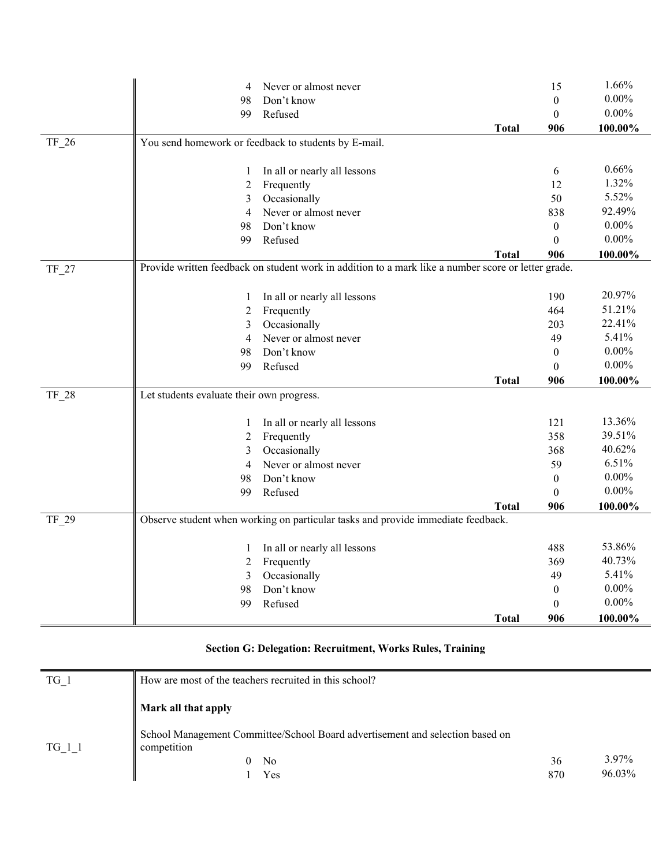|         | 4                                         | Never or almost never                                                                               |              | 15               | 1.66%    |
|---------|-------------------------------------------|-----------------------------------------------------------------------------------------------------|--------------|------------------|----------|
|         | 98                                        | Don't know                                                                                          |              | $\boldsymbol{0}$ | $0.00\%$ |
|         | 99                                        | Refused                                                                                             |              | $\boldsymbol{0}$ | $0.00\%$ |
|         |                                           |                                                                                                     | <b>Total</b> | 906              | 100.00%  |
| $TF_26$ |                                           | You send homework or feedback to students by E-mail.                                                |              |                  |          |
|         |                                           |                                                                                                     |              |                  |          |
|         | 1                                         | In all or nearly all lessons                                                                        |              | 6                | 0.66%    |
|         | 2                                         | Frequently                                                                                          |              | 12               | 1.32%    |
|         | 3                                         | Occasionally                                                                                        |              | 50               | 5.52%    |
|         | 4                                         | Never or almost never                                                                               |              | 838              | 92.49%   |
|         | 98                                        | Don't know                                                                                          |              | $\boldsymbol{0}$ | $0.00\%$ |
|         | 99                                        | Refused                                                                                             |              | $\boldsymbol{0}$ | $0.00\%$ |
|         |                                           |                                                                                                     | <b>Total</b> | 906              | 100.00%  |
| TF_27   |                                           | Provide written feedback on student work in addition to a mark like a number score or letter grade. |              |                  |          |
|         |                                           |                                                                                                     |              |                  |          |
|         | $\mathbf{1}$                              | In all or nearly all lessons                                                                        |              | 190              | 20.97%   |
|         | 2                                         | Frequently                                                                                          |              | 464              | 51.21%   |
|         | 3                                         | Occasionally                                                                                        |              | 203              | 22.41%   |
|         | $\overline{4}$                            | Never or almost never                                                                               |              | 49               | 5.41%    |
|         | 98                                        | Don't know                                                                                          |              | $\boldsymbol{0}$ | $0.00\%$ |
|         | 99                                        | Refused                                                                                             |              | $\theta$         | $0.00\%$ |
|         |                                           |                                                                                                     | <b>Total</b> | 906              | 100.00%  |
| TF_28   | Let students evaluate their own progress. |                                                                                                     |              |                  |          |
|         |                                           |                                                                                                     |              |                  |          |
|         | $\mathbf{1}$                              | In all or nearly all lessons                                                                        |              | 121              | 13.36%   |
|         | 2                                         | Frequently                                                                                          |              | 358              | 39.51%   |
|         | 3                                         | Occasionally                                                                                        |              | 368              | 40.62%   |
|         | 4                                         | Never or almost never                                                                               |              | 59               | 6.51%    |
|         | 98                                        | Don't know                                                                                          |              | $\boldsymbol{0}$ | $0.00\%$ |
|         | 99                                        | Refused                                                                                             |              | $\Omega$         | $0.00\%$ |
|         |                                           |                                                                                                     | <b>Total</b> | 906              | 100.00%  |
| TF 29   |                                           | Observe student when working on particular tasks and provide immediate feedback.                    |              |                  |          |
|         |                                           |                                                                                                     |              |                  |          |
|         | 1                                         | In all or nearly all lessons                                                                        |              | 488              | 53.86%   |
|         | 2                                         | Frequently                                                                                          |              | 369              | 40.73%   |
|         | 3                                         | Occasionally                                                                                        |              | 49               | 5.41%    |
|         | 98                                        | Don't know                                                                                          |              | $\boldsymbol{0}$ | $0.00\%$ |
|         | 99                                        | Refused                                                                                             |              | $\boldsymbol{0}$ | $0.00\%$ |
|         |                                           |                                                                                                     | <b>Total</b> | 906              | 100.00%  |

## **Section G: Delegation: Recruitment, Works Rules, Training**

| TG 1   | How are most of the teachers recruited in this school?                                       |     |        |
|--------|----------------------------------------------------------------------------------------------|-----|--------|
|        | Mark all that apply                                                                          |     |        |
| TG 1 1 | School Management Committee/School Board advertisement and selection based on<br>competition |     |        |
|        | N <sub>o</sub><br>$\theta$                                                                   | 36  | 3.97%  |
|        | Yes                                                                                          | 870 | 96.03% |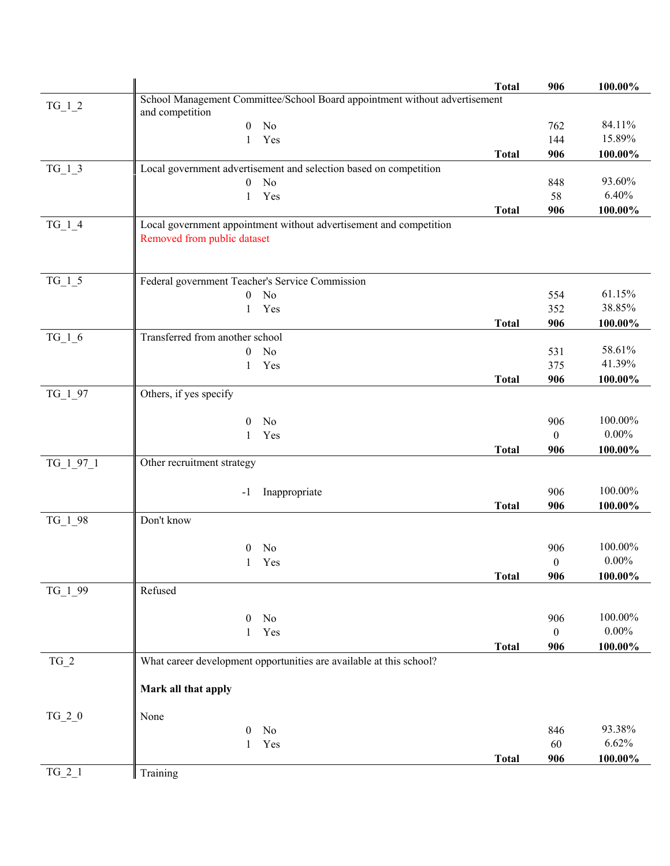|             |                                                                            | <b>Total</b> | 906              | 100.00%    |
|-------------|----------------------------------------------------------------------------|--------------|------------------|------------|
|             | School Management Committee/School Board appointment without advertisement |              |                  |            |
| $TG_1_2$    | and competition                                                            |              |                  |            |
|             | No<br>$\mathbf{0}$                                                         |              | 762              | 84.11%     |
|             | Yes<br>1                                                                   |              | 144              | 15.89%     |
|             |                                                                            | <b>Total</b> | 906              | 100.00%    |
| $TG_1_3$    | Local government advertisement and selection based on competition          |              |                  |            |
|             | No<br>$\boldsymbol{0}$                                                     |              | 848              | 93.60%     |
|             | Yes<br>1                                                                   |              | 58               | 6.40%      |
|             |                                                                            | <b>Total</b> | 906              | 100.00%    |
| $TG_1_4$    | Local government appointment without advertisement and competition         |              |                  |            |
|             | Removed from public dataset                                                |              |                  |            |
|             |                                                                            |              |                  |            |
|             |                                                                            |              |                  |            |
| $TG_1_5$    | Federal government Teacher's Service Commission                            |              |                  |            |
|             | No<br>$\mathbf{0}$                                                         |              | 554              | 61.15%     |
|             | Yes<br>1                                                                   |              | 352              | 38.85%     |
|             |                                                                            | <b>Total</b> | 906              | 100.00%    |
| $TG_1_6$    | Transferred from another school                                            |              |                  |            |
|             | No<br>$\mathbf{0}$                                                         |              | 531              | 58.61%     |
|             | Yes<br>1                                                                   |              | 375              | 41.39%     |
|             |                                                                            | <b>Total</b> | 906              | 100.00%    |
| TG_1_97     | Others, if yes specify                                                     |              |                  |            |
|             |                                                                            |              |                  |            |
|             | No<br>$\mathbf{0}$                                                         |              | 906              | 100.00%    |
|             | Yes<br>1                                                                   |              | $\boldsymbol{0}$ | $0.00\%$   |
|             |                                                                            | <b>Total</b> | 906              | 100.00%    |
| $TG_1_97_1$ | Other recruitment strategy                                                 |              |                  |            |
|             |                                                                            |              |                  |            |
|             | Inappropriate<br>$-1$                                                      |              | 906              | 100.00%    |
|             |                                                                            | <b>Total</b> | 906              | 100.00%    |
| $TG_1_98$   | Don't know                                                                 |              |                  |            |
|             |                                                                            |              |                  |            |
|             | No<br>$\bf{0}$                                                             |              | 906              | 100.00%    |
|             | Yes<br>1                                                                   |              | $\boldsymbol{0}$ | $0.00\%$   |
|             |                                                                            | <b>Total</b> | 906              | 100.00%    |
| TG_1_99     | Refused                                                                    |              |                  |            |
|             |                                                                            |              |                  | $100.00\%$ |
|             | $\mathbf{0}$<br>No                                                         |              | 906<br>$\theta$  | $0.00\%$   |
|             | Yes<br>1                                                                   |              |                  |            |
|             |                                                                            | <b>Total</b> | 906              | 100.00%    |
| $TG_2$      | What career development opportunities are available at this school?        |              |                  |            |
|             |                                                                            |              |                  |            |
|             | Mark all that apply                                                        |              |                  |            |
|             |                                                                            |              |                  |            |
| $TG_2_0$    | None                                                                       |              |                  | 93.38%     |
|             | No<br>$\mathbf{0}$                                                         |              | 846              | 6.62%      |
|             | Yes<br>1                                                                   |              | 60<br>906        |            |
| $TG_2_1$    | Training                                                                   | <b>Total</b> |                  | $100.00\%$ |
|             |                                                                            |              |                  |            |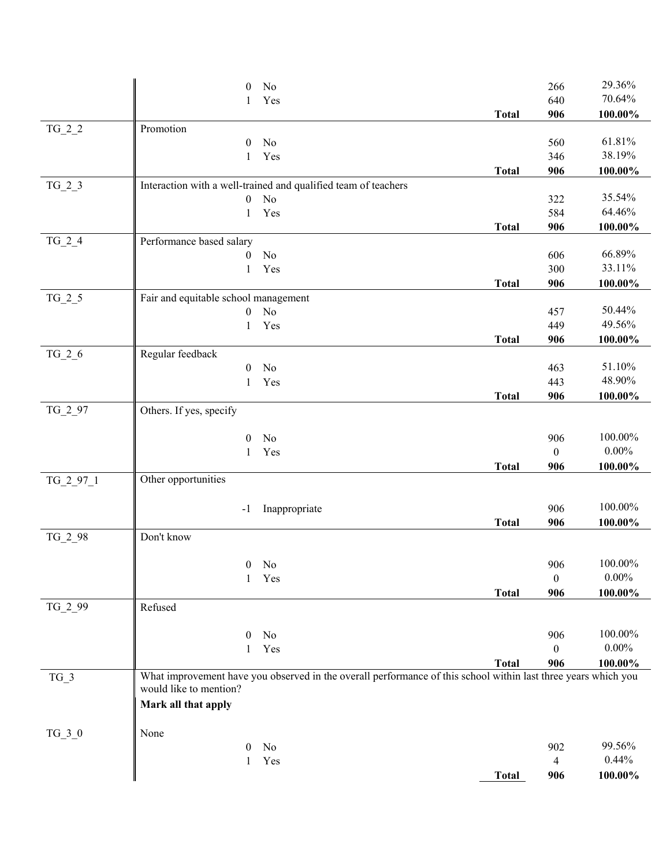|             | $\theta$<br>No                                                                                                 |              | 266                 | 29.36%           |
|-------------|----------------------------------------------------------------------------------------------------------------|--------------|---------------------|------------------|
|             | Yes<br>1                                                                                                       |              | 640                 | 70.64%           |
|             |                                                                                                                | <b>Total</b> | 906                 | $100.00\%$       |
| $TG_2_2$    | Promotion                                                                                                      |              |                     |                  |
|             | No<br>$\theta$                                                                                                 |              | 560                 | 61.81%           |
|             | Yes<br>1                                                                                                       |              | 346                 | 38.19%           |
|             |                                                                                                                | <b>Total</b> | 906                 | 100.00%          |
| $TG_2_3$    | Interaction with a well-trained and qualified team of teachers                                                 |              |                     |                  |
|             | No<br>$\mathbf{0}$                                                                                             |              | 322                 | 35.54%           |
|             | Yes<br>1                                                                                                       |              | 584                 | 64.46%           |
|             |                                                                                                                | <b>Total</b> | 906                 | 100.00%          |
| $TG_2_4$    | Performance based salary                                                                                       |              |                     |                  |
|             | No<br>$\mathbf{0}$                                                                                             |              | 606                 | 66.89%           |
|             | Yes<br>1                                                                                                       |              | 300                 | 33.11%           |
|             |                                                                                                                | <b>Total</b> | 906                 | 100.00%          |
| $TG_2_5$    | Fair and equitable school management                                                                           |              |                     |                  |
|             | No<br>$\mathbf{0}$                                                                                             |              | 457                 | 50.44%<br>49.56% |
|             | Yes<br>1                                                                                                       |              | 449                 |                  |
|             |                                                                                                                | <b>Total</b> | 906                 | 100.00%          |
| $TG_2_6$    | Regular feedback<br>No<br>$\mathbf{0}$                                                                         |              | 463                 | 51.10%           |
|             | Yes<br>$\mathbf{1}$                                                                                            |              | 443                 | 48.90%           |
|             |                                                                                                                | <b>Total</b> | 906                 | $100.00\%$       |
| TG_2_97     | Others. If yes, specify                                                                                        |              |                     |                  |
|             |                                                                                                                |              |                     |                  |
|             | No<br>$\mathbf{0}$                                                                                             |              | 906                 | 100.00%          |
|             | Yes<br>1                                                                                                       |              | $\boldsymbol{0}$    | $0.00\%$         |
|             |                                                                                                                | <b>Total</b> | 906                 | $100.00\%$       |
| $TG_2_97_1$ | Other opportunities                                                                                            |              |                     |                  |
|             |                                                                                                                |              |                     |                  |
|             | Inappropriate<br>$-1$                                                                                          |              | 906                 | 100.00%          |
|             |                                                                                                                | <b>Total</b> | 906                 | 100.00%          |
| $TG_2_98$   | Don't know                                                                                                     |              |                     |                  |
|             |                                                                                                                |              |                     |                  |
|             | $0$ No                                                                                                         |              | 906                 | 100.00%          |
|             | Yes<br>$\mathbf{1}$                                                                                            |              | $\mathbf{0}$        | $0.00\%$         |
|             |                                                                                                                | <b>Total</b> | 906                 | 100.00%          |
| TG_2_99     | Refused                                                                                                        |              |                     |                  |
|             |                                                                                                                |              |                     | 100.00%          |
|             | No<br>$\mathbf{0}$<br>Yes<br>1                                                                                 |              | 906<br>$\mathbf{0}$ | $0.00\%$         |
|             |                                                                                                                | <b>Total</b> | 906                 | 100.00%          |
| $TG_3$      | What improvement have you observed in the overall performance of this school within last three years which you |              |                     |                  |
|             | would like to mention?                                                                                         |              |                     |                  |
|             | Mark all that apply                                                                                            |              |                     |                  |
|             |                                                                                                                |              |                     |                  |
| $TG_3_0$    | None                                                                                                           |              |                     |                  |
|             | No<br>$\theta$                                                                                                 |              | 902                 | 99.56%           |
|             | Yes<br>1                                                                                                       |              | 4                   | 0.44%            |
|             |                                                                                                                | <b>Total</b> | 906                 | 100.00%          |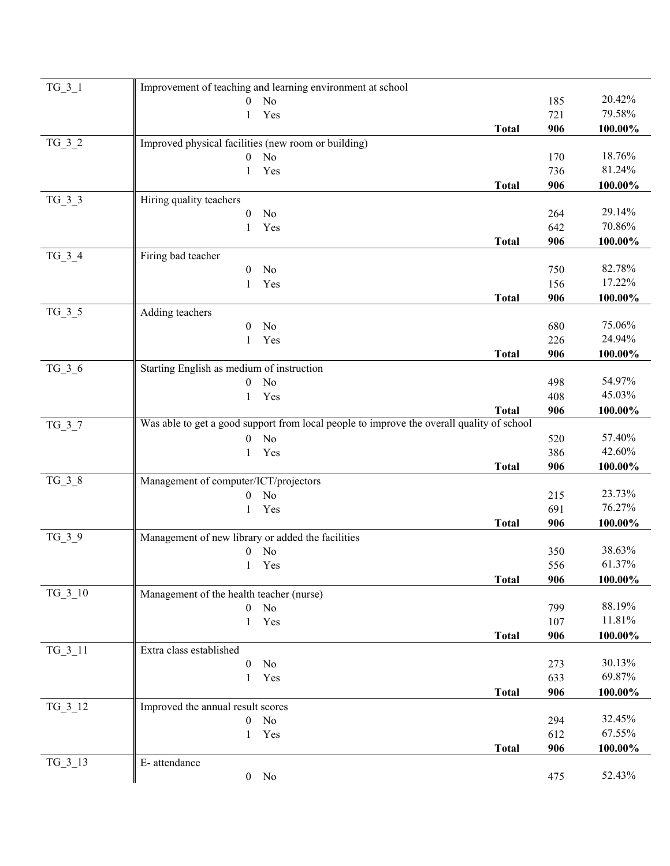| $TG_3_1$  | Improvement of teaching and learning environment at school                                |              |            |                  |
|-----------|-------------------------------------------------------------------------------------------|--------------|------------|------------------|
|           | No<br>$\overline{0}$                                                                      |              | 185        | 20.42%           |
|           | Yes<br>1                                                                                  |              | 721        | 79.58%           |
|           |                                                                                           | <b>Total</b> | 906        | 100.00%          |
| $TG_3_2$  | Improved physical facilities (new room or building)                                       |              |            |                  |
|           | No<br>$\boldsymbol{0}$                                                                    |              | 170        | 18.76%           |
|           | Yes<br>1                                                                                  |              | 736        | 81.24%           |
|           |                                                                                           | <b>Total</b> | 906        | 100.00%          |
| $TG_3_3$  | Hiring quality teachers                                                                   |              |            |                  |
|           | $\theta$<br>No                                                                            |              | 264        | 29.14%<br>70.86% |
|           | 1<br>Yes                                                                                  |              | 642        |                  |
| $TG_3_4$  | Firing bad teacher                                                                        | <b>Total</b> | 906        | 100.00%          |
|           | No<br>$\mathbf{0}$                                                                        |              | 750        | 82.78%           |
|           | Yes<br>1                                                                                  |              | 156        | 17.22%           |
|           |                                                                                           | <b>Total</b> | 906        | 100.00%          |
| TG 3 5    | Adding teachers                                                                           |              |            |                  |
|           | $\mathbf{0}$<br>No                                                                        |              | 680        | 75.06%           |
|           | Yes<br>1                                                                                  |              | 226        | 24.94%           |
|           |                                                                                           | <b>Total</b> | 906        | 100.00%          |
| $TG_3_6$  | Starting English as medium of instruction                                                 |              |            |                  |
|           | No<br>$\boldsymbol{0}$                                                                    |              | 498        | 54.97%           |
|           | Yes<br>1                                                                                  |              | 408        | 45.03%           |
|           |                                                                                           | <b>Total</b> | 906        | 100.00%          |
| $TG_3_7$  | Was able to get a good support from local people to improve the overall quality of school |              |            |                  |
|           | No<br>$\overline{0}$                                                                      |              | 520        | 57.40%           |
|           | Yes<br>1                                                                                  |              | 386        | 42.60%           |
|           |                                                                                           | <b>Total</b> | 906        | 100.00%          |
| $TG_3_8$  | Management of computer/ICT/projectors                                                     |              |            | 23.73%           |
|           | No<br>$\overline{0}$<br>Yes                                                               |              | 215<br>691 | 76.27%           |
|           | 1                                                                                         | <b>Total</b> | 906        | 100.00%          |
| $TG_3_9$  | Management of new library or added the facilities                                         |              |            |                  |
|           | No<br>$\boldsymbol{0}$                                                                    |              | 350        | 38.63%           |
|           | 1 Yes                                                                                     |              | 556        | 61.37%           |
|           |                                                                                           | <b>Total</b> | 906        | 100.00%          |
| $TG_3_10$ | Management of the health teacher (nurse)                                                  |              |            |                  |
|           | $\boldsymbol{0}$<br>No                                                                    |              | 799        | 88.19%           |
|           | Yes<br>$\mathbf{1}$                                                                       |              | 107        | 11.81%           |
|           |                                                                                           | <b>Total</b> | 906        | 100.00%          |
| $TG_3_11$ | Extra class established                                                                   |              |            |                  |
|           | No<br>$\boldsymbol{0}$                                                                    |              | 273        | 30.13%           |
|           | Yes<br>1                                                                                  |              | 633        | 69.87%           |
|           |                                                                                           | <b>Total</b> | 906        | 100.00%          |
| TG_3_12   | Improved the annual result scores                                                         |              |            |                  |
|           | No<br>$\boldsymbol{0}$                                                                    |              | 294        | 32.45%           |
|           | Yes<br>1                                                                                  |              | 612        | 67.55%           |
|           |                                                                                           | <b>Total</b> | 906        | 100.00%          |
| TG 3 13   | E- attendance                                                                             |              |            | 52.43%           |
|           | $0$ No                                                                                    |              | 475        |                  |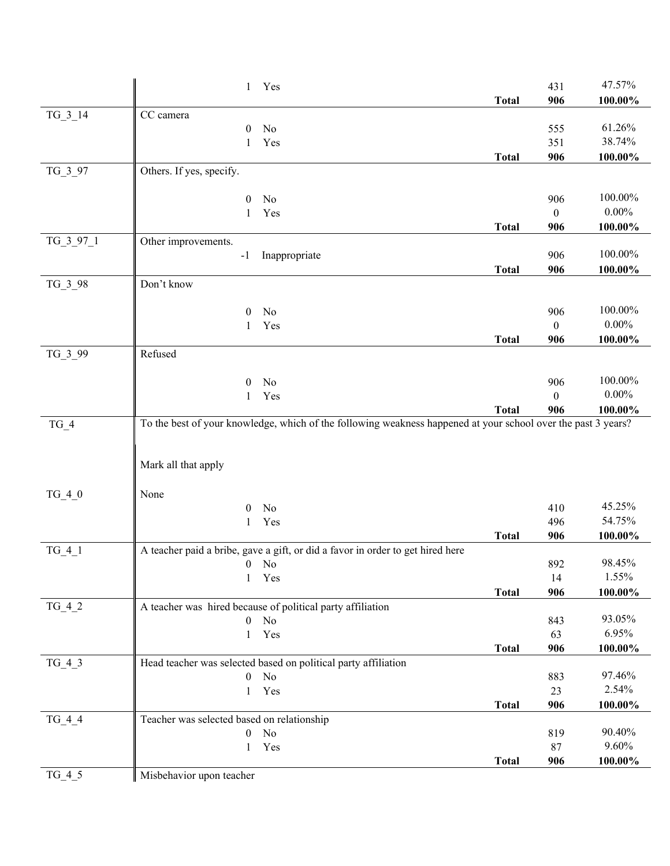|             | 1 Yes                                                                          |              | 431          | 47.57%     |
|-------------|--------------------------------------------------------------------------------|--------------|--------------|------------|
|             |                                                                                | <b>Total</b> | 906          | 100.00%    |
| $TG_3_14$   | CC camera                                                                      |              |              |            |
|             | $\theta$<br>No                                                                 |              | 555          | 61.26%     |
|             | Yes<br>1                                                                       |              | 351          | 38.74%     |
|             |                                                                                | <b>Total</b> | 906          | $100.00\%$ |
| $TG_3_97$   | Others. If yes, specify.                                                       |              |              |            |
|             | No<br>$\mathbf{0}$                                                             |              | 906          | 100.00%    |
|             | Yes<br>1                                                                       |              | $\mathbf{0}$ | $0.00\%$   |
|             |                                                                                | <b>Total</b> | 906          | 100.00%    |
| $TG_3_97_1$ | Other improvements.                                                            |              |              |            |
|             | Inappropriate<br>$-1$                                                          |              | 906          | 100.00%    |
|             |                                                                                | <b>Total</b> | 906          | 100.00%    |
| TG_3_98     | Don't know                                                                     |              |              |            |
|             | $\overline{0}$<br>No                                                           |              | 906          | 100.00%    |
|             | Yes<br>1                                                                       |              | $\theta$     | $0.00\%$   |
|             |                                                                                | <b>Total</b> | 906          | 100.00%    |
| TG_3_99     | Refused                                                                        |              |              |            |
|             |                                                                                |              |              |            |
|             | No<br>$\overline{0}$                                                           |              | 906          | 100.00%    |
|             | Yes<br>1                                                                       |              | $\Omega$     | $0.00\%$   |
|             |                                                                                | <b>Total</b> | 906          | 100.00%    |
|             | Mark all that apply                                                            |              |              |            |
| $TG_4_0$    | None                                                                           |              |              |            |
|             | $\mathbf{0}$<br>No                                                             |              | 410          | 45.25%     |
|             | Yes<br>1                                                                       |              | 496          | 54.75%     |
|             |                                                                                | <b>Total</b> | 906          | $100.00\%$ |
| $TG_4_1$    | A teacher paid a bribe, gave a gift, or did a favor in order to get hired here |              |              |            |
|             | $0$ No                                                                         |              | 892          | 98.45%     |
|             | 1 Yes                                                                          |              | 14           | 1.55%      |
|             |                                                                                | <b>Total</b> | 906          | 100.00%    |
| $TG_4_2$    | A teacher was hired because of political party affiliation                     |              |              | 93.05%     |
|             | $\boldsymbol{0}$<br>No<br>Yes<br>$\mathbf{1}$                                  |              | 843<br>63    | 6.95%      |
|             |                                                                                | <b>Total</b> | 906          | 100.00%    |
| $TG_4_3$    | Head teacher was selected based on political party affiliation                 |              |              |            |
|             | No<br>$\boldsymbol{0}$                                                         |              | 883          | 97.46%     |
|             | Yes<br>1                                                                       |              | 23           | 2.54%      |
|             |                                                                                | <b>Total</b> | 906          | $100.00\%$ |
| $TG_4_4$    | Teacher was selected based on relationship                                     |              |              |            |
|             | No<br>$\boldsymbol{0}$                                                         |              | 819          | 90.40%     |
|             | Yes<br>$\mathbf{1}$                                                            |              | 87           | 9.60%      |
|             |                                                                                | <b>Total</b> | 906          | 100.00%    |
| $TG_4_5$    | Misbehavior upon teacher                                                       |              |              |            |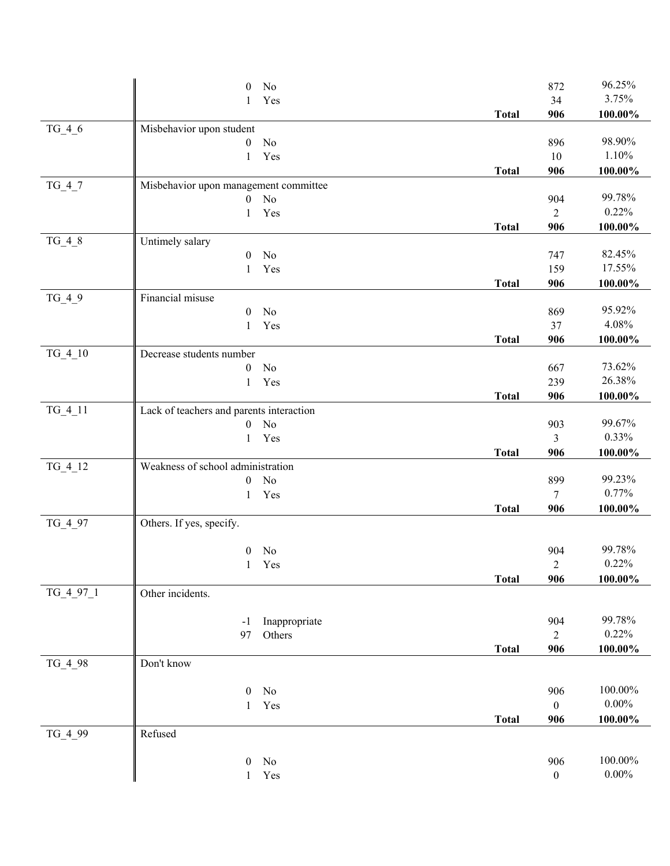|           | $\boldsymbol{0}$<br>No                   |              | 872              | 96.25%     |
|-----------|------------------------------------------|--------------|------------------|------------|
|           | Yes<br>1                                 |              | 34               | 3.75%      |
|           |                                          | <b>Total</b> | 906              | 100.00%    |
| $TG_4_6$  | Misbehavior upon student                 |              |                  |            |
|           | $\boldsymbol{0}$<br>No                   |              | 896              | 98.90%     |
|           | Yes<br>1                                 |              | $10\,$           | 1.10%      |
|           |                                          | <b>Total</b> | 906              | $100.00\%$ |
| $TG_4_7$  | Misbehavior upon management committee    |              |                  |            |
|           | No<br>0                                  |              | 904              | 99.78%     |
|           | Yes<br>$\mathbf{1}$                      |              | $\overline{2}$   | 0.22%      |
|           |                                          | <b>Total</b> | 906              | 100.00%    |
| $TG_4_8$  | Untimely salary                          |              |                  |            |
|           | $\mathbf{0}$<br>No                       |              | 747              | 82.45%     |
|           | Yes<br>$\mathbf{1}$                      |              | 159              | 17.55%     |
|           |                                          | <b>Total</b> | 906              | 100.00%    |
| $TG_4_9$  | Financial misuse                         |              |                  |            |
|           | No<br>0                                  |              | 869              | 95.92%     |
|           | Yes<br>1                                 |              | 37               | 4.08%      |
|           |                                          | <b>Total</b> | 906              | $100.00\%$ |
| $TG_4_10$ | Decrease students number                 |              |                  |            |
|           | No<br>0                                  |              | 667              | 73.62%     |
|           | Yes<br>$\mathbf{1}$                      |              | 239              | 26.38%     |
|           |                                          | <b>Total</b> | 906              | 100.00%    |
| $TG_4_11$ | Lack of teachers and parents interaction |              |                  | 99.67%     |
|           | N <sub>o</sub><br>0                      |              | 903              | 0.33%      |
|           | Yes<br>$\mathbf{1}$                      | <b>Total</b> | 3<br>906         | 100.00%    |
| $TG_4_12$ | Weakness of school administration        |              |                  |            |
|           | No<br>0                                  |              | 899              | 99.23%     |
|           | Yes<br>1                                 |              | $\tau$           | 0.77%      |
|           |                                          | <b>Total</b> | 906              | 100.00%    |
| $TG_4_97$ | Others. If yes, specify.                 |              |                  |            |
|           |                                          |              |                  |            |
|           | No<br>$\mathbf{0}$                       |              | 904              | 99.78%     |
|           | 1 Yes                                    |              | $\mathfrak{D}$   | 0.22%      |
|           |                                          | <b>Total</b> | 906              | 100.00%    |
| TG_4_97_1 | Other incidents.                         |              |                  |            |
|           |                                          |              |                  |            |
|           | Inappropriate<br>$-1$                    |              | 904              | 99.78%     |
|           | 97<br>Others                             |              | $\overline{2}$   | 0.22%      |
|           |                                          | <b>Total</b> | 906              | 100.00%    |
| TG_4_98   | Don't know                               |              |                  |            |
|           |                                          |              |                  |            |
|           | 0<br>No                                  |              | 906              | 100.00%    |
|           | Yes<br>$\mathbf{1}$                      |              | $\boldsymbol{0}$ | $0.00\%$   |
|           |                                          | <b>Total</b> | 906              | $100.00\%$ |
| TG_4_99   | Refused                                  |              |                  |            |
|           |                                          |              |                  |            |
|           | No<br>0                                  |              | 906              | 100.00%    |
|           | Yes<br>$\mathbf{1}$                      |              | $\boldsymbol{0}$ | $0.00\%$   |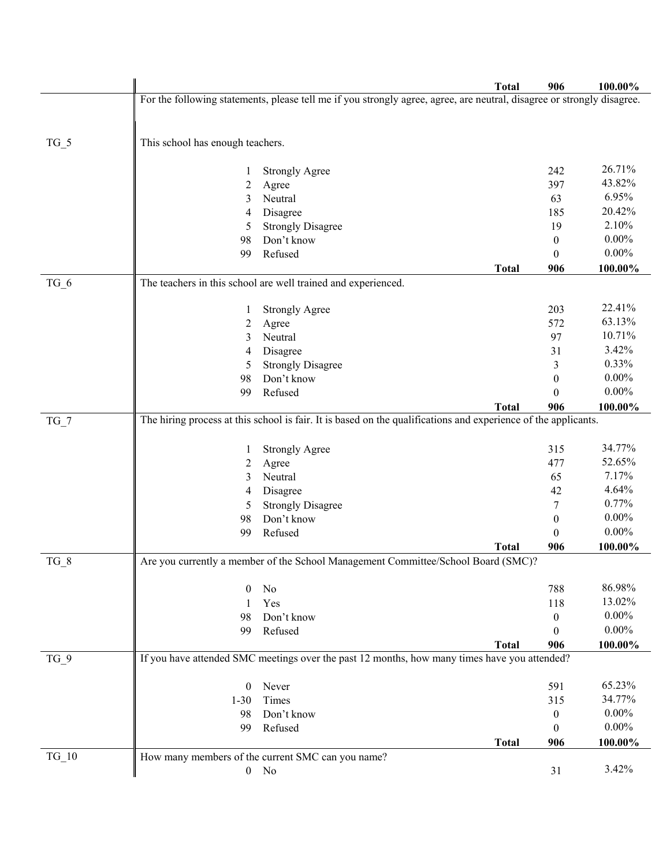|         |                                                                                                                        | <b>Total</b> | 906              | 100.00%         |
|---------|------------------------------------------------------------------------------------------------------------------------|--------------|------------------|-----------------|
|         | For the following statements, please tell me if you strongly agree, agree, are neutral, disagree or strongly disagree. |              |                  |                 |
|         |                                                                                                                        |              |                  |                 |
|         |                                                                                                                        |              |                  |                 |
| $TG_5$  | This school has enough teachers.                                                                                       |              |                  |                 |
|         |                                                                                                                        |              |                  |                 |
|         | <b>Strongly Agree</b>                                                                                                  |              | 242              | 26.71%          |
|         | 2<br>Agree                                                                                                             |              | 397              | 43.82%<br>6.95% |
|         | Neutral<br>3                                                                                                           |              | 63               | 20.42%          |
|         | Disagree<br>4                                                                                                          |              | 185<br>19        | 2.10%           |
|         | <b>Strongly Disagree</b><br>5<br>Don't know<br>98                                                                      |              | $\mathbf{0}$     | $0.00\%$        |
|         | Refused<br>99                                                                                                          |              | $\theta$         | $0.00\%$        |
|         |                                                                                                                        | <b>Total</b> | 906              | 100.00%         |
| $TG_6$  | The teachers in this school are well trained and experienced.                                                          |              |                  |                 |
|         |                                                                                                                        |              |                  |                 |
|         | <b>Strongly Agree</b>                                                                                                  |              | 203              | 22.41%          |
|         | Agree<br>2                                                                                                             |              | 572              | 63.13%          |
|         | Neutral<br>3                                                                                                           |              | 97               | 10.71%          |
|         | Disagree<br>4                                                                                                          |              | 31               | 3.42%           |
|         | <b>Strongly Disagree</b><br>5                                                                                          |              | 3                | 0.33%           |
|         | Don't know<br>98                                                                                                       |              | $\theta$         | $0.00\%$        |
|         | Refused<br>99                                                                                                          |              | 0                | $0.00\%$        |
|         |                                                                                                                        | <b>Total</b> | 906              | 100.00%         |
| $TG_7$  | The hiring process at this school is fair. It is based on the qualifications and experience of the applicants.         |              |                  |                 |
|         |                                                                                                                        |              |                  |                 |
|         | <b>Strongly Agree</b><br>1                                                                                             |              | 315              | 34.77%          |
|         | 2<br>Agree                                                                                                             |              | 477              | 52.65%          |
|         | Neutral<br>3                                                                                                           |              | 65               | 7.17%           |
|         | Disagree<br>4                                                                                                          |              | 42               | 4.64%           |
|         | <b>Strongly Disagree</b><br>5                                                                                          |              | 7                | 0.77%           |
|         | Don't know<br>98                                                                                                       |              | $\boldsymbol{0}$ | $0.00\%$        |
|         | Refused<br>99                                                                                                          |              | $\theta$         | $0.00\%$        |
|         |                                                                                                                        | <b>Total</b> | 906              | 100.00%         |
| $TG_8$  | Are you currently a member of the School Management Committee/School Board (SMC)?                                      |              |                  |                 |
|         | No<br>$\theta$                                                                                                         |              | 788              | 86.98%          |
|         | Yes<br>1                                                                                                               |              | 118              | 13.02%          |
|         | Don't know<br>98                                                                                                       |              | $\boldsymbol{0}$ | $0.00\%$        |
|         | Refused<br>99                                                                                                          |              | $\theta$         | $0.00\%$        |
|         |                                                                                                                        | <b>Total</b> | 906              | 100.00%         |
| $TG_9$  | If you have attended SMC meetings over the past 12 months, how many times have you attended?                           |              |                  |                 |
|         |                                                                                                                        |              |                  |                 |
|         | $\mathbf{0}$<br>Never                                                                                                  |              | 591              | 65.23%          |
|         | Times<br>$1 - 30$                                                                                                      |              | 315              | 34.77%          |
|         | Don't know<br>98                                                                                                       |              | $\mathbf{0}$     | $0.00\%$        |
|         | Refused<br>99                                                                                                          |              | $\theta$         | $0.00\%$        |
|         |                                                                                                                        | <b>Total</b> | 906              | 100.00%         |
| $TG_10$ | How many members of the current SMC can you name?                                                                      |              |                  |                 |
|         | $0$ No                                                                                                                 |              | 31               | 3.42%           |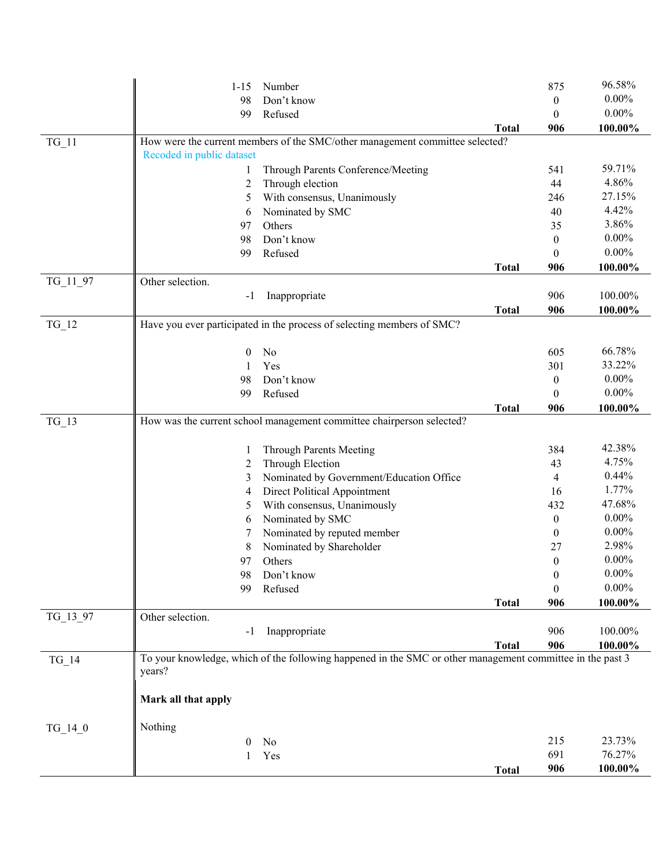|           | $1 - 15$                  | Number                                                                                                    |              | 875              | 96.58%   |
|-----------|---------------------------|-----------------------------------------------------------------------------------------------------------|--------------|------------------|----------|
|           | 98                        | Don't know                                                                                                |              | $\boldsymbol{0}$ | $0.00\%$ |
|           | 99                        | Refused                                                                                                   |              | $\overline{0}$   | $0.00\%$ |
|           |                           |                                                                                                           | <b>Total</b> | 906              | 100.00%  |
| $TG_11$   |                           | How were the current members of the SMC/other management committee selected?                              |              |                  |          |
|           | Recoded in public dataset |                                                                                                           |              |                  |          |
|           | 1                         | Through Parents Conference/Meeting                                                                        |              | 541              | 59.71%   |
|           | 2                         | Through election                                                                                          |              | 44               | 4.86%    |
|           | 5                         | With consensus, Unanimously                                                                               |              | 246              | 27.15%   |
|           | 6                         | Nominated by SMC                                                                                          |              | 40               | 4.42%    |
|           | 97                        | Others                                                                                                    |              | 35               | 3.86%    |
|           | 98                        | Don't know                                                                                                |              | $\boldsymbol{0}$ | $0.00\%$ |
|           | 99                        | Refused                                                                                                   |              | $\mathbf{0}$     | $0.00\%$ |
|           |                           |                                                                                                           | <b>Total</b> | 906              | 100.00%  |
| TG_11_97  | Other selection.          |                                                                                                           |              |                  |          |
|           | $-1$                      | Inappropriate                                                                                             |              | 906              | 100.00%  |
|           |                           |                                                                                                           | <b>Total</b> | 906              | 100.00%  |
| $TG_12$   |                           | Have you ever participated in the process of selecting members of SMC?                                    |              |                  |          |
|           | $\theta$                  | No                                                                                                        |              | 605              | 66.78%   |
|           | 1                         | Yes                                                                                                       |              | 301              | 33.22%   |
|           | 98                        | Don't know                                                                                                |              | $\boldsymbol{0}$ | $0.00\%$ |
|           | 99                        | Refused                                                                                                   |              | $\boldsymbol{0}$ | $0.00\%$ |
|           |                           |                                                                                                           | <b>Total</b> | 906              | 100.00%  |
| $TG_13$   |                           | How was the current school management committee chairperson selected?                                     |              |                  |          |
|           | 1                         | Through Parents Meeting                                                                                   |              | 384              | 42.38%   |
|           | 2                         | Through Election                                                                                          |              | 43               | 4.75%    |
|           | 3                         | Nominated by Government/Education Office                                                                  |              | 4                | 0.44%    |
|           | 4                         | Direct Political Appointment                                                                              |              | 16               | 1.77%    |
|           | 5                         | With consensus, Unanimously                                                                               |              | 432              | 47.68%   |
|           | 6                         | Nominated by SMC                                                                                          |              | $\boldsymbol{0}$ | $0.00\%$ |
|           | 7                         | Nominated by reputed member                                                                               |              | $\boldsymbol{0}$ | $0.00\%$ |
|           | 8                         | Nominated by Shareholder                                                                                  |              | 27               | 2.98%    |
|           | 97                        | Others                                                                                                    |              | $\boldsymbol{0}$ | $0.00\%$ |
|           | 98                        | Don't know                                                                                                |              | $\boldsymbol{0}$ | $0.00\%$ |
|           | 99                        | Refused                                                                                                   |              | $\boldsymbol{0}$ | $0.00\%$ |
|           |                           |                                                                                                           | <b>Total</b> | 906              | 100.00%  |
| TG_13_97  | Other selection.          |                                                                                                           |              |                  |          |
|           | -1                        | Inappropriate                                                                                             |              | 906              | 100.00%  |
|           |                           |                                                                                                           | <b>Total</b> | 906              | 100.00%  |
| $TG_14$   | years?                    | To your knowledge, which of the following happened in the SMC or other management committee in the past 3 |              |                  |          |
|           |                           |                                                                                                           |              |                  |          |
|           | Mark all that apply       |                                                                                                           |              |                  |          |
| $TG_14_0$ | Nothing                   |                                                                                                           |              |                  |          |
|           | $\theta$                  | No                                                                                                        |              | 215              | 23.73%   |
|           | 1                         | Yes                                                                                                       |              | 691              | 76.27%   |
|           |                           |                                                                                                           | <b>Total</b> | 906              | 100.00%  |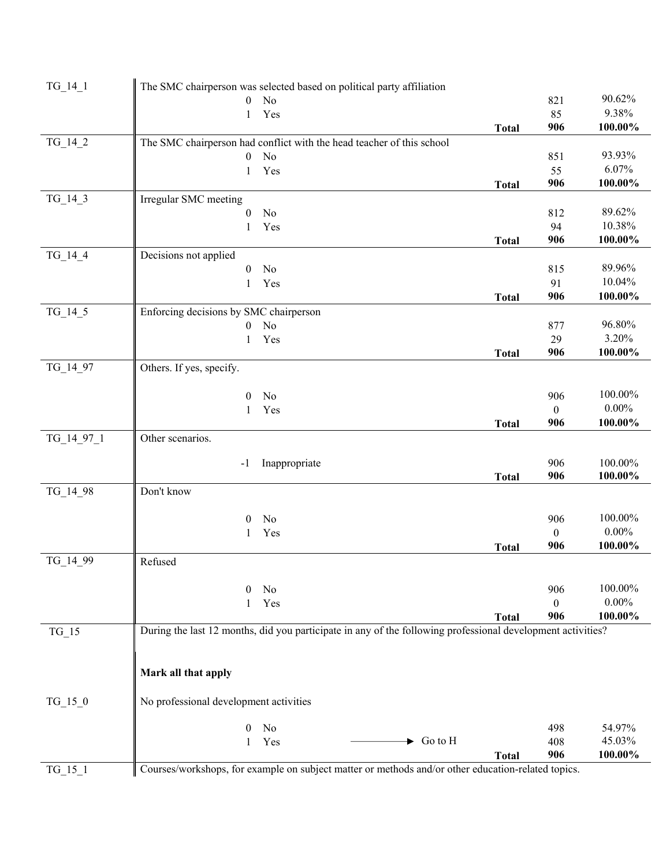| $TG_14_1$  | The SMC chairperson was selected based on political party affiliation                                       |              |                  |                  |
|------------|-------------------------------------------------------------------------------------------------------------|--------------|------------------|------------------|
|            | No<br>$\mathbf{0}$                                                                                          |              | 821              | 90.62%           |
|            | Yes<br>$\mathbf{1}$                                                                                         |              | 85               | 9.38%            |
|            |                                                                                                             | <b>Total</b> | 906              | 100.00%          |
| $TG_14_2$  | The SMC chairperson had conflict with the head teacher of this school                                       |              |                  |                  |
|            | $\boldsymbol{0}$<br>No                                                                                      |              | 851              | 93.93%           |
|            | Yes<br>1                                                                                                    |              | 55               | 6.07%            |
|            |                                                                                                             | <b>Total</b> | 906              | 100.00%          |
| $TG_14_3$  | Irregular SMC meeting                                                                                       |              |                  |                  |
|            | $\mathbf{0}$<br>No                                                                                          |              | 812              | 89.62%           |
|            | Yes<br>1                                                                                                    |              | 94               | 10.38%           |
|            |                                                                                                             | <b>Total</b> | 906              | 100.00%          |
| TG_14_4    | Decisions not applied                                                                                       |              |                  |                  |
|            | No<br>$\boldsymbol{0}$                                                                                      |              | 815              | 89.96%<br>10.04% |
|            | Yes<br>1                                                                                                    |              | 91<br>906        | 100.00%          |
| TG_14_5    | Enforcing decisions by SMC chairperson                                                                      | <b>Total</b> |                  |                  |
|            | No<br>$\overline{0}$                                                                                        |              | 877              | 96.80%           |
|            | Yes<br>1                                                                                                    |              | 29               | 3.20%            |
|            |                                                                                                             | <b>Total</b> | 906              | 100.00%          |
| TG_14_97   | Others. If yes, specify.                                                                                    |              |                  |                  |
|            |                                                                                                             |              |                  |                  |
|            | No<br>0                                                                                                     |              | 906              | 100.00%          |
|            | Yes<br>1                                                                                                    |              | $\theta$         | $0.00\%$         |
|            |                                                                                                             | <b>Total</b> | 906              | 100.00%          |
| TG_14_97_1 | Other scenarios.                                                                                            |              |                  |                  |
|            | Inappropriate<br>$-1$                                                                                       |              | 906              | 100.00%          |
|            |                                                                                                             | <b>Total</b> | 906              | 100.00%          |
| TG_14_98   | Don't know                                                                                                  |              |                  |                  |
|            | No<br>0                                                                                                     |              | 906              | 100.00%          |
|            | Yes<br>1                                                                                                    |              | $\boldsymbol{0}$ | $0.00\%$         |
|            |                                                                                                             | <b>Total</b> | 906              | 100.00%          |
| TG 14 99   | Refused                                                                                                     |              |                  |                  |
|            | No<br>0                                                                                                     |              | 906              | 100.00%          |
|            | Yes                                                                                                         |              | $\mathbf{0}$     | $0.00\%$         |
|            |                                                                                                             | <b>Total</b> | 906              | 100.00%          |
| $TG_15$    | During the last 12 months, did you participate in any of the following professional development activities? |              |                  |                  |
|            |                                                                                                             |              |                  |                  |
|            | Mark all that apply                                                                                         |              |                  |                  |
| $TG_15_0$  | No professional development activities                                                                      |              |                  |                  |
|            |                                                                                                             |              |                  |                  |
|            | No<br>0                                                                                                     |              | 498              | 54.97%           |
|            | $\blacktriangleright$ Go to H<br>Yes<br>1                                                                   |              | 408              | 45.03%           |
|            |                                                                                                             | <b>Total</b> | 906              | 100.00%          |
| TG_15_1    | Courses/workshops, for example on subject matter or methods and/or other education-related topics.          |              |                  |                  |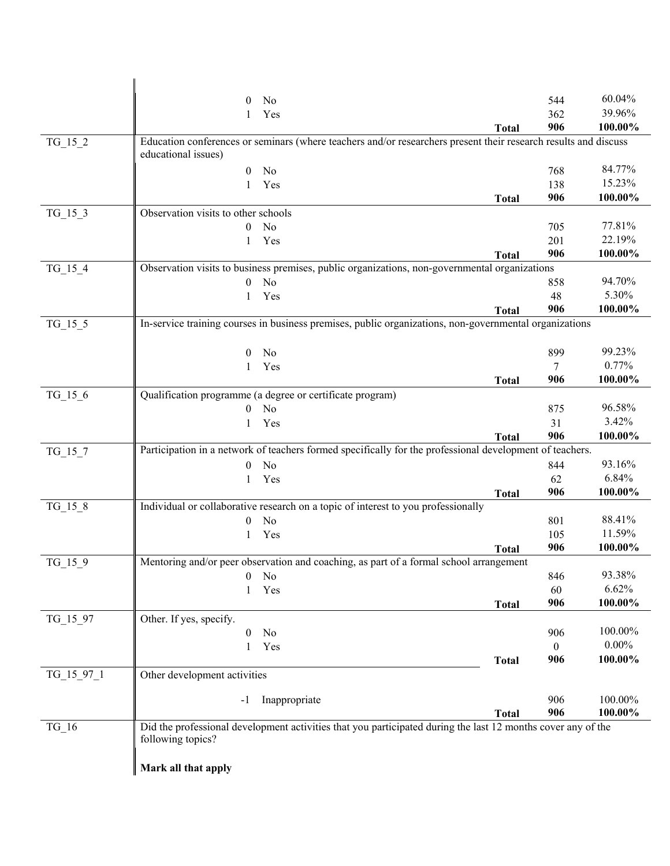|            | No<br>$\theta$                                                                                                                         |              | 544            | 60.04%   |
|------------|----------------------------------------------------------------------------------------------------------------------------------------|--------------|----------------|----------|
|            | Yes<br>1                                                                                                                               |              | 362            | 39.96%   |
|            |                                                                                                                                        | <b>Total</b> | 906            | 100.00%  |
| $TG_15_2$  | Education conferences or seminars (where teachers and/or researchers present their research results and discuss<br>educational issues) |              |                |          |
|            | $\theta$<br>No                                                                                                                         |              | 768            | 84.77%   |
|            | Yes<br>1                                                                                                                               |              | 138            | 15.23%   |
|            |                                                                                                                                        |              | 906            | 100.00%  |
| $TG_15_3$  | Observation visits to other schools                                                                                                    | <b>Total</b> |                |          |
|            | No<br>$\theta$                                                                                                                         |              | 705            | 77.81%   |
|            | Yes<br>1                                                                                                                               |              | 201            | 22.19%   |
|            |                                                                                                                                        | <b>Total</b> | 906            | 100.00%  |
| $TG_15_4$  | Observation visits to business premises, public organizations, non-governmental organizations                                          |              |                |          |
|            | No<br>$\overline{0}$                                                                                                                   |              | 858            | 94.70%   |
|            | Yes<br>1                                                                                                                               |              | 48             | 5.30%    |
|            |                                                                                                                                        | <b>Total</b> | 906            | 100.00%  |
| $TG_15_5$  | In-service training courses in business premises, public organizations, non-governmental organizations                                 |              |                |          |
|            |                                                                                                                                        |              |                |          |
|            | No<br>$\overline{0}$                                                                                                                   |              | 899            | 99.23%   |
|            | Yes<br>1                                                                                                                               |              | $\tau$         | 0.77%    |
|            |                                                                                                                                        | <b>Total</b> | 906            | 100.00%  |
| $TG_15_6$  | Qualification programme (a degree or certificate program)                                                                              |              |                |          |
|            | No<br>$\theta$                                                                                                                         |              | 875            | 96.58%   |
|            | Yes<br>1                                                                                                                               |              | 31             | 3.42%    |
|            |                                                                                                                                        | <b>Total</b> | 906            | 100.00%  |
| $TG_15_7$  | Participation in a network of teachers formed specifically for the professional development of teachers.                               |              |                |          |
|            | No<br>$\overline{0}$                                                                                                                   |              | 844            | 93.16%   |
|            | Yes<br>$\mathbf{1}$                                                                                                                    |              | 62             | 6.84%    |
|            |                                                                                                                                        | <b>Total</b> | 906            | 100.00%  |
| $TG_15_8$  | Individual or collaborative research on a topic of interest to you professionally                                                      |              |                |          |
|            | No<br>$\theta$                                                                                                                         |              | 801            | 88.41%   |
|            | Yes<br>1                                                                                                                               |              | 105            | 11.59%   |
|            |                                                                                                                                        | <b>Total</b> | 906            | 100.00%  |
| $TG_15_9$  | Mentoring and/or peer observation and coaching, as part of a formal school arrangement                                                 |              |                |          |
|            | $\overline{0}$<br>No                                                                                                                   |              | 846            | 93.38%   |
|            | Yes<br>1                                                                                                                               |              | 60             | 6.62%    |
|            |                                                                                                                                        | <b>Total</b> | 906            | 100.00%  |
| TG_15_97   | Other. If yes, specify.                                                                                                                |              |                |          |
|            | No<br>$\theta$                                                                                                                         |              | 906            | 100.00%  |
|            | Yes<br>1                                                                                                                               |              | $\overline{0}$ | $0.00\%$ |
|            |                                                                                                                                        | <b>Total</b> | 906            | 100.00%  |
| TG_15_97_1 | Other development activities                                                                                                           |              |                |          |
|            | Inappropriate<br>-1                                                                                                                    |              | 906            | 100.00%  |
|            |                                                                                                                                        | <b>Total</b> | 906            | 100.00%  |
| $TG_16$    | Did the professional development activities that you participated during the last 12 months cover any of the                           |              |                |          |
|            | following topics?                                                                                                                      |              |                |          |
|            |                                                                                                                                        |              |                |          |
|            | Mark all that apply                                                                                                                    |              |                |          |
|            |                                                                                                                                        |              |                |          |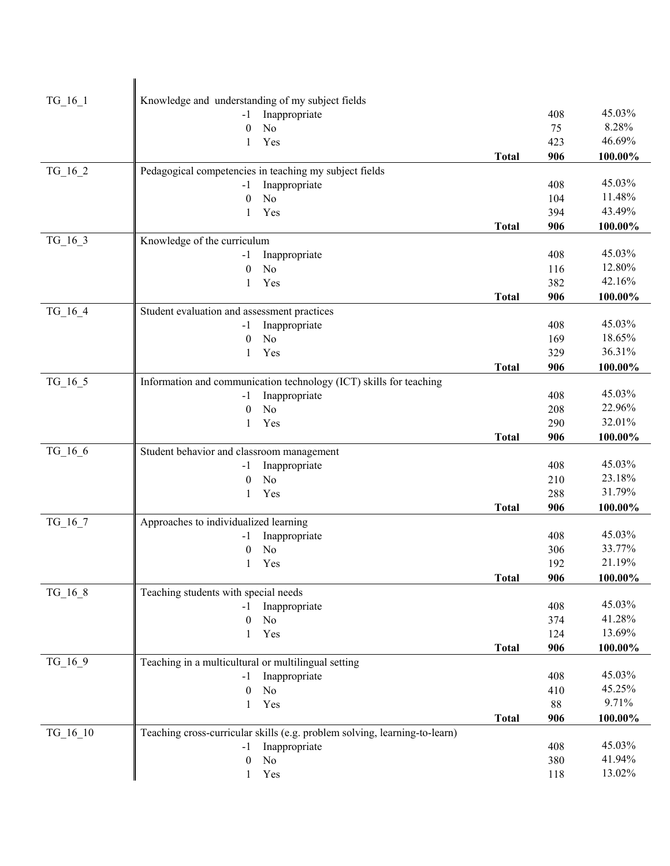| Knowledge and understanding of my subject fields<br>$TG_16_1$<br>45.03%<br>Inappropriate<br>408<br>$-1$<br>8.28%<br>N <sub>o</sub><br>75<br>$\theta$<br>46.69%<br>423<br>Yes<br>1<br>906<br>100.00%<br><b>Total</b><br>Pedagogical competencies in teaching my subject fields<br>TG_16_2<br>45.03%<br>Inappropriate<br>408<br>$-1$<br>11.48%<br>N <sub>o</sub><br>$\theta$<br>104<br>43.49%<br>Yes<br>394<br>$\mathbf{1}$<br>906<br>100.00%<br><b>Total</b><br>$TG_16_3$<br>Knowledge of the curriculum<br>45.03%<br>408<br>Inappropriate<br>-1<br>12.80%<br>N <sub>o</sub><br>116<br>$\theta$<br>42.16%<br>Yes<br>382<br>1<br>906<br>100.00%<br><b>Total</b><br>Student evaluation and assessment practices<br>TG 16 4<br>45.03%<br>408<br>Inappropriate<br>-1<br>18.65%<br>N <sub>o</sub><br>169<br>$\mathbf{0}$<br>36.31%<br>Yes<br>329<br>1<br>906<br>100.00%<br><b>Total</b><br>Information and communication technology (ICT) skills for teaching<br>$TG_16_5$<br>45.03%<br>Inappropriate<br>408<br>$-1$<br>22.96%<br>N <sub>o</sub><br>208<br>$\mathbf{0}$<br>32.01%<br>Yes<br>290<br>$\mathbf{1}$<br>906<br>100.00%<br><b>Total</b><br>TG_16_6<br>Student behavior and classroom management<br>45.03%<br>Inappropriate<br>408<br>-1<br>23.18%<br>N <sub>o</sub><br>210<br>$\theta$<br>31.79%<br>Yes<br>288<br>1<br>906<br><b>Total</b><br>100.00%<br>Approaches to individualized learning<br>$TG_16_7$<br>45.03%<br>Inappropriate<br>408<br>-1<br>33.77%<br>N <sub>o</sub><br>306<br>$\boldsymbol{0}$<br>21.19%<br>Yes<br>192<br>$1 -$<br><b>Total</b><br>906<br>100.00%<br>Teaching students with special needs<br>TG_16_8<br>45.03%<br>408<br>Inappropriate<br>-1<br>41.28%<br>No<br>$\theta$<br>374<br>13.69%<br>Yes<br>124<br>1<br><b>Total</b><br>906<br>100.00%<br>TG_16_9<br>Teaching in a multicultural or multilingual setting<br>45.03%<br>Inappropriate<br>408<br>-1<br>45.25%<br>No<br>$\theta$<br>410<br>9.71%<br>Yes<br>88<br>$\mathbf{1}$<br>906<br>100.00%<br><b>Total</b><br>$TG_16_10$<br>Teaching cross-curricular skills (e.g. problem solving, learning-to-learn)<br>45.03%<br>Inappropriate<br>408<br>-1<br>41.94%<br>No<br>380<br>$\theta$<br>13.02%<br>Yes<br>118<br>$\mathbf{1}$ |  |  |  |
|--------------------------------------------------------------------------------------------------------------------------------------------------------------------------------------------------------------------------------------------------------------------------------------------------------------------------------------------------------------------------------------------------------------------------------------------------------------------------------------------------------------------------------------------------------------------------------------------------------------------------------------------------------------------------------------------------------------------------------------------------------------------------------------------------------------------------------------------------------------------------------------------------------------------------------------------------------------------------------------------------------------------------------------------------------------------------------------------------------------------------------------------------------------------------------------------------------------------------------------------------------------------------------------------------------------------------------------------------------------------------------------------------------------------------------------------------------------------------------------------------------------------------------------------------------------------------------------------------------------------------------------------------------------------------------------------------------------------------------------------------------------------------------------------------------------------------------------------------------------------------------------------------------------------------------------------------------------------------------------------------------------------------------------------------------------------------------------------------------------------------------------------------------------------------------------------------------------------|--|--|--|
|                                                                                                                                                                                                                                                                                                                                                                                                                                                                                                                                                                                                                                                                                                                                                                                                                                                                                                                                                                                                                                                                                                                                                                                                                                                                                                                                                                                                                                                                                                                                                                                                                                                                                                                                                                                                                                                                                                                                                                                                                                                                                                                                                                                                                    |  |  |  |
|                                                                                                                                                                                                                                                                                                                                                                                                                                                                                                                                                                                                                                                                                                                                                                                                                                                                                                                                                                                                                                                                                                                                                                                                                                                                                                                                                                                                                                                                                                                                                                                                                                                                                                                                                                                                                                                                                                                                                                                                                                                                                                                                                                                                                    |  |  |  |
|                                                                                                                                                                                                                                                                                                                                                                                                                                                                                                                                                                                                                                                                                                                                                                                                                                                                                                                                                                                                                                                                                                                                                                                                                                                                                                                                                                                                                                                                                                                                                                                                                                                                                                                                                                                                                                                                                                                                                                                                                                                                                                                                                                                                                    |  |  |  |
|                                                                                                                                                                                                                                                                                                                                                                                                                                                                                                                                                                                                                                                                                                                                                                                                                                                                                                                                                                                                                                                                                                                                                                                                                                                                                                                                                                                                                                                                                                                                                                                                                                                                                                                                                                                                                                                                                                                                                                                                                                                                                                                                                                                                                    |  |  |  |
|                                                                                                                                                                                                                                                                                                                                                                                                                                                                                                                                                                                                                                                                                                                                                                                                                                                                                                                                                                                                                                                                                                                                                                                                                                                                                                                                                                                                                                                                                                                                                                                                                                                                                                                                                                                                                                                                                                                                                                                                                                                                                                                                                                                                                    |  |  |  |
|                                                                                                                                                                                                                                                                                                                                                                                                                                                                                                                                                                                                                                                                                                                                                                                                                                                                                                                                                                                                                                                                                                                                                                                                                                                                                                                                                                                                                                                                                                                                                                                                                                                                                                                                                                                                                                                                                                                                                                                                                                                                                                                                                                                                                    |  |  |  |
|                                                                                                                                                                                                                                                                                                                                                                                                                                                                                                                                                                                                                                                                                                                                                                                                                                                                                                                                                                                                                                                                                                                                                                                                                                                                                                                                                                                                                                                                                                                                                                                                                                                                                                                                                                                                                                                                                                                                                                                                                                                                                                                                                                                                                    |  |  |  |
|                                                                                                                                                                                                                                                                                                                                                                                                                                                                                                                                                                                                                                                                                                                                                                                                                                                                                                                                                                                                                                                                                                                                                                                                                                                                                                                                                                                                                                                                                                                                                                                                                                                                                                                                                                                                                                                                                                                                                                                                                                                                                                                                                                                                                    |  |  |  |
|                                                                                                                                                                                                                                                                                                                                                                                                                                                                                                                                                                                                                                                                                                                                                                                                                                                                                                                                                                                                                                                                                                                                                                                                                                                                                                                                                                                                                                                                                                                                                                                                                                                                                                                                                                                                                                                                                                                                                                                                                                                                                                                                                                                                                    |  |  |  |
|                                                                                                                                                                                                                                                                                                                                                                                                                                                                                                                                                                                                                                                                                                                                                                                                                                                                                                                                                                                                                                                                                                                                                                                                                                                                                                                                                                                                                                                                                                                                                                                                                                                                                                                                                                                                                                                                                                                                                                                                                                                                                                                                                                                                                    |  |  |  |
|                                                                                                                                                                                                                                                                                                                                                                                                                                                                                                                                                                                                                                                                                                                                                                                                                                                                                                                                                                                                                                                                                                                                                                                                                                                                                                                                                                                                                                                                                                                                                                                                                                                                                                                                                                                                                                                                                                                                                                                                                                                                                                                                                                                                                    |  |  |  |
|                                                                                                                                                                                                                                                                                                                                                                                                                                                                                                                                                                                                                                                                                                                                                                                                                                                                                                                                                                                                                                                                                                                                                                                                                                                                                                                                                                                                                                                                                                                                                                                                                                                                                                                                                                                                                                                                                                                                                                                                                                                                                                                                                                                                                    |  |  |  |
|                                                                                                                                                                                                                                                                                                                                                                                                                                                                                                                                                                                                                                                                                                                                                                                                                                                                                                                                                                                                                                                                                                                                                                                                                                                                                                                                                                                                                                                                                                                                                                                                                                                                                                                                                                                                                                                                                                                                                                                                                                                                                                                                                                                                                    |  |  |  |
|                                                                                                                                                                                                                                                                                                                                                                                                                                                                                                                                                                                                                                                                                                                                                                                                                                                                                                                                                                                                                                                                                                                                                                                                                                                                                                                                                                                                                                                                                                                                                                                                                                                                                                                                                                                                                                                                                                                                                                                                                                                                                                                                                                                                                    |  |  |  |
|                                                                                                                                                                                                                                                                                                                                                                                                                                                                                                                                                                                                                                                                                                                                                                                                                                                                                                                                                                                                                                                                                                                                                                                                                                                                                                                                                                                                                                                                                                                                                                                                                                                                                                                                                                                                                                                                                                                                                                                                                                                                                                                                                                                                                    |  |  |  |
|                                                                                                                                                                                                                                                                                                                                                                                                                                                                                                                                                                                                                                                                                                                                                                                                                                                                                                                                                                                                                                                                                                                                                                                                                                                                                                                                                                                                                                                                                                                                                                                                                                                                                                                                                                                                                                                                                                                                                                                                                                                                                                                                                                                                                    |  |  |  |
|                                                                                                                                                                                                                                                                                                                                                                                                                                                                                                                                                                                                                                                                                                                                                                                                                                                                                                                                                                                                                                                                                                                                                                                                                                                                                                                                                                                                                                                                                                                                                                                                                                                                                                                                                                                                                                                                                                                                                                                                                                                                                                                                                                                                                    |  |  |  |
|                                                                                                                                                                                                                                                                                                                                                                                                                                                                                                                                                                                                                                                                                                                                                                                                                                                                                                                                                                                                                                                                                                                                                                                                                                                                                                                                                                                                                                                                                                                                                                                                                                                                                                                                                                                                                                                                                                                                                                                                                                                                                                                                                                                                                    |  |  |  |
|                                                                                                                                                                                                                                                                                                                                                                                                                                                                                                                                                                                                                                                                                                                                                                                                                                                                                                                                                                                                                                                                                                                                                                                                                                                                                                                                                                                                                                                                                                                                                                                                                                                                                                                                                                                                                                                                                                                                                                                                                                                                                                                                                                                                                    |  |  |  |
|                                                                                                                                                                                                                                                                                                                                                                                                                                                                                                                                                                                                                                                                                                                                                                                                                                                                                                                                                                                                                                                                                                                                                                                                                                                                                                                                                                                                                                                                                                                                                                                                                                                                                                                                                                                                                                                                                                                                                                                                                                                                                                                                                                                                                    |  |  |  |
|                                                                                                                                                                                                                                                                                                                                                                                                                                                                                                                                                                                                                                                                                                                                                                                                                                                                                                                                                                                                                                                                                                                                                                                                                                                                                                                                                                                                                                                                                                                                                                                                                                                                                                                                                                                                                                                                                                                                                                                                                                                                                                                                                                                                                    |  |  |  |
|                                                                                                                                                                                                                                                                                                                                                                                                                                                                                                                                                                                                                                                                                                                                                                                                                                                                                                                                                                                                                                                                                                                                                                                                                                                                                                                                                                                                                                                                                                                                                                                                                                                                                                                                                                                                                                                                                                                                                                                                                                                                                                                                                                                                                    |  |  |  |
|                                                                                                                                                                                                                                                                                                                                                                                                                                                                                                                                                                                                                                                                                                                                                                                                                                                                                                                                                                                                                                                                                                                                                                                                                                                                                                                                                                                                                                                                                                                                                                                                                                                                                                                                                                                                                                                                                                                                                                                                                                                                                                                                                                                                                    |  |  |  |
|                                                                                                                                                                                                                                                                                                                                                                                                                                                                                                                                                                                                                                                                                                                                                                                                                                                                                                                                                                                                                                                                                                                                                                                                                                                                                                                                                                                                                                                                                                                                                                                                                                                                                                                                                                                                                                                                                                                                                                                                                                                                                                                                                                                                                    |  |  |  |
|                                                                                                                                                                                                                                                                                                                                                                                                                                                                                                                                                                                                                                                                                                                                                                                                                                                                                                                                                                                                                                                                                                                                                                                                                                                                                                                                                                                                                                                                                                                                                                                                                                                                                                                                                                                                                                                                                                                                                                                                                                                                                                                                                                                                                    |  |  |  |
|                                                                                                                                                                                                                                                                                                                                                                                                                                                                                                                                                                                                                                                                                                                                                                                                                                                                                                                                                                                                                                                                                                                                                                                                                                                                                                                                                                                                                                                                                                                                                                                                                                                                                                                                                                                                                                                                                                                                                                                                                                                                                                                                                                                                                    |  |  |  |
|                                                                                                                                                                                                                                                                                                                                                                                                                                                                                                                                                                                                                                                                                                                                                                                                                                                                                                                                                                                                                                                                                                                                                                                                                                                                                                                                                                                                                                                                                                                                                                                                                                                                                                                                                                                                                                                                                                                                                                                                                                                                                                                                                                                                                    |  |  |  |
|                                                                                                                                                                                                                                                                                                                                                                                                                                                                                                                                                                                                                                                                                                                                                                                                                                                                                                                                                                                                                                                                                                                                                                                                                                                                                                                                                                                                                                                                                                                                                                                                                                                                                                                                                                                                                                                                                                                                                                                                                                                                                                                                                                                                                    |  |  |  |
|                                                                                                                                                                                                                                                                                                                                                                                                                                                                                                                                                                                                                                                                                                                                                                                                                                                                                                                                                                                                                                                                                                                                                                                                                                                                                                                                                                                                                                                                                                                                                                                                                                                                                                                                                                                                                                                                                                                                                                                                                                                                                                                                                                                                                    |  |  |  |
|                                                                                                                                                                                                                                                                                                                                                                                                                                                                                                                                                                                                                                                                                                                                                                                                                                                                                                                                                                                                                                                                                                                                                                                                                                                                                                                                                                                                                                                                                                                                                                                                                                                                                                                                                                                                                                                                                                                                                                                                                                                                                                                                                                                                                    |  |  |  |
|                                                                                                                                                                                                                                                                                                                                                                                                                                                                                                                                                                                                                                                                                                                                                                                                                                                                                                                                                                                                                                                                                                                                                                                                                                                                                                                                                                                                                                                                                                                                                                                                                                                                                                                                                                                                                                                                                                                                                                                                                                                                                                                                                                                                                    |  |  |  |
|                                                                                                                                                                                                                                                                                                                                                                                                                                                                                                                                                                                                                                                                                                                                                                                                                                                                                                                                                                                                                                                                                                                                                                                                                                                                                                                                                                                                                                                                                                                                                                                                                                                                                                                                                                                                                                                                                                                                                                                                                                                                                                                                                                                                                    |  |  |  |
|                                                                                                                                                                                                                                                                                                                                                                                                                                                                                                                                                                                                                                                                                                                                                                                                                                                                                                                                                                                                                                                                                                                                                                                                                                                                                                                                                                                                                                                                                                                                                                                                                                                                                                                                                                                                                                                                                                                                                                                                                                                                                                                                                                                                                    |  |  |  |
|                                                                                                                                                                                                                                                                                                                                                                                                                                                                                                                                                                                                                                                                                                                                                                                                                                                                                                                                                                                                                                                                                                                                                                                                                                                                                                                                                                                                                                                                                                                                                                                                                                                                                                                                                                                                                                                                                                                                                                                                                                                                                                                                                                                                                    |  |  |  |
|                                                                                                                                                                                                                                                                                                                                                                                                                                                                                                                                                                                                                                                                                                                                                                                                                                                                                                                                                                                                                                                                                                                                                                                                                                                                                                                                                                                                                                                                                                                                                                                                                                                                                                                                                                                                                                                                                                                                                                                                                                                                                                                                                                                                                    |  |  |  |
|                                                                                                                                                                                                                                                                                                                                                                                                                                                                                                                                                                                                                                                                                                                                                                                                                                                                                                                                                                                                                                                                                                                                                                                                                                                                                                                                                                                                                                                                                                                                                                                                                                                                                                                                                                                                                                                                                                                                                                                                                                                                                                                                                                                                                    |  |  |  |
|                                                                                                                                                                                                                                                                                                                                                                                                                                                                                                                                                                                                                                                                                                                                                                                                                                                                                                                                                                                                                                                                                                                                                                                                                                                                                                                                                                                                                                                                                                                                                                                                                                                                                                                                                                                                                                                                                                                                                                                                                                                                                                                                                                                                                    |  |  |  |
|                                                                                                                                                                                                                                                                                                                                                                                                                                                                                                                                                                                                                                                                                                                                                                                                                                                                                                                                                                                                                                                                                                                                                                                                                                                                                                                                                                                                                                                                                                                                                                                                                                                                                                                                                                                                                                                                                                                                                                                                                                                                                                                                                                                                                    |  |  |  |
|                                                                                                                                                                                                                                                                                                                                                                                                                                                                                                                                                                                                                                                                                                                                                                                                                                                                                                                                                                                                                                                                                                                                                                                                                                                                                                                                                                                                                                                                                                                                                                                                                                                                                                                                                                                                                                                                                                                                                                                                                                                                                                                                                                                                                    |  |  |  |
|                                                                                                                                                                                                                                                                                                                                                                                                                                                                                                                                                                                                                                                                                                                                                                                                                                                                                                                                                                                                                                                                                                                                                                                                                                                                                                                                                                                                                                                                                                                                                                                                                                                                                                                                                                                                                                                                                                                                                                                                                                                                                                                                                                                                                    |  |  |  |
|                                                                                                                                                                                                                                                                                                                                                                                                                                                                                                                                                                                                                                                                                                                                                                                                                                                                                                                                                                                                                                                                                                                                                                                                                                                                                                                                                                                                                                                                                                                                                                                                                                                                                                                                                                                                                                                                                                                                                                                                                                                                                                                                                                                                                    |  |  |  |
|                                                                                                                                                                                                                                                                                                                                                                                                                                                                                                                                                                                                                                                                                                                                                                                                                                                                                                                                                                                                                                                                                                                                                                                                                                                                                                                                                                                                                                                                                                                                                                                                                                                                                                                                                                                                                                                                                                                                                                                                                                                                                                                                                                                                                    |  |  |  |
|                                                                                                                                                                                                                                                                                                                                                                                                                                                                                                                                                                                                                                                                                                                                                                                                                                                                                                                                                                                                                                                                                                                                                                                                                                                                                                                                                                                                                                                                                                                                                                                                                                                                                                                                                                                                                                                                                                                                                                                                                                                                                                                                                                                                                    |  |  |  |
|                                                                                                                                                                                                                                                                                                                                                                                                                                                                                                                                                                                                                                                                                                                                                                                                                                                                                                                                                                                                                                                                                                                                                                                                                                                                                                                                                                                                                                                                                                                                                                                                                                                                                                                                                                                                                                                                                                                                                                                                                                                                                                                                                                                                                    |  |  |  |
|                                                                                                                                                                                                                                                                                                                                                                                                                                                                                                                                                                                                                                                                                                                                                                                                                                                                                                                                                                                                                                                                                                                                                                                                                                                                                                                                                                                                                                                                                                                                                                                                                                                                                                                                                                                                                                                                                                                                                                                                                                                                                                                                                                                                                    |  |  |  |
|                                                                                                                                                                                                                                                                                                                                                                                                                                                                                                                                                                                                                                                                                                                                                                                                                                                                                                                                                                                                                                                                                                                                                                                                                                                                                                                                                                                                                                                                                                                                                                                                                                                                                                                                                                                                                                                                                                                                                                                                                                                                                                                                                                                                                    |  |  |  |
|                                                                                                                                                                                                                                                                                                                                                                                                                                                                                                                                                                                                                                                                                                                                                                                                                                                                                                                                                                                                                                                                                                                                                                                                                                                                                                                                                                                                                                                                                                                                                                                                                                                                                                                                                                                                                                                                                                                                                                                                                                                                                                                                                                                                                    |  |  |  |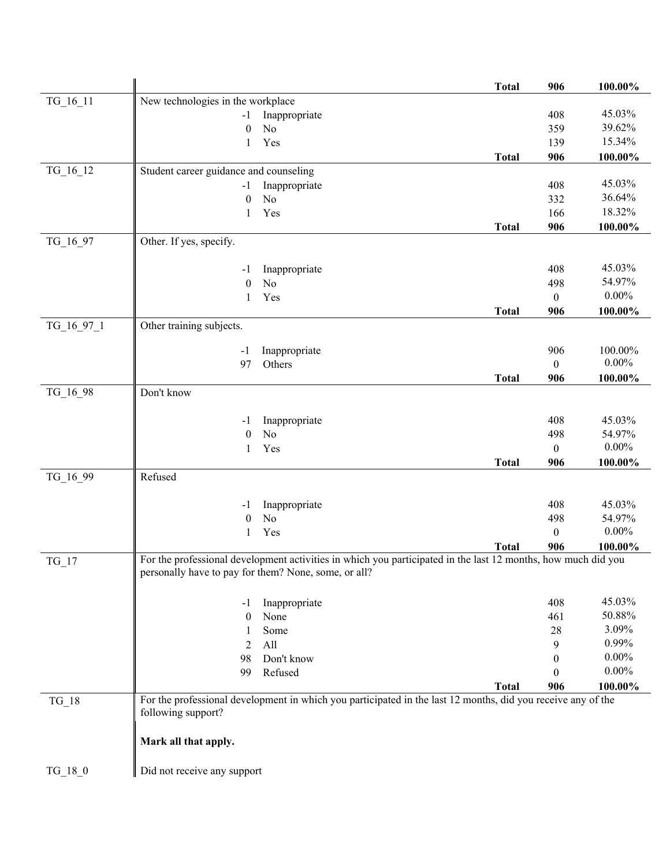|            |                                                                                                                                                                       | <b>Total</b> | 906              | 100.00%  |
|------------|-----------------------------------------------------------------------------------------------------------------------------------------------------------------------|--------------|------------------|----------|
| TG_16_11   | New technologies in the workplace                                                                                                                                     |              |                  |          |
|            | Inappropriate<br>$-1$                                                                                                                                                 |              | 408              | 45.03%   |
|            | No<br>$\theta$                                                                                                                                                        |              | 359              | 39.62%   |
|            | Yes<br>$\mathbf{1}$                                                                                                                                                   |              | 139              | 15.34%   |
|            |                                                                                                                                                                       | <b>Total</b> | 906              | 100.00%  |
| TG_16_12   | Student career guidance and counseling                                                                                                                                |              |                  |          |
|            | Inappropriate<br>$-1$                                                                                                                                                 |              | 408              | 45.03%   |
|            | N <sub>o</sub><br>$\mathbf{0}$                                                                                                                                        |              | 332              | 36.64%   |
|            | Yes<br>1                                                                                                                                                              |              | 166              | 18.32%   |
|            |                                                                                                                                                                       | <b>Total</b> | 906              | 100.00%  |
| TG_16_97   | Other. If yes, specify.                                                                                                                                               |              |                  |          |
|            | Inappropriate<br>$-1$                                                                                                                                                 |              | 408              | 45.03%   |
|            | N <sub>o</sub><br>$\overline{0}$                                                                                                                                      |              | 498              | 54.97%   |
|            | Yes<br>1                                                                                                                                                              |              | $\boldsymbol{0}$ | $0.00\%$ |
|            |                                                                                                                                                                       | <b>Total</b> | 906              | 100.00%  |
| TG_16_97_1 | Other training subjects.                                                                                                                                              |              |                  |          |
|            |                                                                                                                                                                       |              |                  |          |
|            | Inappropriate<br>-1                                                                                                                                                   |              | 906              | 100.00%  |
|            | Others<br>97                                                                                                                                                          |              | $\theta$         | $0.00\%$ |
|            |                                                                                                                                                                       | <b>Total</b> | 906              | 100.00%  |
| TG_16_98   | Don't know                                                                                                                                                            |              |                  |          |
|            | Inappropriate<br>$-1$                                                                                                                                                 |              | 408              | 45.03%   |
|            | No<br>$\mathbf{0}$                                                                                                                                                    |              | 498              | 54.97%   |
|            | Yes<br>1                                                                                                                                                              |              | $\boldsymbol{0}$ | $0.00\%$ |
|            |                                                                                                                                                                       | <b>Total</b> | 906              | 100.00%  |
| TG_16_99   | Refused                                                                                                                                                               |              |                  |          |
|            |                                                                                                                                                                       |              |                  |          |
|            | Inappropriate<br>$-1$                                                                                                                                                 |              | 408              | 45.03%   |
|            | N <sub>o</sub><br>$\theta$                                                                                                                                            |              | 498              | 54.97%   |
|            | Yes<br>1                                                                                                                                                              |              | $\boldsymbol{0}$ | $0.00\%$ |
|            |                                                                                                                                                                       | <b>Total</b> | 906              | 100.00%  |
| $TG_17$    | For the professional development activities in which you participated in the last 12 months, how much did you<br>personally have to pay for them? None, some, or all? |              |                  |          |
|            |                                                                                                                                                                       |              |                  |          |
|            | Inappropriate<br>$-1$                                                                                                                                                 |              | 408              | 45.03%   |
|            | None<br>$\theta$                                                                                                                                                      |              | 461              | 50.88%   |
|            | Some<br>1                                                                                                                                                             |              | $28\,$           | 3.09%    |
|            | All<br>$\overline{2}$                                                                                                                                                 |              | 9                | 0.99%    |
|            | Don't know<br>98                                                                                                                                                      |              | $\boldsymbol{0}$ | $0.00\%$ |
|            | Refused<br>99                                                                                                                                                         |              | $\theta$         | $0.00\%$ |
|            |                                                                                                                                                                       | <b>Total</b> | 906              | 100.00%  |
| $TG_18$    | For the professional development in which you participated in the last 12 months, did you receive any of the                                                          |              |                  |          |
|            | following support?                                                                                                                                                    |              |                  |          |
|            |                                                                                                                                                                       |              |                  |          |
|            | Mark all that apply.                                                                                                                                                  |              |                  |          |
| $TG_18_0$  | Did not receive any support                                                                                                                                           |              |                  |          |
|            |                                                                                                                                                                       |              |                  |          |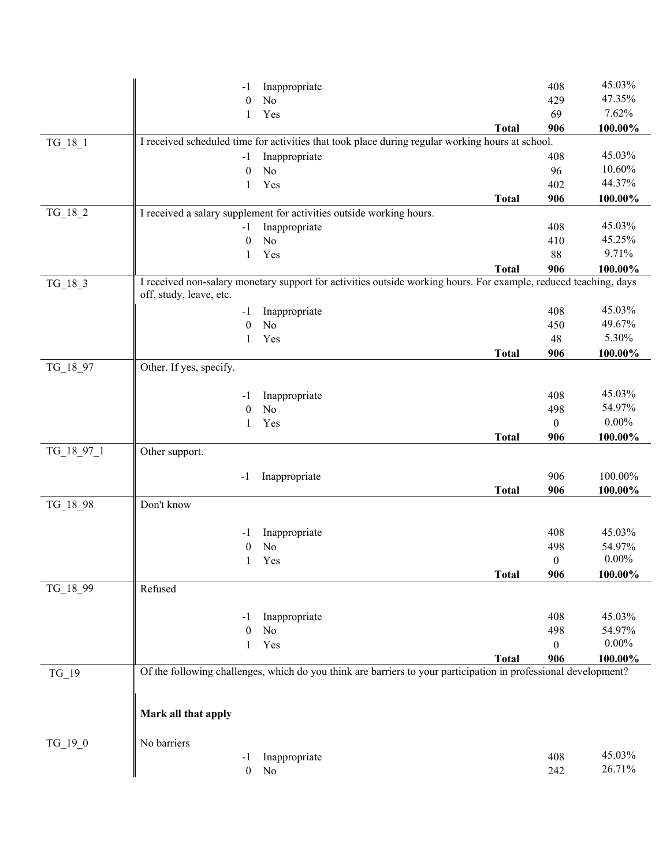|            | $-1$                    | Inappropriate                                                                                                    |              | 408              | 45.03%   |
|------------|-------------------------|------------------------------------------------------------------------------------------------------------------|--------------|------------------|----------|
|            | $\theta$                | No                                                                                                               |              | 429              | 47.35%   |
|            | 1                       | Yes                                                                                                              |              | 69               | 7.62%    |
|            |                         |                                                                                                                  | <b>Total</b> | 906              | 100.00%  |
| $TG_18_1$  |                         | I received scheduled time for activities that took place during regular working hours at school.                 |              |                  |          |
|            | $-1$                    | Inappropriate                                                                                                    |              | 408              | 45.03%   |
|            | $\mathbf{0}$            | No                                                                                                               |              | 96               | 10.60%   |
|            | 1                       | Yes                                                                                                              |              | 402              | 44.37%   |
|            |                         |                                                                                                                  | <b>Total</b> | 906              | 100.00%  |
| TG_18_2    |                         | I received a salary supplement for activities outside working hours.                                             |              |                  |          |
|            | $-1$                    | Inappropriate                                                                                                    |              | 408              | 45.03%   |
|            | $\mathbf{0}$            | No                                                                                                               |              | 410              | 45.25%   |
|            | 1                       | Yes                                                                                                              |              | 88               | 9.71%    |
|            |                         |                                                                                                                  | <b>Total</b> | 906              | 100.00%  |
| TG_18_3    | off, study, leave, etc. | I received non-salary monetary support for activities outside working hours. For example, reduced teaching, days |              |                  |          |
|            | $-1$                    | Inappropriate                                                                                                    |              | 408              | 45.03%   |
|            | $\theta$                | No                                                                                                               |              | 450              | 49.67%   |
|            | 1                       | Yes                                                                                                              |              | 48               | 5.30%    |
|            |                         |                                                                                                                  | <b>Total</b> | 906              | 100.00%  |
| TG_18_97   | Other. If yes, specify. |                                                                                                                  |              |                  |          |
|            | -1                      | Inappropriate                                                                                                    |              | 408              | 45.03%   |
|            | $\theta$                | N <sub>o</sub>                                                                                                   |              | 498              | 54.97%   |
|            | 1                       | Yes                                                                                                              |              | $\boldsymbol{0}$ | $0.00\%$ |
|            |                         |                                                                                                                  | <b>Total</b> | 906              | 100.00%  |
| TG_18_97_1 | Other support.          |                                                                                                                  |              |                  |          |
|            |                         |                                                                                                                  |              |                  |          |
|            | -1                      | Inappropriate                                                                                                    |              | 906              | 100.00%  |
|            |                         |                                                                                                                  | <b>Total</b> | 906              | 100.00%  |
| TG_18_98   | Don't know              |                                                                                                                  |              |                  |          |
|            | $-1$                    | Inappropriate                                                                                                    |              | 408              | 45.03%   |
|            | $\boldsymbol{0}$        | No                                                                                                               |              | 498              | 54.97%   |
|            | 1                       | Yes                                                                                                              |              | $\mathbf{0}$     | $0.00\%$ |
|            |                         |                                                                                                                  | <b>Total</b> | 906              | 100.00%  |
| TG_18_99   | Refused                 |                                                                                                                  |              |                  |          |
|            | -1                      | Inappropriate                                                                                                    |              | 408              | 45.03%   |
|            | $\overline{0}$          | No                                                                                                               |              | 498              | 54.97%   |
|            | 1                       | Yes                                                                                                              |              | $\theta$         | $0.00\%$ |
|            |                         |                                                                                                                  | <b>Total</b> | 906              | 100.00%  |
| $TG_19$    |                         | Of the following challenges, which do you think are barriers to your participation in professional development?  |              |                  |          |
|            | Mark all that apply     |                                                                                                                  |              |                  |          |
| $TG_19_0$  | No barriers             |                                                                                                                  |              |                  |          |
|            | -1                      | Inappropriate                                                                                                    |              | 408              | 45.03%   |
|            | $\mathbf{0}$            | No                                                                                                               |              | 242              | 26.71%   |
|            |                         |                                                                                                                  |              |                  |          |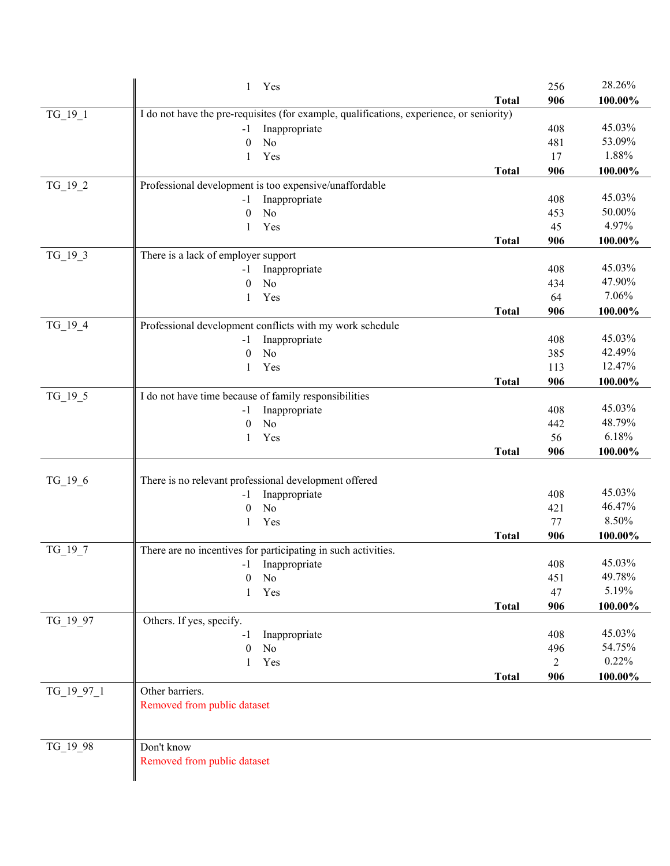|            | 1 Yes                                                                                    |              | 256       | 28.26%  |
|------------|------------------------------------------------------------------------------------------|--------------|-----------|---------|
|            |                                                                                          | <b>Total</b> | 906       | 100.00% |
| TG 19 1    | I do not have the pre-requisites (for example, qualifications, experience, or seniority) |              |           |         |
|            | Inappropriate<br>$-1$                                                                    |              | 408       | 45.03%  |
|            | No<br>$\theta$                                                                           |              | 481       | 53.09%  |
|            | Yes<br>1                                                                                 |              | 17        | 1.88%   |
|            |                                                                                          | <b>Total</b> | 906       | 100.00% |
| $TG_19_2$  | Professional development is too expensive/unaffordable                                   |              |           |         |
|            | Inappropriate<br>$-1$                                                                    |              | 408       | 45.03%  |
|            | $\boldsymbol{0}$<br>No                                                                   |              | 453       | 50.00%  |
|            | Yes<br>1                                                                                 |              | 45        | 4.97%   |
|            |                                                                                          | <b>Total</b> | 906       | 100.00% |
| $TG_19_3$  | There is a lack of employer support                                                      |              |           |         |
|            | Inappropriate<br>-1                                                                      |              | 408       | 45.03%  |
|            | N <sub>o</sub><br>$\theta$                                                               |              | 434       | 47.90%  |
|            | Yes<br>1                                                                                 |              | 64        | 7.06%   |
|            |                                                                                          | <b>Total</b> | 906       | 100.00% |
| $TG_19_4$  | Professional development conflicts with my work schedule                                 |              |           |         |
|            | Inappropriate<br>$-1$                                                                    |              | 408       | 45.03%  |
|            | No<br>$\theta$                                                                           |              | 385       | 42.49%  |
|            | Yes<br>1                                                                                 |              | 113       | 12.47%  |
|            |                                                                                          | <b>Total</b> | 906       | 100.00% |
| $TG_19_5$  | I do not have time because of family responsibilities                                    |              |           | 45.03%  |
|            | Inappropriate<br>$-1$<br>No                                                              |              | 408       | 48.79%  |
|            | $\mathbf{0}$<br>Yes<br>1                                                                 |              | 442<br>56 | 6.18%   |
|            |                                                                                          | <b>Total</b> | 906       | 100.00% |
|            |                                                                                          |              |           |         |
| $TG_19_6$  | There is no relevant professional development offered                                    |              |           |         |
|            | Inappropriate<br>$-1$                                                                    |              | 408       | 45.03%  |
|            | N <sub>o</sub><br>$\theta$                                                               |              | 421       | 46.47%  |
|            | Yes<br>1                                                                                 |              | 77        | 8.50%   |
|            |                                                                                          | <b>Total</b> | 906       | 100.00% |
| TG_19_7    | There are no incentives for participating in such activities.                            |              |           |         |
|            | -1 Inappropriate                                                                         |              | 408       | 45.03%  |
|            | 0<br>No                                                                                  |              | 451       | 49.78%  |
|            | Yes                                                                                      |              | 47        | 5.19%   |
|            |                                                                                          | <b>Total</b> | 906       | 100.00% |
| TG_19_97   | Others. If yes, specify.                                                                 |              |           |         |
|            | Inappropriate<br>-1                                                                      |              | 408       | 45.03%  |
|            | N <sub>o</sub><br>$\theta$                                                               |              | 496       | 54.75%  |
|            | Yes<br>1                                                                                 |              | 2         | 0.22%   |
|            |                                                                                          | <b>Total</b> | 906       | 100.00% |
| TG_19_97_1 | Other barriers.                                                                          |              |           |         |
|            | Removed from public dataset                                                              |              |           |         |
|            |                                                                                          |              |           |         |
|            |                                                                                          |              |           |         |
| TG_19_98   | Don't know                                                                               |              |           |         |
|            | Removed from public dataset                                                              |              |           |         |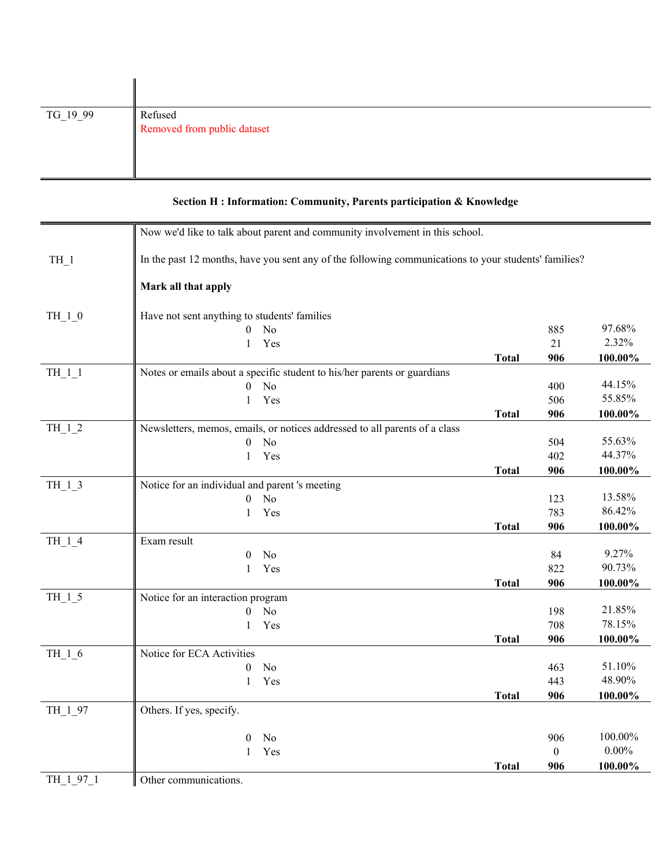| $TG_19_9$ | Refused<br>Removed from public dataset |
|-----------|----------------------------------------|

|           | Now we'd like to talk about parent and community involvement in this school.                         |              |                  |          |
|-----------|------------------------------------------------------------------------------------------------------|--------------|------------------|----------|
| $TH_1$    | In the past 12 months, have you sent any of the following communications to your students' families? |              |                  |          |
|           | Mark all that apply                                                                                  |              |                  |          |
| $TH_1_0$  | Have not sent anything to students' families                                                         |              |                  |          |
|           | $0$ No                                                                                               |              | 885              | 97.68%   |
|           | Yes<br>$\mathbf{1}$                                                                                  |              | 21               | 2.32%    |
|           |                                                                                                      | <b>Total</b> | 906              | 100.00%  |
| TH 1 1    | Notes or emails about a specific student to his/her parents or guardians                             |              |                  |          |
|           | $0$ No                                                                                               |              | 400              | 44.15%   |
|           | Yes<br>1                                                                                             |              | 506              | 55.85%   |
|           |                                                                                                      | <b>Total</b> | 906              | 100.00%  |
| $TH_1_2$  | Newsletters, memos, emails, or notices addressed to all parents of a class                           |              |                  |          |
|           | No<br>$\theta$                                                                                       |              | 504              | 55.63%   |
|           | Yes<br>$\mathbf{1}$                                                                                  |              | 402              | 44.37%   |
|           |                                                                                                      | <b>Total</b> | 906              | 100.00%  |
| $TH_1_3$  | Notice for an individual and parent 's meeting                                                       |              |                  |          |
|           | $\boldsymbol{0}$<br>N <sub>o</sub>                                                                   |              | 123              | 13.58%   |
|           | Yes<br>$\mathbf{1}$                                                                                  |              | 783              | 86.42%   |
|           |                                                                                                      | <b>Total</b> | 906              | 100.00%  |
| $TH_1_4$  | Exam result                                                                                          |              |                  |          |
|           | No<br>$\overline{0}$                                                                                 |              | 84               | 9.27%    |
|           | Yes<br>$\mathbf{1}$                                                                                  |              | 822              | 90.73%   |
|           |                                                                                                      | <b>Total</b> | 906              | 100.00%  |
| $TH_1_5$  | Notice for an interaction program                                                                    |              |                  |          |
|           | No<br>$\mathbf{0}$                                                                                   |              | 198              | 21.85%   |
|           | Yes<br>1                                                                                             |              | 708              | 78.15%   |
|           |                                                                                                      | <b>Total</b> | 906              | 100.00%  |
| TH $16$   | Notice for ECA Activities                                                                            |              |                  |          |
|           | No<br>$\mathbf{0}$                                                                                   |              | 463              | 51.10%   |
|           | 1<br>Yes                                                                                             |              | 443              | 48.90%   |
|           |                                                                                                      | <b>Total</b> | 906              | 100.00%  |
| TH_1_97   | Others. If yes, specify.                                                                             |              |                  |          |
|           | N <sub>o</sub><br>$\mathbf{0}$                                                                       |              | 906              | 100.00%  |
|           | Yes<br>1                                                                                             |              | $\boldsymbol{0}$ | $0.00\%$ |
|           |                                                                                                      | <b>Total</b> | 906              | 100.00%  |
| TH 1 97 1 | Other communications.                                                                                |              |                  |          |

## **Section H : Information: Community, Parents participation & Knowledge**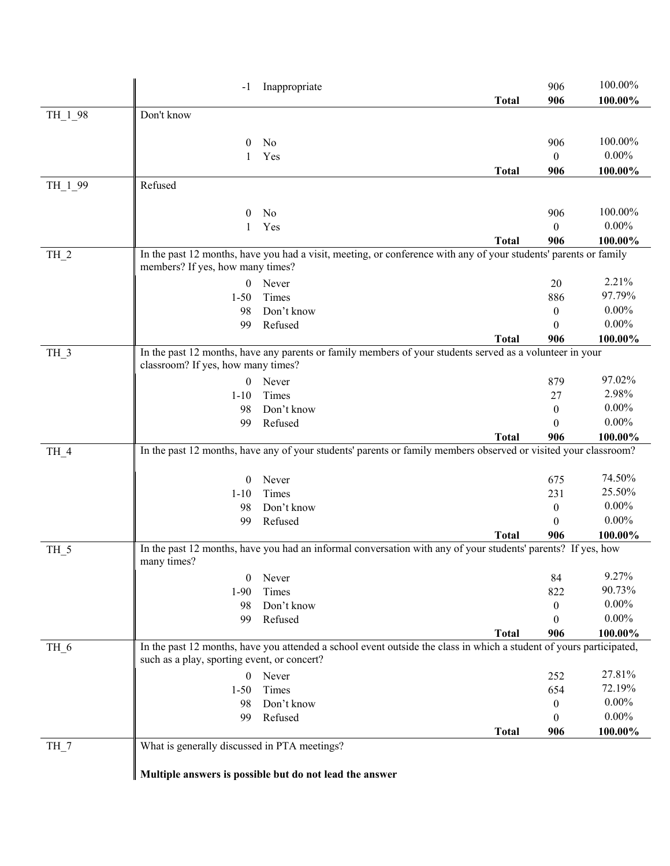|                 | -1                                           | Inappropriate                                                                                                       |              | 906                     | 100.00%    |
|-----------------|----------------------------------------------|---------------------------------------------------------------------------------------------------------------------|--------------|-------------------------|------------|
|                 |                                              |                                                                                                                     | <b>Total</b> | 906                     | $100.00\%$ |
| TH_1_98         | Don't know                                   |                                                                                                                     |              |                         |            |
|                 |                                              |                                                                                                                     |              |                         |            |
|                 | 0                                            | No                                                                                                                  |              | 906                     | 100.00%    |
|                 | 1                                            | Yes                                                                                                                 |              | $\mathbf{0}$            | $0.00\%$   |
|                 |                                              |                                                                                                                     | <b>Total</b> | 906                     | 100.00%    |
| TH_1_99         | Refused                                      |                                                                                                                     |              |                         |            |
|                 |                                              |                                                                                                                     |              |                         | 100.00%    |
|                 | $\bf{0}$                                     | No                                                                                                                  |              | 906                     | $0.00\%$   |
|                 |                                              | Yes                                                                                                                 | <b>Total</b> | $\boldsymbol{0}$<br>906 | 100.00%    |
| $TH_2$          |                                              | In the past 12 months, have you had a visit, meeting, or conference with any of your students' parents or family    |              |                         |            |
|                 | members? If yes, how many times?             |                                                                                                                     |              |                         |            |
|                 | $\boldsymbol{0}$                             | Never                                                                                                               |              | 20                      | 2.21%      |
|                 | $1 - 50$                                     | Times                                                                                                               |              | 886                     | 97.79%     |
|                 | 98                                           | Don't know                                                                                                          |              | $\mathbf{0}$            | $0.00\%$   |
|                 | 99                                           | Refused                                                                                                             |              | $\theta$                | $0.00\%$   |
|                 |                                              |                                                                                                                     | <b>Total</b> | 906                     | 100.00%    |
| TH_3            |                                              | In the past 12 months, have any parents or family members of your students served as a volunteer in your            |              |                         |            |
|                 | classroom? If yes, how many times?           |                                                                                                                     |              |                         |            |
|                 | $\boldsymbol{0}$                             | Never                                                                                                               |              | 879                     | 97.02%     |
|                 | $1 - 10$                                     | Times                                                                                                               |              | 27                      | 2.98%      |
|                 | 98                                           | Don't know                                                                                                          |              | $\mathbf{0}$            | $0.00\%$   |
|                 | 99                                           | Refused                                                                                                             |              | $\theta$                | $0.00\%$   |
|                 |                                              | In the past 12 months, have any of your students' parents or family members observed or visited your classroom?     | <b>Total</b> | 906                     | 100.00%    |
| TH_4            |                                              |                                                                                                                     |              |                         |            |
|                 | $\overline{0}$                               | Never                                                                                                               |              | 675                     | 74.50%     |
|                 | $1 - 10$                                     | Times                                                                                                               |              | 231                     | 25.50%     |
|                 | 98                                           | Don't know                                                                                                          |              | $\boldsymbol{0}$        | $0.00\%$   |
|                 | 99                                           | Refused                                                                                                             |              | $\theta$                | $0.00\%$   |
|                 |                                              |                                                                                                                     | <b>Total</b> | 906                     | 100.00%    |
| TH_5            |                                              | In the past 12 months, have you had an informal conversation with any of your students' parents? If yes, how        |              |                         |            |
|                 | many times?                                  |                                                                                                                     |              |                         |            |
|                 | $\boldsymbol{0}$                             | Never                                                                                                               |              | 84                      | 9.27%      |
|                 |                                              |                                                                                                                     |              |                         | 90.73%     |
|                 | $1-90$                                       | Times                                                                                                               |              | 822                     |            |
|                 | 98                                           | Don't know                                                                                                          |              | $\overline{0}$          | $0.00\%$   |
|                 | 99                                           | Refused                                                                                                             |              | $\theta$                | $0.00\%$   |
|                 |                                              |                                                                                                                     | <b>Total</b> | 906                     | 100.00%    |
| TH <sub>6</sub> | such as a play, sporting event, or concert?  | In the past 12 months, have you attended a school event outside the class in which a student of yours participated, |              |                         |            |
|                 | $\boldsymbol{0}$                             | Never                                                                                                               |              | 252                     | 27.81%     |
|                 | $1 - 50$                                     | Times                                                                                                               |              | 654                     | 72.19%     |
|                 | 98                                           | Don't know                                                                                                          |              | $\boldsymbol{0}$        | $0.00\%$   |
|                 | 99                                           | Refused                                                                                                             |              | $\theta$                | $0.00\%$   |
|                 |                                              |                                                                                                                     | <b>Total</b> | 906                     | 100.00%    |
| $TH_7$          | What is generally discussed in PTA meetings? |                                                                                                                     |              |                         |            |
|                 |                                              | Multiple answers is possible but do not lead the answer                                                             |              |                         |            |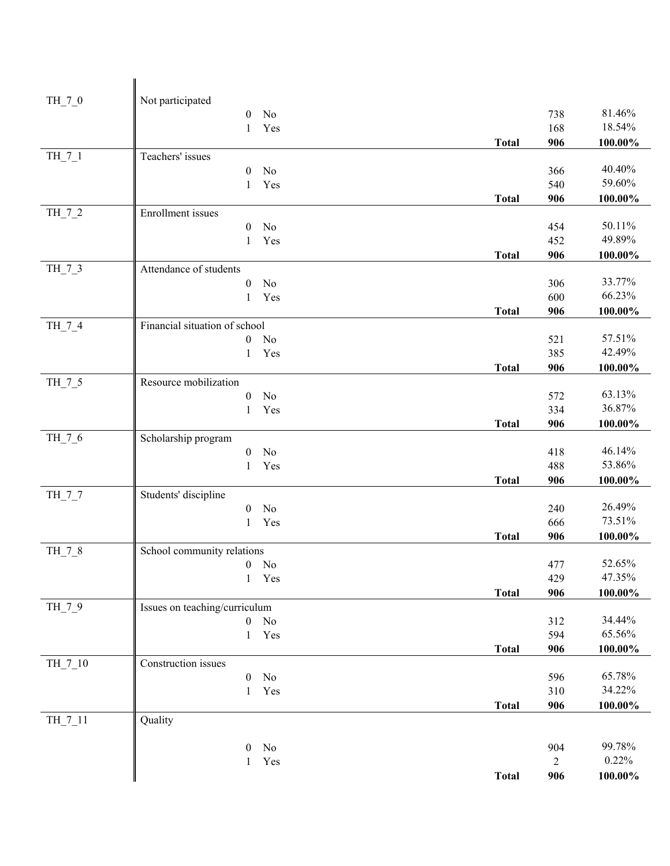| $TH_7_0$ | Not participated                              |              |                |                  |
|----------|-----------------------------------------------|--------------|----------------|------------------|
|          | $\mathbf{0}$<br>No                            |              | 738            | 81.46%           |
|          | Yes<br>$\mathbf{1}$                           |              | 168            | 18.54%           |
|          |                                               | <b>Total</b> | 906            | 100.00%          |
| $TH_7_1$ | Teachers' issues                              |              |                |                  |
|          | No<br>$\theta$                                |              | 366            | 40.40%<br>59.60% |
|          | Yes<br>1                                      | <b>Total</b> | 540<br>906     | 100.00%          |
| TH_7_2   | Enrollment issues                             |              |                |                  |
|          | No<br>$\mathbf{0}$                            |              | 454            | 50.11%           |
|          | Yes<br>$\mathbf{1}$                           |              | 452            | 49.89%           |
|          |                                               | <b>Total</b> | 906            | 100.00%          |
| $TH_7_3$ | Attendance of students                        |              |                |                  |
|          | No<br>$\boldsymbol{0}$                        |              | 306            | 33.77%           |
|          | Yes<br>$\mathbf{1}$                           |              | 600            | 66.23%           |
|          |                                               | <b>Total</b> | 906            | 100.00%          |
| TH_7_4   | Financial situation of school                 |              |                |                  |
|          | No<br>$\boldsymbol{0}$                        |              | 521            | 57.51%<br>42.49% |
|          | Yes<br>1                                      |              | 385            |                  |
|          | Resource mobilization                         | <b>Total</b> | 906            | 100.00%          |
| $TH_7_5$ | $\boldsymbol{0}$<br>No                        |              | 572            | 63.13%           |
|          | Yes<br>$\mathbf{1}$                           |              | 334            | 36.87%           |
|          |                                               | <b>Total</b> | 906            | $100.00\%$       |
| TH_7_6   | Scholarship program                           |              |                |                  |
|          | No<br>$\boldsymbol{0}$                        |              | 418            | 46.14%           |
|          | Yes<br>1                                      |              | 488            | 53.86%           |
|          |                                               | <b>Total</b> | 906            | 100.00%          |
| TH_7_7   | Students' discipline                          |              |                |                  |
|          | No<br>$\boldsymbol{0}$                        |              | 240            | 26.49%           |
|          | Yes<br>$\mathbf{1}$                           |              | 666            | 73.51%           |
|          |                                               | <b>Total</b> | 906            | 100.00%          |
| TH_7_8   | School community relations                    |              | 477            | 52.65%           |
|          | $\boldsymbol{0}$<br>No<br>$\mathbf{1}$<br>Yes |              | 429            | 47.35%           |
|          |                                               | <b>Total</b> | 906            | $100.00\%$       |
| TH_7_9   | Issues on teaching/curriculum                 |              |                |                  |
|          | $\rm No$<br>$\boldsymbol{0}$                  |              | 312            | 34.44%           |
|          | Yes<br>$\mathbf{1}$                           |              | 594            | 65.56%           |
|          |                                               | <b>Total</b> | 906            | $100.00\%$       |
| TH_7_10  | Construction issues                           |              |                |                  |
|          | No<br>$\boldsymbol{0}$                        |              | 596            | 65.78%           |
|          | Yes<br>1                                      |              | 310            | 34.22%           |
|          |                                               | <b>Total</b> | 906            | $100.00\%$       |
| TH_7_11  | Quality                                       |              |                |                  |
|          | $\boldsymbol{0}$<br>No                        |              | 904            | 99.78%           |
|          | Yes<br>$\mathbf{1}$                           |              | $\overline{c}$ | 0.22%            |
|          |                                               | <b>Total</b> | 906            | $100.00\%$       |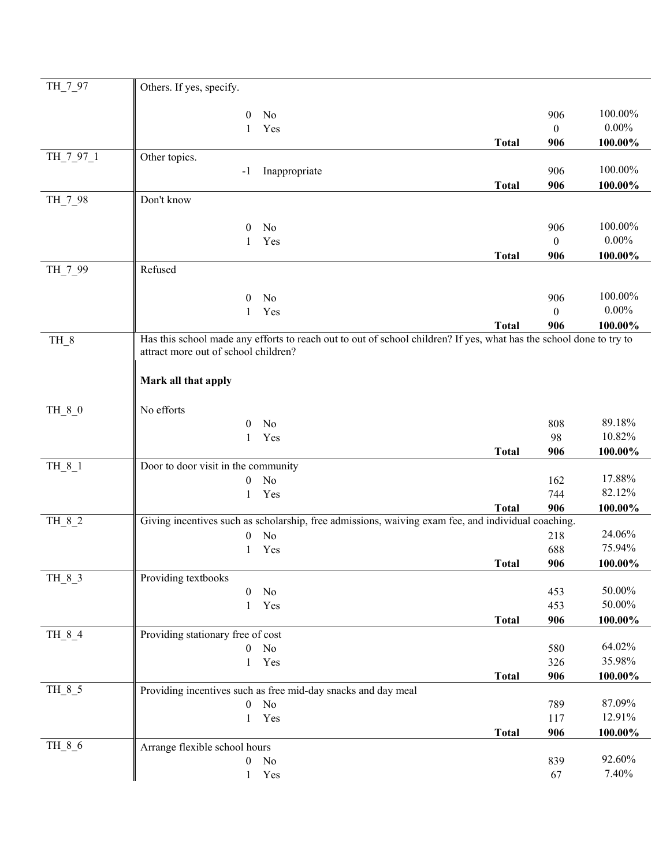| TH_7_97   | Others. If yes, specify.                                                                                            |              |                  |            |
|-----------|---------------------------------------------------------------------------------------------------------------------|--------------|------------------|------------|
|           |                                                                                                                     |              |                  |            |
|           | No<br>$\overline{0}$                                                                                                |              | 906              | 100.00%    |
|           | Yes<br>1                                                                                                            |              | $\mathbf{0}$     | $0.00\%$   |
|           |                                                                                                                     | <b>Total</b> | 906              | 100.00%    |
| TH_7_97_1 | Other topics.                                                                                                       |              |                  | 100.00%    |
|           | Inappropriate<br>$-1$                                                                                               |              | 906              |            |
|           | Don't know                                                                                                          | <b>Total</b> | 906              | 100.00%    |
| TH_7_98   |                                                                                                                     |              |                  |            |
|           | No<br>$\theta$                                                                                                      |              | 906              | 100.00%    |
|           | Yes<br>1                                                                                                            |              | $\boldsymbol{0}$ | $0.00\%$   |
|           |                                                                                                                     | <b>Total</b> | 906              | 100.00%    |
| TH_7_99   | Refused                                                                                                             |              |                  |            |
|           |                                                                                                                     |              |                  |            |
|           | No<br>$\theta$                                                                                                      |              | 906              | 100.00%    |
|           | Yes<br>$\mathbf{1}$                                                                                                 |              | $\theta$         | $0.00\%$   |
|           |                                                                                                                     | <b>Total</b> | 906              | 100.00%    |
| TH_8      | Has this school made any efforts to reach out to out of school children? If yes, what has the school done to try to |              |                  |            |
|           | attract more out of school children?                                                                                |              |                  |            |
|           |                                                                                                                     |              |                  |            |
|           | Mark all that apply                                                                                                 |              |                  |            |
| TH_8_0    | No efforts                                                                                                          |              |                  |            |
|           | No<br>$\theta$                                                                                                      |              | 808              | 89.18%     |
|           | Yes<br>1                                                                                                            |              | 98               | 10.82%     |
|           |                                                                                                                     | <b>Total</b> | 906              | 100.00%    |
| $TH_8_1$  | Door to door visit in the community                                                                                 |              |                  |            |
|           | No<br>$\overline{0}$                                                                                                |              | 162              | 17.88%     |
|           | Yes<br>1                                                                                                            |              | 744              | 82.12%     |
|           |                                                                                                                     | <b>Total</b> | 906              | 100.00%    |
| TH_8_2    | Giving incentives such as scholarship, free admissions, waiving exam fee, and individual coaching.                  |              |                  |            |
|           | No<br>$\boldsymbol{0}$                                                                                              |              | 218              | 24.06%     |
|           | Yes                                                                                                                 |              | 688              | 75.94%     |
|           |                                                                                                                     | <b>Total</b> | 906              | 100.00%    |
| TH_8_3    | Providing textbooks                                                                                                 |              |                  |            |
|           | $\mathbf{0}$<br>No                                                                                                  |              | 453              | 50.00%     |
|           | Yes<br>1                                                                                                            |              | 453              | 50.00%     |
|           |                                                                                                                     | Total        | 906              | $100.00\%$ |
| $TH_8_4$  | Providing stationary free of cost                                                                                   |              |                  | 64.02%     |
|           | No<br>$\mathbf{0}$                                                                                                  |              | 580              | 35.98%     |
|           | Yes<br>1                                                                                                            |              | 326<br>906       |            |
| TH_8_5    | Providing incentives such as free mid-day snacks and day meal                                                       | <b>Total</b> |                  | 100.00%    |
|           | $\boldsymbol{0}$<br>No                                                                                              |              | 789              | 87.09%     |
|           | Yes<br>1                                                                                                            |              | 117              | 12.91%     |
|           |                                                                                                                     | <b>Total</b> | 906              | 100.00%    |
| TH_8_6    | Arrange flexible school hours                                                                                       |              |                  |            |
|           | No<br>$\boldsymbol{0}$                                                                                              |              | 839              | 92.60%     |
|           | Yes<br>$\mathbf{1}$                                                                                                 |              | 67               | 7.40%      |
|           |                                                                                                                     |              |                  |            |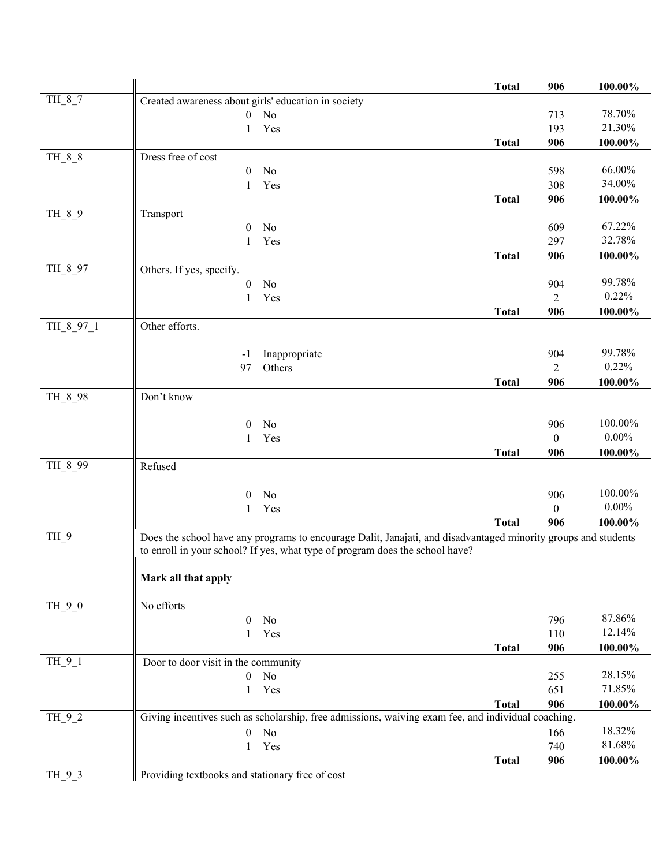|           |                                                                                                                | <b>Total</b> | 906            | 100.00%    |
|-----------|----------------------------------------------------------------------------------------------------------------|--------------|----------------|------------|
| $TH_8_7$  | Created awareness about girls' education in society                                                            |              |                |            |
|           | $0$ No                                                                                                         |              | 713            | 78.70%     |
|           | Yes<br>1                                                                                                       |              | 193            | 21.30%     |
|           |                                                                                                                | <b>Total</b> | 906            | 100.00%    |
| TH_8_8    | Dress free of cost                                                                                             |              |                |            |
|           | $\mathbf{0}$<br>No                                                                                             |              | 598            | 66.00%     |
|           | Yes<br>1                                                                                                       |              | 308            | 34.00%     |
|           |                                                                                                                | <b>Total</b> | 906            | 100.00%    |
| TH_8_9    | Transport                                                                                                      |              |                |            |
|           | No<br>$\theta$                                                                                                 |              | 609            | 67.22%     |
|           | Yes<br>1                                                                                                       |              | 297            | 32.78%     |
|           |                                                                                                                | <b>Total</b> | 906            | 100.00%    |
| TH 8 97   | Others. If yes, specify.                                                                                       |              |                |            |
|           | No<br>0                                                                                                        |              | 904            | 99.78%     |
|           | Yes<br>1                                                                                                       |              | $\overline{2}$ | 0.22%      |
|           |                                                                                                                | <b>Total</b> | 906            | 100.00%    |
| TH 8 97 1 | Other efforts.                                                                                                 |              |                |            |
|           |                                                                                                                |              | 904            | 99.78%     |
|           | Inappropriate<br>-1<br>Others<br>97                                                                            |              | $\overline{2}$ | 0.22%      |
|           |                                                                                                                | <b>Total</b> | 906            | 100.00%    |
| TH_8_98   | Don't know                                                                                                     |              |                |            |
|           |                                                                                                                |              |                |            |
|           | $\theta$<br>No                                                                                                 |              | 906            | 100.00%    |
|           | Yes<br>1                                                                                                       |              | $\theta$       | $0.00\%$   |
|           |                                                                                                                | <b>Total</b> | 906            | 100.00%    |
| TH 8 99   | Refused                                                                                                        |              |                |            |
|           |                                                                                                                |              |                |            |
|           | No<br>$\mathbf{0}$                                                                                             |              | 906            | 100.00%    |
|           | Yes<br>1                                                                                                       |              | $\mathbf{0}$   | $0.00\%$   |
|           |                                                                                                                | <b>Total</b> | 906            | 100.00%    |
| TH_9      | Does the school have any programs to encourage Dalit, Janajati, and disadvantaged minority groups and students |              |                |            |
|           | to enroll in your school? If yes, what type of program does the school have?                                   |              |                |            |
|           |                                                                                                                |              |                |            |
|           | Mark all that apply                                                                                            |              |                |            |
|           |                                                                                                                |              |                |            |
| $TH_9_0$  | No efforts<br>No<br>$\overline{0}$                                                                             |              | 796            | 87.86%     |
|           | Yes<br>1                                                                                                       |              | 110            | 12.14%     |
|           |                                                                                                                | <b>Total</b> | 906            | $100.00\%$ |
| TH_9_1    | Door to door visit in the community                                                                            |              |                |            |
|           | No<br>$\mathbf{0}$                                                                                             |              | 255            | 28.15%     |
|           | Yes<br>1                                                                                                       |              | 651            | 71.85%     |
|           |                                                                                                                | <b>Total</b> | 906            | $100.00\%$ |
| $TH_9_2$  | Giving incentives such as scholarship, free admissions, waiving exam fee, and individual coaching.             |              |                |            |
|           | No<br>$\overline{0}$                                                                                           |              | 166            | 18.32%     |
|           | Yes<br>1                                                                                                       |              | 740            | 81.68%     |
|           |                                                                                                                | <b>Total</b> | 906            | $100.00\%$ |
| $TH_9_3$  | Providing textbooks and stationary free of cost                                                                |              |                |            |
|           |                                                                                                                |              |                |            |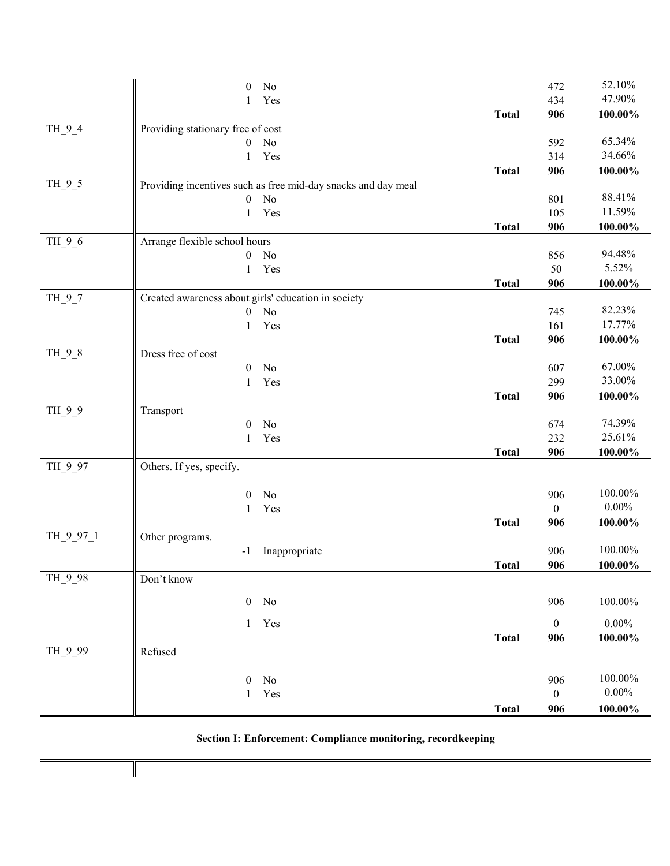| No<br>472<br>47.90%<br>Yes<br>434<br>1<br>906<br><b>Total</b><br>100.00%<br>Providing stationary free of cost<br>$TH_9_4$<br>65.34%<br>No<br>592<br>$\boldsymbol{0}$<br>34.66%<br>Yes<br>314<br>1<br>906<br>100.00%<br><b>Total</b><br>$TH_9_5$<br>Providing incentives such as free mid-day snacks and day meal<br>88.41%<br>No<br>801<br>$\boldsymbol{0}$<br>11.59%<br>Yes<br>105<br>$\mathbf{1}$<br>906<br>100.00%<br><b>Total</b><br>Arrange flexible school hours<br>TH_9_6<br>94.48%<br>No<br>856<br>$\boldsymbol{0}$<br>5.52%<br>50<br>Yes<br>1<br>906<br>100.00%<br><b>Total</b><br>Created awareness about girls' education in society<br>$TH_9_7$<br>82.23%<br>No<br>$\boldsymbol{0}$<br>745<br>17.77%<br>Yes<br>161<br>1<br><b>Total</b><br>906<br>100.00%<br>$TH_9_8$<br>Dress free of cost |
|---------------------------------------------------------------------------------------------------------------------------------------------------------------------------------------------------------------------------------------------------------------------------------------------------------------------------------------------------------------------------------------------------------------------------------------------------------------------------------------------------------------------------------------------------------------------------------------------------------------------------------------------------------------------------------------------------------------------------------------------------------------------------------------------------------|
|                                                                                                                                                                                                                                                                                                                                                                                                                                                                                                                                                                                                                                                                                                                                                                                                         |
|                                                                                                                                                                                                                                                                                                                                                                                                                                                                                                                                                                                                                                                                                                                                                                                                         |
|                                                                                                                                                                                                                                                                                                                                                                                                                                                                                                                                                                                                                                                                                                                                                                                                         |
|                                                                                                                                                                                                                                                                                                                                                                                                                                                                                                                                                                                                                                                                                                                                                                                                         |
|                                                                                                                                                                                                                                                                                                                                                                                                                                                                                                                                                                                                                                                                                                                                                                                                         |
|                                                                                                                                                                                                                                                                                                                                                                                                                                                                                                                                                                                                                                                                                                                                                                                                         |
|                                                                                                                                                                                                                                                                                                                                                                                                                                                                                                                                                                                                                                                                                                                                                                                                         |
|                                                                                                                                                                                                                                                                                                                                                                                                                                                                                                                                                                                                                                                                                                                                                                                                         |
|                                                                                                                                                                                                                                                                                                                                                                                                                                                                                                                                                                                                                                                                                                                                                                                                         |
|                                                                                                                                                                                                                                                                                                                                                                                                                                                                                                                                                                                                                                                                                                                                                                                                         |
|                                                                                                                                                                                                                                                                                                                                                                                                                                                                                                                                                                                                                                                                                                                                                                                                         |
|                                                                                                                                                                                                                                                                                                                                                                                                                                                                                                                                                                                                                                                                                                                                                                                                         |
|                                                                                                                                                                                                                                                                                                                                                                                                                                                                                                                                                                                                                                                                                                                                                                                                         |
|                                                                                                                                                                                                                                                                                                                                                                                                                                                                                                                                                                                                                                                                                                                                                                                                         |
|                                                                                                                                                                                                                                                                                                                                                                                                                                                                                                                                                                                                                                                                                                                                                                                                         |
|                                                                                                                                                                                                                                                                                                                                                                                                                                                                                                                                                                                                                                                                                                                                                                                                         |
|                                                                                                                                                                                                                                                                                                                                                                                                                                                                                                                                                                                                                                                                                                                                                                                                         |
|                                                                                                                                                                                                                                                                                                                                                                                                                                                                                                                                                                                                                                                                                                                                                                                                         |
| 67.00%<br>607<br>No<br>$\mathbf{0}$                                                                                                                                                                                                                                                                                                                                                                                                                                                                                                                                                                                                                                                                                                                                                                     |
| 33.00%<br>299<br>Yes<br>1                                                                                                                                                                                                                                                                                                                                                                                                                                                                                                                                                                                                                                                                                                                                                                               |
| <b>Total</b><br>906<br>100.00%                                                                                                                                                                                                                                                                                                                                                                                                                                                                                                                                                                                                                                                                                                                                                                          |
| TH_9_9<br>Transport                                                                                                                                                                                                                                                                                                                                                                                                                                                                                                                                                                                                                                                                                                                                                                                     |
| 74.39%<br>No<br>$\theta$<br>674                                                                                                                                                                                                                                                                                                                                                                                                                                                                                                                                                                                                                                                                                                                                                                         |
| 25.61%<br>Yes<br>232<br>1                                                                                                                                                                                                                                                                                                                                                                                                                                                                                                                                                                                                                                                                                                                                                                               |
| <b>Total</b><br>906<br>100.00%                                                                                                                                                                                                                                                                                                                                                                                                                                                                                                                                                                                                                                                                                                                                                                          |
| TH 9 97<br>Others. If yes, specify.                                                                                                                                                                                                                                                                                                                                                                                                                                                                                                                                                                                                                                                                                                                                                                     |
|                                                                                                                                                                                                                                                                                                                                                                                                                                                                                                                                                                                                                                                                                                                                                                                                         |
| 100.00%<br>906<br>$\mathbf{0}$<br>No                                                                                                                                                                                                                                                                                                                                                                                                                                                                                                                                                                                                                                                                                                                                                                    |
| $0.00\%$<br>Yes<br>$\boldsymbol{0}$<br>1                                                                                                                                                                                                                                                                                                                                                                                                                                                                                                                                                                                                                                                                                                                                                                |
| <b>Total</b><br>906<br>100.00%                                                                                                                                                                                                                                                                                                                                                                                                                                                                                                                                                                                                                                                                                                                                                                          |
| TH_9_97_1<br>Other programs.<br>100.00%                                                                                                                                                                                                                                                                                                                                                                                                                                                                                                                                                                                                                                                                                                                                                                 |
| 906<br>Inappropriate<br>$-1$                                                                                                                                                                                                                                                                                                                                                                                                                                                                                                                                                                                                                                                                                                                                                                            |
| <b>Total</b><br>906<br>100.00%<br>TH 9 98<br>Don't know                                                                                                                                                                                                                                                                                                                                                                                                                                                                                                                                                                                                                                                                                                                                                 |
|                                                                                                                                                                                                                                                                                                                                                                                                                                                                                                                                                                                                                                                                                                                                                                                                         |
| $\boldsymbol{0}$<br>No<br>906<br>100.00%                                                                                                                                                                                                                                                                                                                                                                                                                                                                                                                                                                                                                                                                                                                                                                |
| $0.00\%$                                                                                                                                                                                                                                                                                                                                                                                                                                                                                                                                                                                                                                                                                                                                                                                                |
| Yes<br>$\boldsymbol{0}$<br>$\mathbf{1}$<br>$100.00\%$<br><b>Total</b><br>906                                                                                                                                                                                                                                                                                                                                                                                                                                                                                                                                                                                                                                                                                                                            |
| TH 9 99<br>Refused                                                                                                                                                                                                                                                                                                                                                                                                                                                                                                                                                                                                                                                                                                                                                                                      |
|                                                                                                                                                                                                                                                                                                                                                                                                                                                                                                                                                                                                                                                                                                                                                                                                         |
| 100.00%<br>906<br>$\mathbf{0}$<br>No                                                                                                                                                                                                                                                                                                                                                                                                                                                                                                                                                                                                                                                                                                                                                                    |
| $0.00\%$<br>Yes<br>$\boldsymbol{0}$<br>1                                                                                                                                                                                                                                                                                                                                                                                                                                                                                                                                                                                                                                                                                                                                                                |
| <b>Total</b><br>906<br>100.00%                                                                                                                                                                                                                                                                                                                                                                                                                                                                                                                                                                                                                                                                                                                                                                          |

**Section I: Enforcement: Compliance monitoring, recordkeeping** 

 $\mathbf{l}$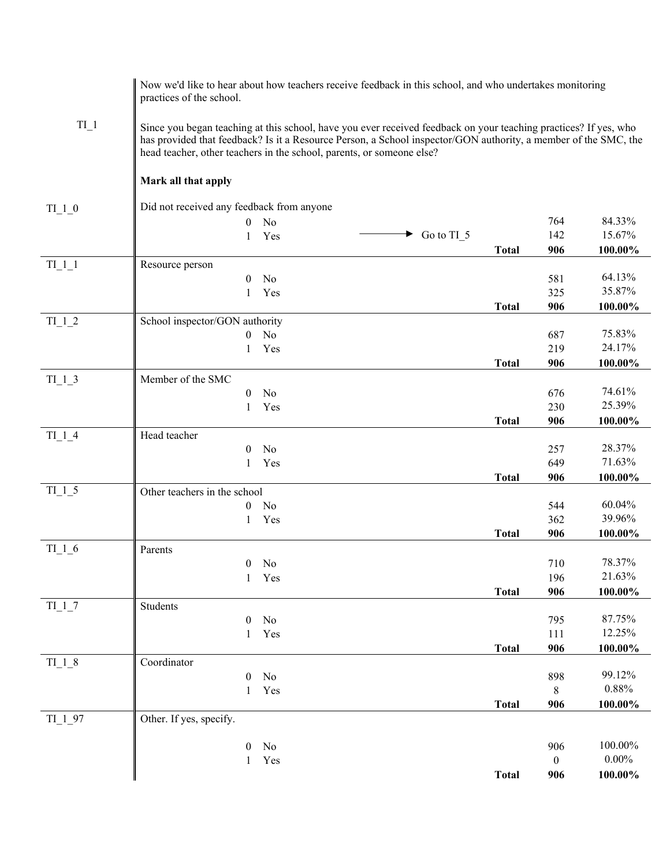|                                    | practices of the school.                                                                                                                                                                                                                                                                                     | Now we'd like to hear about how teachers receive feedback in this school, and who undertakes monitoring |                      |              |              |          |
|------------------------------------|--------------------------------------------------------------------------------------------------------------------------------------------------------------------------------------------------------------------------------------------------------------------------------------------------------------|---------------------------------------------------------------------------------------------------------|----------------------|--------------|--------------|----------|
| $TI_1$                             | Since you began teaching at this school, have you ever received feedback on your teaching practices? If yes, who<br>has provided that feedback? Is it a Resource Person, a School inspector/GON authority, a member of the SMC, the<br>head teacher, other teachers in the school, parents, or someone else? |                                                                                                         |                      |              |              |          |
|                                    | Mark all that apply                                                                                                                                                                                                                                                                                          |                                                                                                         |                      |              |              |          |
| $TI_1_0$                           | Did not received any feedback from anyone                                                                                                                                                                                                                                                                    |                                                                                                         |                      |              |              |          |
|                                    | $\overline{0}$                                                                                                                                                                                                                                                                                               | N <sub>o</sub>                                                                                          |                      |              | 764          | 84.33%   |
|                                    | $\mathbf{1}$                                                                                                                                                                                                                                                                                                 | Yes                                                                                                     | $\bullet$ Go to TI_5 |              | 142          | 15.67%   |
|                                    |                                                                                                                                                                                                                                                                                                              |                                                                                                         |                      | <b>Total</b> | 906          | 100.00%  |
| $TI_1_1$                           | Resource person                                                                                                                                                                                                                                                                                              |                                                                                                         |                      |              |              |          |
|                                    | $\boldsymbol{0}$                                                                                                                                                                                                                                                                                             | No                                                                                                      |                      |              | 581          | 64.13%   |
|                                    | 1                                                                                                                                                                                                                                                                                                            | Yes                                                                                                     |                      |              | 325          | 35.87%   |
| $TI$ $1$ $2$                       | School inspector/GON authority                                                                                                                                                                                                                                                                               |                                                                                                         |                      | <b>Total</b> | 906          | 100.00%  |
|                                    | $\overline{0}$                                                                                                                                                                                                                                                                                               | No                                                                                                      |                      |              | 687          | 75.83%   |
|                                    | 1                                                                                                                                                                                                                                                                                                            | Yes                                                                                                     |                      |              | 219          | 24.17%   |
|                                    |                                                                                                                                                                                                                                                                                                              |                                                                                                         |                      | <b>Total</b> | 906          | 100.00%  |
| $TI$ <sup>1</sup> $-3$             | Member of the SMC                                                                                                                                                                                                                                                                                            |                                                                                                         |                      |              |              |          |
|                                    | $\mathbf{0}$                                                                                                                                                                                                                                                                                                 | No                                                                                                      |                      |              | 676          | 74.61%   |
|                                    | 1                                                                                                                                                                                                                                                                                                            | Yes                                                                                                     |                      |              | 230          | 25.39%   |
|                                    |                                                                                                                                                                                                                                                                                                              |                                                                                                         |                      | <b>Total</b> | 906          | 100.00%  |
| $TI$ <sup>1</sup> $-4$             | Head teacher                                                                                                                                                                                                                                                                                                 |                                                                                                         |                      |              |              |          |
|                                    | $\mathbf{0}$                                                                                                                                                                                                                                                                                                 | No                                                                                                      |                      |              | 257          | 28.37%   |
|                                    | 1                                                                                                                                                                                                                                                                                                            | Yes                                                                                                     |                      |              | 649          | 71.63%   |
| $TI$ <sup><math>1</math></sup> $5$ | Other teachers in the school                                                                                                                                                                                                                                                                                 |                                                                                                         |                      | <b>Total</b> | 906          | 100.00%  |
|                                    | $\theta$                                                                                                                                                                                                                                                                                                     | No                                                                                                      |                      |              | 544          | 60.04%   |
|                                    | $\mathbf{1}$                                                                                                                                                                                                                                                                                                 | Yes                                                                                                     |                      |              | 362          | 39.96%   |
|                                    |                                                                                                                                                                                                                                                                                                              |                                                                                                         |                      | <b>Total</b> | 906          | 100.00%  |
| $TI_1_6$                           | Parents                                                                                                                                                                                                                                                                                                      |                                                                                                         |                      |              |              |          |
|                                    |                                                                                                                                                                                                                                                                                                              | $0$ No                                                                                                  |                      |              | 710          | 78.37%   |
|                                    |                                                                                                                                                                                                                                                                                                              | 1 Yes                                                                                                   |                      |              | 196          | 21.63%   |
|                                    |                                                                                                                                                                                                                                                                                                              |                                                                                                         |                      | <b>Total</b> | 906          | 100.00%  |
| $TI$ $1$ $7$                       | Students                                                                                                                                                                                                                                                                                                     |                                                                                                         |                      |              |              |          |
|                                    | $\boldsymbol{0}$                                                                                                                                                                                                                                                                                             | No                                                                                                      |                      |              | 795          | 87.75%   |
|                                    | 1                                                                                                                                                                                                                                                                                                            | Yes                                                                                                     |                      |              | 111          | 12.25%   |
| $TI$ <sup><math>1</math></sup> $8$ | Coordinator                                                                                                                                                                                                                                                                                                  |                                                                                                         |                      | <b>Total</b> | 906          | 100.00%  |
|                                    | $\boldsymbol{0}$                                                                                                                                                                                                                                                                                             | No                                                                                                      |                      |              | 898          | 99.12%   |
|                                    | $\mathbf{1}$                                                                                                                                                                                                                                                                                                 | Yes                                                                                                     |                      |              | 8            | $0.88\%$ |
|                                    |                                                                                                                                                                                                                                                                                                              |                                                                                                         |                      | <b>Total</b> | 906          | 100.00%  |
| $TI$ <sup>-1</sup> -97             | Other. If yes, specify.                                                                                                                                                                                                                                                                                      |                                                                                                         |                      |              |              |          |
|                                    | $\boldsymbol{0}$                                                                                                                                                                                                                                                                                             | No                                                                                                      |                      |              | 906          | 100.00%  |
|                                    | $\mathbf{1}$                                                                                                                                                                                                                                                                                                 | Yes                                                                                                     |                      |              | $\mathbf{0}$ | $0.00\%$ |
|                                    |                                                                                                                                                                                                                                                                                                              |                                                                                                         |                      | <b>Total</b> | 906          | 100.00%  |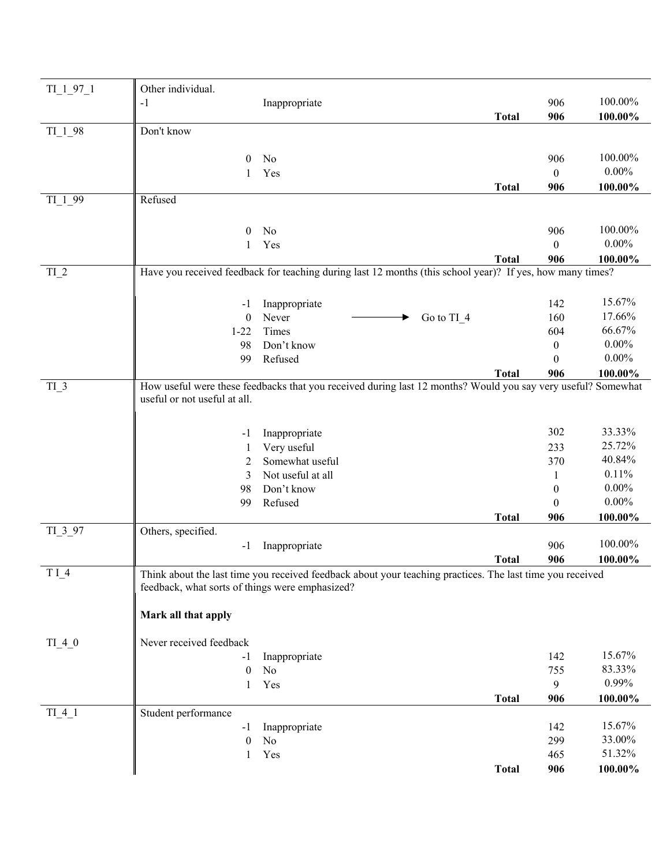| $TI_1_97_1$       | Other individual.                               |                                                                                                              |              |                  |          |
|-------------------|-------------------------------------------------|--------------------------------------------------------------------------------------------------------------|--------------|------------------|----------|
|                   | $-1$                                            | Inappropriate                                                                                                |              | 906              | 100.00%  |
|                   |                                                 |                                                                                                              | <b>Total</b> | 906              | 100.00%  |
| $TI_198$          | Don't know                                      |                                                                                                              |              |                  |          |
|                   |                                                 |                                                                                                              |              |                  |          |
|                   | $\bf{0}$                                        | No                                                                                                           |              | 906              | 100.00%  |
|                   | 1                                               | Yes                                                                                                          |              | $\boldsymbol{0}$ | $0.00\%$ |
| TI <sub>199</sub> | Refused                                         |                                                                                                              | <b>Total</b> | 906              | 100.00%  |
|                   |                                                 |                                                                                                              |              |                  |          |
|                   | $\theta$                                        | No                                                                                                           |              | 906              | 100.00%  |
|                   | 1                                               | Yes                                                                                                          |              | $\theta$         | $0.00\%$ |
|                   |                                                 |                                                                                                              | <b>Total</b> | 906              | 100.00%  |
| $TI_2$            |                                                 | Have you received feedback for teaching during last 12 months (this school year)? If yes, how many times?    |              |                  |          |
|                   |                                                 |                                                                                                              |              |                  |          |
|                   | $-1$                                            | Inappropriate                                                                                                |              | 142              | 15.67%   |
|                   | $\boldsymbol{0}$                                | Never<br>Go to TI_4                                                                                          |              | 160              | 17.66%   |
|                   | $1 - 22$                                        | Times                                                                                                        |              | 604              | 66.67%   |
|                   | 98                                              | Don't know                                                                                                   |              | $\boldsymbol{0}$ | $0.00\%$ |
|                   | 99                                              | Refused                                                                                                      |              | $\mathbf{0}$     | $0.00\%$ |
|                   |                                                 |                                                                                                              | <b>Total</b> | 906              | 100.00%  |
| $TI_3$            |                                                 | How useful were these feedbacks that you received during last 12 months? Would you say very useful? Somewhat |              |                  |          |
|                   | useful or not useful at all.                    |                                                                                                              |              |                  |          |
|                   |                                                 |                                                                                                              |              |                  |          |
|                   | -1                                              | Inappropriate                                                                                                |              | 302              | 33.33%   |
|                   | 1                                               | Very useful                                                                                                  |              | 233              | 25.72%   |
|                   | 2                                               | Somewhat useful                                                                                              |              | 370              | 40.84%   |
|                   | 3                                               | Not useful at all                                                                                            |              | 1                | 0.11%    |
|                   | 98                                              | Don't know                                                                                                   |              | $\boldsymbol{0}$ | $0.00\%$ |
|                   | 99                                              | Refused                                                                                                      |              | $\boldsymbol{0}$ | $0.00\%$ |
|                   |                                                 |                                                                                                              | <b>Total</b> | 906              | 100.00%  |
| $TI$ $3$ $97$     | Others, specified.                              |                                                                                                              |              |                  |          |
|                   | -1                                              | Inappropriate                                                                                                |              | 906              | 100.00%  |
|                   |                                                 |                                                                                                              | <b>Total</b> | 906              | 100.00%  |
| $T I_4$           | feedback, what sorts of things were emphasized? | Think about the last time you received feedback about your teaching practices. The last time you received    |              |                  |          |
|                   |                                                 |                                                                                                              |              |                  |          |
|                   | Mark all that apply                             |                                                                                                              |              |                  |          |
|                   |                                                 |                                                                                                              |              |                  |          |
| $TI_4_0$          | Never received feedback                         |                                                                                                              |              |                  |          |
|                   | - 1                                             | Inappropriate                                                                                                |              | 142              | 15.67%   |
|                   | $\boldsymbol{0}$                                | No                                                                                                           |              | 755              | 83.33%   |
|                   | 1                                               | Yes                                                                                                          |              | 9                | 0.99%    |
|                   |                                                 |                                                                                                              | <b>Total</b> | 906              | 100.00%  |
| $TI_4_1$          | Student performance                             |                                                                                                              |              |                  |          |
|                   | -1                                              | Inappropriate                                                                                                |              | 142              | 15.67%   |
|                   | $\boldsymbol{0}$                                | No                                                                                                           |              | 299              | 33.00%   |
|                   | 1                                               | Yes                                                                                                          |              | 465              | 51.32%   |
|                   |                                                 |                                                                                                              | <b>Total</b> | 906              | 100.00%  |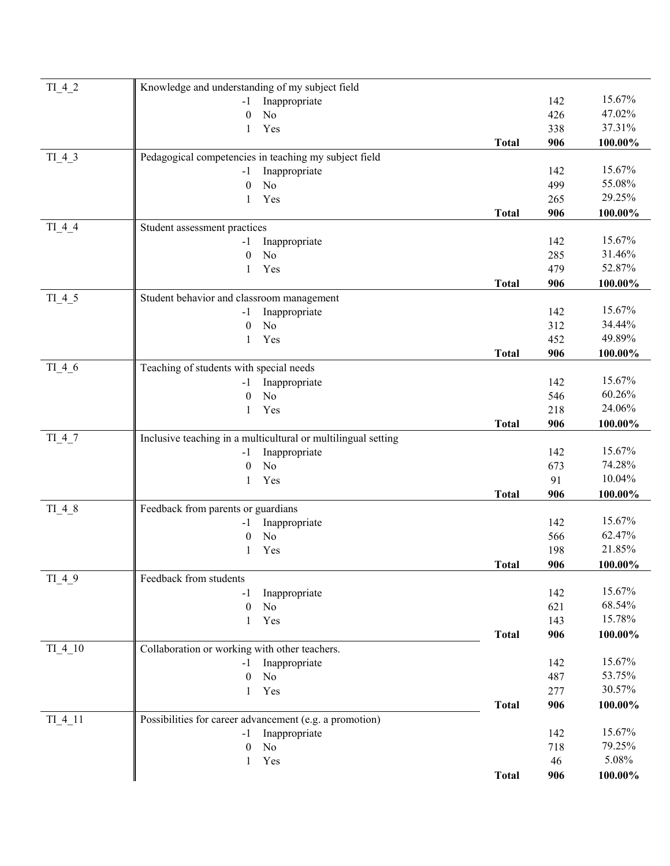| $TI_4_2$  | Knowledge and understanding of my subject field               |              |            |         |
|-----------|---------------------------------------------------------------|--------------|------------|---------|
|           | Inappropriate<br>$-1$                                         |              | 142        | 15.67%  |
|           | No<br>$\theta$                                                |              | 426        | 47.02%  |
|           | Yes<br>1                                                      |              | 338        | 37.31%  |
|           |                                                               | <b>Total</b> | 906        | 100.00% |
| $TI_4_3$  | Pedagogical competencies in teaching my subject field         |              |            |         |
|           | Inappropriate<br>$-1$                                         |              | 142        | 15.67%  |
|           | No<br>$\mathbf{0}$                                            |              | 499        | 55.08%  |
|           | Yes<br>1                                                      |              | 265        | 29.25%  |
|           |                                                               | <b>Total</b> | 906        | 100.00% |
| $TI_4_4$  | Student assessment practices                                  |              |            |         |
|           | Inappropriate<br>$-1$                                         |              | 142        | 15.67%  |
|           | N <sub>o</sub><br>$\theta$                                    |              | 285        | 31.46%  |
|           | Yes<br>1                                                      |              | 479        | 52.87%  |
|           |                                                               | <b>Total</b> | 906        | 100.00% |
| $TI_4_5$  | Student behavior and classroom management                     |              |            |         |
|           | Inappropriate<br>$-1$                                         |              | 142        | 15.67%  |
|           | No<br>$\mathbf{0}$                                            |              | 312        | 34.44%  |
|           | Yes<br>1                                                      |              | 452        | 49.89%  |
|           |                                                               | <b>Total</b> | 906        | 100.00% |
| $TI_4_6$  | Teaching of students with special needs                       |              |            |         |
|           | Inappropriate<br>-1                                           |              | 142        | 15.67%  |
|           | No<br>$\theta$                                                |              | 546        | 60.26%  |
|           | Yes<br>$\mathbf{1}$                                           |              | 218        | 24.06%  |
|           |                                                               | <b>Total</b> | 906        | 100.00% |
| $TI_4_7$  | Inclusive teaching in a multicultural or multilingual setting |              |            |         |
|           | Inappropriate<br>$-1$                                         |              | 142        | 15.67%  |
|           | N <sub>o</sub><br>$\mathbf{0}$                                |              | 673        | 74.28%  |
|           | Yes<br>1                                                      |              | 91         | 10.04%  |
|           |                                                               | <b>Total</b> | 906        | 100.00% |
| TI 4 8    | Feedback from parents or guardians                            |              |            | 15.67%  |
|           | Inappropriate<br>$-1$<br>$\rm No$                             |              | 142<br>566 | 62.47%  |
|           | $\boldsymbol{0}$<br>Yes<br>1                                  |              | 198        | 21.85%  |
|           |                                                               |              |            |         |
|           | Feedback from students                                        | <b>Total</b> | 906        | 100.00% |
| $TI_4_9$  | Inappropriate<br>$-1$                                         |              | 142        | 15.67%  |
|           | $\boldsymbol{0}$<br>No                                        |              | 621        | 68.54%  |
|           | Yes<br>$\mathbf{1}$                                           |              | 143        | 15.78%  |
|           |                                                               | <b>Total</b> | 906        | 100.00% |
| $TI_4_10$ | Collaboration or working with other teachers.                 |              |            |         |
|           | Inappropriate<br>-1                                           |              | 142        | 15.67%  |
|           | No<br>$\mathbf{0}$                                            |              | 487        | 53.75%  |
|           | Yes<br>$\mathbf{1}$                                           |              | 277        | 30.57%  |
|           |                                                               | <b>Total</b> | 906        | 100.00% |
| $TI$ 4 11 | Possibilities for career advancement (e.g. a promotion)       |              |            |         |
|           | Inappropriate                                                 |              | 142        | 15.67%  |
|           | -1<br>$\rm No$<br>$\theta$                                    |              | 718        | 79.25%  |
|           | Yes<br>1                                                      |              | 46         | 5.08%   |
|           |                                                               | <b>Total</b> | 906        | 100.00% |
|           |                                                               |              |            |         |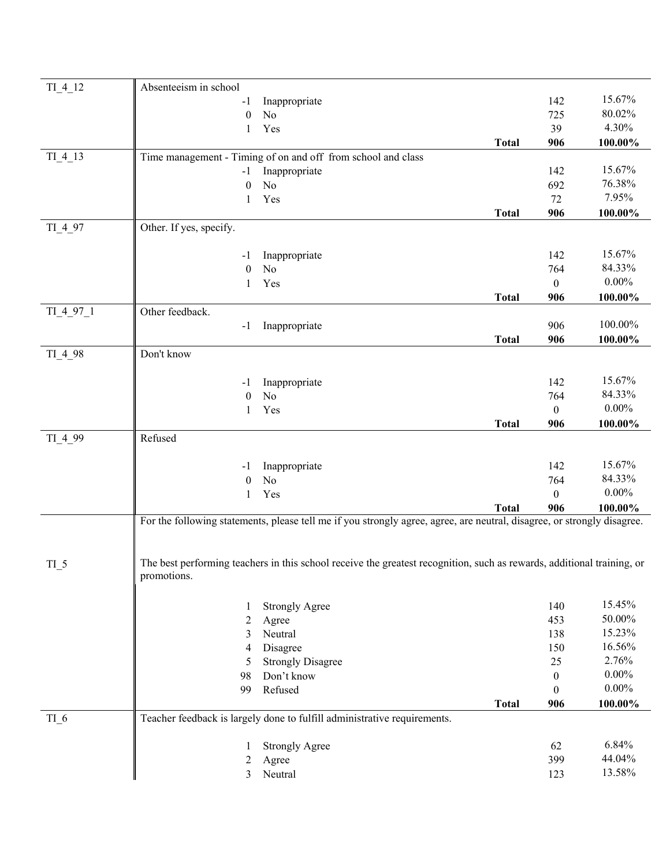| TI 4 12                 | Absenteeism in school   |                                                                                                                         |              |                |           |
|-------------------------|-------------------------|-------------------------------------------------------------------------------------------------------------------------|--------------|----------------|-----------|
|                         | -1                      | Inappropriate                                                                                                           |              | 142            | 15.67%    |
|                         | $\mathbf{0}$            | N <sub>o</sub>                                                                                                          |              | 725            | 80.02%    |
|                         |                         |                                                                                                                         |              | 39             | 4.30%     |
|                         | $\mathbf{1}$            | Yes                                                                                                                     |              |                |           |
|                         |                         |                                                                                                                         | <b>Total</b> | 906            | 100.00%   |
| $TI$ <sub>-4</sub> $13$ |                         | Time management - Timing of on and off from school and class                                                            |              |                | 15.67%    |
|                         | $-1$                    | Inappropriate                                                                                                           |              | 142            | 76.38%    |
|                         | $\mathbf{0}$            | No                                                                                                                      |              | 692            | 7.95%     |
|                         | 1                       | Yes                                                                                                                     |              | 72             |           |
|                         |                         |                                                                                                                         | <b>Total</b> | 906            | 100.00%   |
| TI 4 97                 | Other. If yes, specify. |                                                                                                                         |              |                |           |
|                         |                         |                                                                                                                         |              | 142            | 15.67%    |
|                         | -1                      | Inappropriate                                                                                                           |              |                | 84.33%    |
|                         | $\mathbf{0}$            | N <sub>o</sub>                                                                                                          |              | 764            | $0.00\%$  |
|                         | 1                       | Yes                                                                                                                     |              | $\overline{0}$ |           |
|                         | Other feedback.         |                                                                                                                         | <b>Total</b> | 906            | 100.00%   |
| TI 4 97 1               |                         |                                                                                                                         |              |                | 100.00%   |
|                         | $-1$                    | Inappropriate                                                                                                           |              | 906            |           |
|                         |                         |                                                                                                                         | <b>Total</b> | 906            | 100.00%   |
| TI_4_98                 | Don't know              |                                                                                                                         |              |                |           |
|                         |                         |                                                                                                                         |              |                | 15.67%    |
|                         | -1                      | Inappropriate                                                                                                           |              | 142            | 84.33%    |
|                         | $\mathbf{0}$            | N <sub>o</sub>                                                                                                          |              | 764            | $0.00\%$  |
|                         | $\mathbf{1}$            | Yes                                                                                                                     |              | $\overline{0}$ |           |
|                         |                         |                                                                                                                         | <b>Total</b> | 906            | 100.00%   |
| $TI$ <sub>-4</sub> _99  | Refused                 |                                                                                                                         |              |                |           |
|                         |                         |                                                                                                                         |              | 142            | 15.67%    |
|                         | -1                      | Inappropriate<br>No                                                                                                     |              |                | 84.33%    |
|                         | $\mathbf{0}$            |                                                                                                                         |              | 764            | $0.00\%$  |
|                         | 1                       | Yes                                                                                                                     |              | $\Omega$       |           |
|                         |                         |                                                                                                                         | <b>Total</b> | 906            | 100.00%   |
|                         |                         | For the following statements, please tell me if you strongly agree, agree, are neutral, disagree, or strongly disagree. |              |                |           |
|                         |                         |                                                                                                                         |              |                |           |
|                         |                         |                                                                                                                         |              |                |           |
| $TI_{-}5$               | promotions.             | The best performing teachers in this school receive the greatest recognition, such as rewards, additional training, or  |              |                |           |
|                         |                         |                                                                                                                         |              |                |           |
|                         |                         |                                                                                                                         |              | 140            | 15.45%    |
|                         | 1                       | <b>Strongly Agree</b>                                                                                                   |              | 453            | $50.00\%$ |
|                         | 2                       | Agree                                                                                                                   |              |                | 15.23%    |
|                         | 3                       | Neutral                                                                                                                 |              | 138            | 16.56%    |
|                         | 4                       | Disagree                                                                                                                |              | 150            | 2.76%     |
|                         | 5                       | <b>Strongly Disagree</b>                                                                                                |              | 25             | $0.00\%$  |
|                         | 98                      | Don't know                                                                                                              |              | $\mathbf{0}$   | $0.00\%$  |
|                         | 99                      | Refused                                                                                                                 |              | $\theta$       |           |
|                         |                         |                                                                                                                         | <b>Total</b> | 906            | 100.00%   |
| $TI_6$                  |                         | Teacher feedback is largely done to fulfill administrative requirements.                                                |              |                |           |
|                         |                         |                                                                                                                         |              |                | 6.84%     |
|                         |                         | <b>Strongly Agree</b>                                                                                                   |              | 62             | 44.04%    |
|                         | 2                       | Agree                                                                                                                   |              | 399            | 13.58%    |
|                         | 3                       | Neutral                                                                                                                 |              | 123            |           |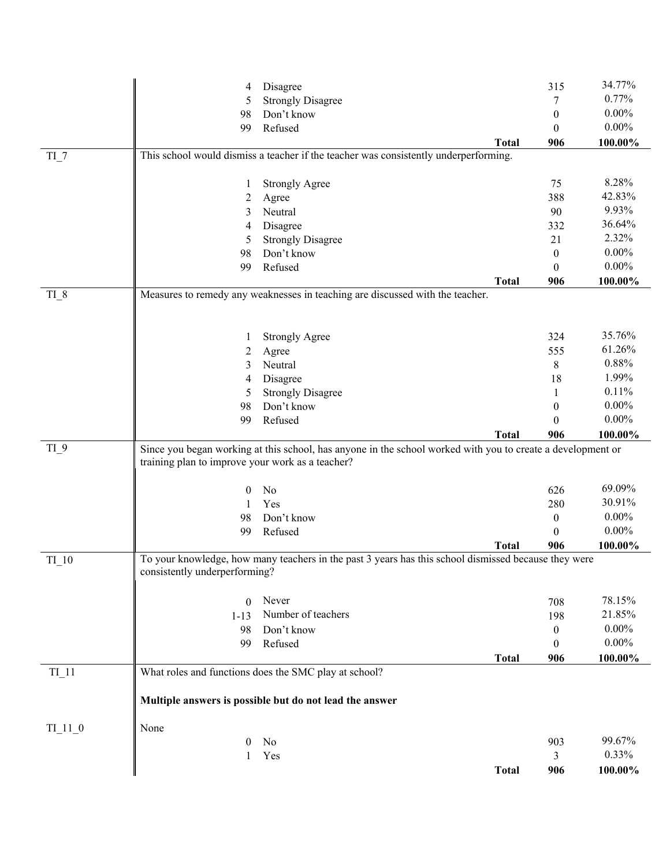|                                 | 4                                                | Disagree                                                                                                    |              | 315                   | 34.77%              |
|---------------------------------|--------------------------------------------------|-------------------------------------------------------------------------------------------------------------|--------------|-----------------------|---------------------|
|                                 | 5                                                | <b>Strongly Disagree</b>                                                                                    |              | 7                     | 0.77%               |
|                                 | 98                                               | Don't know                                                                                                  |              | $\boldsymbol{0}$      | $0.00\%$            |
|                                 | 99                                               | Refused                                                                                                     |              | $\mathbf{0}$          | $0.00\%$            |
|                                 |                                                  |                                                                                                             | <b>Total</b> | 906                   | 100.00%             |
| $TI_7$                          |                                                  | This school would dismiss a teacher if the teacher was consistently underperforming.                        |              |                       |                     |
|                                 |                                                  |                                                                                                             |              |                       |                     |
|                                 | 1                                                | <b>Strongly Agree</b>                                                                                       |              | 75                    | 8.28%               |
|                                 | 2                                                | Agree                                                                                                       |              | 388                   | 42.83%              |
|                                 | 3                                                | Neutral                                                                                                     |              | 90                    | 9.93%               |
|                                 | 4                                                | Disagree                                                                                                    |              | 332                   | 36.64%              |
|                                 | 5                                                | <b>Strongly Disagree</b>                                                                                    |              | 21                    | 2.32%               |
|                                 | 98                                               | Don't know                                                                                                  |              | $\boldsymbol{0}$      | $0.00\%$            |
|                                 | 99                                               | Refused                                                                                                     |              | $\mathbf{0}$          | $0.00\%$            |
|                                 |                                                  |                                                                                                             | <b>Total</b> | 906                   | 100.00%             |
| $TI_8$                          |                                                  | Measures to remedy any weaknesses in teaching are discussed with the teacher.                               |              |                       |                     |
|                                 |                                                  |                                                                                                             |              |                       |                     |
|                                 |                                                  |                                                                                                             |              |                       |                     |
|                                 | 1                                                | <b>Strongly Agree</b>                                                                                       |              | 324                   | 35.76%              |
|                                 | 2                                                | Agree                                                                                                       |              | 555                   | 61.26%              |
|                                 | 3                                                | Neutral                                                                                                     |              | $8\,$                 | 0.88%               |
|                                 | 4                                                | Disagree                                                                                                    |              | 18                    | 1.99%               |
|                                 | 5                                                | <b>Strongly Disagree</b>                                                                                    |              | 1                     | 0.11%               |
|                                 | 98                                               | Don't know                                                                                                  |              | $\theta$              | $0.00\%$            |
|                                 |                                                  | Refused                                                                                                     |              |                       | $0.00\%$            |
|                                 | 99                                               |                                                                                                             |              | $\theta$<br>906       |                     |
|                                 |                                                  |                                                                                                             | <b>Total</b> |                       | 100.00%             |
| $TI_9$                          | training plan to improve your work as a teacher? | Since you began working at this school, has anyone in the school worked with you to create a development or |              |                       |                     |
|                                 |                                                  |                                                                                                             |              |                       |                     |
|                                 | 0                                                | No                                                                                                          |              | 626                   | 69.09%              |
|                                 |                                                  |                                                                                                             |              |                       |                     |
|                                 |                                                  |                                                                                                             |              |                       |                     |
|                                 | 1                                                | Yes                                                                                                         |              | 280                   | 30.91%              |
|                                 | 98                                               | Don't know                                                                                                  |              | $\boldsymbol{0}$      | $0.00\%$            |
|                                 | 99                                               | Refused                                                                                                     |              | $\theta$              | $0.00\%$            |
|                                 |                                                  |                                                                                                             | <b>Total</b> | 906                   | 100.00%             |
| TI 10                           |                                                  | To your knowledge, how many teachers in the past 3 years has this school dismissed because they were        |              |                       |                     |
|                                 | consistently underperforming?                    |                                                                                                             |              |                       |                     |
|                                 |                                                  |                                                                                                             |              |                       |                     |
|                                 | $\theta$                                         | Never                                                                                                       |              | 708                   | 78.15%              |
|                                 | $1 - 13$                                         | Number of teachers                                                                                          |              | 198                   | 21.85%              |
|                                 | 98                                               | Don't know                                                                                                  |              | $\boldsymbol{0}$      | $0.00\%$            |
|                                 | 99                                               | Refused                                                                                                     |              | $\theta$              | $0.00\%$            |
|                                 |                                                  |                                                                                                             | <b>Total</b> | 906                   | 100.00%             |
| TI 11                           |                                                  | What roles and functions does the SMC play at school?                                                       |              |                       |                     |
|                                 |                                                  |                                                                                                             |              |                       |                     |
|                                 |                                                  | Multiple answers is possible but do not lead the answer                                                     |              |                       |                     |
|                                 |                                                  |                                                                                                             |              |                       |                     |
| $TI$ <sup>11</sup> <sup>0</sup> | None                                             |                                                                                                             |              |                       |                     |
|                                 | 0                                                | No                                                                                                          |              | 903                   | 99.67%              |
|                                 | 1                                                | Yes                                                                                                         | <b>Total</b> | $\overline{3}$<br>906 | 0.33%<br>$100.00\%$ |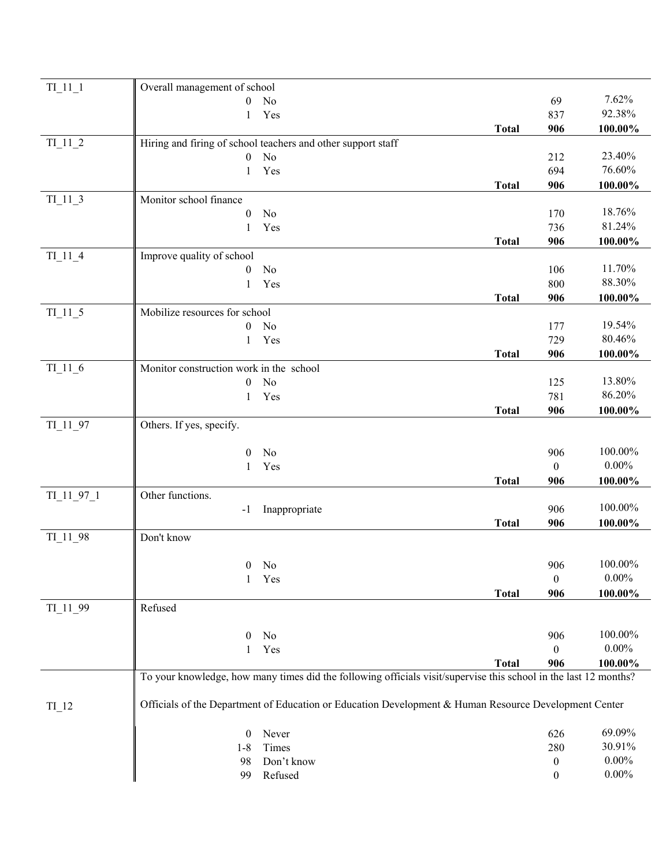| $TI$ <sup><math>11</math><math>1</math></sup> | Overall management of school                                                                                     |              |                  |            |
|-----------------------------------------------|------------------------------------------------------------------------------------------------------------------|--------------|------------------|------------|
|                                               | $\mathbf{0}$<br>No                                                                                               |              | 69               | 7.62%      |
|                                               | Yes<br>1                                                                                                         |              | 837              | 92.38%     |
|                                               |                                                                                                                  | <b>Total</b> | 906              | 100.00%    |
| $TI$ <sup>11<sup>2</sup></sup>                | Hiring and firing of school teachers and other support staff                                                     |              |                  |            |
|                                               | No<br>$\boldsymbol{0}$                                                                                           |              | 212              | 23.40%     |
|                                               | Yes<br>1                                                                                                         |              | 694              | 76.60%     |
|                                               |                                                                                                                  | <b>Total</b> | 906              | 100.00%    |
| $TI$ <sup>11</sup> <sup>3</sup>               | Monitor school finance                                                                                           |              |                  |            |
|                                               | No<br>$\theta$                                                                                                   |              | 170              | 18.76%     |
|                                               | Yes<br>1                                                                                                         |              | 736              | 81.24%     |
|                                               |                                                                                                                  | <b>Total</b> | 906              | 100.00%    |
| $TI$ <sup>11</sup> <sup>4</sup>               | Improve quality of school                                                                                        |              |                  |            |
|                                               | No<br>$\overline{0}$                                                                                             |              | 106              | 11.70%     |
|                                               | Yes<br>1                                                                                                         |              | 800              | 88.30%     |
|                                               |                                                                                                                  | <b>Total</b> | 906              | 100.00%    |
| $TI$ <sup><math>11</math><math>5</math></sup> | Mobilize resources for school                                                                                    |              |                  | 19.54%     |
|                                               | No<br>$\mathbf{0}$                                                                                               |              | 177              | 80.46%     |
|                                               | Yes<br>1                                                                                                         |              | 729              |            |
| $TI$ <sup><math>11</math><math>6</math></sup> | Monitor construction work in the school                                                                          | <b>Total</b> | 906              | 100.00%    |
|                                               | No<br>$\boldsymbol{0}$                                                                                           |              | 125              | 13.80%     |
|                                               | Yes<br>1                                                                                                         |              | 781              | 86.20%     |
|                                               |                                                                                                                  | <b>Total</b> | 906              | 100.00%    |
| $TI$ <sup>11</sup> _97                        | Others. If yes, specify.                                                                                         |              |                  |            |
|                                               |                                                                                                                  |              |                  |            |
|                                               | $\theta$<br>No                                                                                                   |              | 906              | 100.00%    |
|                                               | Yes<br>1                                                                                                         |              | $\mathbf{0}$     | $0.00\%$   |
|                                               |                                                                                                                  | <b>Total</b> | 906              | 100.00%    |
| TI_11_97_1                                    | Other functions.                                                                                                 |              |                  |            |
|                                               | Inappropriate<br>$-1$                                                                                            |              | 906              | $100.00\%$ |
|                                               |                                                                                                                  | <b>Total</b> | 906              | 100.00%    |
| TI_11_98                                      | Don't know                                                                                                       |              |                  |            |
|                                               |                                                                                                                  |              |                  |            |
|                                               | $0$ No                                                                                                           |              | 906              | 100.00%    |
|                                               | Yes<br>1                                                                                                         |              | $\boldsymbol{0}$ | $0.00\%$   |
|                                               |                                                                                                                  | <b>Total</b> | 906              | 100.00%    |
| TI_11_99                                      | Refused                                                                                                          |              |                  |            |
|                                               |                                                                                                                  |              |                  |            |
|                                               | No<br>0                                                                                                          |              | 906              | 100.00%    |
|                                               | Yes<br>1                                                                                                         |              | $\mathbf{0}$     | $0.00\%$   |
|                                               | To your knowledge, how many times did the following officials visit/supervise this school in the last 12 months? | <b>Total</b> | 906              | 100.00%    |
|                                               |                                                                                                                  |              |                  |            |
| $TI$ <sup>12</sup>                            | Officials of the Department of Education or Education Development & Human Resource Development Center            |              |                  |            |
|                                               | Never<br>$\boldsymbol{0}$                                                                                        |              | 626              | 69.09%     |
|                                               | $1 - 8$<br>Times                                                                                                 |              | 280              | 30.91%     |
|                                               | Don't know<br>98                                                                                                 |              | $\boldsymbol{0}$ | $0.00\%$   |
|                                               | Refused<br>99                                                                                                    |              | $\boldsymbol{0}$ | $0.00\%$   |
|                                               |                                                                                                                  |              |                  |            |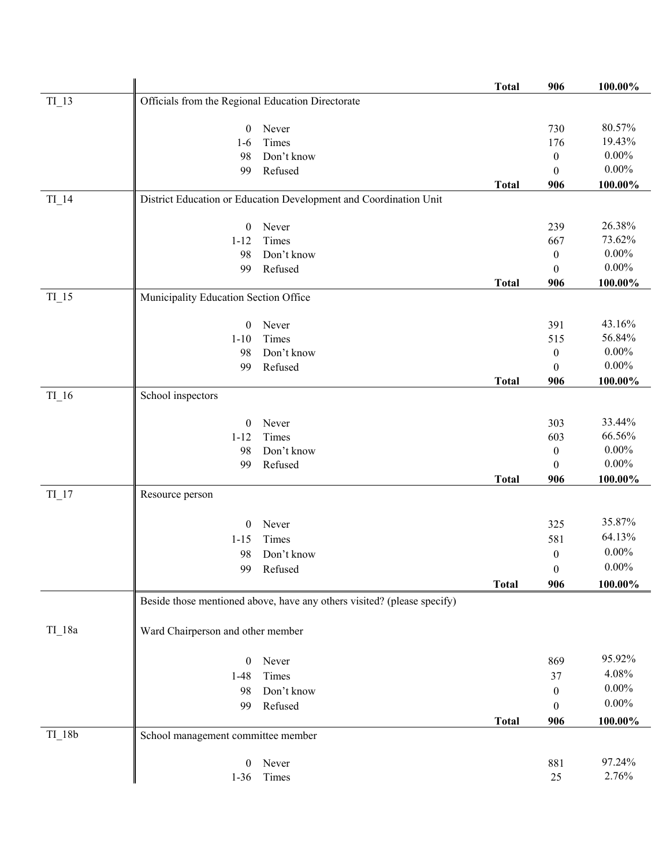|                    |                                                                         | <b>Total</b> | 906              | 100.00%    |
|--------------------|-------------------------------------------------------------------------|--------------|------------------|------------|
| $TI$ <sup>13</sup> | Officials from the Regional Education Directorate                       |              |                  |            |
|                    |                                                                         |              |                  |            |
|                    | Never<br>$\mathbf{0}$                                                   |              | 730              | 80.57%     |
|                    | Times<br>$1-6$                                                          |              | 176              | 19.43%     |
|                    | Don't know<br>98                                                        |              | $\boldsymbol{0}$ | $0.00\%$   |
|                    | Refused<br>99                                                           |              | $\boldsymbol{0}$ | $0.00\%$   |
|                    |                                                                         | <b>Total</b> | 906              | 100.00%    |
| $TI_14$            | District Education or Education Development and Coordination Unit       |              |                  |            |
|                    |                                                                         |              |                  | 26.38%     |
|                    | $\boldsymbol{0}$<br>Never                                               |              | 239              | 73.62%     |
|                    | Times<br>$1 - 12$                                                       |              | 667              | $0.00\%$   |
|                    | Don't know<br>98                                                        |              | $\boldsymbol{0}$ | $0.00\%$   |
|                    | Refused<br>99                                                           |              | $\boldsymbol{0}$ |            |
| $TI$ <sup>15</sup> | Municipality Education Section Office                                   | <b>Total</b> | 906              | 100.00%    |
|                    |                                                                         |              |                  |            |
|                    | $\mathbf{0}$<br>Never                                                   |              | 391              | 43.16%     |
|                    | Times<br>$1 - 10$                                                       |              | 515              | 56.84%     |
|                    | Don't know<br>98                                                        |              | $\boldsymbol{0}$ | $0.00\%$   |
|                    | Refused<br>99                                                           |              | $\mathbf{0}$     | $0.00\%$   |
|                    |                                                                         | <b>Total</b> | 906              | $100.00\%$ |
| $TI_16$            | School inspectors                                                       |              |                  |            |
|                    |                                                                         |              |                  |            |
|                    | Never<br>$\boldsymbol{0}$                                               |              | 303              | 33.44%     |
|                    | Times<br>$1 - 12$                                                       |              | 603              | 66.56%     |
|                    | Don't know<br>98                                                        |              | $\boldsymbol{0}$ | $0.00\%$   |
|                    | Refused<br>99                                                           |              | $\mathbf{0}$     | $0.00\%$   |
|                    |                                                                         | <b>Total</b> | 906              | 100.00%    |
| $TI$ <sup>17</sup> | Resource person                                                         |              |                  |            |
|                    |                                                                         |              | 325              | 35.87%     |
|                    | $\boldsymbol{0}$<br>Never                                               |              |                  | 64.13%     |
|                    | Times<br>$1 - 15$                                                       |              | 581              | $0.00\%$   |
|                    | Don't know<br>98                                                        |              | $\boldsymbol{0}$ | $0.00\%$   |
|                    | 99 Refused                                                              |              | $\overline{0}$   |            |
|                    |                                                                         | <b>Total</b> | 906              | 100.00%    |
|                    | Beside those mentioned above, have any others visited? (please specify) |              |                  |            |
|                    |                                                                         |              |                  |            |
| $TI_18a$           | Ward Chairperson and other member                                       |              |                  |            |
|                    | $\mathbf{0}$<br>Never                                                   |              | 869              | 95.92%     |
|                    | $1-48$<br>Times                                                         |              | 37               | 4.08%      |
|                    | Don't know<br>98                                                        |              | $\mathbf{0}$     | $0.00\%$   |
|                    |                                                                         |              |                  | $0.00\%$   |
|                    | Refused<br>99                                                           |              | $\mathbf{0}$     |            |
| $TI_18b$           | School management committee member                                      | <b>Total</b> | 906              | 100.00%    |
|                    |                                                                         |              |                  |            |
|                    | Never<br>$\mathbf{0}$                                                   |              | 881              | 97.24%     |
|                    | Times<br>$1-36$                                                         |              | 25               | 2.76%      |
|                    |                                                                         |              |                  |            |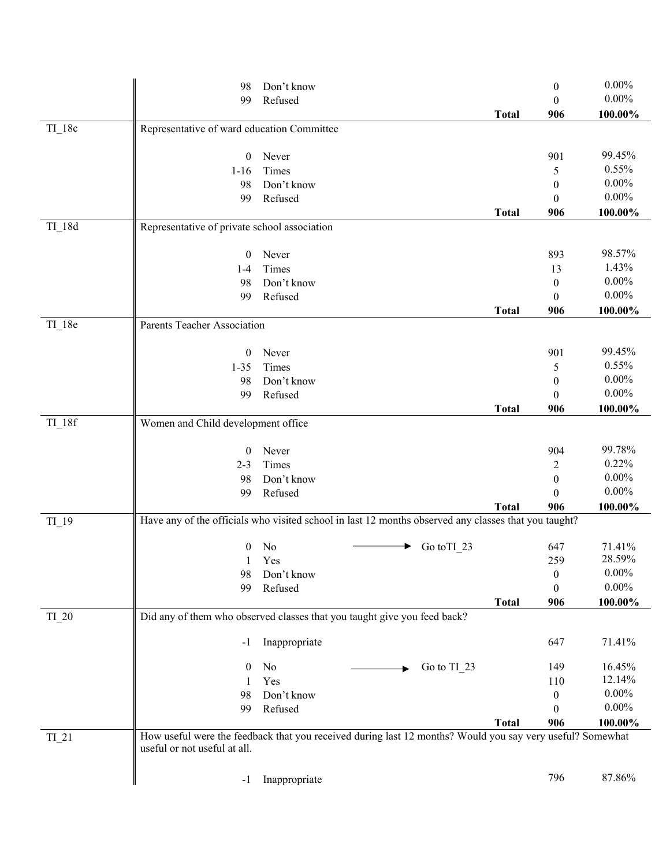|                     | 98                                                                                                        | Don't know    |   |             |              | $\boldsymbol{0}$ | $0.00\%$ |
|---------------------|-----------------------------------------------------------------------------------------------------------|---------------|---|-------------|--------------|------------------|----------|
|                     | 99                                                                                                        | Refused       |   |             |              | $\theta$         | $0.00\%$ |
|                     |                                                                                                           |               |   |             | <b>Total</b> | 906              | 100.00%  |
| $TI$ 18c            | Representative of ward education Committee                                                                |               |   |             |              |                  |          |
|                     |                                                                                                           |               |   |             |              |                  |          |
|                     | $\boldsymbol{0}$                                                                                          | Never         |   |             |              | 901              | 99.45%   |
|                     | $1 - 16$                                                                                                  | Times         |   |             |              | 5                | 0.55%    |
|                     | 98                                                                                                        | Don't know    |   |             |              | $\mathbf{0}$     | $0.00\%$ |
|                     | 99                                                                                                        | Refused       |   |             |              | $\theta$         | $0.00\%$ |
|                     |                                                                                                           |               |   |             | <b>Total</b> | 906              | 100.00%  |
| $TI_18d$            | Representative of private school association                                                              |               |   |             |              |                  |          |
|                     | $\mathbf{0}$                                                                                              | Never         |   |             |              | 893              | 98.57%   |
|                     | $1 - 4$                                                                                                   | Times         |   |             |              | 13               | 1.43%    |
|                     | 98                                                                                                        | Don't know    |   |             |              | $\mathbf{0}$     | $0.00\%$ |
|                     | 99                                                                                                        | Refused       |   |             |              | $\theta$         | $0.00\%$ |
|                     |                                                                                                           |               |   |             | <b>Total</b> | 906              | 100.00%  |
| $TI_18e$            | Parents Teacher Association                                                                               |               |   |             |              |                  |          |
|                     |                                                                                                           |               |   |             |              |                  |          |
|                     | $\mathbf{0}$                                                                                              | Never         |   |             |              | 901              | 99.45%   |
|                     | $1 - 35$                                                                                                  | Times         |   |             |              | 5                | 0.55%    |
|                     | 98                                                                                                        | Don't know    |   |             |              | $\mathbf{0}$     | $0.00\%$ |
|                     | 99                                                                                                        | Refused       |   |             |              | $\theta$         | $0.00\%$ |
| $TI$ <sup>18f</sup> | Women and Child development office                                                                        |               |   |             | <b>Total</b> | 906              | 100.00%  |
|                     |                                                                                                           |               |   |             |              |                  |          |
|                     | $\overline{0}$                                                                                            | Never         |   |             |              | 904              | 99.78%   |
|                     | $2 - 3$                                                                                                   | Times         |   |             |              | 2                | 0.22%    |
|                     | 98                                                                                                        | Don't know    |   |             |              | $\mathbf{0}$     | $0.00\%$ |
|                     | 99                                                                                                        | Refused       |   |             |              | $\theta$         | $0.00\%$ |
|                     |                                                                                                           |               |   |             | <b>Total</b> | 906              | 100.00%  |
| $TI_19$             | Have any of the officials who visited school in last 12 months observed any classes that you taught?      |               |   |             |              |                  |          |
|                     | $\mathbf{0}$                                                                                              | No            | ▶ | Go to TI_23 |              | 647              | 71.41%   |
|                     | 1                                                                                                         | Yes           |   |             |              | 259              | 28.59%   |
|                     | 98                                                                                                        | Don't know    |   |             |              | $\boldsymbol{0}$ | $0.00\%$ |
|                     | 99                                                                                                        | Refused       |   |             |              | $\boldsymbol{0}$ | $0.00\%$ |
|                     |                                                                                                           |               |   |             | <b>Total</b> | 906              | 100.00%  |
| TI 20               | Did any of them who observed classes that you taught give you feed back?                                  |               |   |             |              |                  |          |
|                     |                                                                                                           |               |   |             |              |                  |          |
|                     | $-1$                                                                                                      | Inappropriate |   |             |              | 647              | 71.41%   |
|                     | $\bf{0}$                                                                                                  | No            |   | Go to TI 23 |              | 149              | 16.45%   |
|                     |                                                                                                           | Yes           |   |             |              | 110              | 12.14%   |
|                     | 98                                                                                                        | Don't know    |   |             |              | $\overline{0}$   | $0.00\%$ |
|                     | 99                                                                                                        | Refused       |   |             |              | $\theta$         | $0.00\%$ |
|                     |                                                                                                           |               |   |             | <b>Total</b> | 906              | 100.00%  |
| $TI_21$             | How useful were the feedback that you received during last 12 months? Would you say very useful? Somewhat |               |   |             |              |                  |          |
|                     | useful or not useful at all.                                                                              |               |   |             |              |                  |          |
|                     |                                                                                                           |               |   |             |              |                  |          |
|                     | $-1$                                                                                                      | Inappropriate |   |             |              | 796              | 87.86%   |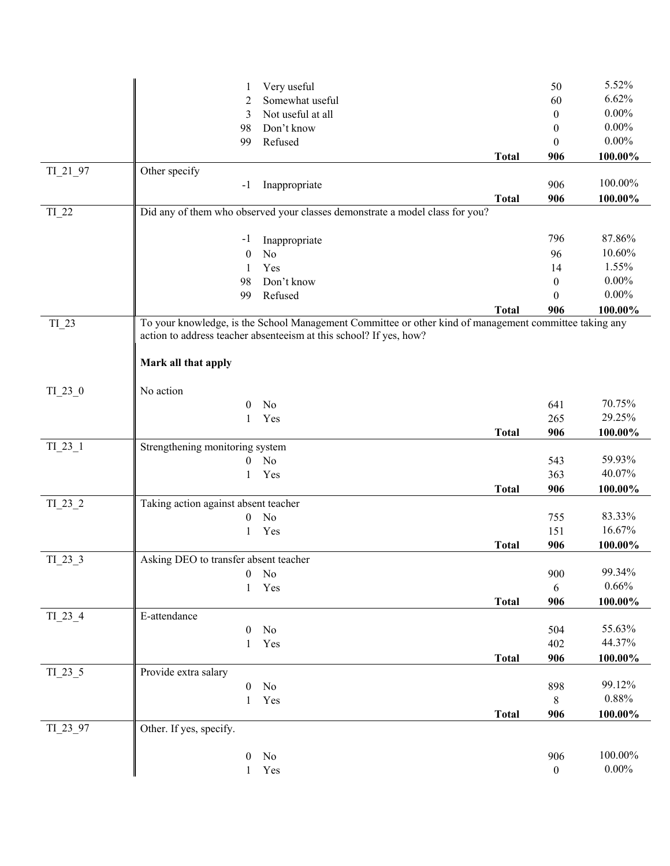|            | Very useful<br>1                                                                                                                                                             |              | 50               | 5.52%      |
|------------|------------------------------------------------------------------------------------------------------------------------------------------------------------------------------|--------------|------------------|------------|
|            | Somewhat useful<br>2                                                                                                                                                         |              | 60               | 6.62%      |
|            | Not useful at all<br>3                                                                                                                                                       |              | $\mathbf{0}$     | $0.00\%$   |
|            | Don't know<br>98                                                                                                                                                             |              | $\theta$         | $0.00\%$   |
|            | Refused<br>99                                                                                                                                                                |              | $\theta$         | $0.00\%$   |
|            |                                                                                                                                                                              | <b>Total</b> | 906              | 100.00%    |
| $TI_21_97$ | Other specify                                                                                                                                                                |              |                  |            |
|            | Inappropriate<br>$-1$                                                                                                                                                        |              | 906              | 100.00%    |
|            |                                                                                                                                                                              | <b>Total</b> | 906              | 100.00%    |
| $TI_22$    | Did any of them who observed your classes demonstrate a model class for you?                                                                                                 |              |                  |            |
|            |                                                                                                                                                                              |              |                  |            |
|            | Inappropriate<br>$-1$                                                                                                                                                        |              | 796              | 87.86%     |
|            | No<br>$\theta$                                                                                                                                                               |              | 96               | 10.60%     |
|            | Yes<br>1                                                                                                                                                                     |              | 14               | 1.55%      |
|            | Don't know<br>98                                                                                                                                                             |              | $\theta$         | $0.00\%$   |
|            | Refused<br>99                                                                                                                                                                |              | 0                | $0.00\%$   |
|            |                                                                                                                                                                              | <b>Total</b> | 906              | 100.00%    |
| TI_23      | To your knowledge, is the School Management Committee or other kind of management committee taking any<br>action to address teacher absenteeism at this school? If yes, how? |              |                  |            |
|            | Mark all that apply                                                                                                                                                          |              |                  |            |
| $TI_23_0$  | No action                                                                                                                                                                    |              |                  |            |
|            | $\theta$<br>No                                                                                                                                                               |              | 641              | 70.75%     |
|            | Yes<br>1                                                                                                                                                                     |              | 265              | 29.25%     |
|            |                                                                                                                                                                              | <b>Total</b> | 906              | 100.00%    |
| $TI_23_1$  | Strengthening monitoring system                                                                                                                                              |              |                  |            |
|            | N <sub>o</sub><br>$\overline{0}$                                                                                                                                             |              | 543              | 59.93%     |
|            | Yes<br>1                                                                                                                                                                     |              | 363              | 40.07%     |
|            |                                                                                                                                                                              | <b>Total</b> | 906              | 100.00%    |
| $TI_23_2$  | Taking action against absent teacher                                                                                                                                         |              |                  |            |
|            | N <sub>o</sub><br>$\overline{0}$                                                                                                                                             |              | 755              | 83.33%     |
|            | Yes<br>$\mathbf{1}$                                                                                                                                                          |              | 151              | 16.67%     |
|            |                                                                                                                                                                              | <b>Total</b> | 906              | 100.00%    |
| TI 23 3    | Asking DEO to transfer absent teacher                                                                                                                                        |              |                  |            |
|            | No<br>$\boldsymbol{0}$                                                                                                                                                       |              | 900              | 99.34%     |
|            | Yes<br>$\mathbf{1}$                                                                                                                                                          |              | 6                | 0.66%      |
|            |                                                                                                                                                                              | <b>Total</b> | 906              | 100.00%    |
| $TI_23_4$  | E-attendance                                                                                                                                                                 |              |                  |            |
|            | No<br>$\mathbf{0}$                                                                                                                                                           |              | 504              | 55.63%     |
|            | Yes<br>$\mathbf{1}$                                                                                                                                                          |              | 402              | 44.37%     |
|            |                                                                                                                                                                              | <b>Total</b> | 906              | $100.00\%$ |
| $TI_23_5$  | Provide extra salary                                                                                                                                                         |              |                  |            |
|            | No<br>$\boldsymbol{0}$                                                                                                                                                       |              | 898              | 99.12%     |
|            | Yes<br>1                                                                                                                                                                     |              | $8\,$            | 0.88%      |
|            |                                                                                                                                                                              | <b>Total</b> | 906              | 100.00%    |
| TI_23_97   | Other. If yes, specify.                                                                                                                                                      |              |                  |            |
|            |                                                                                                                                                                              |              |                  |            |
|            | $\boldsymbol{0}$<br>No                                                                                                                                                       |              | 906              | 100.00%    |
|            | 1                                                                                                                                                                            |              | $\boldsymbol{0}$ | $0.00\%$   |
|            | Yes                                                                                                                                                                          |              |                  |            |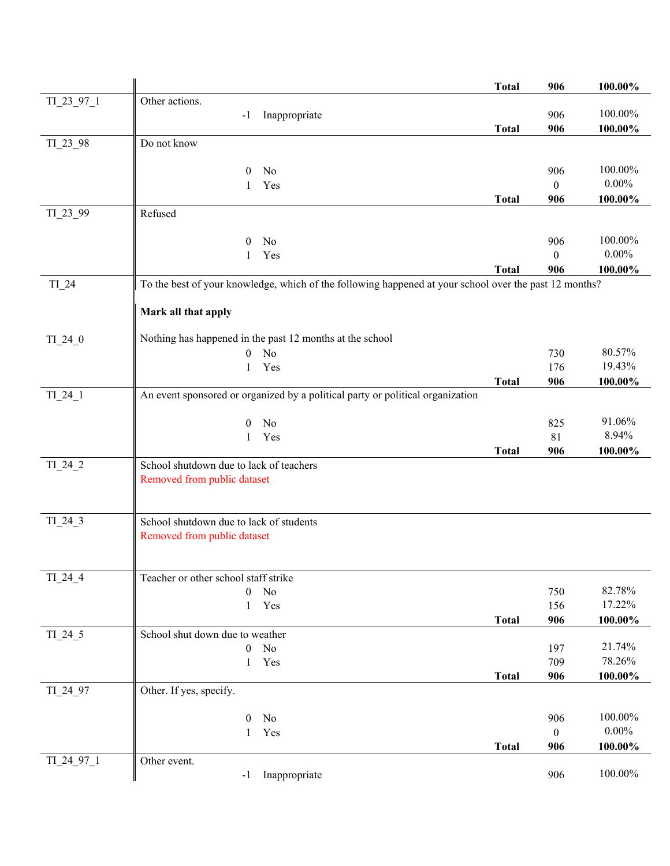|            |                                                                                                        | <b>Total</b> | 906              | 100.00%    |
|------------|--------------------------------------------------------------------------------------------------------|--------------|------------------|------------|
| TI_23_97_1 | Other actions.                                                                                         |              |                  |            |
|            | Inappropriate<br>$-1$                                                                                  |              | 906              | 100.00%    |
|            |                                                                                                        | <b>Total</b> | 906              | $100.00\%$ |
| TI_23_98   | Do not know                                                                                            |              |                  |            |
|            |                                                                                                        |              |                  |            |
|            | $\theta$<br>No                                                                                         |              | 906              | 100.00%    |
|            | Yes<br>1                                                                                               |              | $\mathbf{0}$     | $0.00\%$   |
|            |                                                                                                        | <b>Total</b> | 906              | 100.00%    |
| TI_23_99   | Refused                                                                                                |              |                  |            |
|            |                                                                                                        |              |                  |            |
|            | No<br>$\overline{0}$                                                                                   |              | 906              | 100.00%    |
|            | Yes<br>1                                                                                               |              | $\boldsymbol{0}$ | $0.00\%$   |
|            |                                                                                                        | <b>Total</b> | 906              | 100.00%    |
| $TI_24$    | To the best of your knowledge, which of the following happened at your school over the past 12 months? |              |                  |            |
|            | Mark all that apply                                                                                    |              |                  |            |
|            |                                                                                                        |              |                  |            |
| $TI_24_0$  | Nothing has happened in the past 12 months at the school                                               |              |                  |            |
|            | $\mathbf{0}$<br>No                                                                                     |              | 730              | 80.57%     |
|            | Yes<br>1                                                                                               |              | 176              | 19.43%     |
|            |                                                                                                        | <b>Total</b> | 906              | 100.00%    |
| $TI_24_1$  | An event sponsored or organized by a political party or political organization                         |              |                  |            |
|            |                                                                                                        |              |                  |            |
|            | $\mathbf{0}$<br>No                                                                                     |              | 825              | 91.06%     |
|            | Yes<br>$\mathbf{1}$                                                                                    |              | 81               | 8.94%      |
|            |                                                                                                        | <b>Total</b> | 906              | 100.00%    |
| $TI_24_2$  | School shutdown due to lack of teachers                                                                |              |                  |            |
|            | Removed from public dataset                                                                            |              |                  |            |
|            |                                                                                                        |              |                  |            |
|            |                                                                                                        |              |                  |            |
| $TI_24_3$  | School shutdown due to lack of students                                                                |              |                  |            |
|            | Removed from public dataset                                                                            |              |                  |            |
|            |                                                                                                        |              |                  |            |
| $TI_24_4$  | Teacher or other school staff strike                                                                   |              |                  |            |
|            | No<br>$\theta$                                                                                         |              | 750              | 82.78%     |
|            | Yes<br>1                                                                                               |              | 156              | 17.22%     |
|            |                                                                                                        | <b>Total</b> | 906              | 100.00%    |
| TI_24_5    | School shut down due to weather                                                                        |              |                  |            |
|            | No<br>$\mathbf{0}$                                                                                     |              | 197              | 21.74%     |
|            | Yes<br>1                                                                                               |              | 709              | 78.26%     |
|            |                                                                                                        | <b>Total</b> | 906              | 100.00%    |
| TI 24 97   | Other. If yes, specify.                                                                                |              |                  |            |
|            |                                                                                                        |              |                  |            |
|            | $\boldsymbol{0}$<br>No                                                                                 |              | 906              | 100.00%    |
|            | Yes<br>$\mathbf{1}$                                                                                    |              | $\mathbf{0}$     | $0.00\%$   |
|            |                                                                                                        | <b>Total</b> | 906              | 100.00%    |
| TI_24_97_1 | Other event.                                                                                           |              |                  |            |
|            | Inappropriate<br>$-1$                                                                                  |              | 906              | 100.00%    |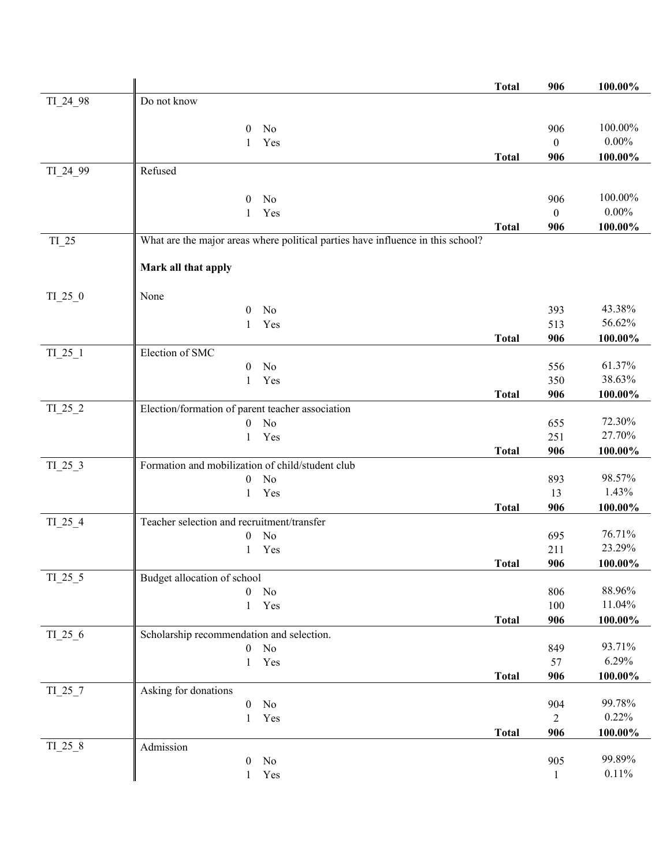|           |                                                                                 | <b>Total</b> | 906            | 100.00%          |
|-----------|---------------------------------------------------------------------------------|--------------|----------------|------------------|
| TI_24_98  | Do not know                                                                     |              |                |                  |
|           |                                                                                 |              |                |                  |
|           | No<br>$\overline{0}$                                                            |              | 906            | 100.00%          |
|           | Yes<br>1                                                                        |              | $\mathbf{0}$   | $0.00\%$         |
|           |                                                                                 | <b>Total</b> | 906            | 100.00%          |
| TI_24_99  | Refused                                                                         |              |                |                  |
|           | No<br>$\theta$                                                                  |              | 906            | 100.00%          |
|           | $\mathbf{1}$<br>Yes                                                             |              | $\theta$       | $0.00\%$         |
|           |                                                                                 | <b>Total</b> | 906            | 100.00%          |
| $TI_25$   | What are the major areas where political parties have influence in this school? |              |                |                  |
|           | Mark all that apply                                                             |              |                |                  |
|           |                                                                                 |              |                |                  |
| $TI_25_0$ | None                                                                            |              |                |                  |
|           | $\mathbf{0}$<br>No                                                              |              | 393            | 43.38%<br>56.62% |
|           | Yes<br>1                                                                        |              | 513<br>906     |                  |
| $TI_25_1$ | Election of SMC                                                                 | <b>Total</b> |                | $100.00\%$       |
|           | No<br>$\boldsymbol{0}$                                                          |              | 556            | 61.37%           |
|           | Yes<br>1                                                                        |              | 350            | 38.63%           |
|           |                                                                                 | <b>Total</b> | 906            | 100.00%          |
| $TI_25_2$ | Election/formation of parent teacher association                                |              |                |                  |
|           | No<br>$\mathbf{0}$                                                              |              | 655            | 72.30%           |
|           | Yes<br>1                                                                        |              | 251            | 27.70%           |
|           |                                                                                 | <b>Total</b> | 906            | 100.00%          |
| $TI_25_3$ | Formation and mobilization of child/student club                                |              |                |                  |
|           | No<br>$\boldsymbol{0}$                                                          |              | 893            | 98.57%           |
|           | Yes<br>$\mathbf{1}$                                                             |              | 13             | 1.43%            |
|           |                                                                                 | <b>Total</b> | 906            | 100.00%          |
| $TI_25_4$ | Teacher selection and recruitment/transfer                                      |              | 695            | 76.71%           |
|           | No<br>$\boldsymbol{0}$<br>Yes<br>1                                              |              | 211            | 23.29%           |
|           |                                                                                 | <b>Total</b> | 906            | 100.00%          |
| $TI_25_5$ | Budget allocation of school                                                     |              |                |                  |
|           | No<br>$\boldsymbol{0}$                                                          |              | 806            | 88.96%           |
|           | Yes<br>1                                                                        |              | 100            | 11.04%           |
|           |                                                                                 | <b>Total</b> | 906            | 100.00%          |
| $TI_25_6$ | Scholarship recommendation and selection.                                       |              |                |                  |
|           | $\boldsymbol{0}$<br>No                                                          |              | 849            | 93.71%           |
|           | Yes<br>1                                                                        |              | 57             | 6.29%            |
|           |                                                                                 | <b>Total</b> | 906            | $100.00\%$       |
| $TI_25_7$ | Asking for donations                                                            |              |                |                  |
|           | $\boldsymbol{0}$<br>No                                                          |              | 904            | 99.78%           |
|           | Yes<br>$\mathbf{1}$                                                             |              | $\overline{c}$ | 0.22%            |
| $TI_25_8$ | Admission                                                                       | <b>Total</b> | 906            | 100.00%          |
|           | No<br>$\boldsymbol{0}$                                                          |              | 905            | 99.89%           |
|           | Yes<br>$\mathbf{1}$                                                             |              | $\mathbf{1}$   | 0.11%            |
|           |                                                                                 |              |                |                  |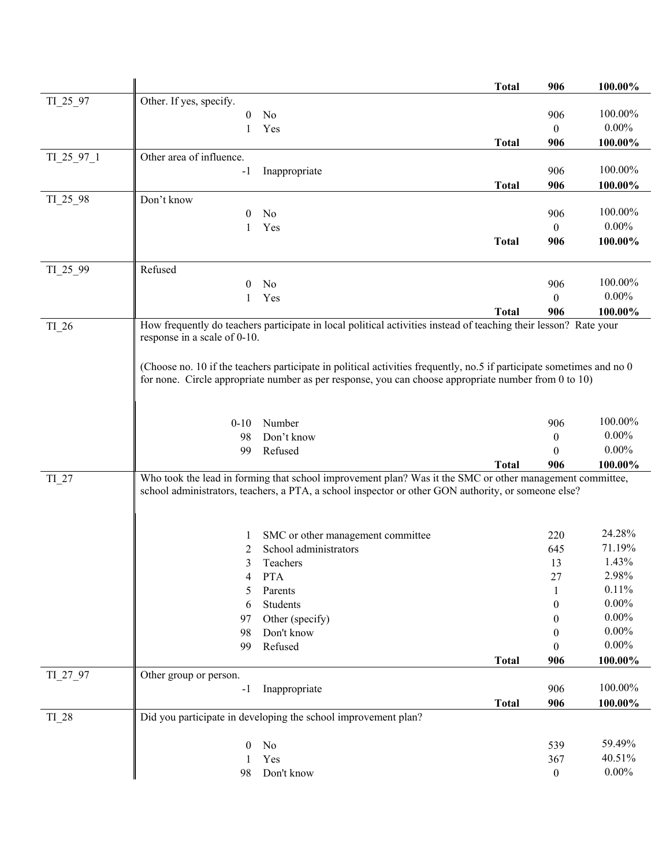|            |                                                                                                                       | <b>Total</b> | 906              | 100.00%        |
|------------|-----------------------------------------------------------------------------------------------------------------------|--------------|------------------|----------------|
| $TI_25_97$ | Other. If yes, specify.                                                                                               |              |                  |                |
|            | No<br>$\overline{0}$                                                                                                  |              | 906              | 100.00%        |
|            | Yes<br>1                                                                                                              |              | $\theta$         | $0.00\%$       |
|            |                                                                                                                       | <b>Total</b> | 906              | 100.00%        |
| TI_25_97_1 | Other area of influence.                                                                                              |              |                  |                |
|            | $-1$<br>Inappropriate                                                                                                 |              | 906              | 100.00%        |
|            |                                                                                                                       | <b>Total</b> | 906              | $100.00\%$     |
| TI_25_98   | Don't know                                                                                                            |              |                  |                |
|            | No<br>$\bf{0}$                                                                                                        |              | 906              | 100.00%        |
|            | Yes<br>1                                                                                                              |              | $\overline{0}$   | $0.00\%$       |
|            |                                                                                                                       | <b>Total</b> | 906              | 100.00%        |
|            |                                                                                                                       |              |                  |                |
| TI_25_99   | Refused<br>0                                                                                                          |              | 906              | 100.00%        |
|            | No<br>Yes                                                                                                             |              | $\theta$         | $0.00\%$       |
|            | 1                                                                                                                     |              | 906              |                |
| TI_26      | How frequently do teachers participate in local political activities instead of teaching their lesson? Rate your      | <b>Total</b> |                  | 100.00%        |
|            | response in a scale of 0-10.                                                                                          |              |                  |                |
|            |                                                                                                                       |              |                  |                |
|            | (Choose no. 10 if the teachers participate in political activities frequently, no.5 if participate sometimes and no 0 |              |                  |                |
|            | for none. Circle appropriate number as per response, you can choose appropriate number from 0 to 10)                  |              |                  |                |
|            |                                                                                                                       |              |                  |                |
|            |                                                                                                                       |              |                  |                |
|            | Number<br>$0 - 10$                                                                                                    |              | 906              | 100.00%        |
|            | Don't know<br>98                                                                                                      |              | $\boldsymbol{0}$ | $0.00\%$       |
|            | 99<br>Refused                                                                                                         |              | 0                | $0.00\%$       |
|            |                                                                                                                       | <b>Total</b> | 906              | 100.00%        |
| $TI_27$    | Who took the lead in forming that school improvement plan? Was it the SMC or other management committee,              |              |                  |                |
|            | school administrators, teachers, a PTA, a school inspector or other GON authority, or someone else?                   |              |                  |                |
|            |                                                                                                                       |              |                  |                |
|            |                                                                                                                       |              |                  |                |
|            | SMC or other management committee<br>$\mathbf{I}$                                                                     |              | 220              | 24.28%         |
|            | School administrators<br>2                                                                                            |              | 645              | 71.19%         |
|            | 3<br>Teachers                                                                                                         |              | 13               | 1.43%          |
|            | <b>PTA</b><br>4                                                                                                       |              | 27               | 2.98%<br>0.11% |
|            | Parents<br>5                                                                                                          |              |                  | $0.00\%$       |
|            | Students<br>6                                                                                                         |              | $\boldsymbol{0}$ | $0.00\%$       |
|            | Other (specify)<br>97                                                                                                 |              | $\bf{0}$         | $0.00\%$       |
|            | Don't know<br>98<br>Refused                                                                                           |              | $\theta$         | $0.00\%$       |
|            | 99                                                                                                                    |              | $\theta$         |                |
| TI 27 97   |                                                                                                                       | <b>Total</b> | 906              | 100.00%        |
|            | Other group or person.<br>Inappropriate<br>$-1$                                                                       |              | 906              | 100.00%        |
|            |                                                                                                                       | <b>Total</b> | 906              | 100.00%        |
| $TI_28$    | Did you participate in developing the school improvement plan?                                                        |              |                  |                |
|            |                                                                                                                       |              |                  |                |
|            | $\boldsymbol{0}$<br>No                                                                                                |              | 539              | 59.49%         |
|            | Yes<br>1                                                                                                              |              | 367              | 40.51%         |
|            | 98<br>Don't know                                                                                                      |              | $\boldsymbol{0}$ | $0.00\%$       |
|            |                                                                                                                       |              |                  |                |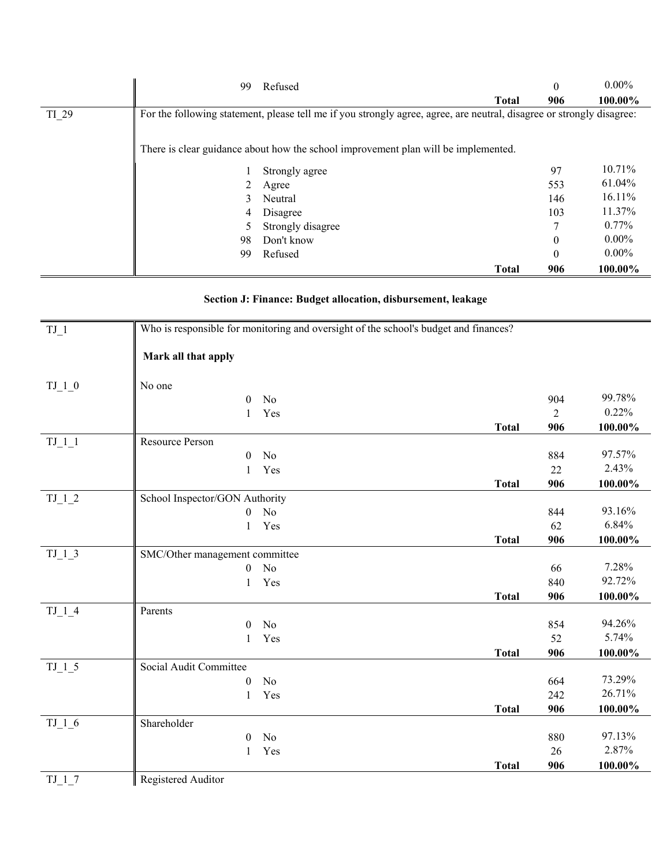|       | 99 | Refused                                                                                                               |              | $\Omega$ | $0.00\%$ |
|-------|----|-----------------------------------------------------------------------------------------------------------------------|--------------|----------|----------|
|       |    |                                                                                                                       | <b>Total</b> | 906      | 100.00%  |
| TI 29 |    | For the following statement, please tell me if you strongly agree, agree, are neutral, disagree or strongly disagree: |              |          |          |
|       |    |                                                                                                                       |              |          |          |
|       |    | There is clear guidance about how the school improvement plan will be implemented.                                    |              |          |          |
|       |    | Strongly agree                                                                                                        |              | 97       | 10.71%   |
|       |    | Agree                                                                                                                 |              | 553      | 61.04%   |
|       | 3  | Neutral                                                                                                               |              | 146      | 16.11%   |
|       | 4  | Disagree                                                                                                              |              | 103      | 11.37%   |
|       |    | Strongly disagree                                                                                                     |              | 7        | $0.77\%$ |
|       | 98 | Don't know                                                                                                            |              | $\Omega$ | $0.00\%$ |
|       | 99 | Refused                                                                                                               |              | $\theta$ | $0.00\%$ |
|       |    |                                                                                                                       | <b>Total</b> | 906      | 100.00%  |

## **Section J: Finance: Budget allocation, disbursement, leakage**

| $TJ_1$   | Who is responsible for monitoring and oversight of the school's budget and finances? |              |                |         |
|----------|--------------------------------------------------------------------------------------|--------------|----------------|---------|
|          | Mark all that apply                                                                  |              |                |         |
| $TJ_1_0$ | No one                                                                               |              |                |         |
|          | No<br>$\theta$                                                                       |              | 904            | 99.78%  |
|          | Yes<br>$\mathbf{1}$                                                                  |              | $\overline{2}$ | 0.22%   |
|          |                                                                                      | <b>Total</b> | 906            | 100.00% |
| $TJ_1_1$ | Resource Person                                                                      |              |                |         |
|          | No<br>$\theta$                                                                       |              | 884            | 97.57%  |
|          | Yes<br>1                                                                             |              | 22             | 2.43%   |
|          |                                                                                      | <b>Total</b> | 906            | 100.00% |
| $TJ_12$  | School Inspector/GON Authority                                                       |              |                |         |
|          | No<br>$\overline{0}$                                                                 |              | 844            | 93.16%  |
|          | Yes<br>$\mathbf{1}$                                                                  |              | 62             | 6.84%   |
|          |                                                                                      | <b>Total</b> | 906            | 100.00% |
| $TJ_13$  | SMC/Other management committee                                                       |              |                | 7.28%   |
|          | N <sub>o</sub><br>$\boldsymbol{0}$                                                   |              | 66             | 92.72%  |
|          | Yes<br>1                                                                             |              | 840            |         |
|          | Parents                                                                              | <b>Total</b> | 906            | 100.00% |
| $TJ_14$  | No<br>$\boldsymbol{0}$                                                               |              | 854            | 94.26%  |
|          | Yes<br>$\mathbf{1}$                                                                  |              | 52             | 5.74%   |
|          |                                                                                      | <b>Total</b> | 906            | 100.00% |
| $TJ_15$  | Social Audit Committee                                                               |              |                |         |
|          | No<br>$\boldsymbol{0}$                                                               |              | 664            | 73.29%  |
|          | Yes<br>1                                                                             |              | 242            | 26.71%  |
|          |                                                                                      | <b>Total</b> | 906            | 100.00% |
| $TJ_1_6$ | Shareholder                                                                          |              |                |         |
|          | No<br>$\theta$                                                                       |              | 880            | 97.13%  |
|          | Yes<br>1                                                                             |              | 26             | 2.87%   |
|          |                                                                                      | <b>Total</b> | 906            | 100.00% |
| TJ 17    | Registered Auditor                                                                   |              |                |         |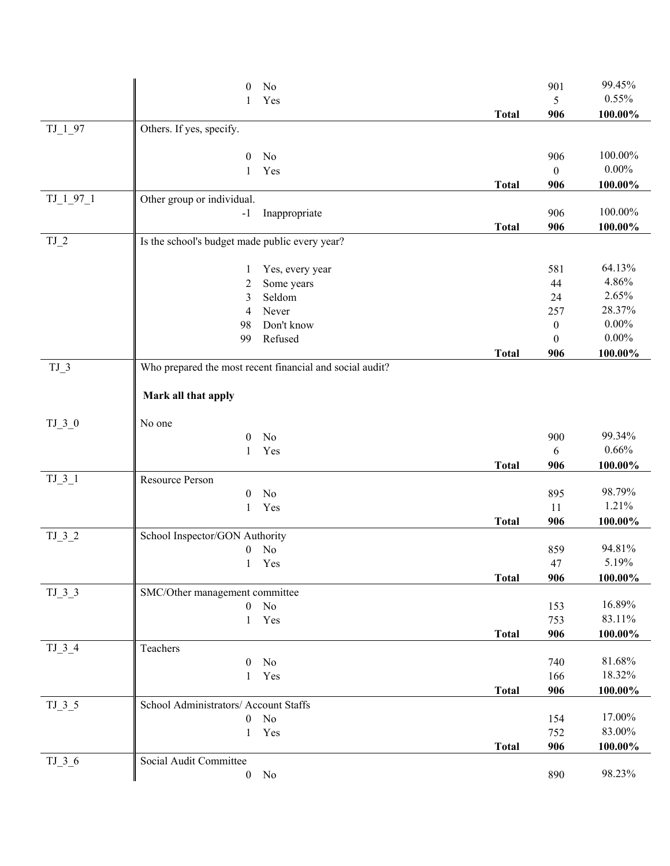|            | $\mathbf{0}$<br>No                                       |              | 901              | 99.45%     |
|------------|----------------------------------------------------------|--------------|------------------|------------|
|            | Yes<br>1                                                 |              | 5                | 0.55%      |
|            |                                                          | <b>Total</b> | 906              | 100.00%    |
| $TJ_{197}$ | Others. If yes, specify.                                 |              |                  |            |
|            |                                                          |              |                  |            |
|            | $\boldsymbol{0}$<br>No                                   |              | 906              | 100.00%    |
|            | Yes<br>1                                                 |              | $\boldsymbol{0}$ | $0.00\%$   |
|            |                                                          | <b>Total</b> | 906              | 100.00%    |
| $TJ_197_1$ | Other group or individual.                               |              |                  |            |
|            | Inappropriate<br>$-1$                                    |              | 906              | 100.00%    |
|            |                                                          | <b>Total</b> | 906              | 100.00%    |
| $TJ_2$     | Is the school's budget made public every year?           |              |                  |            |
|            |                                                          |              | 581              | 64.13%     |
|            | Yes, every year<br>1<br>Some years<br>$\overline{c}$     |              | 44               | 4.86%      |
|            | Seldom<br>3                                              |              | 24               | 2.65%      |
|            | Never<br>4                                               |              | 257              | 28.37%     |
|            | Don't know<br>98                                         |              | $\boldsymbol{0}$ | $0.00\%$   |
|            | Refused<br>99                                            |              | $\boldsymbol{0}$ | $0.00\%$   |
|            |                                                          | <b>Total</b> | 906              | 100.00%    |
| $TJ_3$     | Who prepared the most recent financial and social audit? |              |                  |            |
|            |                                                          |              |                  |            |
|            | Mark all that apply                                      |              |                  |            |
|            | No one                                                   |              |                  |            |
| $TJ_3_0$   | No<br>$\mathbf{0}$                                       |              | 900              | 99.34%     |
|            | Yes<br>1                                                 |              | 6                | 0.66%      |
|            |                                                          | <b>Total</b> | 906              | 100.00%    |
| $TJ_3_1$   | Resource Person                                          |              |                  |            |
|            | No<br>$\mathbf{0}$                                       |              | 895              | 98.79%     |
|            | $\mathbf{1}$<br>Yes                                      |              | 11               | 1.21%      |
|            |                                                          | <b>Total</b> | 906              | 100.00%    |
| $TJ_3_2$   | School Inspector/GON Authority                           |              |                  |            |
|            | No<br>$\boldsymbol{0}$                                   |              | 859              | 94.81%     |
|            | 1 Yes                                                    |              | 47               | 5.19%      |
|            |                                                          | <b>Total</b> | 906              | 100.00%    |
| $TJ_3_3$   | SMC/Other management committee                           |              |                  |            |
|            | $\mathbf{0}$<br>No                                       |              | 153              | 16.89%     |
|            | Yes<br>$\mathbf{1}$                                      |              | 753              | 83.11%     |
|            |                                                          | <b>Total</b> | 906              | $100.00\%$ |
| $TJ_3_4$   | Teachers                                                 |              |                  |            |
|            | No<br>$\boldsymbol{0}$                                   |              | 740              | 81.68%     |
|            | Yes<br>1                                                 |              | 166              | 18.32%     |
|            |                                                          | <b>Total</b> | 906              | 100.00%    |
| $TJ_35$    | School Administrators/ Account Staffs                    |              |                  |            |
|            | No<br>$\boldsymbol{0}$                                   |              | 154              | 17.00%     |
|            | Yes<br>1                                                 |              | 752              | 83.00%     |
|            |                                                          | <b>Total</b> | 906              | 100.00%    |
| $TJ_3_6$   | Social Audit Committee                                   |              |                  | 98.23%     |
|            | $\boldsymbol{0}$<br>No                                   |              | 890              |            |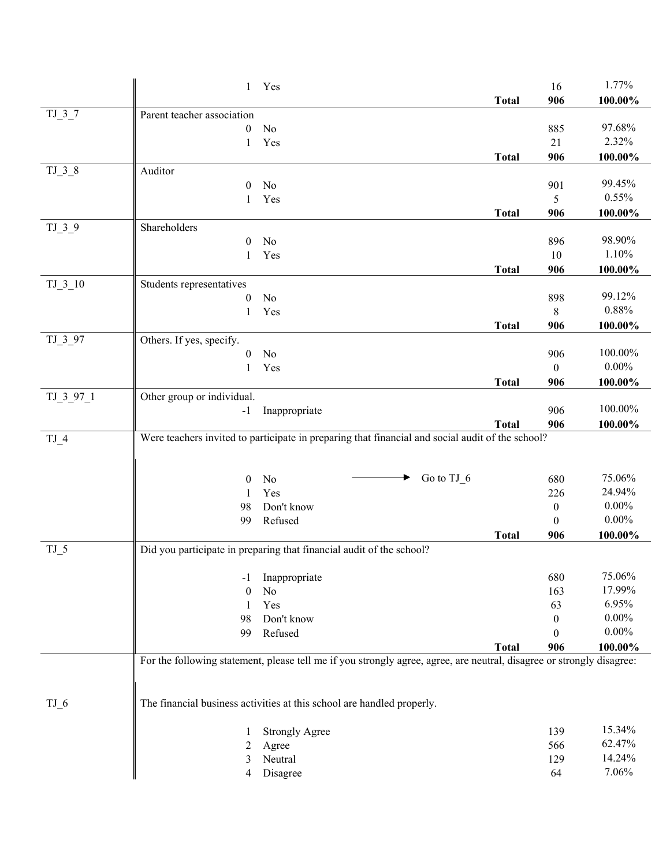|            | 1 Yes                                                                                                                 |              | 16               | 1.77%      |
|------------|-----------------------------------------------------------------------------------------------------------------------|--------------|------------------|------------|
|            |                                                                                                                       | <b>Total</b> | 906              | 100.00%    |
| $TJ_37$    | Parent teacher association                                                                                            |              |                  |            |
|            | No<br>$\theta$                                                                                                        |              | 885              | 97.68%     |
|            | Yes<br>1                                                                                                              |              | 21               | 2.32%      |
|            |                                                                                                                       | <b>Total</b> | 906              | 100.00%    |
| $TJ_3_8$   | Auditor                                                                                                               |              |                  |            |
|            | $\boldsymbol{0}$<br>No                                                                                                |              | 901              | 99.45%     |
|            | Yes<br>1                                                                                                              |              | 5                | 0.55%      |
|            |                                                                                                                       | <b>Total</b> | 906              | 100.00%    |
| $TJ_39$    | Shareholders                                                                                                          |              |                  |            |
|            | No<br>$\theta$                                                                                                        |              | 896              | 98.90%     |
|            | Yes<br>1                                                                                                              |              | $10\,$           | 1.10%      |
|            |                                                                                                                       | <b>Total</b> | 906              | 100.00%    |
| $TJ_3_10$  | Students representatives<br>No                                                                                        |              |                  | 99.12%     |
|            | $\boldsymbol{0}$<br>Yes<br>1                                                                                          |              | 898<br>8         | 0.88%      |
|            |                                                                                                                       | <b>Total</b> | 906              | 100.00%    |
| TJ 3 97    | Others. If yes, specify.                                                                                              |              |                  |            |
|            | No<br>$\boldsymbol{0}$                                                                                                |              | 906              | 100.00%    |
|            | Yes<br>1                                                                                                              |              | $\boldsymbol{0}$ | $0.00\%$   |
|            |                                                                                                                       | <b>Total</b> | 906              | $100.00\%$ |
| $TJ_397_1$ | Other group or individual.                                                                                            |              |                  |            |
|            | Inappropriate<br>$-1$                                                                                                 |              | 906              | 100.00%    |
|            |                                                                                                                       | <b>Total</b> | 906              | 100.00%    |
| $TJ_4$     | Were teachers invited to participate in preparing that financial and social audit of the school?                      |              |                  |            |
|            |                                                                                                                       |              |                  |            |
|            |                                                                                                                       |              |                  |            |
|            | No<br>$\theta$<br>▸                                                                                                   | Go to TJ_6   | 680              | 75.06%     |
|            | Yes<br>1                                                                                                              |              | 226              | 24.94%     |
|            | Don't know<br>98                                                                                                      |              | $\boldsymbol{0}$ | $0.00\%$   |
|            | Refused<br>99                                                                                                         |              | $\theta$         | $0.00\%$   |
|            |                                                                                                                       | <b>Total</b> | 906              | 100.00%    |
| $TJ_5$     | Did you participate in preparing that financial audit of the school?                                                  |              |                  |            |
|            | Inappropriate<br>$-1$                                                                                                 |              | 680              | 75.06%     |
|            | No<br>$\theta$                                                                                                        |              | 163              | 17.99%     |
|            | Yes<br>1                                                                                                              |              | 63               | 6.95%      |
|            | Don't know<br>98                                                                                                      |              | $\theta$         | $0.00\%$   |
|            | 99<br>Refused                                                                                                         |              | 0                | $0.00\%$   |
|            |                                                                                                                       | <b>Total</b> | 906              | 100.00%    |
|            | For the following statement, please tell me if you strongly agree, agree, are neutral, disagree or strongly disagree: |              |                  |            |
|            |                                                                                                                       |              |                  |            |
|            |                                                                                                                       |              |                  |            |
| $TJ_6$     | The financial business activities at this school are handled properly.                                                |              |                  |            |
|            |                                                                                                                       |              |                  |            |
|            | <b>Strongly Agree</b><br>1                                                                                            |              | 139              | 15.34%     |
|            | 2<br>Agree                                                                                                            |              | 566              | 62.47%     |
|            | Neutral<br>3                                                                                                          |              | 129              | 14.24%     |
|            | Disagree<br>4                                                                                                         |              | 64               | 7.06%      |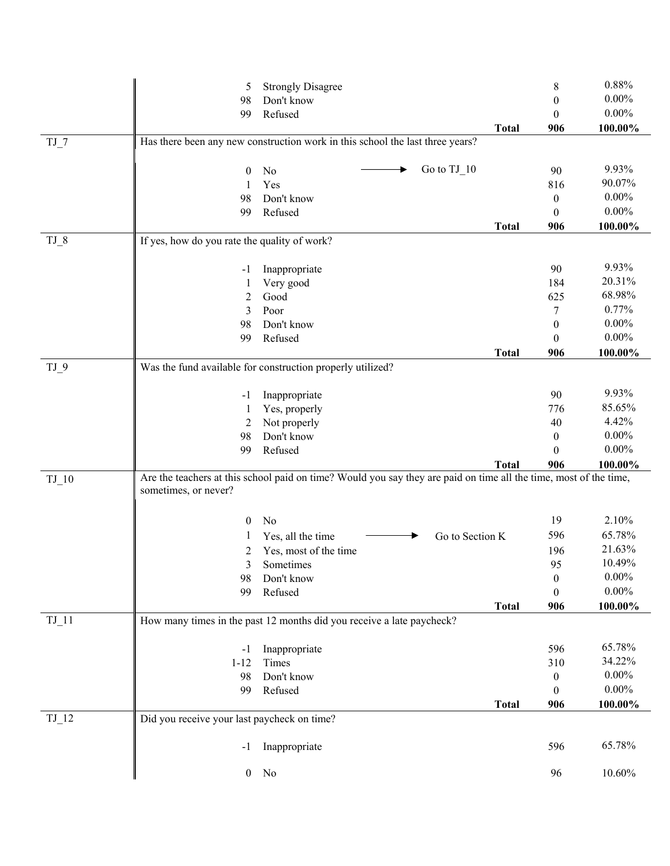|         | 5                                            | <b>Strongly Disagree</b>                                                                                          | 8                | 0.88%      |
|---------|----------------------------------------------|-------------------------------------------------------------------------------------------------------------------|------------------|------------|
|         | 98                                           | Don't know                                                                                                        | $\boldsymbol{0}$ | $0.00\%$   |
|         | 99                                           | Refused                                                                                                           | $\theta$         | $0.00\%$   |
|         |                                              | <b>Total</b>                                                                                                      | 906              | 100.00%    |
| $TJ_7$  |                                              | Has there been any new construction work in this school the last three years?                                     |                  |            |
|         |                                              |                                                                                                                   |                  |            |
|         | $\boldsymbol{0}$                             | Go to TJ_10<br>No<br>▸                                                                                            | 90               | 9.93%      |
|         | 1                                            | Yes                                                                                                               | 816              | 90.07%     |
|         | 98                                           | Don't know                                                                                                        | $\boldsymbol{0}$ | $0.00\%$   |
|         | 99                                           | Refused                                                                                                           | $\theta$         | $0.00\%$   |
| $TJ_8$  |                                              | <b>Total</b>                                                                                                      | 906              | 100.00%    |
|         | If yes, how do you rate the quality of work? |                                                                                                                   |                  |            |
|         | -1                                           | Inappropriate                                                                                                     | 90               | 9.93%      |
|         | 1                                            | Very good                                                                                                         | 184              | 20.31%     |
|         | 2                                            | Good                                                                                                              | 625              | 68.98%     |
|         | 3                                            | Poor                                                                                                              | 7                | 0.77%      |
|         | 98                                           | Don't know                                                                                                        | $\boldsymbol{0}$ | $0.00\%$   |
|         | 99                                           | Refused                                                                                                           | $\boldsymbol{0}$ | $0.00\%$   |
|         |                                              | <b>Total</b>                                                                                                      | 906              | 100.00%    |
| $TJ_9$  |                                              | Was the fund available for construction properly utilized?                                                        |                  |            |
|         |                                              |                                                                                                                   | 90               | 9.93%      |
|         | -1                                           | Inappropriate                                                                                                     | 776              | 85.65%     |
|         | 1<br>2                                       | Yes, properly<br>Not properly                                                                                     | 40               | 4.42%      |
|         | 98                                           | Don't know                                                                                                        | $\boldsymbol{0}$ | $0.00\%$   |
|         | 99                                           | Refused                                                                                                           | $\boldsymbol{0}$ | $0.00\%$   |
|         |                                              | <b>Total</b>                                                                                                      | 906              | 100.00%    |
| $TJ_10$ |                                              | Are the teachers at this school paid on time? Would you say they are paid on time all the time, most of the time, |                  |            |
|         | sometimes, or never?                         |                                                                                                                   |                  |            |
|         |                                              |                                                                                                                   |                  |            |
|         | $\theta$                                     | No                                                                                                                | 19               | 2.10%      |
|         |                                              | Go to Section K<br>Yes, all the time                                                                              | 596              | 65.78%     |
|         | 2                                            | Yes, most of the time                                                                                             | 196              | 21.63%     |
|         | 3                                            | Sometimes                                                                                                         | 95               | 10.49%     |
|         | 98                                           | Don't know                                                                                                        | $\boldsymbol{0}$ | $0.00\%$   |
|         | 99                                           | Refused                                                                                                           | $\theta$         | $0.00\%$   |
|         |                                              | <b>Total</b>                                                                                                      | 906              | 100.00%    |
| $TJ_11$ |                                              | How many times in the past 12 months did you receive a late paycheck?                                             |                  |            |
|         | $-1$                                         | Inappropriate                                                                                                     | 596              | 65.78%     |
|         | $1 - 12$                                     | Times                                                                                                             | 310              | 34.22%     |
|         | 98                                           | Don't know                                                                                                        | $\overline{0}$   | $0.00\%$   |
|         | 99                                           | Refused                                                                                                           | $\theta$         | $0.00\%$   |
|         |                                              | <b>Total</b>                                                                                                      | 906              | $100.00\%$ |
| $TJ_12$ | Did you receive your last paycheck on time?  |                                                                                                                   |                  |            |
|         |                                              |                                                                                                                   |                  | 65.78%     |
|         | -1                                           | Inappropriate                                                                                                     | 596              |            |
|         | $\boldsymbol{0}$                             | No                                                                                                                | 96               | $10.60\%$  |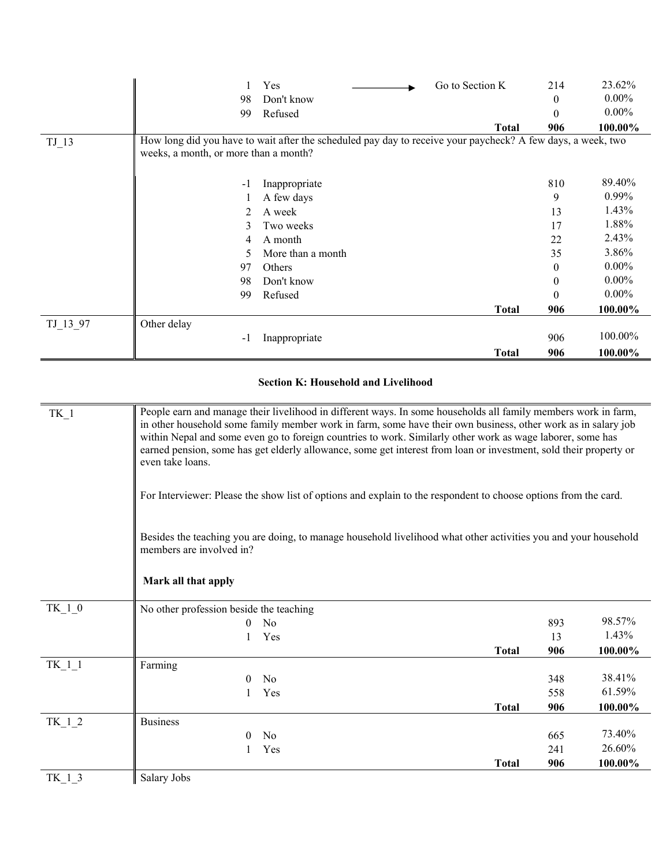|                    | 99                                    | Refused                                                                                                     |              | $\Omega$ | $0.00\%$ |
|--------------------|---------------------------------------|-------------------------------------------------------------------------------------------------------------|--------------|----------|----------|
|                    |                                       |                                                                                                             | <b>Total</b> | 906      | 100.00%  |
| $TJ$ <sup>13</sup> |                                       | How long did you have to wait after the scheduled pay day to receive your paycheck? A few days, a week, two |              |          |          |
|                    | weeks, a month, or more than a month? |                                                                                                             |              |          |          |
|                    |                                       |                                                                                                             |              |          |          |
|                    | $-1$                                  | Inappropriate                                                                                               |              | 810      | 89.40%   |
|                    |                                       | A few days                                                                                                  |              | 9        | $0.99\%$ |
|                    | 2                                     | A week                                                                                                      |              | 13       | 1.43%    |
|                    | 3                                     | Two weeks                                                                                                   |              | 17       | 1.88%    |
|                    | 4                                     | A month                                                                                                     |              | 22       | 2.43%    |
|                    | 5                                     | More than a month                                                                                           |              | 35       | 3.86%    |
|                    | 97                                    | Others                                                                                                      |              | 0        | $0.00\%$ |
|                    | 98                                    | Don't know                                                                                                  |              | 0        | $0.00\%$ |
|                    | 99                                    | Refused                                                                                                     |              | $\theta$ | $0.00\%$ |
|                    |                                       |                                                                                                             | <b>Total</b> | 906      | 100.00%  |
| TJ 13 97           | Other delay                           |                                                                                                             |              |          |          |
|                    | $-1$                                  | Inappropriate                                                                                               |              | 906      | 100.00%  |
|                    |                                       |                                                                                                             | <b>Total</b> | 906      | 100.00%  |

## **Section K: Household and Livelihood**

| TK 1     | People earn and manage their livelihood in different ways. In some households all family members work in farm,<br>in other household some family member work in farm, some have their own business, other work as in salary job<br>within Nepal and some even go to foreign countries to work. Similarly other work as wage laborer, some has<br>earned pension, some has get elderly allowance, some get interest from loan or investment, sold their property or<br>even take loans. |     |         |  |
|----------|----------------------------------------------------------------------------------------------------------------------------------------------------------------------------------------------------------------------------------------------------------------------------------------------------------------------------------------------------------------------------------------------------------------------------------------------------------------------------------------|-----|---------|--|
|          | For Interviewer: Please the show list of options and explain to the respondent to choose options from the card.                                                                                                                                                                                                                                                                                                                                                                        |     |         |  |
|          | Besides the teaching you are doing, to manage household livelihood what other activities you and your household<br>members are involved in?                                                                                                                                                                                                                                                                                                                                            |     |         |  |
|          | Mark all that apply                                                                                                                                                                                                                                                                                                                                                                                                                                                                    |     |         |  |
| $TK_1_0$ | No other profession beside the teaching                                                                                                                                                                                                                                                                                                                                                                                                                                                |     |         |  |
|          | N <sub>o</sub><br>0                                                                                                                                                                                                                                                                                                                                                                                                                                                                    | 893 | 98.57%  |  |
|          | Yes                                                                                                                                                                                                                                                                                                                                                                                                                                                                                    | 13  | 1.43%   |  |
|          | <b>Total</b>                                                                                                                                                                                                                                                                                                                                                                                                                                                                           | 906 | 100.00% |  |
| TK 1 1   | Farming                                                                                                                                                                                                                                                                                                                                                                                                                                                                                |     |         |  |
|          | N <sub>o</sub><br>$\theta$                                                                                                                                                                                                                                                                                                                                                                                                                                                             | 348 | 38.41%  |  |
|          | Yes                                                                                                                                                                                                                                                                                                                                                                                                                                                                                    | 558 | 61.59%  |  |
|          | <b>Total</b>                                                                                                                                                                                                                                                                                                                                                                                                                                                                           | 906 | 100.00% |  |
| TK 1 2   | <b>Business</b>                                                                                                                                                                                                                                                                                                                                                                                                                                                                        |     |         |  |
|          | N <sub>0</sub><br>0                                                                                                                                                                                                                                                                                                                                                                                                                                                                    | 665 | 73.40%  |  |
|          | Yes                                                                                                                                                                                                                                                                                                                                                                                                                                                                                    | 241 | 26.60%  |  |
|          | <b>Total</b>                                                                                                                                                                                                                                                                                                                                                                                                                                                                           | 906 | 100.00% |  |
| TK 13    | Salary Jobs                                                                                                                                                                                                                                                                                                                                                                                                                                                                            |     |         |  |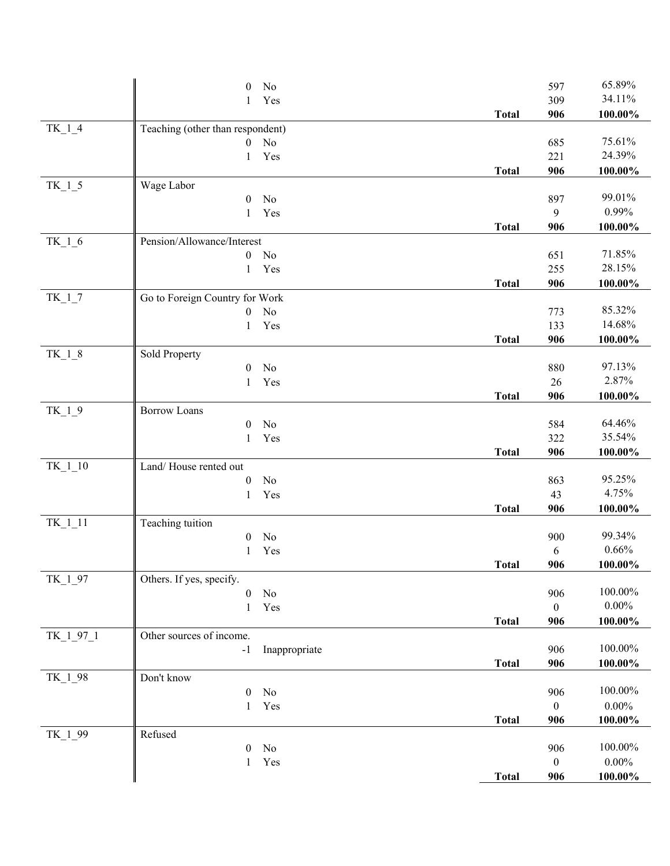|             | $\theta$<br>No                   |              | 597              | 65.89%     |
|-------------|----------------------------------|--------------|------------------|------------|
|             | Yes<br>1                         |              | 309              | 34.11%     |
|             |                                  | <b>Total</b> | 906              | 100.00%    |
| $TK_1_4$    | Teaching (other than respondent) |              |                  |            |
|             | No<br>0                          |              | 685              | 75.61%     |
|             | Yes<br>1                         |              | 221              | 24.39%     |
|             |                                  | <b>Total</b> | 906              | 100.00%    |
| $TK_1_5$    | Wage Labor                       |              |                  |            |
|             | No<br>$\boldsymbol{0}$           |              | 897              | 99.01%     |
|             | Yes<br>1                         |              | 9                | 0.99%      |
|             |                                  | <b>Total</b> | 906              | 100.00%    |
| $TK_1_6$    | Pension/Allowance/Interest       |              |                  |            |
|             | No<br>$\boldsymbol{0}$           |              | 651              | 71.85%     |
|             | Yes<br>1                         |              | 255              | 28.15%     |
|             |                                  | <b>Total</b> | 906              | 100.00%    |
| $TK_1_7$    | Go to Foreign Country for Work   |              |                  |            |
|             | No<br>0                          |              | 773              | 85.32%     |
|             | Yes<br>1                         |              | 133              | 14.68%     |
|             |                                  | <b>Total</b> | 906              | 100.00%    |
| $TK_18$     | Sold Property                    |              |                  |            |
|             | No<br>$\boldsymbol{0}$           |              | 880              | 97.13%     |
|             | Yes<br>1                         |              | 26               | 2.87%      |
|             |                                  | <b>Total</b> | 906              | 100.00%    |
| $TK_1_9$    | <b>Borrow Loans</b>              |              |                  |            |
|             | 0<br>No                          |              | 584              | 64.46%     |
|             | Yes<br>1                         |              | 322              | 35.54%     |
|             |                                  | <b>Total</b> | 906              | 100.00%    |
| TK_1_10     | Land/House rented out            |              |                  |            |
|             | $\rm No$<br>$\boldsymbol{0}$     |              | 863              | 95.25%     |
|             | Yes<br>1                         |              | 43               | 4.75%      |
|             |                                  | <b>Total</b> | 906              | 100.00%    |
| $TK\_1\_11$ | Teaching tuition                 |              |                  |            |
|             | No<br>$\boldsymbol{0}$           |              | 900              | 99.34%     |
|             | Yes<br>1                         |              | 6                | 0.66%      |
|             |                                  | <b>Total</b> | 906              | 100.00%    |
| TK_1_97     | Others. If yes, specify.         |              |                  |            |
|             | No<br>$\boldsymbol{0}$           |              | 906              | 100.00%    |
|             | Yes<br>1                         |              | $\boldsymbol{0}$ | $0.00\%$   |
|             |                                  | <b>Total</b> | 906              | 100.00%    |
| TK_1_97_1   | Other sources of income.         |              |                  |            |
|             | Inappropriate<br>$-1$            |              | 906              | 100.00%    |
|             |                                  | <b>Total</b> | 906              | 100.00%    |
| TK_1_98     | Don't know                       |              |                  | 100.00%    |
|             | No<br>$\boldsymbol{0}$           |              | 906              |            |
|             | Yes<br>1                         |              | $\boldsymbol{0}$ | $0.00\%$   |
|             |                                  | <b>Total</b> | 906              | 100.00%    |
| TK_1_99     | Refused                          |              |                  |            |
|             | No<br>$\overline{0}$             |              | 906              | 100.00%    |
|             | Yes<br>1                         |              | $\boldsymbol{0}$ | $0.00\%$   |
|             |                                  | <b>Total</b> | 906              | $100.00\%$ |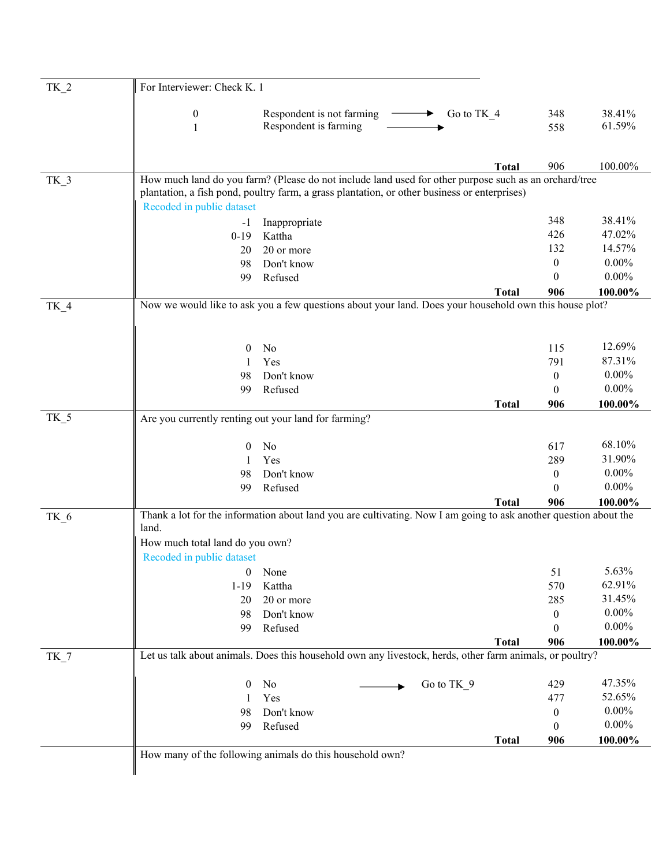| $TK_2$          | For Interviewer: Check K. 1                          |                                                                                                                                                                                                       |              |                  |                  |
|-----------------|------------------------------------------------------|-------------------------------------------------------------------------------------------------------------------------------------------------------------------------------------------------------|--------------|------------------|------------------|
|                 | $\boldsymbol{0}$<br>1                                | Respondent is not farming $-$<br>Go to TK 4<br>▸.<br>Respondent is farming                                                                                                                            |              | 348<br>558       | 38.41%<br>61.59% |
|                 |                                                      |                                                                                                                                                                                                       | <b>Total</b> | 906              | 100.00%          |
| $TK_3$          |                                                      | How much land do you farm? (Please do not include land used for other purpose such as an orchard/tree<br>plantation, a fish pond, poultry farm, a grass plantation, or other business or enterprises) |              |                  |                  |
|                 | Recoded in public dataset                            |                                                                                                                                                                                                       |              |                  |                  |
|                 | $-1$                                                 | Inappropriate                                                                                                                                                                                         |              | 348              | 38.41%           |
|                 | $0 - 19$                                             | Kattha                                                                                                                                                                                                |              | 426              | 47.02%           |
|                 | 20                                                   | 20 or more                                                                                                                                                                                            |              | 132              | 14.57%           |
|                 | 98                                                   | Don't know                                                                                                                                                                                            |              | $\mathbf{0}$     | $0.00\%$         |
|                 | 99                                                   | Refused                                                                                                                                                                                               |              | $\theta$         | $0.00\%$         |
|                 |                                                      |                                                                                                                                                                                                       | <b>Total</b> | 906              | 100.00%          |
| TK_4            |                                                      | Now we would like to ask you a few questions about your land. Does your household own this house plot?                                                                                                |              |                  |                  |
|                 | 0                                                    | No                                                                                                                                                                                                    |              | 115              | 12.69%           |
|                 | 1                                                    | Yes                                                                                                                                                                                                   |              | 791              | 87.31%           |
|                 | 98                                                   | Don't know                                                                                                                                                                                            |              | $\boldsymbol{0}$ | $0.00\%$         |
|                 | 99                                                   | Refused                                                                                                                                                                                               |              | $\mathbf{0}$     | $0.00\%$         |
|                 |                                                      |                                                                                                                                                                                                       | <b>Total</b> | 906              | 100.00%          |
| $TK_5$          | Are you currently renting out your land for farming? |                                                                                                                                                                                                       |              |                  |                  |
|                 |                                                      | No                                                                                                                                                                                                    |              | 617              | 68.10%           |
|                 | 0<br>1                                               | Yes                                                                                                                                                                                                   |              | 289              | 31.90%           |
|                 | 98                                                   | Don't know                                                                                                                                                                                            |              | $\mathbf{0}$     | $0.00\%$         |
|                 | 99                                                   | Refused                                                                                                                                                                                               |              | $\theta$         | $0.00\%$         |
|                 |                                                      |                                                                                                                                                                                                       | <b>Total</b> | 906              | 100.00%          |
| TK <sub>6</sub> | land.                                                | Thank a lot for the information about land you are cultivating. Now I am going to ask another question about the                                                                                      |              |                  |                  |
|                 | How much total land do you own?                      |                                                                                                                                                                                                       |              |                  |                  |
|                 | Recoded in public dataset                            |                                                                                                                                                                                                       |              |                  |                  |
|                 | 0                                                    | None                                                                                                                                                                                                  |              | 51               | 5.63%            |
|                 | $1 - 19$                                             | Kattha                                                                                                                                                                                                |              | 570              | 62.91%           |
|                 | 20                                                   | 20 or more                                                                                                                                                                                            |              | 285              | 31.45%           |
|                 | 98                                                   | Don't know                                                                                                                                                                                            |              | $\boldsymbol{0}$ | $0.00\%$         |
|                 | 99                                                   | Refused                                                                                                                                                                                               |              | $\theta$         | $0.00\%$         |
|                 |                                                      |                                                                                                                                                                                                       | <b>Total</b> | 906              | 100.00%          |
| $TK_7$          |                                                      | Let us talk about animals. Does this household own any livestock, herds, other farm animals, or poultry?                                                                                              |              |                  |                  |
|                 | 0                                                    | No<br>Go to TK 9                                                                                                                                                                                      |              | 429              | 47.35%           |
|                 | 1                                                    | Yes                                                                                                                                                                                                   |              | 477              | 52.65%           |
|                 | 98                                                   | Don't know                                                                                                                                                                                            |              | $\boldsymbol{0}$ | $0.00\%$         |
|                 | 99                                                   | Refused                                                                                                                                                                                               |              | $\mathbf{0}$     | $0.00\%$         |
|                 |                                                      |                                                                                                                                                                                                       | <b>Total</b> | 906              | 100.00%          |
|                 |                                                      | How many of the following animals do this household own?                                                                                                                                              |              |                  |                  |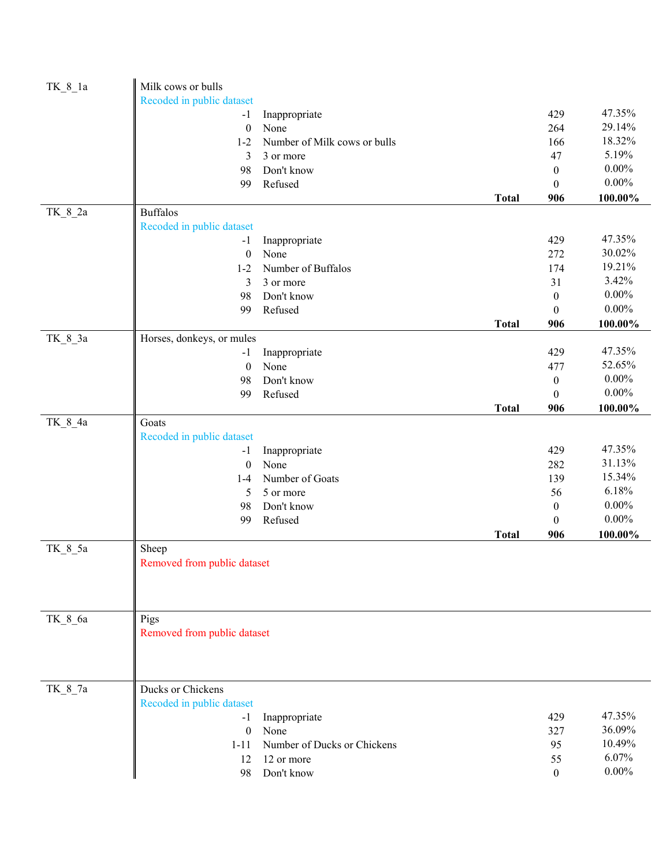| $TK_8_1a$ | Milk cows or bulls          |                              |              |                  |          |
|-----------|-----------------------------|------------------------------|--------------|------------------|----------|
|           | Recoded in public dataset   |                              |              |                  |          |
|           | $-1$                        | Inappropriate                |              | 429              | 47.35%   |
|           | $\boldsymbol{0}$            | None                         |              | 264              | 29.14%   |
|           | $1 - 2$                     | Number of Milk cows or bulls |              | 166              | 18.32%   |
|           | 3                           | 3 or more                    |              | 47               | 5.19%    |
|           | 98                          | Don't know                   |              | $\boldsymbol{0}$ | $0.00\%$ |
|           | 99                          | Refused                      |              | $\boldsymbol{0}$ | $0.00\%$ |
|           |                             |                              | <b>Total</b> | 906              | 100.00%  |
| TK_8_2a   | <b>Buffalos</b>             |                              |              |                  |          |
|           | Recoded in public dataset   |                              |              |                  |          |
|           | $-1$                        | Inappropriate                |              | 429              | 47.35%   |
|           | $\boldsymbol{0}$            | None                         |              | 272              | 30.02%   |
|           | $1 - 2$                     | Number of Buffalos           |              | 174              | 19.21%   |
|           | 3                           | 3 or more                    |              | 31               | 3.42%    |
|           | 98                          | Don't know                   |              | $\boldsymbol{0}$ | $0.00\%$ |
|           | 99                          | Refused                      |              | $\mathbf{0}$     | $0.00\%$ |
|           |                             |                              | <b>Total</b> | 906              | 100.00%  |
| TK_8_3a   | Horses, donkeys, or mules   |                              |              |                  |          |
|           | $-1$                        | Inappropriate                |              | 429              | 47.35%   |
|           | $\boldsymbol{0}$            | None                         |              | 477              | 52.65%   |
|           | 98                          | Don't know                   |              | $\boldsymbol{0}$ | $0.00\%$ |
|           | 99                          | Refused                      |              | $\boldsymbol{0}$ | $0.00\%$ |
|           |                             |                              | <b>Total</b> | 906              | 100.00%  |
| TK_8_4a   | Goats                       |                              |              |                  |          |
|           | Recoded in public dataset   |                              |              |                  |          |
|           | $-1$                        | Inappropriate                |              | 429              | 47.35%   |
|           | $\boldsymbol{0}$            | None                         |              | 282              | 31.13%   |
|           | $1 - 4$                     | Number of Goats              |              | 139              | 15.34%   |
|           | 5                           | 5 or more                    |              | 56               | 6.18%    |
|           | 98                          | Don't know                   |              | $\boldsymbol{0}$ | $0.00\%$ |
|           | 99                          | Refused                      |              | $\boldsymbol{0}$ | $0.00\%$ |
|           |                             |                              | <b>Total</b> | 906              | 100.00%  |
| TK_8_5a   | Sheep                       |                              |              |                  |          |
|           | Removed from public dataset |                              |              |                  |          |
|           |                             |                              |              |                  |          |
|           |                             |                              |              |                  |          |
|           |                             |                              |              |                  |          |
| TK 8 6a   | Pigs                        |                              |              |                  |          |
|           | Removed from public dataset |                              |              |                  |          |
|           |                             |                              |              |                  |          |
|           |                             |                              |              |                  |          |
|           |                             |                              |              |                  |          |
| TK_8_7a   | Ducks or Chickens           |                              |              |                  |          |
|           | Recoded in public dataset   |                              |              |                  |          |
|           |                             |                              |              | 429              | 47.35%   |
|           | -1<br>$\mathbf{0}$          | Inappropriate<br>None        |              | 327              | 36.09%   |
|           |                             | Number of Ducks or Chickens  |              | 95               | 10.49%   |
|           | $1 - 11$                    |                              |              |                  | 6.07%    |
|           | 12                          | 12 or more                   |              | 55               | $0.00\%$ |
|           | 98                          | Don't know                   |              | $\theta$         |          |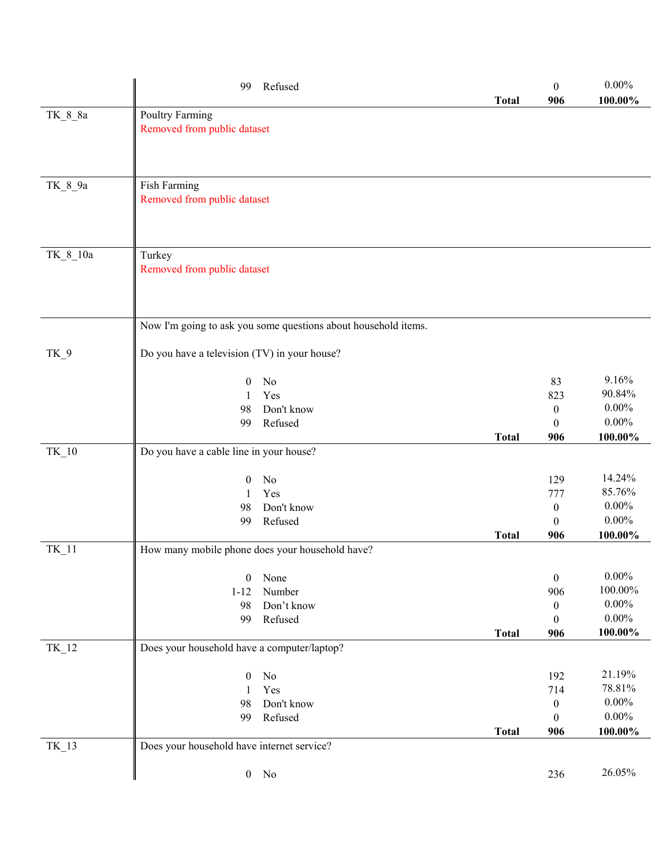|           | Refused<br>99                                                  | <b>Total</b> | $\mathbf{0}$<br>906              | $0.00\%$<br>100.00% |
|-----------|----------------------------------------------------------------|--------------|----------------------------------|---------------------|
| TK_8_8a   | <b>Poultry Farming</b>                                         |              |                                  |                     |
|           | Removed from public dataset                                    |              |                                  |                     |
|           |                                                                |              |                                  |                     |
|           |                                                                |              |                                  |                     |
| $TK_8_9a$ | Fish Farming                                                   |              |                                  |                     |
|           | Removed from public dataset                                    |              |                                  |                     |
|           |                                                                |              |                                  |                     |
|           |                                                                |              |                                  |                     |
| TK 8 10a  | Turkey                                                         |              |                                  |                     |
|           | Removed from public dataset                                    |              |                                  |                     |
|           |                                                                |              |                                  |                     |
|           |                                                                |              |                                  |                     |
|           | Now I'm going to ask you some questions about household items. |              |                                  |                     |
| $TK_9$    | Do you have a television (TV) in your house?                   |              |                                  |                     |
|           |                                                                |              |                                  |                     |
|           | No<br>$\overline{0}$                                           |              | 83                               | 9.16%               |
|           | Yes<br>1                                                       |              | 823                              | 90.84%<br>$0.00\%$  |
|           | Don't know<br>98<br>Refused<br>99                              |              | $\boldsymbol{0}$<br>$\mathbf{0}$ | $0.00\%$            |
|           |                                                                | <b>Total</b> | 906                              | 100.00%             |
| $TK_10$   | Do you have a cable line in your house?                        |              |                                  |                     |
|           |                                                                |              |                                  |                     |
|           | $\overline{0}$<br>No                                           |              | 129                              | 14.24%              |
|           | Yes<br>1                                                       |              | 777                              | 85.76%<br>$0.00\%$  |
|           | Don't know<br>98<br>Refused<br>99                              |              | $\boldsymbol{0}$<br>$\mathbf{0}$ | $0.00\%$            |
|           |                                                                | <b>Total</b> | 906                              | 100.00%             |
| $TK_11$   | How many mobile phone does your household have?                |              |                                  |                     |
|           |                                                                |              |                                  |                     |
|           | None<br>$\boldsymbol{0}$                                       |              | $\boldsymbol{0}$                 | $0.00\%$<br>100.00% |
|           | Number<br>$1 - 12$<br>Don't know<br>98                         |              | 906<br>$\boldsymbol{0}$          | $0.00\%$            |
|           | Refused<br>99                                                  |              | $\boldsymbol{0}$                 | $0.00\%$            |
|           |                                                                | <b>Total</b> | 906                              | $100.00\%$          |
| $TK_12$   | Does your household have a computer/laptop?                    |              |                                  |                     |
|           |                                                                |              |                                  | 21.19%              |
|           | $\rm No$<br>$\mathbf{0}$<br>Yes<br>1                           |              | 192<br>714                       | 78.81%              |
|           | Don't know<br>98                                               |              | $\boldsymbol{0}$                 | $0.00\%$            |
|           | Refused<br>99                                                  |              | $\boldsymbol{0}$                 | $0.00\%$            |
|           |                                                                | <b>Total</b> | 906                              | $100.00\%$          |
| $TK_13$   | Does your household have internet service?                     |              |                                  |                     |
|           | $0$ No                                                         |              | 236                              | 26.05%              |
|           |                                                                |              |                                  |                     |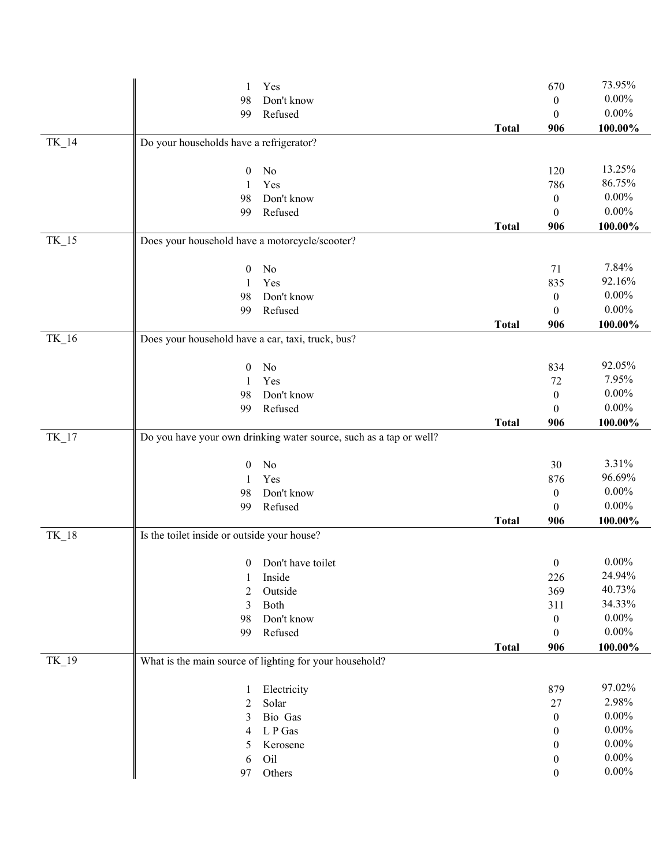|         | Yes<br>1                                                           |              | 670              | 73.95%     |
|---------|--------------------------------------------------------------------|--------------|------------------|------------|
|         | Don't know<br>98                                                   |              | 0                | $0.00\%$   |
|         | Refused<br>99                                                      |              | $\theta$         | $0.00\%$   |
|         |                                                                    | <b>Total</b> | 906              | 100.00%    |
| TK_14   | Do your households have a refrigerator?                            |              |                  |            |
|         |                                                                    |              |                  |            |
|         | No<br>$\boldsymbol{0}$                                             |              | 120              | 13.25%     |
|         | Yes<br>1                                                           |              | 786              | 86.75%     |
|         | Don't know<br>98                                                   |              | $\boldsymbol{0}$ | $0.00\%$   |
|         | Refused<br>99                                                      |              | $\theta$         | $0.00\%$   |
|         |                                                                    | <b>Total</b> | 906              | 100.00%    |
| TK_15   | Does your household have a motorcycle/scooter?                     |              |                  |            |
|         | No<br>$\boldsymbol{0}$                                             |              | 71               | 7.84%      |
|         | Yes<br>1                                                           |              | 835              | 92.16%     |
|         | Don't know<br>98                                                   |              | $\boldsymbol{0}$ | $0.00\%$   |
|         | Refused<br>99                                                      |              | $\Omega$         | $0.00\%$   |
|         |                                                                    | <b>Total</b> | 906              | $100.00\%$ |
| TK_16   | Does your household have a car, taxi, truck, bus?                  |              |                  |            |
|         |                                                                    |              |                  |            |
|         | No<br>$\boldsymbol{0}$                                             |              | 834              | 92.05%     |
|         | Yes<br>1                                                           |              | 72               | 7.95%      |
|         | Don't know<br>98                                                   |              | $\mathbf{0}$     | $0.00\%$   |
|         | Refused<br>99                                                      |              | $\theta$         | $0.00\%$   |
|         |                                                                    | <b>Total</b> | 906              | 100.00%    |
| $TK_17$ | Do you have your own drinking water source, such as a tap or well? |              |                  |            |
|         | No<br>$\theta$                                                     |              | 30               | 3.31%      |
|         | Yes<br>1                                                           |              | 876              | 96.69%     |
|         | Don't know<br>98                                                   |              | $\boldsymbol{0}$ | $0.00\%$   |
|         | Refused<br>99                                                      |              | $\theta$         | $0.00\%$   |
|         |                                                                    | <b>Total</b> | 906              | $100.00\%$ |
| $TK_18$ | Is the toilet inside or outside your house?                        |              |                  |            |
|         | Don't have toilet<br>$\mathbf{0}$                                  |              | $\boldsymbol{0}$ | $0.00\%$   |
|         | Inside<br>1                                                        |              | 226              | 24.94%     |
|         | Outside<br>2                                                       |              | 369              | 40.73%     |
|         | 3<br>Both                                                          |              | 311              | 34.33%     |
|         | 98<br>Don't know                                                   |              | $\boldsymbol{0}$ | $0.00\%$   |
|         | Refused<br>99                                                      |              | $\boldsymbol{0}$ | $0.00\%$   |
|         |                                                                    | <b>Total</b> | 906              | 100.00%    |
| TK_19   | What is the main source of lighting for your household?            |              |                  |            |
|         |                                                                    |              |                  | 97.02%     |
|         | Electricity<br>1                                                   |              | 879              | 2.98%      |
|         | Solar<br>2                                                         |              | 27               | $0.00\%$   |
|         | Bio Gas<br>3                                                       |              | $\mathbf{0}$     | $0.00\%$   |
|         | L P Gas<br>4                                                       |              | 0                | $0.00\%$   |
|         | Kerosene<br>5                                                      |              | 0                | $0.00\%$   |
|         | Oil<br>6                                                           |              | $\bf{0}$         | $0.00\%$   |
|         | Others<br>97                                                       |              | 0                |            |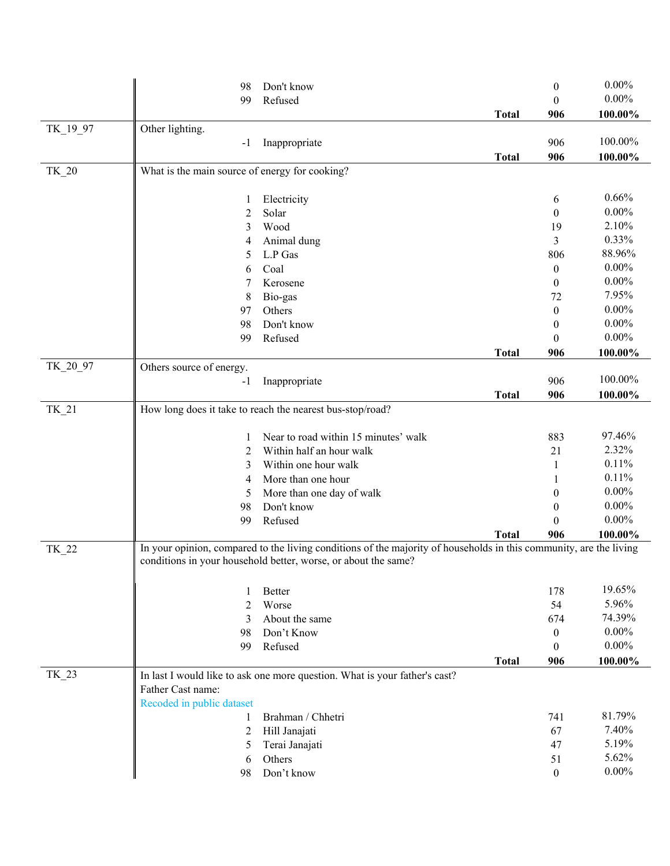|          | 98                                             | Don't know                                                                                                         |              | $\boldsymbol{0}$ | $0.00\%$          |
|----------|------------------------------------------------|--------------------------------------------------------------------------------------------------------------------|--------------|------------------|-------------------|
|          | 99                                             | Refused                                                                                                            |              | $\theta$         | $0.00\%$          |
|          |                                                |                                                                                                                    | <b>Total</b> | 906              | 100.00%           |
| TK_19_97 | Other lighting.                                |                                                                                                                    |              |                  |                   |
|          | $-1$                                           | Inappropriate                                                                                                      |              | 906              | 100.00%           |
|          |                                                |                                                                                                                    | <b>Total</b> | 906              | 100.00%           |
| TK_20    | What is the main source of energy for cooking? |                                                                                                                    |              |                  |                   |
|          |                                                |                                                                                                                    |              |                  |                   |
|          | 1                                              | Electricity                                                                                                        |              | 6                | 0.66%             |
|          | 2                                              | Solar                                                                                                              |              | $\boldsymbol{0}$ | $0.00\%$<br>2.10% |
|          | 3                                              | Wood                                                                                                               |              | 19               | 0.33%             |
|          | 4                                              | Animal dung                                                                                                        |              | 3                | 88.96%            |
|          | 5                                              | L.P Gas                                                                                                            |              | 806              | $0.00\%$          |
|          | 6                                              | Coal                                                                                                               |              | $\mathbf{0}$     | $0.00\%$          |
|          | 7                                              | Kerosene                                                                                                           |              | $\boldsymbol{0}$ | 7.95%             |
|          | 8                                              | Bio-gas                                                                                                            |              | 72               | $0.00\%$          |
|          | 97                                             | Others                                                                                                             |              | $\boldsymbol{0}$ | $0.00\%$          |
|          | 98                                             | Don't know                                                                                                         |              | $\boldsymbol{0}$ | $0.00\%$          |
|          | 99                                             | Refused                                                                                                            |              | $\boldsymbol{0}$ |                   |
| TK_20_97 |                                                |                                                                                                                    | <b>Total</b> | 906              | 100.00%           |
|          | Others source of energy.<br>$-1$               | Inappropriate                                                                                                      |              | 906              | 100.00%           |
|          |                                                |                                                                                                                    | <b>Total</b> | 906              | 100.00%           |
| $TK_21$  |                                                | How long does it take to reach the nearest bus-stop/road?                                                          |              |                  |                   |
|          |                                                |                                                                                                                    |              |                  |                   |
|          | 1                                              | Near to road within 15 minutes' walk                                                                               |              | 883              | 97.46%            |
|          | 2                                              | Within half an hour walk                                                                                           |              | 21               | 2.32%             |
|          | 3                                              | Within one hour walk                                                                                               |              | $\mathbf{1}$     | 0.11%             |
|          | 4                                              | More than one hour                                                                                                 |              |                  | 0.11%             |
|          | 5                                              | More than one day of walk                                                                                          |              | 0                | $0.00\%$          |
|          | 98                                             | Don't know                                                                                                         |              | $\Omega$         | $0.00\%$          |
|          | 99                                             | Refused                                                                                                            |              | 0                | $0.00\%$          |
|          |                                                |                                                                                                                    | <b>Total</b> | 906              | 100.00%           |
| TK_22    |                                                | In your opinion, compared to the living conditions of the majority of households in this community, are the living |              |                  |                   |
|          |                                                | conditions in your household better, worse, or about the same?                                                     |              |                  |                   |
|          |                                                |                                                                                                                    |              |                  |                   |
|          | 1                                              | Better                                                                                                             |              | 178              | 19.65%            |
|          | $\overline{2}$                                 | Worse                                                                                                              |              | 54               | 5.96%             |
|          | 3                                              | About the same                                                                                                     |              | 674              | 74.39%            |
|          | 98                                             | Don't Know                                                                                                         |              | $\mathbf{0}$     | $0.00\%$          |
|          | 99                                             | Refused                                                                                                            |              | $\boldsymbol{0}$ | $0.00\%$          |
|          |                                                |                                                                                                                    | <b>Total</b> | 906              | 100.00%           |
| TK_23    |                                                | In last I would like to ask one more question. What is your father's cast?                                         |              |                  |                   |
|          | Father Cast name:                              |                                                                                                                    |              |                  |                   |
|          | Recoded in public dataset                      |                                                                                                                    |              |                  | 81.79%            |
|          | 1                                              | Brahman / Chhetri                                                                                                  |              | 741              | 7.40%             |
|          | 2<br>5                                         | Hill Janajati                                                                                                      |              | 67<br>47         | 5.19%             |
|          |                                                | Terai Janajati<br>Others                                                                                           |              | 51               | 5.62%             |
|          | 6<br>98                                        | Don't know                                                                                                         |              | $\boldsymbol{0}$ | $0.00\%$          |
|          |                                                |                                                                                                                    |              |                  |                   |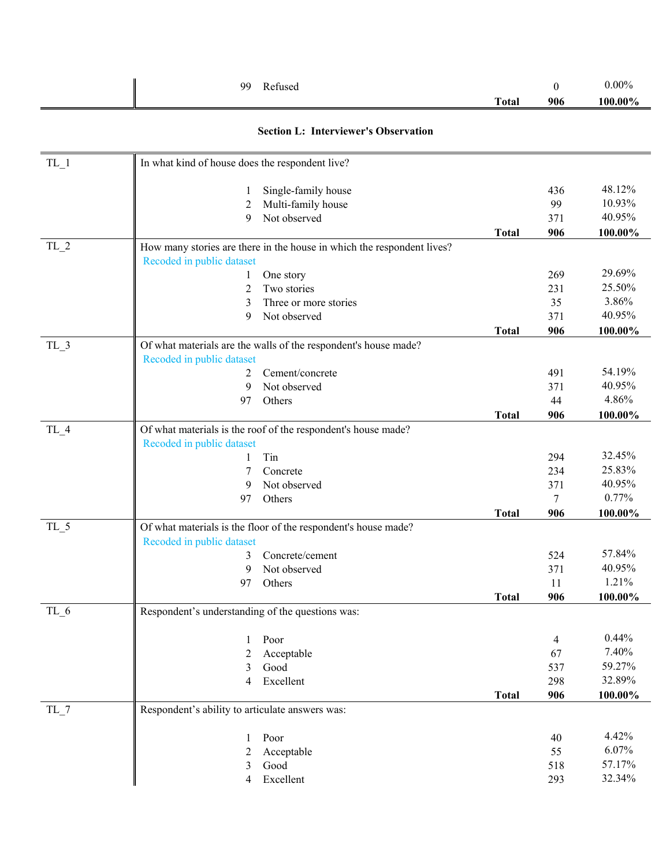|        | Refused<br>99                                                          |              | $\mathbf{0}$ | $0.00\%$         |
|--------|------------------------------------------------------------------------|--------------|--------------|------------------|
|        |                                                                        | <b>Total</b> | 906          | 100.00%          |
|        | <b>Section L: Interviewer's Observation</b>                            |              |              |                  |
| $TL_1$ | In what kind of house does the respondent live?                        |              |              |                  |
|        | Single-family house<br>1                                               |              | 436          | 48.12%           |
|        | Multi-family house<br>2                                                |              | 99           | 10.93%           |
|        | Not observed<br>9                                                      |              | 371          | 40.95%           |
|        |                                                                        | <b>Total</b> | 906          | 100.00%          |
| $TL_2$ | How many stories are there in the house in which the respondent lives? |              |              |                  |
|        | Recoded in public dataset                                              |              |              |                  |
|        | One story<br>1                                                         |              | 269          | 29.69%<br>25.50% |
|        | Two stories<br>2                                                       |              | 231          | 3.86%            |
|        | Three or more stories<br>3<br>Not observed<br>9                        |              | 35<br>371    | 40.95%           |
|        |                                                                        | <b>Total</b> | 906          | 100.00%          |
| TL 3   | Of what materials are the walls of the respondent's house made?        |              |              |                  |
|        | Recoded in public dataset                                              |              |              |                  |
|        | Cement/concrete<br>2                                                   |              | 491          | 54.19%           |
|        | Not observed<br>9                                                      |              | 371          | 40.95%           |
|        | Others<br>97                                                           |              | 44           | 4.86%            |
|        |                                                                        | <b>Total</b> | 906          | 100.00%          |
| TL_4   | Of what materials is the roof of the respondent's house made?          |              |              |                  |
|        | Recoded in public dataset                                              |              |              |                  |
|        | Tin<br>1                                                               |              | 294          | 32.45%           |
|        | Concrete<br>7                                                          |              | 234          | 25.83%           |
|        | Not observed<br>9                                                      |              | 371          | 40.95%           |
|        | Others<br>97                                                           |              | 7            | 0.77%            |
|        |                                                                        | <b>Total</b> | 906          | 100.00%          |
| $TL_5$ | Of what materials is the floor of the respondent's house made?         |              |              |                  |
|        | Recoded in public dataset<br>3<br>Concrete/cement                      |              | 524          | 57.84%           |
|        | Not observed<br>9                                                      |              | 371          | 40.95%           |
|        | Others<br>97                                                           |              | 11           | 1.21%            |
|        |                                                                        | <b>Total</b> | 906          | $100.00\%$       |
| $TL_6$ | Respondent's understanding of the questions was:                       |              |              |                  |
|        | Poor<br>1                                                              |              | 4            | 0.44%            |
|        | 2<br>Acceptable                                                        |              | 67           | 7.40%            |
|        | Good<br>3                                                              |              | 537          | 59.27%           |
|        | Excellent<br>4                                                         |              | 298          | 32.89%           |
|        |                                                                        | <b>Total</b> | 906          | 100.00%          |
| $TL_7$ | Respondent's ability to articulate answers was:                        |              |              |                  |
|        | Poor<br>1                                                              |              | 40           | 4.42%            |
|        | Acceptable<br>2                                                        |              | 55           | 6.07%            |
|        | Good<br>3                                                              |              | 518          | 57.17%           |
|        | Excellent<br>4                                                         |              | 293          | 32.34%           |
|        |                                                                        |              |              |                  |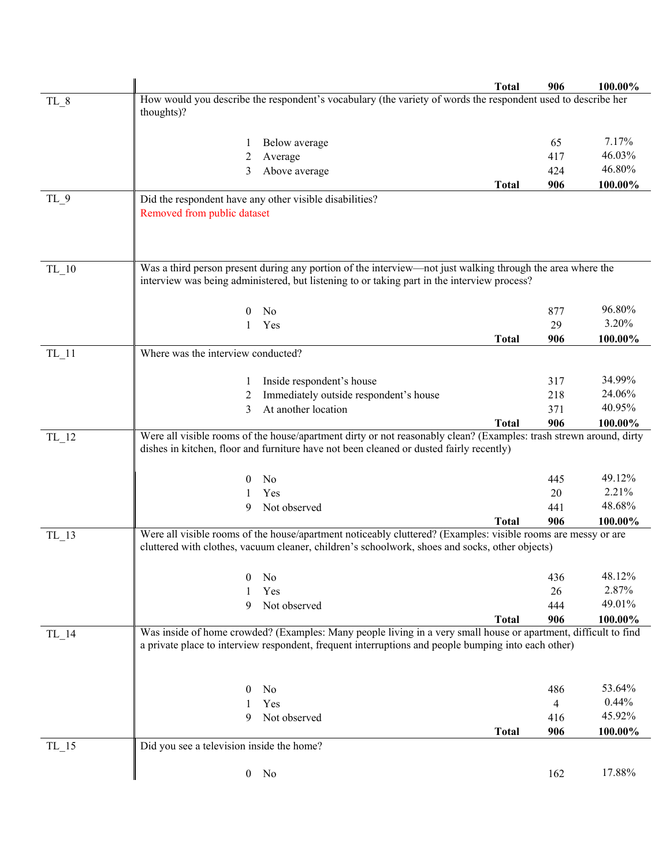|           |                                                                                                                    | <b>Total</b> | 906 | 100.00% |
|-----------|--------------------------------------------------------------------------------------------------------------------|--------------|-----|---------|
| TL_8      | How would you describe the respondent's vocabulary (the variety of words the respondent used to describe her       |              |     |         |
|           | thoughts)?                                                                                                         |              |     |         |
|           | Below average                                                                                                      |              | 65  | 7.17%   |
|           | 2<br>Average                                                                                                       |              | 417 | 46.03%  |
|           | Above average<br>3                                                                                                 |              | 424 | 46.80%  |
|           |                                                                                                                    | <b>Total</b> | 906 | 100.00% |
| $TL_9$    | Did the respondent have any other visible disabilities?                                                            |              |     |         |
|           | Removed from public dataset                                                                                        |              |     |         |
|           |                                                                                                                    |              |     |         |
|           |                                                                                                                    |              |     |         |
| $TL_10$   | Was a third person present during any portion of the interview—not just walking through the area where the         |              |     |         |
|           | interview was being administered, but listening to or taking part in the interview process?                        |              |     |         |
|           | $\theta$<br>No                                                                                                     |              | 877 | 96.80%  |
|           | Yes                                                                                                                |              | 29  | 3.20%   |
|           |                                                                                                                    | <b>Total</b> | 906 | 100.00% |
| $TL_11$   | Where was the interview conducted?                                                                                 |              |     |         |
|           | Inside respondent's house<br>1                                                                                     |              | 317 | 34.99%  |
|           | Immediately outside respondent's house<br>2                                                                        |              | 218 | 24.06%  |
|           | At another location<br>3                                                                                           |              | 371 | 40.95%  |
|           |                                                                                                                    | <b>Total</b> | 906 | 100.00% |
| $TL_{12}$ | Were all visible rooms of the house/apartment dirty or not reasonably clean? (Examples: trash strewn around, dirty |              |     |         |
|           | dishes in kitchen, floor and furniture have not been cleaned or dusted fairly recently)                            |              |     |         |
|           | N <sub>0</sub><br>$\theta$                                                                                         |              | 445 | 49.12%  |
|           | Yes<br>1                                                                                                           |              | 20  | 2.21%   |
|           | 9<br>Not observed                                                                                                  |              | 441 | 48.68%  |
|           |                                                                                                                    | <b>Total</b> | 906 | 100.00% |
| $TL_13$   | Were all visible rooms of the house/apartment noticeably cluttered? (Examples: visible rooms are messy or are      |              |     |         |
|           | cluttered with clothes, vacuum cleaner, children's schoolwork, shoes and socks, other objects)                     |              |     |         |
|           | No<br>$\theta$                                                                                                     |              | 436 | 48.12%  |
|           | Yes                                                                                                                |              | 26  | 2.87%   |
|           | 9<br>Not observed                                                                                                  |              | 444 | 49.01%  |
|           |                                                                                                                    | <b>Total</b> | 906 | 100.00% |
| $TL_14$   | Was inside of home crowded? (Examples: Many people living in a very small house or apartment, difficult to find    |              |     |         |
|           | a private place to interview respondent, frequent interruptions and people bumping into each other)                |              |     |         |
|           |                                                                                                                    |              |     |         |
|           | No<br>$\theta$                                                                                                     |              | 486 | 53.64%  |
|           | Yes<br>1                                                                                                           |              | 4   | 0.44%   |
|           | Not observed<br>9                                                                                                  |              | 416 | 45.92%  |
|           |                                                                                                                    | <b>Total</b> | 906 | 100.00% |
| $TL_{15}$ | Did you see a television inside the home?                                                                          |              |     |         |
|           | $0$ No                                                                                                             |              | 162 | 17.88%  |
|           |                                                                                                                    |              |     |         |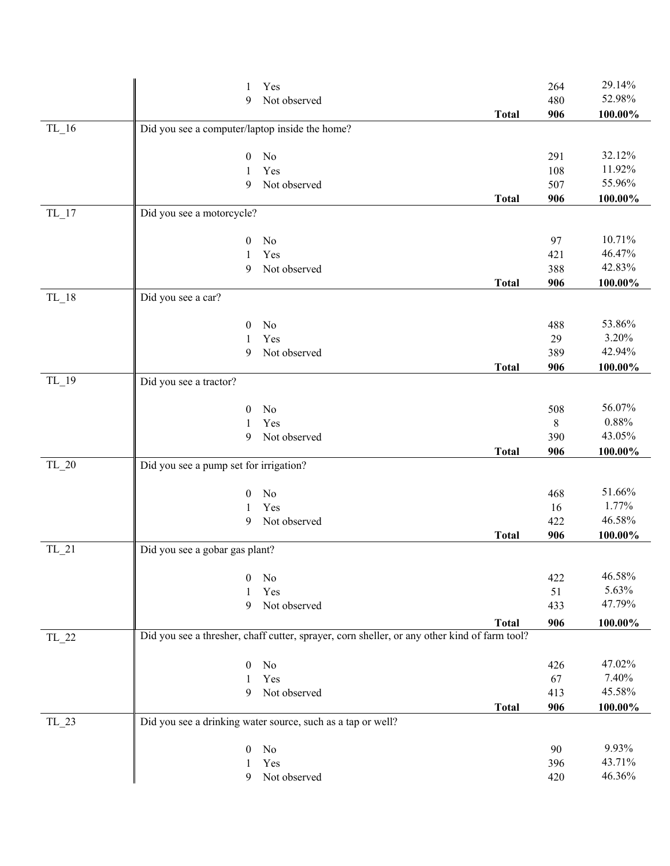|           | Yes<br>1                                                    |                                                                                                              | 264     | 29.14%     |  |
|-----------|-------------------------------------------------------------|--------------------------------------------------------------------------------------------------------------|---------|------------|--|
|           | 9                                                           | Not observed                                                                                                 | 480     | 52.98%     |  |
|           |                                                             | <b>Total</b>                                                                                                 | 906     | $100.00\%$ |  |
| $TL_16$   | Did you see a computer/laptop inside the home?              |                                                                                                              |         |            |  |
|           |                                                             |                                                                                                              |         |            |  |
|           | $\boldsymbol{0}$<br>No                                      |                                                                                                              | 291     | 32.12%     |  |
|           | Yes<br>1                                                    |                                                                                                              | 108     | 11.92%     |  |
|           | 9                                                           | Not observed                                                                                                 | 507     | 55.96%     |  |
|           |                                                             | <b>Total</b>                                                                                                 | 906     | 100.00%    |  |
| $TL_{17}$ | Did you see a motorcycle?                                   |                                                                                                              |         |            |  |
|           | No<br>$\mathbf{0}$                                          |                                                                                                              | 97      | 10.71%     |  |
|           | Yes<br>1                                                    |                                                                                                              | 421     | 46.47%     |  |
|           | 9                                                           | Not observed                                                                                                 | 388     | 42.83%     |  |
|           |                                                             | <b>Total</b>                                                                                                 | 906     | $100.00\%$ |  |
| $TL_18$   | Did you see a car?                                          |                                                                                                              |         |            |  |
|           |                                                             |                                                                                                              |         |            |  |
|           | No<br>$\mathbf{0}$                                          |                                                                                                              | 488     | 53.86%     |  |
|           | Yes<br>1                                                    |                                                                                                              | 29      | 3.20%      |  |
|           | 9                                                           | Not observed                                                                                                 | 389     | 42.94%     |  |
|           |                                                             | <b>Total</b>                                                                                                 | 906     | 100.00%    |  |
| $TL_19$   | Did you see a tractor?                                      |                                                                                                              |         |            |  |
|           | No<br>$\mathbf{0}$                                          |                                                                                                              | 508     | 56.07%     |  |
|           | Yes<br>1                                                    |                                                                                                              | $\,8\,$ | 0.88%      |  |
|           | 9                                                           | Not observed                                                                                                 | 390     | 43.05%     |  |
|           |                                                             | <b>Total</b>                                                                                                 | 906     | 100.00%    |  |
| $TL_20$   | Did you see a pump set for irrigation?                      |                                                                                                              |         |            |  |
|           |                                                             |                                                                                                              |         |            |  |
|           | $\mathbf{0}$<br>No                                          |                                                                                                              | 468     | 51.66%     |  |
|           | Yes<br>1                                                    |                                                                                                              | 16      | 1.77%      |  |
|           | 9                                                           | Not observed                                                                                                 | 422     | 46.58%     |  |
|           |                                                             | <b>Total</b>                                                                                                 | 906     | $100.00\%$ |  |
| $TL_21$   | Did you see a gobar gas plant?                              |                                                                                                              |         |            |  |
|           | No<br>$\mathbf{0}$                                          |                                                                                                              | 422     | 46.58%     |  |
|           | Yes<br>1                                                    |                                                                                                              | 51      | 5.63%      |  |
|           | 9                                                           | Not observed                                                                                                 | 433     | 47.79%     |  |
|           |                                                             |                                                                                                              |         |            |  |
| $TL_22$   |                                                             | <b>Total</b><br>Did you see a thresher, chaff cutter, sprayer, corn sheller, or any other kind of farm tool? | 906     | 100.00%    |  |
|           |                                                             |                                                                                                              |         |            |  |
|           | No<br>$\mathbf{0}$                                          |                                                                                                              | 426     | 47.02%     |  |
|           | Yes<br>1                                                    |                                                                                                              | 67      | 7.40%      |  |
|           | 9                                                           | Not observed                                                                                                 | 413     | 45.58%     |  |
|           |                                                             | <b>Total</b>                                                                                                 | 906     | 100.00%    |  |
| $TL_23$   | Did you see a drinking water source, such as a tap or well? |                                                                                                              |         |            |  |
|           |                                                             |                                                                                                              |         | 9.93%      |  |
|           | No<br>$\overline{0}$<br>Yes                                 |                                                                                                              | 90      | 43.71%     |  |
|           | 1                                                           |                                                                                                              | 396     | 46.36%     |  |
|           | 9                                                           | Not observed                                                                                                 | 420     |            |  |